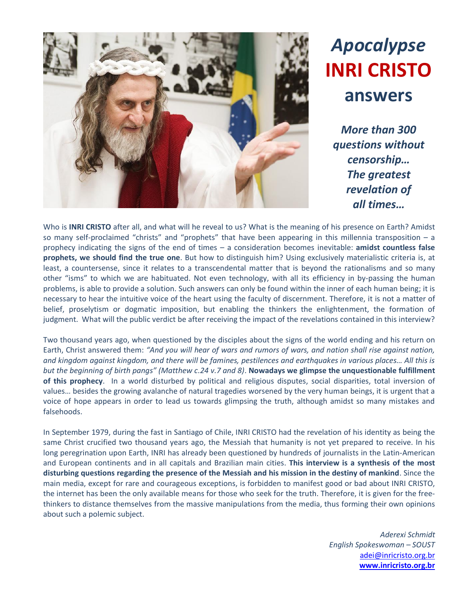

# *Apocalypse* **INRI CRISTO answers**

*More than 300 questions without censorship… The greatest revelation of all times…*

Who is **INRI CRISTO** after all, and what will he reveal to us? What is the meaning of his presence on Earth? Amidst so many self-proclaimed "christs" and "prophets" that have been appearing in this millennia transposition – a prophecy indicating the signs of the end of times – a consideration becomes inevitable: **amidst countless false prophets, we should find the true one**. But how to distinguish him? Using exclusively materialistic criteria is, at least, a countersense, since it relates to a transcendental matter that is beyond the rationalisms and so many other "isms" to which we are habituated. Not even technology, with all its efficiency in by-passing the human problems, is able to provide a solution. Such answers can only be found within the inner of each human being; it is necessary to hear the intuitive voice of the heart using the faculty of discernment. Therefore, it is not a matter of belief, proselytism or dogmatic imposition, but enabling the thinkers the enlightenment, the formation of judgment. What will the public verdict be after receiving the impact of the revelations contained in this interview?

Two thousand years ago, when questioned by the disciples about the signs of the world ending and his return on Earth, Christ answered them: *"And you will hear of wars and rumors of wars, and nation shall rise against nation, and kingdom against kingdom, and there will be famines, pestilences and earthquakes in various places… All this is but the beginning of birth pangs" (Matthew c.24 v.7 and 8)*. **Nowadays we glimpse the unquestionable fulfillment of this prophecy**. In a world disturbed by political and religious disputes, social disparities, total inversion of values… besides the growing avalanche of natural tragedies worsened by the very human beings, it is urgent that a voice of hope appears in order to lead us towards glimpsing the truth, although amidst so many mistakes and falsehoods.

In September 1979, during the fast in Santiago of Chile, INRI CRISTO had the revelation of his identity as being the same Christ crucified two thousand years ago, the Messiah that humanity is not yet prepared to receive. In his long peregrination upon Earth, INRI has already been questioned by hundreds of journalists in the Latin-American and European continents and in all capitals and Brazilian main cities. **This interview is a synthesis of the most disturbing questions regarding the presence of the Messiah and his mission in the destiny of mankind**. Since the main media, except for rare and courageous exceptions, is forbidden to manifest good or bad about INRI CRISTO, the internet has been the only available means for those who seek for the truth. Therefore, it is given for the freethinkers to distance themselves from the massive manipulations from the media, thus forming their own opinions about such a polemic subject.

> *Aderexi Schmidt English Spokeswoman – SOUST* [adei@inricristo.org.br](mailto:adei@inricristo.org.br) **[www.inricristo.org.br](http://www.inricristo.org.br/)**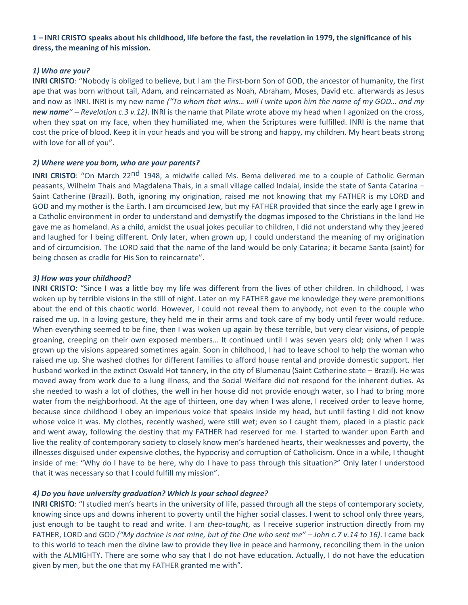# **1 – INRI CRISTO speaks about his childhood, life before the fast, the revelation in 1979, the significance of his dress, the meaning of his mission.**

## *1) Who are you?*

**INRI CRISTO**: "Nobody is obliged to believe, but I am the First-born Son of GOD, the ancestor of humanity, the first ape that was born without tail, Adam, and reincarnated as Noah, Abraham, Moses, David etc. afterwards as Jesus and now as INRI. INRI is my new name *("To whom that wins… will I write upon him the name of my GOD… and my new name" – Revelation c.3 v.12)*. INRI is the name that Pilate wrote above my head when I agonized on the cross, when they spat on my face, when they humiliated me, when the Scriptures were fulfilled. INRI is the name that cost the price of blood. Keep it in your heads and you will be strong and happy, my children. My heart beats strong with love for all of you".

## *2) Where were you born, who are your parents?*

**INRI CRISTO**: "On March 22<sup>nd</sup> 1948, a midwife called Ms. Bema delivered me to a couple of Catholic German peasants, Wilhelm Thais and Magdalena Thais, in a small village called Indaial, inside the state of Santa Catarina – Saint Catherine (Brazil). Both, ignoring my origination, raised me not knowing that my FATHER is my LORD and GOD and my mother is the Earth. I am circumcised Jew, but my FATHER provided that since the early age I grew in a Catholic environment in order to understand and demystify the dogmas imposed to the Christians in the land He gave me as homeland. As a child, amidst the usual jokes peculiar to children, I did not understand why they jeered and laughed for I being different. Only later, when grown up, I could understand the meaning of my origination and of circumcision. The LORD said that the name of the land would be only Catarina; it became Santa (saint) for being chosen as cradle for His Son to reincarnate".

## *3) How was your childhood?*

**INRI CRISTO**: "Since I was a little boy my life was different from the lives of other children. In childhood, I was woken up by terrible visions in the still of night. Later on my FATHER gave me knowledge they were premonitions about the end of this chaotic world. However, I could not reveal them to anybody, not even to the couple who raised me up. In a loving gesture, they held me in their arms and took care of my body until fever would reduce. When everything seemed to be fine, then I was woken up again by these terrible, but very clear visions, of people groaning, creeping on their own exposed members… It continued until I was seven years old; only when I was grown up the visions appeared sometimes again. Soon in childhood, I had to leave school to help the woman who raised me up. She washed clothes for different families to afford house rental and provide domestic support. Her husband worked in the extinct Oswald Hot tannery, in the city of Blumenau (Saint Catherine state – Brazil). He was moved away from work due to a lung illness, and the Social Welfare did not respond for the inherent duties. As she needed to wash a lot of clothes, the well in her house did not provide enough water, so I had to bring more water from the neighborhood. At the age of thirteen, one day when I was alone, I received order to leave home, because since childhood I obey an imperious voice that speaks inside my head, but until fasting I did not know whose voice it was. My clothes, recently washed, were still wet; even so I caught them, placed in a plastic pack and went away, following the destiny that my FATHER had reserved for me. I started to wander upon Earth and live the reality of contemporary society to closely know men's hardened hearts, their weaknesses and poverty, the illnesses disguised under expensive clothes, the hypocrisy and corruption of Catholicism. Once in a while, I thought inside of me: "Why do I have to be here, why do I have to pass through this situation?" Only later I understood that it was necessary so that I could fulfill my mission".

## *4) Do you have university graduation? Which is your school degree?*

**INRI CRISTO**: "I studied men's hearts in the university of life, passed through all the steps of contemporary society, knowing since ups and downs inherent to poverty until the higher social classes. I went to school only three years, just enough to be taught to read and write. I am *theo-taught*, as I receive superior instruction directly from my FATHER, LORD and GOD *("My doctrine is not mine, but of the One who sent me" – John c.7 v.14 to 16)*. I came back to this world to teach men the divine law to provide they live in peace and harmony, reconciling them in the union with the ALMIGHTY. There are some who say that I do not have education. Actually, I do not have the education given by men, but the one that my FATHER granted me with".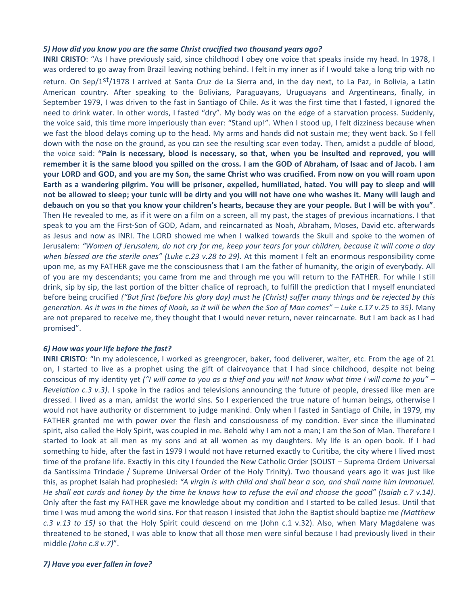## *5) How did you know you are the same Christ crucified two thousand years ago?*

**INRI CRISTO**: "As I have previously said, since childhood I obey one voice that speaks inside my head. In 1978, I was ordered to go away from Brazil leaving nothing behind. I felt in my inner as if I would take a long trip with no

return. On Sep/1<sup>st</sup>/1978 I arrived at Santa Cruz de La Sierra and, in the day next, to La Paz, in Bolivia, a Latin American country. After speaking to the Bolivians, Paraguayans, Uruguayans and Argentineans, finally, in September 1979, I was driven to the fast in Santiago of Chile. As it was the first time that I fasted, I ignored the need to drink water. In other words, I fasted "dry". My body was on the edge of a starvation process. Suddenly, the voice said, this time more imperiously than ever: "Stand up!". When I stood up, I felt dizziness because when we fast the blood delays coming up to the head. My arms and hands did not sustain me; they went back. So I fell down with the nose on the ground, as you can see the resulting scar even today. Then, amidst a puddle of blood, the voice said: **"Pain is necessary, blood is necessary, so that, when you be insulted and reproved, you will remember it is the same blood you spilled on the cross. I am the GOD of Abraham, of Isaac and of Jacob. I am your LORD and GOD, and you are my Son, the same Christ who was crucified. From now on you will roam upon Earth as a wandering pilgrim. You will be prisoner, expelled, humiliated, hated. You will pay to sleep and will not be allowed to sleep; your tunic will be dirty and you will not have one who washes it. Many will laugh and debauch on you so that you know your children's hearts, because they are your people. But I will be with you"**. Then He revealed to me, as if it were on a film on a screen, all my past, the stages of previous incarnations. I that speak to you am the First-Son of GOD, Adam, and reincarnated as Noah, Abraham, Moses, David etc. afterwards as Jesus and now as INRI. The LORD showed me when I walked towards the Skull and spoke to the women of Jerusalem: *"Women of Jerusalem, do not cry for me, keep your tears for your children, because it will come a day when blessed are the sterile ones" (Luke c.23 v.28 to 29)*. At this moment I felt an enormous responsibility come upon me, as my FATHER gave me the consciousness that I am the father of humanity, the origin of everybody. All of you are my descendants; you came from me and through me you will return to the FATHER. For while I still drink, sip by sip, the last portion of the bitter chalice of reproach, to fulfill the prediction that I myself enunciated before being crucified *("But first (before his glory day) must he (Christ) suffer many things and be rejected by this generation. As it was in the times of Noah, so it will be when the Son of Man comes" – Luke c.17 v.25 to 35)*. Many are not prepared to receive me, they thought that I would never return, never reincarnate. But I am back as I had promised".

## *6) How was your life before the fast?*

**INRI CRISTO**: "In my adolescence, I worked as greengrocer, baker, food deliverer, waiter, etc. From the age of 21 on, I started to live as a prophet using the gift of clairvoyance that I had since childhood, despite not being conscious of my identity yet *("I will come to you as a thief and you will not know what time I will come to you" – Revelation c.3 v.3)*. I spoke in the radios and televisions announcing the future of people, dressed like men are dressed. I lived as a man, amidst the world sins. So I experienced the true nature of human beings, otherwise I would not have authority or discernment to judge mankind. Only when I fasted in Santiago of Chile, in 1979, my FATHER granted me with power over the flesh and consciousness of my condition. Ever since the illuminated spirit, also called the Holy Spirit, was coupled in me. Behold why I am not a man; I am the Son of Man. Therefore I started to look at all men as my sons and at all women as my daughters. My life is an open book. If I had something to hide, after the fast in 1979 I would not have returned exactly to Curitiba, the city where I lived most time of the profane life. Exactly in this city I founded the New Catholic Order (SOUST – Suprema Ordem Universal da Santíssima Trindade / Supreme Universal Order of the Holy Trinity). Two thousand years ago it was just like this, as prophet Isaiah had prophesied: *"A virgin is with child and shall bear a son, and shall name him Immanuel. He shall eat curds and honey by the time he knows how to refuse the evil and choose the good" (Isaiah c.7 v.14)*. Only after the fast my FATHER gave me knowledge about my condition and I started to be called Jesus. Until that time I was mud among the world sins. For that reason I insisted that John the Baptist should baptize me *(Matthew c.3 v.13 to 15)* so that the Holy Spirit could descend on me (John c.1 v.32). Also, when Mary Magdalene was threatened to be stoned, I was able to know that all those men were sinful because I had previously lived in their middle *(John c.8 v.7)*".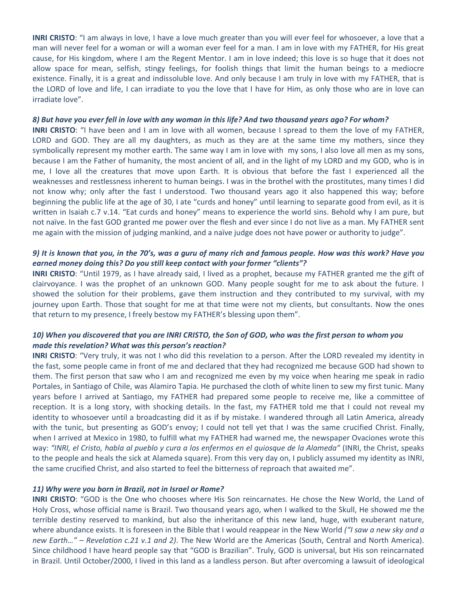**INRI CRISTO**: "I am always in love, I have a love much greater than you will ever feel for whosoever, a love that a man will never feel for a woman or will a woman ever feel for a man. I am in love with my FATHER, for His great cause, for His kingdom, where I am the Regent Mentor. I am in love indeed; this love is so huge that it does not allow space for mean, selfish, stingy feelings, for foolish things that limit the human beings to a mediocre existence. Finally, it is a great and indissoluble love. And only because I am truly in love with my FATHER, that is the LORD of love and life, I can irradiate to you the love that I have for Him, as only those who are in love can irradiate love".

## *8) But have you ever fell in love with any woman in this life? And two thousand years ago? For whom?*

**INRI CRISTO**: "I have been and I am in love with all women, because I spread to them the love of my FATHER, LORD and GOD. They are all my daughters, as much as they are at the same time my mothers, since they symbolically represent my mother earth. The same way I am in love with my sons, I also love all men as my sons, because I am the Father of humanity, the most ancient of all, and in the light of my LORD and my GOD, who is in me, I love all the creatures that move upon Earth. It is obvious that before the fast I experienced all the weaknesses and restlessness inherent to human beings. I was in the brothel with the prostitutes, many times I did not know why; only after the fast I understood. Two thousand years ago it also happened this way; before beginning the public life at the age of 30, I ate "curds and honey" until learning to separate good from evil, as it is written in Isaiah c.7 v.14. "Eat curds and honey" means to experience the world sins. Behold why I am pure, but not naïve. In the fast GOD granted me power over the flesh and ever since I do not live as a man. My FATHER sent me again with the mission of judging mankind, and a naïve judge does not have power or authority to judge".

## *9) It is known that you, in the 70's, was a guru of many rich and famous people. How was this work? Have you earned money doing this? Do you still keep contact with your former "clients"?*

**INRI CRISTO**: "Until 1979, as I have already said, I lived as a prophet, because my FATHER granted me the gift of clairvoyance. I was the prophet of an unknown GOD. Many people sought for me to ask about the future. I showed the solution for their problems, gave them instruction and they contributed to my survival, with my journey upon Earth. Those that sought for me at that time were not my clients, but consultants. Now the ones that return to my presence, I freely bestow my FATHER's blessing upon them".

## *10) When you discovered that you are INRI CRISTO, the Son of GOD, who was the first person to whom you made this revelation? What was this person's reaction?*

**INRI CRISTO**: "Very truly, it was not I who did this revelation to a person. After the LORD revealed my identity in the fast, some people came in front of me and declared that they had recognized me because GOD had shown to them. The first person that saw who I am and recognized me even by my voice when hearing me speak in radio Portales, in Santiago of Chile, was Alamiro Tapia. He purchased the cloth of white linen to sew my first tunic. Many years before I arrived at Santiago, my FATHER had prepared some people to receive me, like a committee of reception. It is a long story, with shocking details. In the fast, my FATHER told me that I could not reveal my identity to whosoever until a broadcasting did it as if by mistake. I wandered through all Latin America, already with the tunic, but presenting as GOD's envoy; I could not tell yet that I was the same crucified Christ. Finally, when I arrived at Mexico in 1980, to fulfill what my FATHER had warned me, the newspaper Ovaciones wrote this way: *"INRI, el Cristo, habla al pueblo y cura a los enfermos en el quiosque de la Alameda"* (INRI, the Christ, speaks to the people and heals the sick at Alameda square). From this very day on, I publicly assumed my identity as INRI, the same crucified Christ, and also started to feel the bitterness of reproach that awaited me".

## *11) Why were you born in Brazil, not in Israel or Rome?*

**INRI CRISTO**: "GOD is the One who chooses where His Son reincarnates. He chose the New World, the Land of Holy Cross, whose official name is Brazil. Two thousand years ago, when I walked to the Skull, He showed me the terrible destiny reserved to mankind, but also the inheritance of this new land, huge, with exuberant nature, where abundance exists. It is foreseen in the Bible that I would reappear in the New World *("I saw a new sky and a new Earth…" – Revelation c.21 v.1 and 2)*. The New World are the Americas (South, Central and North America). Since childhood I have heard people say that "GOD is Brazilian". Truly, GOD is universal, but His son reincarnated in Brazil. Until October/2000, I lived in this land as a landless person. But after overcoming a lawsuit of ideological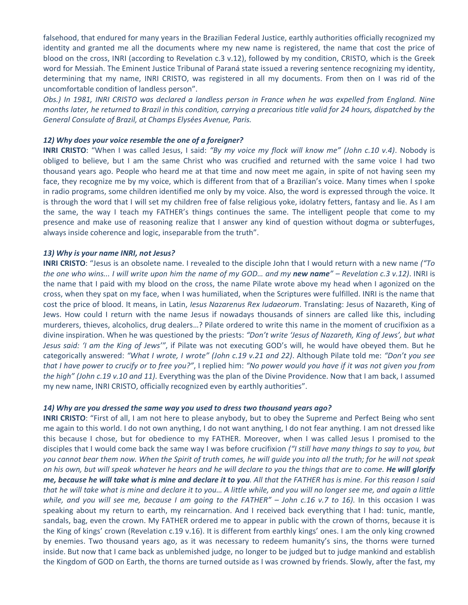falsehood, that endured for many years in the Brazilian Federal Justice, earthly authorities officially recognized my identity and granted me all the documents where my new name is registered, the name that cost the price of blood on the cross, INRI (according to Revelation c.3 v.12), followed by my condition, CRISTO, which is the Greek word for Messiah. The Eminent Justice Tribunal of Paraná state issued a revering sentence recognizing my identity, determining that my name, INRI CRISTO, was registered in all my documents. From then on I was rid of the uncomfortable condition of landless person".

*Obs.) In 1981, INRI CRISTO was declared a landless person in France when he was expelled from England. Nine months later, he returned to Brazil in this condition, carrying a precarious title valid for 24 hours, dispatched by the General Consulate of Brazil, at Champs Elysées Avenue, Paris.* 

## *12) Why does your voice resemble the one of a foreigner?*

**INRI CRISTO**: "When I was called Jesus, I said: *"By my voice my flock will know me" (John c.10 v.4)*. Nobody is obliged to believe, but I am the same Christ who was crucified and returned with the same voice I had two thousand years ago. People who heard me at that time and now meet me again, in spite of not having seen my face, they recognize me by my voice, which is different from that of a Brazilian's voice. Many times when I spoke in radio programs, some children identified me only by my voice. Also, the word is expressed through the voice. It is through the word that I will set my children free of false religious yoke, idolatry fetters, fantasy and lie. As I am the same, the way I teach my FATHER's things continues the same. The intelligent people that come to my presence and make use of reasoning realize that I answer any kind of question without dogma or subterfuges, always inside coherence and logic, inseparable from the truth".

#### *13) Why is your name INRI, not Jesus?*

**INRI CRISTO**: "Jesus is an obsolete name. I revealed to the disciple John that I would return with a new name *("To the one who wins... I will write upon him the name of my GOD… and my new name" – Revelation c.3 v.12)*. INRI is the name that I paid with my blood on the cross, the name Pilate wrote above my head when I agonized on the cross, when they spat on my face, when I was humiliated, when the Scriptures were fulfilled. INRI is the name that cost the price of blood. It means, in Latin, *Iesus Nazarenus Rex Iudaeorum*. Translating: Jesus of Nazareth, King of Jews. How could I return with the name Jesus if nowadays thousands of sinners are called like this, including murderers, thieves, alcoholics, drug dealers…? Pilate ordered to write this name in the moment of crucifixion as a divine inspiration. When he was questioned by the priests: *"Don't write 'Jesus of Nazareth, King of Jews', but what Jesus said: 'I am the King of Jews'"*, if Pilate was not executing GOD's will, he would have obeyed them. But he categorically answered: *"What I wrote, I wrote" (John c.19 v.21 and 22)*. Although Pilate told me: *"Don't you see that I have power to crucify or to free you?"*, I replied him: *"No power would you have if it was not given you from the high" (John c.19 v.10 and 11)*. Everything was the plan of the Divine Providence. Now that I am back, I assumed my new name, INRI CRISTO, officially recognized even by earthly authorities".

#### *14) Why are you dressed the same way you used to dress two thousand years ago?*

**INRI CRISTO**: "First of all, I am not here to please anybody, but to obey the Supreme and Perfect Being who sent me again to this world. I do not own anything, I do not want anything, I do not fear anything. I am not dressed like this because I chose, but for obedience to my FATHER. Moreover, when I was called Jesus I promised to the disciples that I would come back the same way I was before crucifixion *("I still have many things to say to you, but you cannot bear them now. When the Spirit of truth comes, he will guide you into all the truth; for he will not speak on his own, but will speak whatever he hears and he will declare to you the things that are to come. He will glorify me, because he will take what is mine and declare it to you. All that the FATHER has is mine. For this reason I said that he will take what is mine and declare it to you… A little while, and you will no longer see me, and again a little while, and you will see me, because I am going to the FATHER" – John c.16 v.7 to 16)*. In this occasion I was speaking about my return to earth, my reincarnation. And I received back everything that I had: tunic, mantle, sandals, bag, even the crown. My FATHER ordered me to appear in public with the crown of thorns, because it is the King of kings' crown (Revelation c.19 v.16). It is different from earthly kings' ones. I am the only king crowned by enemies. Two thousand years ago, as it was necessary to redeem humanity's sins, the thorns were turned inside. But now that I came back as unblemished judge, no longer to be judged but to judge mankind and establish the Kingdom of GOD on Earth, the thorns are turned outside as I was crowned by friends. Slowly, after the fast, my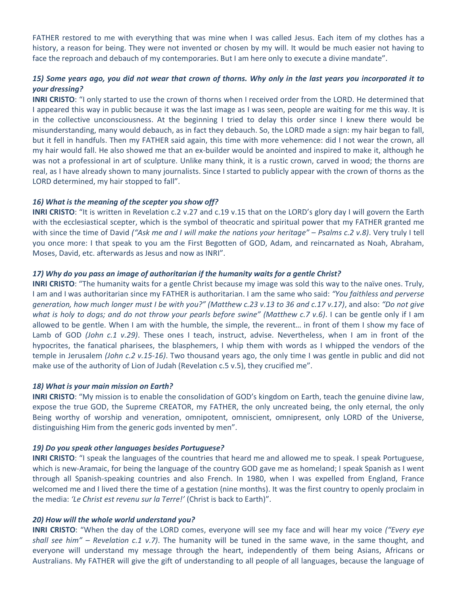FATHER restored to me with everything that was mine when I was called Jesus. Each item of my clothes has a history, a reason for being. They were not invented or chosen by my will. It would be much easier not having to face the reproach and debauch of my contemporaries. But I am here only to execute a divine mandate".

# *15) Some years ago, you did not wear that crown of thorns. Why only in the last years you incorporated it to your dressing?*

**INRI CRISTO**: "I only started to use the crown of thorns when I received order from the LORD. He determined that I appeared this way in public because it was the last image as I was seen, people are waiting for me this way. It is in the collective unconsciousness. At the beginning I tried to delay this order since I knew there would be misunderstanding, many would debauch, as in fact they debauch. So, the LORD made a sign: my hair began to fall, but it fell in handfuls. Then my FATHER said again, this time with more vehemence: did I not wear the crown, all my hair would fall. He also showed me that an ex-builder would be anointed and inspired to make it, although he was not a professional in art of sculpture. Unlike many think, it is a rustic crown, carved in wood; the thorns are real, as I have already shown to many journalists. Since I started to publicly appear with the crown of thorns as the LORD determined, my hair stopped to fall".

## *16) What is the meaning of the scepter you show off?*

**INRI CRISTO**: "It is written in Revelation c.2 v.27 and c.19 v.15 that on the LORD's glory day I will govern the Earth with the ecclesiastical scepter, which is the symbol of theocratic and spiritual power that my FATHER granted me with since the time of David *("Ask me and I will make the nations your heritage" – Psalms c.2 v.8)*. Very truly I tell you once more: I that speak to you am the First Begotten of GOD, Adam, and reincarnated as Noah, Abraham, Moses, David, etc. afterwards as Jesus and now as INRI".

## *17) Why do you pass an image of authoritarian if the humanity waits for a gentle Christ?*

**INRI CRISTO**: "The humanity waits for a gentle Christ because my image was sold this way to the naïve ones. Truly, I am and I was authoritarian since my FATHER is authoritarian. I am the same who said: *"You faithless and perverse generation, how much longer must I be with you?" (Matthew c.23 v.13 to 36 and c.17 v.17)*, and also: *"Do not give what is holy to dogs; and do not throw your pearls before swine" (Matthew c.7 v.6)*. I can be gentle only if I am allowed to be gentle. When I am with the humble, the simple, the reverent… in front of them I show my face of Lamb of GOD *(John c.1 v.29)*. These ones I teach, instruct, advise. Nevertheless, when I am in front of the hypocrites, the fanatical pharisees, the blasphemers, I whip them with words as I whipped the vendors of the temple in Jerusalem *(John c.2 v.15-16)*. Two thousand years ago, the only time I was gentle in public and did not make use of the authority of Lion of Judah (Revelation c.5 v.5), they crucified me".

## *18) What is your main mission on Earth?*

**INRI CRISTO**: "My mission is to enable the consolidation of GOD's kingdom on Earth, teach the genuine divine law, expose the true GOD, the Supreme CREATOR, my FATHER, the only uncreated being, the only eternal, the only Being worthy of worship and veneration, omnipotent, omniscient, omnipresent, only LORD of the Universe, distinguishing Him from the generic gods invented by men".

## *19) Do you speak other languages besides Portuguese?*

**INRI CRISTO**: "I speak the languages of the countries that heard me and allowed me to speak. I speak Portuguese, which is new-Aramaic, for being the language of the country GOD gave me as homeland; I speak Spanish as I went through all Spanish-speaking countries and also French. In 1980, when I was expelled from England, France welcomed me and I lived there the time of a gestation (nine months). It was the first country to openly proclaim in the media: *'Le Christ est revenu sur la Terre!'* (Christ is back to Earth)".

## *20) How will the whole world understand you?*

**INRI CRISTO**: "When the day of the LORD comes, everyone will see my face and will hear my voice *("Every eye shall see him" – Revelation c.1 v.7)*. The humanity will be tuned in the same wave, in the same thought, and everyone will understand my message through the heart, independently of them being Asians, Africans or Australians. My FATHER will give the gift of understanding to all people of all languages, because the language of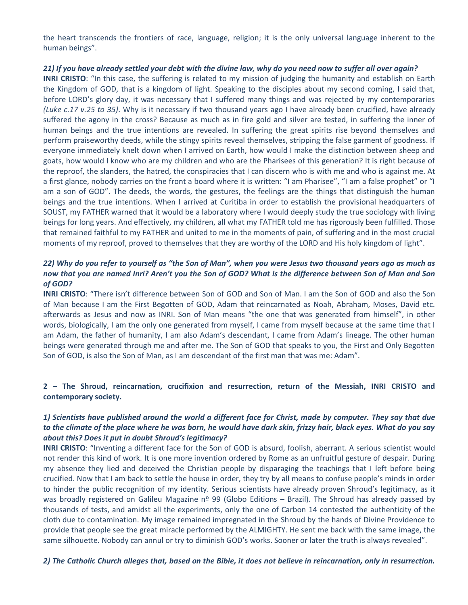the heart transcends the frontiers of race, language, religion; it is the only universal language inherent to the human beings".

## *21) If you have already settled your debt with the divine law, why do you need now to suffer all over again?*

**INRI CRISTO**: "In this case, the suffering is related to my mission of judging the humanity and establish on Earth the Kingdom of GOD, that is a kingdom of light. Speaking to the disciples about my second coming, I said that, before LORD's glory day, it was necessary that I suffered many things and was rejected by my contemporaries *(Luke c.17 v.25 to 35)*. Why is it necessary if two thousand years ago I have already been crucified, have already suffered the agony in the cross? Because as much as in fire gold and silver are tested, in suffering the inner of human beings and the true intentions are revealed. In suffering the great spirits rise beyond themselves and perform praiseworthy deeds, while the stingy spirits reveal themselves, stripping the false garment of goodness. If everyone immediately knelt down when I arrived on Earth, how would I make the distinction between sheep and goats, how would I know who are my children and who are the Pharisees of this generation? It is right because of the reproof, the slanders, the hatred, the conspiracies that I can discern who is with me and who is against me. At a first glance, nobody carries on the front a board where it is written: "I am Pharisee", "I am a false prophet" or "I am a son of GOD". The deeds, the words, the gestures, the feelings are the things that distinguish the human beings and the true intentions. When I arrived at Curitiba in order to establish the provisional headquarters of SOUST, my FATHER warned that it would be a laboratory where I would deeply study the true sociology with living beings for long years. And effectively, my children, all what my FATHER told me has rigorously been fulfilled. Those that remained faithful to my FATHER and united to me in the moments of pain, of suffering and in the most crucial moments of my reproof, proved to themselves that they are worthy of the LORD and His holy kingdom of light".

# *22) Why do you refer to yourself as "the Son of Man", when you were Jesus two thousand years ago as much as now that you are named Inri? Aren't you the Son of GOD? What is the difference between Son of Man and Son of GOD?*

**INRI CRISTO**: "There isn't difference between Son of GOD and Son of Man. I am the Son of GOD and also the Son of Man because I am the First Begotten of GOD, Adam that reincarnated as Noah, Abraham, Moses, David etc. afterwards as Jesus and now as INRI. Son of Man means "the one that was generated from himself", in other words, biologically, I am the only one generated from myself, I came from myself because at the same time that I am Adam, the father of humanity, I am also Adam's descendant, I came from Adam's lineage. The other human beings were generated through me and after me. The Son of GOD that speaks to you, the First and Only Begotten Son of GOD, is also the Son of Man, as I am descendant of the first man that was me: Adam".

# **2 – The Shroud, reincarnation, crucifixion and resurrection, return of the Messiah, INRI CRISTO and contemporary society.**

# *1) Scientists have published around the world a different face for Christ, made by computer. They say that due to the climate of the place where he was born, he would have dark skin, frizzy hair, black eyes. What do you say about this? Does it put in doubt Shroud's legitimacy?*

**INRI CRISTO**: "Inventing a different face for the Son of GOD is absurd, foolish, aberrant. A serious scientist would not render this kind of work. It is one more invention ordered by Rome as an unfruitful gesture of despair. During my absence they lied and deceived the Christian people by disparaging the teachings that I left before being crucified. Now that I am back to settle the house in order, they try by all means to confuse people's minds in order to hinder the public recognition of my identity. Serious scientists have already proven Shroud's legitimacy, as it was broadly registered on Galileu Magazine nº 99 (Globo Editions – Brazil). The Shroud has already passed by thousands of tests, and amidst all the experiments, only the one of Carbon 14 contested the authenticity of the cloth due to contamination. My image remained impregnated in the Shroud by the hands of Divine Providence to provide that people see the great miracle performed by the ALMIGHTY. He sent me back with the same image, the same silhouette. Nobody can annul or try to diminish GOD's works. Sooner or later the truth is always revealed".

## *2) The Catholic Church alleges that, based on the Bible, it does not believe in reincarnation, only in resurrection.*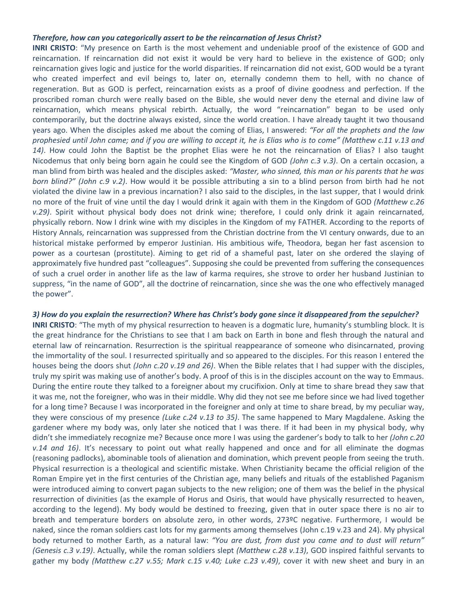## *Therefore, how can you categorically assert to be the reincarnation of Jesus Christ?*

**INRI CRISTO**: "My presence on Earth is the most vehement and undeniable proof of the existence of GOD and reincarnation. If reincarnation did not exist it would be very hard to believe in the existence of GOD; only reincarnation gives logic and justice for the world disparities. If reincarnation did not exist, GOD would be a tyrant who created imperfect and evil beings to, later on, eternally condemn them to hell, with no chance of regeneration. But as GOD is perfect, reincarnation exists as a proof of divine goodness and perfection. If the proscribed roman church were really based on the Bible, she would never deny the eternal and divine law of reincarnation, which means physical rebirth. Actually, the word "reincarnation" began to be used only contemporarily, but the doctrine always existed, since the world creation. I have already taught it two thousand years ago. When the disciples asked me about the coming of Elias, I answered: *"For all the prophets and the law prophesied until John came; and if you are willing to accept it, he is Elias who is to come" (Matthew c.11 v.13 and 14)*. How could John the Baptist be the prophet Elias were he not the reincarnation of Elias? I also taught Nicodemus that only being born again he could see the Kingdom of GOD *(John c.3 v.3)*. On a certain occasion, a man blind from birth was healed and the disciples asked: *"Master, who sinned, this man or his parents that he was born blind?" (John c.9 v.2)*. How would it be possible attributing a sin to a blind person from birth had he not violated the divine law in a previous incarnation? I also said to the disciples, in the last supper, that I would drink no more of the fruit of vine until the day I would drink it again with them in the Kingdom of GOD *(Matthew c.26 v.29)*. Spirit without physical body does not drink wine; therefore, I could only drink it again reincarnated, physically reborn. Now I drink wine with my disciples in the Kingdom of my FATHER. According to the reports of History Annals, reincarnation was suppressed from the Christian doctrine from the VI century onwards, due to an historical mistake performed by emperor Justinian. His ambitious wife, Theodora, began her fast ascension to power as a courtesan (prostitute). Aiming to get rid of a shameful past, later on she ordered the slaying of approximately five hundred past "colleagues". Supposing she could be prevented from suffering the consequences of such a cruel order in another life as the law of karma requires, she strove to order her husband Justinian to suppress, "in the name of GOD", all the doctrine of reincarnation, since she was the one who effectively managed the power".

#### *3) How do you explain the resurrection? Where has Christ's body gone since it disappeared from the sepulcher?*

**INRI CRISTO**: "The myth of my physical resurrection to heaven is a dogmatic lure, humanity's stumbling block. It is the great hindrance for the Christians to see that I am back on Earth in bone and flesh through the natural and eternal law of reincarnation. Resurrection is the spiritual reappearance of someone who disincarnated, proving the immortality of the soul. I resurrected spiritually and so appeared to the disciples. For this reason I entered the houses being the doors shut *(John c.20 v.19 and 26)*. When the Bible relates that I had supper with the disciples, truly my spirit was making use of another's body. A proof of this is in the disciples account on the way to Emmaus. During the entire route they talked to a foreigner about my crucifixion. Only at time to share bread they saw that it was me, not the foreigner, who was in their middle. Why did they not see me before since we had lived together for a long time? Because I was incorporated in the foreigner and only at time to share bread, by my peculiar way, they were conscious of my presence *(Luke c.24 v.13 to 35)*. The same happened to Mary Magdalene. Asking the gardener where my body was, only later she noticed that I was there. If it had been in my physical body, why didn't she immediately recognize me? Because once more I was using the gardener's body to talk to her *(John c.20 v.14 and 16)*. It's necessary to point out what really happened and once and for all eliminate the dogmas (reasoning padlocks), abominable tools of alienation and domination, which prevent people from seeing the truth. Physical resurrection is a theological and scientific mistake. When Christianity became the official religion of the Roman Empire yet in the first centuries of the Christian age, many beliefs and rituals of the established Paganism were introduced aiming to convert pagan subjects to the new religion; one of them was the belief in the physical resurrection of divinities (as the example of Horus and Osiris, that would have physically resurrected to heaven, according to the legend). My body would be destined to freezing, given that in outer space there is no air to breath and temperature borders on absolute zero, in other words, 273ºC negative. Furthermore, I would be naked, since the roman soldiers cast lots for my garments among themselves (John c.19 v.23 and 24). My physical body returned to mother Earth, as a natural law: *"You are dust, from dust you came and to dust will return" (Genesis c.3 v.19)*. Actually, while the roman soldiers slept *(Matthew c.28 v.13)*, GOD inspired faithful servants to gather my body *(Matthew c.27 v.55; Mark c.15 v.40; Luke c.23 v.49)*, cover it with new sheet and bury in an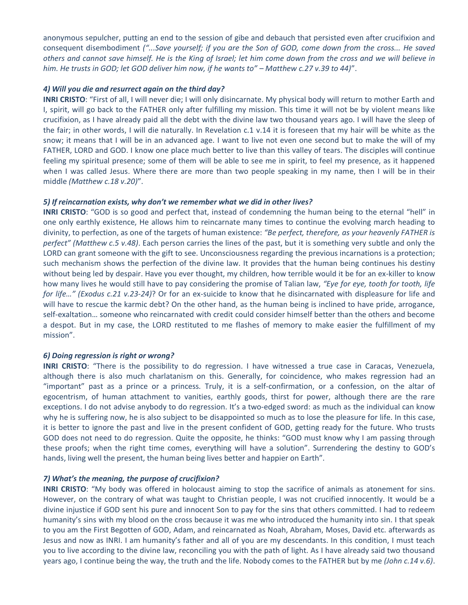anonymous sepulcher, putting an end to the session of gibe and debauch that persisted even after crucifixion and consequent disembodiment *("...Save yourself; if you are the Son of GOD, come down from the cross... He saved others and cannot save himself. He is the King of Israel; let him come down from the cross and we will believe in him. He trusts in GOD; let GOD deliver him now, if he wants to" – Matthew c.27 v.39 to 44)*".

## *4) Will you die and resurrect again on the third day?*

**INRI CRISTO**: "First of all, I will never die; I will only disincarnate. My physical body will return to mother Earth and I, spirit, will go back to the FATHER only after fulfilling my mission. This time it will not be by violent means like crucifixion, as I have already paid all the debt with the divine law two thousand years ago. I will have the sleep of the fair; in other words, I will die naturally. In Revelation c.1 v.14 it is foreseen that my hair will be white as the snow; it means that I will be in an advanced age. I want to live not even one second but to make the will of my FATHER, LORD and GOD. I know one place much better to live than this valley of tears. The disciples will continue feeling my spiritual presence; some of them will be able to see me in spirit, to feel my presence, as it happened when I was called Jesus. Where there are more than two people speaking in my name, then I will be in their middle *(Matthew c.18 v.20)*".

## *5) If reincarnation exists, why don't we remember what we did in other lives?*

**INRI CRISTO**: "GOD is so good and perfect that, instead of condemning the human being to the eternal "hell" in one only earthly existence, He allows him to reincarnate many times to continue the evolving march heading to divinity, to perfection, as one of the targets of human existence: *"Be perfect, therefore, as your heavenly FATHER is perfect" (Matthew c.5 v.48)*. Each person carries the lines of the past, but it is something very subtle and only the LORD can grant someone with the gift to see. Unconsciousness regarding the previous incarnations is a protection; such mechanism shows the perfection of the divine law. It provides that the human being continues his destiny without being led by despair. Have you ever thought, my children, how terrible would it be for an ex-killer to know how many lives he would still have to pay considering the promise of Talian law, *"Eye for eye, tooth for tooth, life for life…" (Exodus c.21 v.23-24)*? Or for an ex-suicide to know that he disincarnated with displeasure for life and will have to rescue the karmic debt? On the other hand, as the human being is inclined to have pride, arrogance, self-exaltation… someone who reincarnated with credit could consider himself better than the others and become a despot. But in my case, the LORD restituted to me flashes of memory to make easier the fulfillment of my mission".

## *6) Doing regression is right or wrong?*

**INRI CRISTO**: "There is the possibility to do regression. I have witnessed a true case in Caracas, Venezuela, although there is also much charlatanism on this. Generally, for coincidence, who makes regression had an "important" past as a prince or a princess. Truly, it is a self-confirmation, or a confession, on the altar of egocentrism, of human attachment to vanities, earthly goods, thirst for power, although there are the rare exceptions. I do not advise anybody to do regression. It's a two-edged sword: as much as the individual can know why he is suffering now, he is also subject to be disappointed so much as to lose the pleasure for life. In this case, it is better to ignore the past and live in the present confident of GOD, getting ready for the future. Who trusts GOD does not need to do regression. Quite the opposite, he thinks: "GOD must know why I am passing through these proofs; when the right time comes, everything will have a solution". Surrendering the destiny to GOD's hands, living well the present, the human being lives better and happier on Earth".

## *7) What's the meaning, the purpose of crucifixion?*

**INRI CRISTO**: "My body was offered in holocaust aiming to stop the sacrifice of animals as atonement for sins. However, on the contrary of what was taught to Christian people, I was not crucified innocently. It would be a divine injustice if GOD sent his pure and innocent Son to pay for the sins that others committed. I had to redeem humanity's sins with my blood on the cross because it was me who introduced the humanity into sin. I that speak to you am the First Begotten of GOD, Adam, and reincarnated as Noah, Abraham, Moses, David etc. afterwards as Jesus and now as INRI. I am humanity's father and all of you are my descendants. In this condition, I must teach you to live according to the divine law, reconciling you with the path of light. As I have already said two thousand years ago, I continue being the way, the truth and the life. Nobody comes to the FATHER but by me *(John c.14 v.6)*.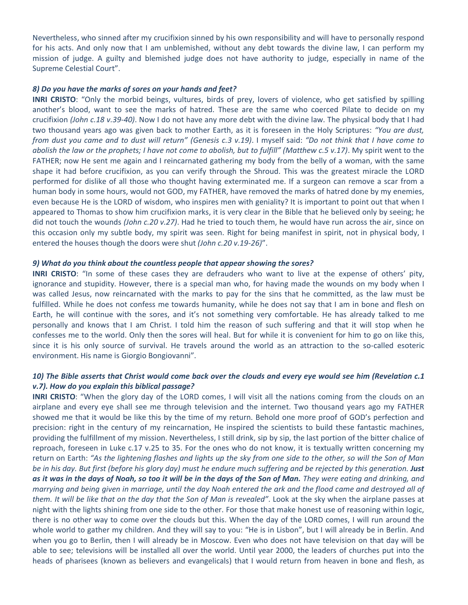Nevertheless, who sinned after my crucifixion sinned by his own responsibility and will have to personally respond for his acts. And only now that I am unblemished, without any debt towards the divine law, I can perform my mission of judge. A guilty and blemished judge does not have authority to judge, especially in name of the Supreme Celestial Court".

#### *8) Do you have the marks of sores on your hands and feet?*

**INRI CRISTO**: "Only the morbid beings, vultures, birds of prey, lovers of violence, who get satisfied by spilling another's blood, want to see the marks of hatred. These are the same who coerced Pilate to decide on my crucifixion *(John c.18 v.39-40)*. Now I do not have any more debt with the divine law. The physical body that I had two thousand years ago was given back to mother Earth, as it is foreseen in the Holy Scriptures: *"You are dust, from dust you came and to dust will return" (Genesis c.3 v.19)*. I myself said: *"Do not think that I have come to abolish the law or the prophets; I have not come to abolish, but to fulfill" (Matthew c.5 v.17)*. My spirit went to the FATHER; now He sent me again and I reincarnated gathering my body from the belly of a woman, with the same shape it had before crucifixion, as you can verify through the Shroud. This was the greatest miracle the LORD performed for dislike of all those who thought having exterminated me. If a surgeon can remove a scar from a human body in some hours, would not GOD, my FATHER, have removed the marks of hatred done by my enemies, even because He is the LORD of wisdom, who inspires men with geniality? It is important to point out that when I appeared to Thomas to show him crucifixion marks, it is very clear in the Bible that he believed only by seeing; he did not touch the wounds *(John c.20 v.27)*. Had he tried to touch them, he would have run across the air, since on this occasion only my subtle body, my spirit was seen. Right for being manifest in spirit, not in physical body, I entered the houses though the doors were shut *(John c.20 v.19-26)*".

## *9) What do you think about the countless people that appear showing the sores?*

**INRI CRISTO**: "In some of these cases they are defrauders who want to live at the expense of others' pity, ignorance and stupidity. However, there is a special man who, for having made the wounds on my body when I was called Jesus, now reincarnated with the marks to pay for the sins that he committed, as the law must be fulfilled. While he does not confess me towards humanity, while he does not say that I am in bone and flesh on Earth, he will continue with the sores, and it's not something very comfortable. He has already talked to me personally and knows that I am Christ. I told him the reason of such suffering and that it will stop when he confesses me to the world. Only then the sores will heal. But for while it is convenient for him to go on like this, since it is his only source of survival. He travels around the world as an attraction to the so-called esoteric environment. His name is Giorgio Bongiovanni".

## *10) The Bible asserts that Christ would come back over the clouds and every eye would see him (Revelation c.1 v.7). How do you explain this biblical passage?*

**INRI CRISTO**: "When the glory day of the LORD comes, I will visit all the nations coming from the clouds on an airplane and every eye shall see me through television and the internet. Two thousand years ago my FATHER showed me that it would be like this by the time of my return. Behold one more proof of GOD's perfection and precision: right in the century of my reincarnation, He inspired the scientists to build these fantastic machines, providing the fulfillment of my mission. Nevertheless, I still drink, sip by sip, the last portion of the bitter chalice of reproach, foreseen in Luke c.17 v.25 to 35. For the ones who do not know, it is textually written concerning my return on Earth: *"As the lightening flashes and lights up the sky from one side to the other, so will the Son of Man*  be in his day. But first (before his glory day) must he endure much suffering and be rejected by this generation. Just *as it was in the days of Noah, so too it will be in the days of the Son of Man. They were eating and drinking, and marrying and being given in marriage, until the day Noah entered the ark and the flood came and destroyed all of them. It will be like that on the day that the Son of Man is revealed"*. Look at the sky when the airplane passes at night with the lights shining from one side to the other. For those that make honest use of reasoning within logic, there is no other way to come over the clouds but this. When the day of the LORD comes, I will run around the whole world to gather my children. And they will say to you: "He is in Lisbon", but I will already be in Berlin. And when you go to Berlin, then I will already be in Moscow. Even who does not have television on that day will be able to see; televisions will be installed all over the world. Until year 2000, the leaders of churches put into the heads of pharisees (known as believers and evangelicals) that I would return from heaven in bone and flesh, as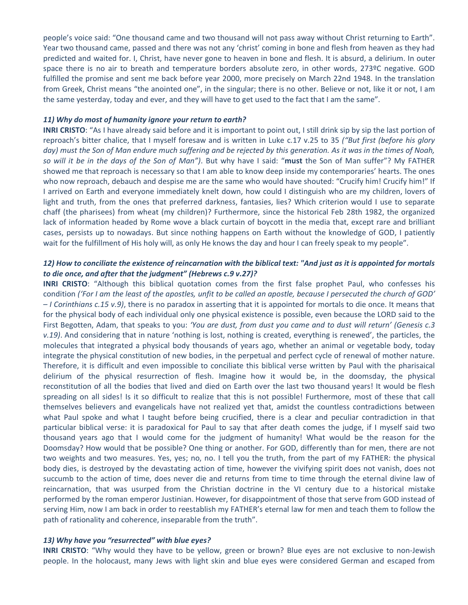people's voice said: "One thousand came and two thousand will not pass away without Christ returning to Earth". Year two thousand came, passed and there was not any 'christ' coming in bone and flesh from heaven as they had predicted and waited for. I, Christ, have never gone to heaven in bone and flesh. It is absurd, a delirium. In outer space there is no air to breath and temperature borders absolute zero, in other words, 273ºC negative. GOD fulfilled the promise and sent me back before year 2000, more precisely on March 22nd 1948. In the translation from Greek, Christ means "the anointed one", in the singular; there is no other. Believe or not, like it or not, I am the same yesterday, today and ever, and they will have to get used to the fact that I am the same".

#### *11) Why do most of humanity ignore your return to earth?*

**INRI CRISTO**: "As I have already said before and it is important to point out, I still drink sip by sip the last portion of reproach's bitter chalice, that I myself foresaw and is written in Luke c.17 v.25 to 35 *("But first (before his glory*  day) must the Son of Man endure much suffering and be rejected by this generation. As it was in the times of Noah, *so will it be in the days of the Son of Man")*. But why have I said: "**must** the Son of Man suffer"? My FATHER showed me that reproach is necessary so that I am able to know deep inside my contemporaries' hearts. The ones who now reproach, debauch and despise me are the same who would have shouted: "Crucify him! Crucify him!" If I arrived on Earth and everyone immediately knelt down, how could I distinguish who are my children, lovers of light and truth, from the ones that preferred darkness, fantasies, lies? Which criterion would I use to separate chaff (the pharisees) from wheat (my children)? Furthermore, since the historical Feb 28th 1982, the organized lack of information headed by Rome wove a black curtain of boycott in the media that, except rare and brilliant cases, persists up to nowadays. But since nothing happens on Earth without the knowledge of GOD, I patiently wait for the fulfillment of His holy will, as only He knows the day and hour I can freely speak to my people".

## *12) How to conciliate the existence of reincarnation with the biblical text: "And just as it is appointed for mortals to die once, and after that the judgment" (Hebrews c.9 v.27)?*

**INRI CRISTO**: "Although this biblical quotation comes from the first false prophet Paul, who confesses his condition *('For I am the least of the apostles, unfit to be called an apostle, because I persecuted the church of GOD' – I Corinthians c.15 v.9)*, there is no paradox in asserting that it is appointed for mortals to die once. It means that for the physical body of each individual only one physical existence is possible, even because the LORD said to the First Begotten, Adam, that speaks to you: *'You are dust, from dust you came and to dust will return' (Genesis c.3 v.19)*. And considering that in nature 'nothing is lost, nothing is created, everything is renewed', the particles, the molecules that integrated a physical body thousands of years ago, whether an animal or vegetable body, today integrate the physical constitution of new bodies, in the perpetual and perfect cycle of renewal of mother nature. Therefore, it is difficult and even impossible to conciliate this biblical verse written by Paul with the pharisaical delirium of the physical resurrection of flesh. Imagine how it would be, in the doomsday, the physical reconstitution of all the bodies that lived and died on Earth over the last two thousand years! It would be flesh spreading on all sides! Is it so difficult to realize that this is not possible! Furthermore, most of these that call themselves believers and evangelicals have not realized yet that, amidst the countless contradictions between what Paul spoke and what I taught before being crucified, there is a clear and peculiar contradiction in that particular biblical verse: it is paradoxical for Paul to say that after death comes the judge, if I myself said two thousand years ago that I would come for the judgment of humanity! What would be the reason for the Doomsday? How would that be possible? One thing or another. For GOD, differently than for men, there are not two weights and two measures. Yes, yes; no, no. I tell you the truth, from the part of my FATHER: the physical body dies, is destroyed by the devastating action of time, however the vivifying spirit does not vanish, does not succumb to the action of time, does never die and returns from time to time through the eternal divine law of reincarnation, that was usurped from the Christian doctrine in the VI century due to a historical mistake performed by the roman emperor Justinian. However, for disappointment of those that serve from GOD instead of serving Him, now I am back in order to reestablish my FATHER's eternal law for men and teach them to follow the path of rationality and coherence, inseparable from the truth".

## *13) Why have you "resurrected" with blue eyes?*

**INRI CRISTO**: "Why would they have to be yellow, green or brown? Blue eyes are not exclusive to non-Jewish people. In the holocaust, many Jews with light skin and blue eyes were considered German and escaped from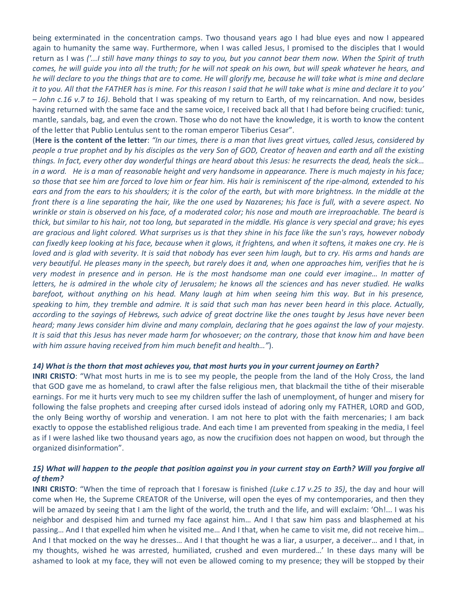being exterminated in the concentration camps. Two thousand years ago I had blue eyes and now I appeared again to humanity the same way. Furthermore, when I was called Jesus, I promised to the disciples that I would return as I was *('...I still have many things to say to you, but you cannot bear them now. When the Spirit of truth comes, he will guide you into all the truth; for he will not speak on his own, but will speak whatever he hears, and he will declare to you the things that are to come. He will glorify me, because he will take what is mine and declare it to you. All that the FATHER has is mine. For this reason I said that he will take what is mine and declare it to you' – John c.16 v.7 to 16)*. Behold that I was speaking of my return to Earth, of my reincarnation. And now, besides having returned with the same face and the same voice, I received back all that I had before being crucified: tunic, mantle, sandals, bag, and even the crown. Those who do not have the knowledge, it is worth to know the content of the letter that Publio Lentulus sent to the roman emperor Tiberius Cesar".

(**Here is the content of the letter**: *"In our times, there is a man that lives great virtues, called Jesus, considered by people a true prophet and by his disciples as the very Son of GOD, Creator of heaven and earth and all the existing things. In fact, every other day wonderful things are heard about this Jesus: he resurrects the dead, heals the sick…*  in a word. He is a man of reasonable height and very handsome in appearance. There is much majesty in his face; *so those that see him are forced to love him or fear him. His hair is reminiscent of the ripe-almond, extended to his*  ears and from the ears to his shoulders; it is the color of the earth, but with more brightness. In the middle at the *front there is a line separating the hair, like the one used by Nazarenes; his face is full, with a severe aspect. No*  wrinkle or stain is observed on his face, of a moderated color; his nose and mouth are irreproachable. The beard is *thick, but similar to his hair, not too long, but separated in the middle. His glance is very special and grave; his eyes are gracious and light colored. What surprises us is that they shine in his face like the sun's rays, however nobody can fixedly keep looking at his face, because when it glows, it frightens, and when it softens, it makes one cry. He is loved and is glad with severity. It is said that nobody has ever seen him laugh, but to cry. His arms and hands are very beautiful. He pleases many in the speech, but rarely does it and, when one approaches him, verifies that he is very modest in presence and in person. He is the most handsome man one could ever imagine… In matter of letters, he is admired in the whole city of Jerusalem; he knows all the sciences and has never studied. He walks barefoot, without anything on his head. Many laugh at him when seeing him this way. But in his presence, speaking to him, they tremble and admire. It is said that such man has never been heard in this place. Actually, according to the sayings of Hebrews, such advice of great doctrine like the ones taught by Jesus have never been heard; many Jews consider him divine and many complain, declaring that he goes against the law of your majesty. It is said that this Jesus has never made harm for whosoever; on the contrary, those that know him and have been with him assure having received from him much benefit and health…"*).

## *14) What is the thorn that most achieves you, that most hurts you in your current journey on Earth?*

**INRI CRISTO**: "What most hurts in me is to see my people, the people from the land of the Holy Cross, the land that GOD gave me as homeland, to crawl after the false religious men, that blackmail the tithe of their miserable earnings. For me it hurts very much to see my children suffer the lash of unemployment, of hunger and misery for following the false prophets and creeping after cursed idols instead of adoring only my FATHER, LORD and GOD, the only Being worthy of worship and veneration. I am not here to plot with the faith mercenaries; I am back exactly to oppose the established religious trade. And each time I am prevented from speaking in the media, I feel as if I were lashed like two thousand years ago, as now the crucifixion does not happen on wood, but through the organized disinformation".

# *15) What will happen to the people that position against you in your current stay on Earth? Will you forgive all of them?*

**INRI CRISTO**: "When the time of reproach that I foresaw is finished *(Luke c.17 v.25 to 35)*, the day and hour will come when He, the Supreme CREATOR of the Universe, will open the eyes of my contemporaries, and then they will be amazed by seeing that I am the light of the world, the truth and the life, and will exclaim: 'Oh!... I was his neighbor and despised him and turned my face against him… And I that saw him pass and blasphemed at his passing… And I that expelled him when he visited me… And I that, when he came to visit me, did not receive him… And I that mocked on the way he dresses… And I that thought he was a liar, a usurper, a deceiver… and I that, in my thoughts, wished he was arrested, humiliated, crushed and even murdered…' In these days many will be ashamed to look at my face, they will not even be allowed coming to my presence; they will be stopped by their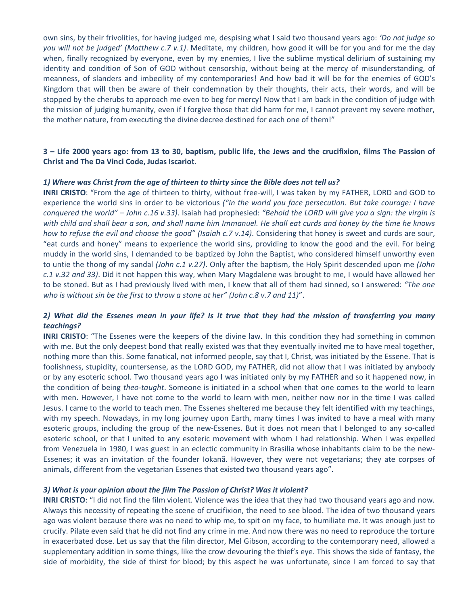own sins, by their frivolities, for having judged me, despising what I said two thousand years ago: *'Do not judge so you will not be judged' (Matthew c.7 v.1)*. Meditate, my children, how good it will be for you and for me the day when, finally recognized by everyone, even by my enemies, I live the sublime mystical delirium of sustaining my identity and condition of Son of GOD without censorship, without being at the mercy of misunderstanding, of meanness, of slanders and imbecility of my contemporaries! And how bad it will be for the enemies of GOD's Kingdom that will then be aware of their condemnation by their thoughts, their acts, their words, and will be stopped by the cherubs to approach me even to beg for mercy! Now that I am back in the condition of judge with the mission of judging humanity, even if I forgive those that did harm for me, I cannot prevent my severe mother, the mother nature, from executing the divine decree destined for each one of them!"

# **3 – Life 2000 years ago: from 13 to 30, baptism, public life, the Jews and the crucifixion, films The Passion of Christ and The Da Vinci Code, Judas Iscariot.**

#### *1) Where was Christ from the age of thirteen to thirty since the Bible does not tell us?*

**INRI CRISTO**: "From the age of thirteen to thirty, without free-will, I was taken by my FATHER, LORD and GOD to experience the world sins in order to be victorious *("In the world you face persecution. But take courage: I have conquered the world" – John c.16 v.33)*. Isaiah had prophesied: *"Behold the LORD will give you a sign: the virgin is with child and shall bear a son, and shall name him Immanuel. He shall eat curds and honey by the time he knows how to refuse the evil and choose the good" (Isaiah c.7 v.14)*. Considering that honey is sweet and curds are sour, "eat curds and honey" means to experience the world sins, providing to know the good and the evil. For being muddy in the world sins, I demanded to be baptized by John the Baptist, who considered himself unworthy even to untie the thong of my sandal *(John c.1 v.27)*. Only after the baptism, the Holy Spirit descended upon me *(John c.1 v.32 and 33)*. Did it not happen this way, when Mary Magdalene was brought to me, I would have allowed her to be stoned. But as I had previously lived with men, I knew that all of them had sinned, so I answered: *"The one who is without sin be the first to throw a stone at her" (John c.8 v.7 and 11)*".

## *2) What did the Essenes mean in your life? Is it true that they had the mission of transferring you many teachings?*

**INRI CRISTO**: "The Essenes were the keepers of the divine law. In this condition they had something in common with me. But the only deepest bond that really existed was that they eventually invited me to have meal together, nothing more than this. Some fanatical, not informed people, say that I, Christ, was initiated by the Essene. That is foolishness, stupidity, countersense, as the LORD GOD, my FATHER, did not allow that I was initiated by anybody or by any esoteric school. Two thousand years ago I was initiated only by my FATHER and so it happened now, in the condition of being *theo-taught*. Someone is initiated in a school when that one comes to the world to learn with men. However, I have not come to the world to learn with men, neither now nor in the time I was called Jesus. I came to the world to teach men. The Essenes sheltered me because they felt identified with my teachings, with my speech. Nowadays, in my long journey upon Earth, many times I was invited to have a meal with many esoteric groups, including the group of the new-Essenes. But it does not mean that I belonged to any so-called esoteric school, or that I united to any esoteric movement with whom I had relationship. When I was expelled from Venezuela in 1980, I was guest in an eclectic community in Brasilia whose inhabitants claim to be the new-Essenes; it was an invitation of the founder Iokanã. However, they were not vegetarians; they ate corpses of animals, different from the vegetarian Essenes that existed two thousand years ago".

#### *3) What is your opinion about the film The Passion of Christ? Was it violent?*

**INRI CRISTO**: "I did not find the film violent. Violence was the idea that they had two thousand years ago and now. Always this necessity of repeating the scene of crucifixion, the need to see blood. The idea of two thousand years ago was violent because there was no need to whip me, to spit on my face, to humiliate me. It was enough just to crucify. Pilate even said that he did not find any crime in me. And now there was no need to reproduce the torture in exacerbated dose. Let us say that the film director, Mel Gibson, according to the contemporary need, allowed a supplementary addition in some things, like the crow devouring the thief's eye. This shows the side of fantasy, the side of morbidity, the side of thirst for blood; by this aspect he was unfortunate, since I am forced to say that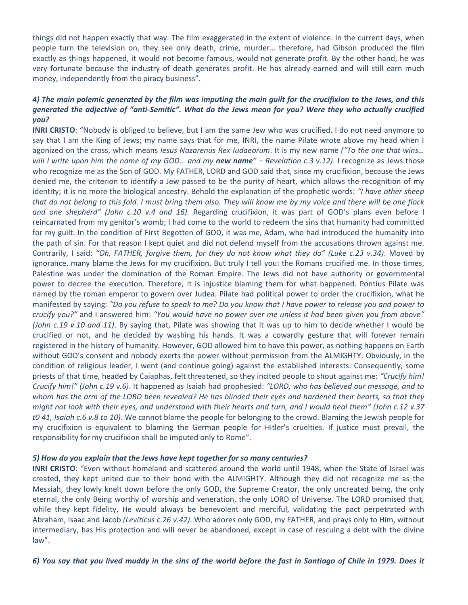things did not happen exactly that way. The film exaggerated in the extent of violence. In the current days, when people turn the television on, they see only death, crime, murder… therefore, had Gibson produced the film exactly as things happened, it would not become famous, would not generate profit. By the other hand, he was very fortunate because the industry of death generates profit. He has already earned and will still earn much money, independently from the piracy business".

# *4) The main polemic generated by the film was imputing the main guilt for the crucifixion to the Jews, and this generated the adjective of "anti-Semitic". What do the Jews mean for you? Were they who actually crucified you?*

**INRI CRISTO**: "Nobody is obliged to believe, but I am the same Jew who was crucified. I do not need anymore to say that I am the King of Jews; my name says that for me, INRI, the name Pilate wrote above my head when I agonized on the cross, which means *Iesus Nazarenus Rex Iudaeorum*. It is my new name *("To the one that wins… will I write upon him the name of my GOD… and my new name" – Revelation c.3 v.12)*. I recognize as Jews those who recognize me as the Son of GOD. My FATHER, LORD and GOD said that, since my crucifixion, because the Jews denied me, the criterion to identify a Jew passed to be the purity of heart, which allows the recognition of my identity; it is no more the biological ancestry. Behold the explanation of the prophetic words: *"I have other sheep that do not belong to this fold. I must bring them also. They will know me by my voice and there will be one flock and one shepherd" (John c.10 v.4 and 16)*. Regarding crucifixion, it was part of GOD's plans even before I reincarnated from my genitor's womb; I had come to the world to redeem the sins that humanity had committed for my guilt. In the condition of First Begotten of GOD, it was me, Adam, who had introduced the humanity into the path of sin. For that reason I kept quiet and did not defend myself from the accusations thrown against me. Contrarily, I said: *"Oh, FATHER, forgive them, for they do not know what they do" (Luke c.23 v.34)*. Moved by ignorance, many blame the Jews for my crucifixion. But truly I tell you: the Romans crucified me. In those times, Palestine was under the domination of the Roman Empire. The Jews did not have authority or governmental power to decree the execution. Therefore, it is injustice blaming them for what happened. Pontius Pilate was named by the roman emperor to govern over Judea. Pilate had political power to order the crucifixion, what he manifested by saying: *"Do you refuse to speak to me? Do you know that I have power to release you and power to crucify you?"* and I answered him: *"You would have no power over me unless it had been given you from above" (John c.19 v.10 and 11)*. By saying that, Pilate was showing that it was up to him to decide whether I would be crucified or not, and he decided by washing his hands. It was a cowardly gesture that will forever remain registered in the history of humanity. However, GOD allowed him to have this power, as nothing happens on Earth without GOD's consent and nobody exerts the power without permission from the ALMIGHTY. Obviously, in the condition of religious leader, I went (and continue going) against the established interests. Consequently, some priests of that time, headed by Caiaphas, felt threatened, so they incited people to shout against me: *"Crucify him! Crucify him!" (John c.19 v.6)*. It happened as Isaiah had prophesied: *"LORD, who has believed our message, and to whom has the arm of the LORD been revealed? He has blinded their eyes and hardened their hearts, so that they might not look with their eyes, and understand with their hearts and turn, and I would heal them" (John c.12 v.37 t0 41, Isaiah c.6 v.8 to 10)*. We cannot blame the people for belonging to the crowd. Blaming the Jewish people for my crucifixion is equivalent to blaming the German people for Hitler's cruelties. If justice must prevail, the responsibility for my crucifixion shall be imputed only to Rome".

## *5) How do you explain that the Jews have kept together for so many centuries?*

**INRI CRISTO**: "Even without homeland and scattered around the world until 1948, when the State of Israel was created, they kept united due to their bond with the ALMIGHTY. Although they did not recognize me as the Messiah, they lowly knelt down before the only GOD, the Supreme Creator, the only uncreated being, the only eternal, the only Being worthy of worship and veneration, the only LORD of Universe. The LORD promised that, while they kept fidelity, He would always be benevolent and merciful, validating the pact perpetrated with Abraham, Isaac and Jacob *(Leviticus c.26 v.42)*. Who adores only GOD, my FATHER, and prays only to Him, without intermediary, has His protection and will never be abandoned, except in case of rescuing a debt with the divine law".

*6) You say that you lived muddy in the sins of the world before the fast in Santiago of Chile in 1979. Does it*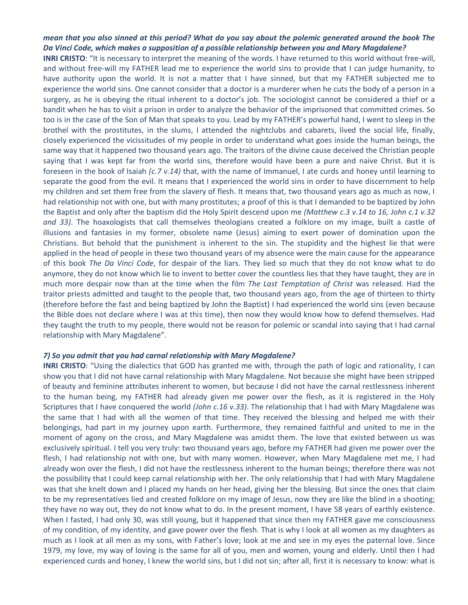## *mean that you also sinned at this period? What do you say about the polemic generated around the book The Da Vinci Code, which makes a supposition of a possible relationship between you and Mary Magdalene?*

**INRI CRISTO**: "It is necessary to interpret the meaning of the words. I have returned to this world without free-will, and without free-will my FATHER lead me to experience the world sins to provide that I can judge humanity, to have authority upon the world. It is not a matter that I have sinned, but that my FATHER subjected me to experience the world sins. One cannot consider that a doctor is a murderer when he cuts the body of a person in a surgery, as he is obeying the ritual inherent to a doctor's job. The sociologist cannot be considered a thief or a bandit when he has to visit a prison in order to analyze the behavior of the imprisoned that committed crimes. So too is in the case of the Son of Man that speaks to you. Lead by my FATHER's powerful hand, I went to sleep in the brothel with the prostitutes, in the slums, I attended the nightclubs and cabarets, lived the social life, finally, closely experienced the vicissitudes of my people in order to understand what goes inside the human beings, the same way that it happened two thousand years ago. The traitors of the divine cause deceived the Christian people saying that I was kept far from the world sins, therefore would have been a pure and naive Christ. But it is foreseen in the book of Isaiah *(c.7 v.14)* that, with the name of Immanuel, I ate curds and honey until learning to separate the good from the evil. It means that I experienced the world sins in order to have discernment to help my children and set them free from the slavery of flesh. It means that, two thousand years ago as much as now, I had relationship not with one, but with many prostitutes; a proof of this is that I demanded to be baptized by John the Baptist and only after the baptism did the Holy Spirit descend upon me *(Matthew c.3 v.14 to 16, John c.1 v.32 and 33)*. The hoaxologists that call themselves theologians created a folklore on my image, built a castle of illusions and fantasies in my former, obsolete name (Jesus) aiming to exert power of domination upon the Christians. But behold that the punishment is inherent to the sin. The stupidity and the highest lie that were applied in the head of people in these two thousand years of my absence were the main cause for the appearance of this book *The Da Vinci Code*, for despair of the liars. They lied so much that they do not know what to do anymore, they do not know which lie to invent to better cover the countless lies that they have taught, they are in much more despair now than at the time when the film *The Last Temptation of Christ* was released. Had the traitor priests admitted and taught to the people that, two thousand years ago, from the age of thirteen to thirty (therefore before the fast and being baptized by John the Baptist) I had experienced the world sins (even because the Bible does not declare where I was at this time), then now they would know how to defend themselves. Had they taught the truth to my people, there would not be reason for polemic or scandal into saying that I had carnal relationship with Mary Magdalene".

## *7) So you admit that you had carnal relationship with Mary Magdalene?*

**INRI CRISTO**: "Using the dialectics that GOD has granted me with, through the path of logic and rationality, I can show you that I did not have carnal relationship with Mary Magdalene. Not because she might have been stripped of beauty and feminine attributes inherent to women, but because I did not have the carnal restlessness inherent to the human being, my FATHER had already given me power over the flesh, as it is registered in the Holy Scriptures that I have conquered the world *(John c.16 v.33)*. The relationship that I had with Mary Magdalene was the same that I had with all the women of that time. They received the blessing and helped me with their belongings, had part in my journey upon earth. Furthermore, they remained faithful and united to me in the moment of agony on the cross, and Mary Magdalene was amidst them. The love that existed between us was exclusively spiritual. I tell you very truly: two thousand years ago, before my FATHER had given me power over the flesh, I had relationship not with one, but with many women. However, when Mary Magdalene met me, I had already won over the flesh, I did not have the restlessness inherent to the human beings; therefore there was not the possibility that I could keep carnal relationship with her. The only relationship that I had with Mary Magdalene was that she knelt down and I placed my hands on her head, giving her the blessing. But since the ones that claim to be my representatives lied and created folklore on my image of Jesus, now they are like the blind in a shooting; they have no way out, they do not know what to do. In the present moment, I have 58 years of earthly existence. When I fasted, I had only 30, was still young, but it happened that since then my FATHER gave me consciousness of my condition, of my identity, and gave power over the flesh. That is why I look at all women as my daughters as much as I look at all men as my sons, with Father's love; look at me and see in my eyes the paternal love. Since 1979, my love, my way of loving is the same for all of you, men and women, young and elderly. Until then I had experienced curds and honey, I knew the world sins, but I did not sin; after all, first it is necessary to know: what is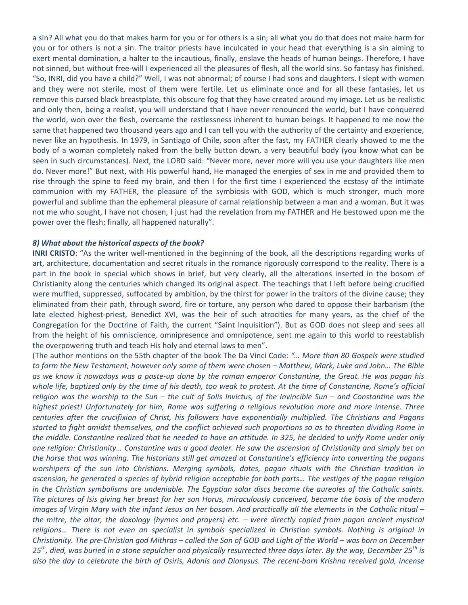a sin? All what you do that makes harm for you or for others is a sin; all what you do that does not make harm for you or for others is not a sin. The traitor priests have inculcated in your head that everything is a sin aiming to exert mental domination, a halter to the incautious, finally, enslave the heads of human beings. Therefore, I have not sinned, but without free-will I experienced all the pleasures of flesh, all the world sins. So fantasy has finished. "So, INRI, did you have a child?" Well, I was not abnormal; of course I had sons and daughters. I slept with women and they were not sterile, most of them were fertile. Let us eliminate once and for all these fantasies, let us remove this cursed black breastplate, this obscure fog that they have created around my image. Let us be realistic and only then, being a realist, you will understand that I have never renounced the world, but I have conquered the world, won over the flesh, overcame the restlessness inherent to human beings. It happened to me now the same that happened two thousand years ago and I can tell you with the authority of the certainty and experience, never like an hypothesis. In 1979, in Santiago of Chile, soon after the fast, my FATHER clearly showed to me the body of a woman completely naked from the belly button down, a very beautiful body (you know what can be seen in such circumstances). Next, the LORD said: "Never more, never more will you use your daughters like men do. Never more!" But next, with His powerful hand, He managed the energies of sex in me and provided them to rise through the spine to feed my brain, and then I for the first time I experienced the ecstasy of the intimate communion with my FATHER, the pleasure of the symbiosis with GOD, which is much stronger, much more powerful and sublime than the ephemeral pleasure of carnal relationship between a man and a woman. But it was not me who sought, I have not chosen, I just had the revelation from my FATHER and He bestowed upon me the power over the flesh; finally, all happened naturally".

#### *8) What about the historical aspects of the book?*

**INRI CRISTO**: "As the writer well-mentioned in the beginning of the book, all the descriptions regarding works of art, architecture, documentation and secret rituals in the romance rigorously correspond to the reality. There is a part in the book in special which shows in brief, but very clearly, all the alterations inserted in the bosom of Christianity along the centuries which changed its original aspect. The teachings that I left before being crucified were muffled, suppressed, suffocated by ambition, by the thirst for power in the traitors of the divine cause; they eliminated from their path, through sword, fire or torture, any person who dared to oppose their barbarism (the late elected highest-priest, Benedict XVI, was the heir of such atrocities for many years, as the chief of the Congregation for the Doctrine of Faith, the current "Saint Inquisition"). But as GOD does not sleep and sees all from the height of his omniscience, omnipresence and omnipotence, sent me again to this world to reestablish the overpowering truth and teach His holy and eternal laws to men".

(The author mentions on the 55th chapter of the book The Da Vinci Code: *"… More than 80 Gospels were studied to form the New Testament, however only some of them were chosen – Matthew, Mark, Luke and John… The Bible as we know it nowadays was a paste-up done by the roman emperor Constantine, the Great. He was pagan his whole life, baptized only by the time of his death, too weak to protest. At the time of Constantine, Rome's official religion was the worship to the Sun – the cult of Solis Invictus, of the Invincible Sun – and Constantine was the highest priest! Unfortunately for him, Rome was suffering a religious revolution more and more intense. Three centuries after the crucifixion of Christ, his followers have exponentially multiplied. The Christians and Pagans started to fight amidst themselves, and the conflict achieved such proportions so as to threaten dividing Rome in the middle. Constantine realized that he needed to have an attitude. In 325, he decided to unify Rome under only one religion: Christianity… Constantine was a good dealer. He saw the ascension of Christianity and simply bet on the horse that was winning. The historians still get amazed at Constantine's efficiency into converting the pagans worshipers of the sun into Christians. Merging symbols, dates, pagan rituals with the Christian tradition in ascension, he generated a species of hybrid religion acceptable for both parts… The vestiges of the pagan religion in the Christian symbolisms are undeniable. The Egyptian solar discs became the aureoles of the Catholic saints. The pictures of Isis giving her breast for her son Horus, miraculously conceived, became the basis of the modern images of Virgin Mary with the infant Jesus on her bosom. And practically all the elements in the Catholic ritual – the mitre, the altar, the doxology (hymns and prayers) etc. – were directly copied from pagan ancient mystical religions… There is not even an specialist in symbols specialized in Christian symbols. Nothing is original in Christianity. The pre-Christian god Mithras – called the Son of GOD and Light of the World – was born on December 25th, died, was buried in a stone sepulcher and physically resurrected three days later. By the way, December 25th is also the day to celebrate the birth of Osiris, Adonis and Dionysus. The recent-born Krishna received gold, incense*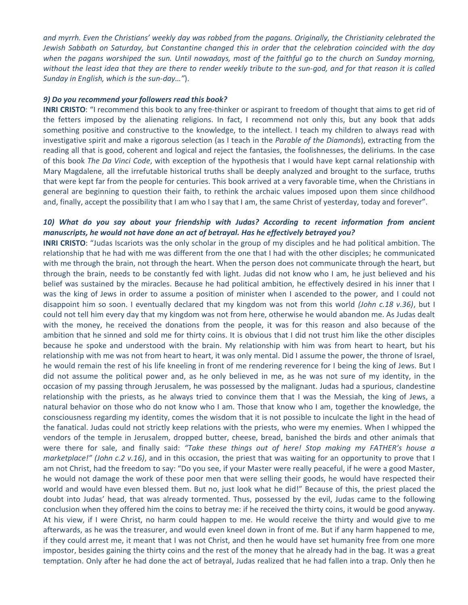*and myrrh. Even the Christians' weekly day was robbed from the pagans. Originally, the Christianity celebrated the Jewish Sabbath on Saturday, but Constantine changed this in order that the celebration coincided with the day*  when the pagans worshiped the sun. Until nowadays, most of the faithful go to the church on Sunday morning, *without the least idea that they are there to render weekly tribute to the sun-god, and for that reason it is called Sunday in English, which is the sun-day…"*).

#### *9) Do you recommend your followers read this book?*

**INRI CRISTO**: "I recommend this book to any free-thinker or aspirant to freedom of thought that aims to get rid of the fetters imposed by the alienating religions. In fact, I recommend not only this, but any book that adds something positive and constructive to the knowledge, to the intellect. I teach my children to always read with investigative spirit and make a rigorous selection (as I teach in the *Parable of the Diamonds*), extracting from the reading all that is good, coherent and logical and reject the fantasies, the foolishnesses, the deliriums. In the case of this book *The Da Vinci Code*, with exception of the hypothesis that I would have kept carnal relationship with Mary Magdalene, all the irrefutable historical truths shall be deeply analyzed and brought to the surface, truths that were kept far from the people for centuries. This book arrived at a very favorable time, when the Christians in general are beginning to question their faith, to rethink the archaic values imposed upon them since childhood and, finally, accept the possibility that I am who I say that I am, the same Christ of yesterday, today and forever".

# *10) What do you say about your friendship with Judas? According to recent information from ancient manuscripts, he would not have done an act of betrayal. Has he effectively betrayed you?*

**INRI CRISTO**: "Judas Iscariots was the only scholar in the group of my disciples and he had political ambition. The relationship that he had with me was different from the one that I had with the other disciples; he communicated with me through the brain, not through the heart. When the person does not communicate through the heart, but through the brain, needs to be constantly fed with light. Judas did not know who I am, he just believed and his belief was sustained by the miracles. Because he had political ambition, he effectively desired in his inner that I was the king of Jews in order to assume a position of minister when I ascended to the power, and I could not disappoint him so soon. I eventually declared that my kingdom was not from this world *(John c.18 v.36)*, but I could not tell him every day that my kingdom was not from here, otherwise he would abandon me. As Judas dealt with the money, he received the donations from the people, it was for this reason and also because of the ambition that he sinned and sold me for thirty coins. It is obvious that I did not trust him like the other disciples because he spoke and understood with the brain. My relationship with him was from heart to heart, but his relationship with me was not from heart to heart, it was only mental. Did I assume the power, the throne of Israel, he would remain the rest of his life kneeling in front of me rendering reverence for I being the king of Jews. But I did not assume the political power and, as he only believed in me, as he was not sure of my identity, in the occasion of my passing through Jerusalem, he was possessed by the malignant. Judas had a spurious, clandestine relationship with the priests, as he always tried to convince them that I was the Messiah, the king of Jews, a natural behavior on those who do not know who I am. Those that know who I am, together the knowledge, the consciousness regarding my identity, comes the wisdom that it is not possible to inculcate the light in the head of the fanatical. Judas could not strictly keep relations with the priests, who were my enemies. When I whipped the vendors of the temple in Jerusalem, dropped butter, cheese, bread, banished the birds and other animals that were there for sale, and finally said: *"Take these things out of here! Stop making my FATHER's house a marketplace!" (John c.2 v.16)*, and in this occasion, the priest that was waiting for an opportunity to prove that I am not Christ, had the freedom to say: "Do you see, if your Master were really peaceful, if he were a good Master, he would not damage the work of these poor men that were selling their goods, he would have respected their world and would have even blessed them. But no, just look what he did!" Because of this, the priest placed the doubt into Judas' head, that was already tormented. Thus, possessed by the evil, Judas came to the following conclusion when they offered him the coins to betray me: if he received the thirty coins, it would be good anyway. At his view, if I were Christ, no harm could happen to me. He would receive the thirty and would give to me afterwards, as he was the treasurer, and would even kneel down in front of me. But if any harm happened to me, if they could arrest me, it meant that I was not Christ, and then he would have set humanity free from one more impostor, besides gaining the thirty coins and the rest of the money that he already had in the bag. It was a great temptation. Only after he had done the act of betrayal, Judas realized that he had fallen into a trap. Only then he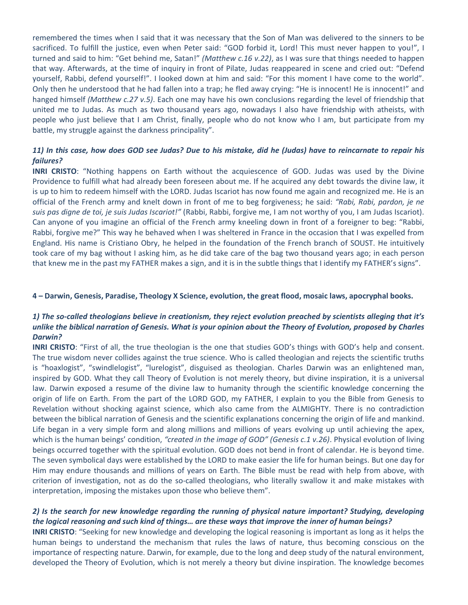remembered the times when I said that it was necessary that the Son of Man was delivered to the sinners to be sacrificed. To fulfill the justice, even when Peter said: "GOD forbid it, Lord! This must never happen to you!", I turned and said to him: "Get behind me, Satan!" *(Matthew c.16 v.22)*, as I was sure that things needed to happen that way. Afterwards, at the time of inquiry in front of Pilate, Judas reappeared in scene and cried out: "Defend yourself, Rabbi, defend yourself!". I looked down at him and said: "For this moment I have come to the world". Only then he understood that he had fallen into a trap; he fled away crying: "He is innocent! He is innocent!" and hanged himself *(Matthew c.27 v.5)*. Each one may have his own conclusions regarding the level of friendship that united me to Judas. As much as two thousand years ago, nowadays I also have friendship with atheists, with people who just believe that I am Christ, finally, people who do not know who I am, but participate from my battle, my struggle against the darkness principality".

# *11) In this case, how does GOD see Judas? Due to his mistake, did he (Judas) have to reincarnate to repair his failures?*

**INRI CRISTO**: "Nothing happens on Earth without the acquiescence of GOD. Judas was used by the Divine Providence to fulfill what had already been foreseen about me. If he acquired any debt towards the divine law, it is up to him to redeem himself with the LORD. Judas Iscariot has now found me again and recognized me. He is an official of the French army and knelt down in front of me to beg forgiveness; he said: *"Rabi, Rabi, pardon, je ne suis pas digne de toi, je suis Judas Iscariot!"* (Rabbi, Rabbi, forgive me, I am not worthy of you, I am Judas Iscariot). Can anyone of you imagine an official of the French army kneeling down in front of a foreigner to beg: "Rabbi, Rabbi, forgive me?" This way he behaved when I was sheltered in France in the occasion that I was expelled from England. His name is Cristiano Obry, he helped in the foundation of the French branch of SOUST. He intuitively took care of my bag without I asking him, as he did take care of the bag two thousand years ago; in each person that knew me in the past my FATHER makes a sign, and it is in the subtle things that I identify my FATHER's signs".

## **4 – Darwin, Genesis, Paradise, Theology X Science, evolution, the great flood, mosaic laws, apocryphal books.**

# *1) The so-called theologians believe in creationism, they reject evolution preached by scientists alleging that it's unlike the biblical narration of Genesis. What is your opinion about the Theory of Evolution, proposed by Charles Darwin?*

**INRI CRISTO**: "First of all, the true theologian is the one that studies GOD's things with GOD's help and consent. The true wisdom never collides against the true science. Who is called theologian and rejects the scientific truths is "hoaxlogist", "swindlelogist", "lurelogist", disguised as theologian. Charles Darwin was an enlightened man, inspired by GOD. What they call Theory of Evolution is not merely theory, but divine inspiration, it is a universal law. Darwin exposed a resume of the divine law to humanity through the scientific knowledge concerning the origin of life on Earth. From the part of the LORD GOD, my FATHER, I explain to you the Bible from Genesis to Revelation without shocking against science, which also came from the ALMIGHTY. There is no contradiction between the biblical narration of Genesis and the scientific explanations concerning the origin of life and mankind. Life began in a very simple form and along millions and millions of years evolving up until achieving the apex, which is the human beings' condition, *"created in the image of GOD" (Genesis c.1 v.26)*. Physical evolution of living beings occurred together with the spiritual evolution. GOD does not bend in front of calendar. He is beyond time. The seven symbolical days were established by the LORD to make easier the life for human beings. But one day for Him may endure thousands and millions of years on Earth. The Bible must be read with help from above, with criterion of investigation, not as do the so-called theologians, who literally swallow it and make mistakes with interpretation, imposing the mistakes upon those who believe them".

# *2) Is the search for new knowledge regarding the running of physical nature important? Studying, developing the logical reasoning and such kind of things… are these ways that improve the inner of human beings?*

**INRI CRISTO**: "Seeking for new knowledge and developing the logical reasoning is important as long as it helps the human beings to understand the mechanism that rules the laws of nature, thus becoming conscious on the importance of respecting nature. Darwin, for example, due to the long and deep study of the natural environment, developed the Theory of Evolution, which is not merely a theory but divine inspiration. The knowledge becomes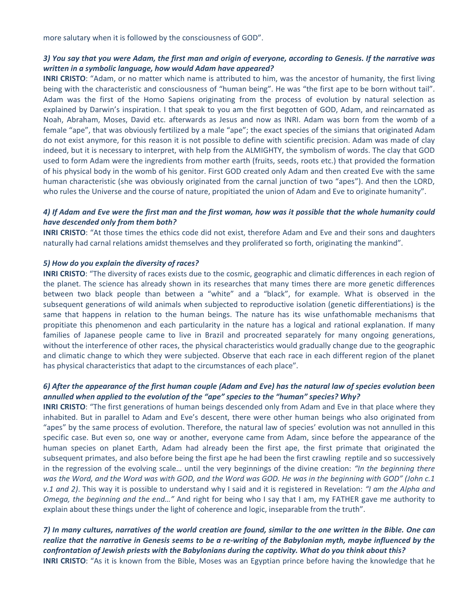more salutary when it is followed by the consciousness of GOD".

# *3) You say that you were Adam, the first man and origin of everyone, according to Genesis. If the narrative was written in a symbolic language, how would Adam have appeared?*

**INRI CRISTO**: "Adam, or no matter which name is attributed to him, was the ancestor of humanity, the first living being with the characteristic and consciousness of "human being". He was "the first ape to be born without tail". Adam was the first of the Homo Sapiens originating from the process of evolution by natural selection as explained by Darwin's inspiration. I that speak to you am the first begotten of GOD, Adam, and reincarnated as Noah, Abraham, Moses, David etc. afterwards as Jesus and now as INRI. Adam was born from the womb of a female "ape", that was obviously fertilized by a male "ape"; the exact species of the simians that originated Adam do not exist anymore, for this reason it is not possible to define with scientific precision. Adam was made of clay indeed, but it is necessary to interpret, with help from the ALMIGHTY, the symbolism of words. The clay that GOD used to form Adam were the ingredients from mother earth (fruits, seeds, roots etc.) that provided the formation of his physical body in the womb of his genitor. First GOD created only Adam and then created Eve with the same human characteristic (she was obviously originated from the carnal junction of two "apes"). And then the LORD, who rules the Universe and the course of nature, propitiated the union of Adam and Eve to originate humanity".

# *4) If Adam and Eve were the first man and the first woman, how was it possible that the whole humanity could have descended only from them both?*

**INRI CRISTO**: "At those times the ethics code did not exist, therefore Adam and Eve and their sons and daughters naturally had carnal relations amidst themselves and they proliferated so forth, originating the mankind".

## *5) How do you explain the diversity of races?*

**INRI CRISTO**: "The diversity of races exists due to the cosmic, geographic and climatic differences in each region of the planet. The science has already shown in its researches that many times there are more genetic differences between two black people than between a "white" and a "black", for example. What is observed in the subsequent generations of wild animals when subjected to reproductive isolation (genetic differentiations) is the same that happens in relation to the human beings. The nature has its wise unfathomable mechanisms that propitiate this phenomenon and each particularity in the nature has a logical and rational explanation. If many families of Japanese people came to live in Brazil and procreated separately for many ongoing generations, without the interference of other races, the physical characteristics would gradually change due to the geographic and climatic change to which they were subjected. Observe that each race in each different region of the planet has physical characteristics that adapt to the circumstances of each place".

## *6) After the appearance of the first human couple (Adam and Eve) has the natural law of species evolution been annulled when applied to the evolution of the "ape" species to the "human" species? Why?*

**INRI CRISTO**: "The first generations of human beings descended only from Adam and Eve in that place where they inhabited. But in parallel to Adam and Eve's descent, there were other human beings who also originated from "apes" by the same process of evolution. Therefore, the natural law of species' evolution was not annulled in this specific case. But even so, one way or another, everyone came from Adam, since before the appearance of the human species on planet Earth, Adam had already been the first ape, the first primate that originated the subsequent primates, and also before being the first ape he had been the first crawling reptile and so successively in the regression of the evolving scale… until the very beginnings of the divine creation: *"In the beginning there was the Word, and the Word was with GOD, and the Word was GOD. He was in the beginning with GOD" (John c.1 v.1 and 2)*. This way it is possible to understand why I said and it is registered in Revelation: *"I am the Alpha and Omega, the beginning and the end…"* And right for being who I say that I am, my FATHER gave me authority to explain about these things under the light of coherence and logic, inseparable from the truth".

# *7) In many cultures, narratives of the world creation are found, similar to the one written in the Bible. One can realize that the narrative in Genesis seems to be a re-writing of the Babylonian myth, maybe influenced by the confrontation of Jewish priests with the Babylonians during the captivity. What do you think about this?* **INRI CRISTO**: "As it is known from the Bible, Moses was an Egyptian prince before having the knowledge that he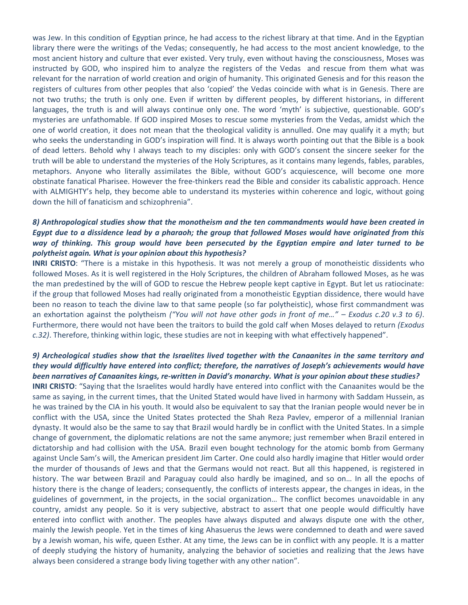was Jew. In this condition of Egyptian prince, he had access to the richest library at that time. And in the Egyptian library there were the writings of the Vedas; consequently, he had access to the most ancient knowledge, to the most ancient history and culture that ever existed. Very truly, even without having the consciousness, Moses was instructed by GOD, who inspired him to analyze the registers of the Vedas and rescue from them what was relevant for the narration of world creation and origin of humanity. This originated Genesis and for this reason the registers of cultures from other peoples that also 'copied' the Vedas coincide with what is in Genesis. There are not two truths; the truth is only one. Even if written by different peoples, by different historians, in different languages, the truth is and will always continue only one. The word 'myth' is subjective, questionable. GOD's mysteries are unfathomable. If GOD inspired Moses to rescue some mysteries from the Vedas, amidst which the one of world creation, it does not mean that the theological validity is annulled. One may qualify it a myth; but who seeks the understanding in GOD's inspiration will find. It is always worth pointing out that the Bible is a book of dead letters. Behold why I always teach to my disciples: only with GOD's consent the sincere seeker for the truth will be able to understand the mysteries of the Holy Scriptures, as it contains many legends, fables, parables, metaphors. Anyone who literally assimilates the Bible, without GOD's acquiescence, will become one more obstinate fanatical Pharisee. However the free-thinkers read the Bible and consider its cabalistic approach. Hence with ALMIGHTY's help, they become able to understand its mysteries within coherence and logic, without going down the hill of fanaticism and schizophrenia".

# *8) Anthropological studies show that the monotheism and the ten commandments would have been created in Egypt due to a dissidence lead by a pharaoh; the group that followed Moses would have originated from this way of thinking. This group would have been persecuted by the Egyptian empire and later turned to be polytheist again. What is your opinion about this hypothesis?*

**INRI CRISTO**: "There is a mistake in this hypothesis. It was not merely a group of monotheistic dissidents who followed Moses. As it is well registered in the Holy Scriptures, the children of Abraham followed Moses, as he was the man predestined by the will of GOD to rescue the Hebrew people kept captive in Egypt. But let us ratiocinate: if the group that followed Moses had really originated from a monotheistic Egyptian dissidence, there would have been no reason to teach the divine law to that same people (so far polytheistic), whose first commandment was an exhortation against the polytheism *("You will not have other gods in front of me…" – Exodus c.20 v.3 to 6)*. Furthermore, there would not have been the traitors to build the gold calf when Moses delayed to return *(Exodus c.32)*. Therefore, thinking within logic, these studies are not in keeping with what effectively happened".

## *9) Archeological studies show that the Israelites lived together with the Canaanites in the same territory and they would difficultly have entered into conflict; therefore, the narratives of Joseph's achievements would have been narratives of Canaanites kings, re-written in David's monarchy. What is your opinion about these studies?*

**INRI CRISTO**: "Saying that the Israelites would hardly have entered into conflict with the Canaanites would be the same as saying, in the current times, that the United Stated would have lived in harmony with Saddam Hussein, as he was trained by the CIA in his youth. It would also be equivalent to say that the Iranian people would never be in conflict with the USA, since the United States protected the Shah Reza Pavlev, emperor of a millennial Iranian dynasty. It would also be the same to say that Brazil would hardly be in conflict with the United States. In a simple change of government, the diplomatic relations are not the same anymore; just remember when Brazil entered in dictatorship and had collision with the USA. Brazil even bought technology for the atomic bomb from Germany against Uncle Sam's will, the American president Jim Carter. One could also hardly imagine that Hitler would order the murder of thousands of Jews and that the Germans would not react. But all this happened, is registered in history. The war between Brazil and Paraguay could also hardly be imagined, and so on… In all the epochs of history there is the change of leaders; consequently, the conflicts of interests appear, the changes in ideas, in the guidelines of government, in the projects, in the social organization… The conflict becomes unavoidable in any country, amidst any people. So it is very subjective, abstract to assert that one people would difficultly have entered into conflict with another. The peoples have always disputed and always dispute one with the other, mainly the Jewish people. Yet in the times of king Ahasuerus the Jews were condemned to death and were saved by a Jewish woman, his wife, queen Esther. At any time, the Jews can be in conflict with any people. It is a matter of deeply studying the history of humanity, analyzing the behavior of societies and realizing that the Jews have always been considered a strange body living together with any other nation".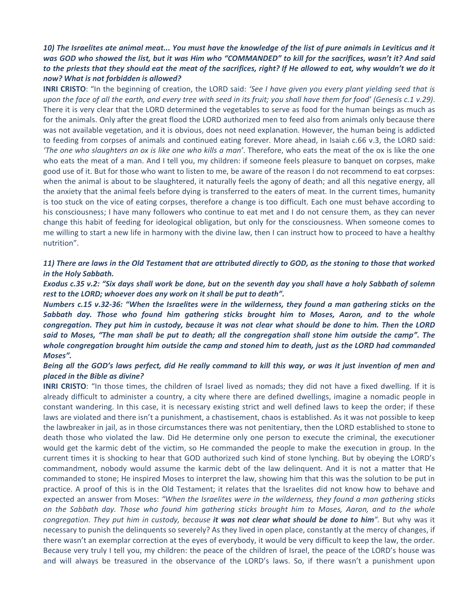# *10) The Israelites ate animal meat... You must have the knowledge of the list of pure animals in Leviticus and it was GOD who showed the list, but it was Him who "COMMANDED" to kill for the sacrifices, wasn't it? And said*  to the priests that they should eat the meat of the sacrifices, right? If He allowed to eat, why wouldn't we do it *now? What is not forbidden is allowed?*

**INRI CRISTO**: "In the beginning of creation, the LORD said: *'See I have given you every plant yielding seed that is upon the face of all the earth, and every tree with seed in its fruit; you shall have them for food' (Genesis c.1 v.29)*. There it is very clear that the LORD determined the vegetables to serve as food for the human beings as much as for the animals. Only after the great flood the LORD authorized men to feed also from animals only because there was not available vegetation, and it is obvious, does not need explanation. However, the human being is addicted to feeding from corpses of animals and continued eating forever. More ahead, in Isaiah c.66 v.3, the LORD said: *'The one who slaughters an ox is like one who kills a man'*. Therefore, who eats the meat of the ox is like the one who eats the meat of a man. And I tell you, my children: if someone feels pleasure to banquet on corpses, make good use of it. But for those who want to listen to me, be aware of the reason I do not recommend to eat corpses: when the animal is about to be slaughtered, it naturally feels the agony of death; and all this negative energy, all the anxiety that the animal feels before dying is transferred to the eaters of meat. In the current times, humanity is too stuck on the vice of eating corpses, therefore a change is too difficult. Each one must behave according to his consciousness; I have many followers who continue to eat met and I do not censure them, as they can never change this habit of feeding for ideological obligation, but only for the consciousness. When someone comes to me willing to start a new life in harmony with the divine law, then I can instruct how to proceed to have a healthy nutrition".

# *11) There are laws in the Old Testament that are attributed directly to GOD, as the stoning to those that worked in the Holy Sabbath.*

*Exodus c.35 v.2: "Six days shall work be done, but on the seventh day you shall have a holy Sabbath of solemn rest to the LORD; whoever does any work on it shall be put to death".*

*Numbers c.15 v.32-36: "When the Israelites were in the wilderness, they found a man gathering sticks on the Sabbath day. Those who found him gathering sticks brought him to Moses, Aaron, and to the whole congregation. They put him in custody, because it was not clear what should be done to him. Then the LORD said to Moses, "The man shall be put to death; all the congregation shall stone him outside the camp". The whole congregation brought him outside the camp and stoned him to death, just as the LORD had commanded Moses".* 

# *Being all the GOD's laws perfect, did He really command to kill this way, or was it just invention of men and placed in the Bible as divine?*

**INRI CRISTO**: "In those times, the children of Israel lived as nomads; they did not have a fixed dwelling. If it is already difficult to administer a country, a city where there are defined dwellings, imagine a nomadic people in constant wandering. In this case, it is necessary existing strict and well defined laws to keep the order; if these laws are violated and there isn't a punishment, a chastisement, chaos is established. As it was not possible to keep the lawbreaker in jail, as in those circumstances there was not penitentiary, then the LORD established to stone to death those who violated the law. Did He determine only one person to execute the criminal, the executioner would get the karmic debt of the victim, so He commanded the people to make the execution in group. In the current times it is shocking to hear that GOD authorized such kind of stone lynching. But by obeying the LORD's commandment, nobody would assume the karmic debt of the law delinquent. And it is not a matter that He commanded to stone; He inspired Moses to interpret the law, showing him that this was the solution to be put in practice. A proof of this is in the Old Testament; it relates that the Israelites did not know how to behave and expected an answer from Moses: *"When the Israelites were in the wilderness, they found a man gathering sticks on the Sabbath day. Those who found him gathering sticks brought him to Moses, Aaron, and to the whole congregation. They put him in custody, because it was not clear what should be done to him".* But why was it necessary to punish the delinquents so severely? As they lived in open place, constantly at the mercy of changes, if there wasn't an exemplar correction at the eyes of everybody, it would be very difficult to keep the law, the order. Because very truly I tell you, my children: the peace of the children of Israel, the peace of the LORD's house was and will always be treasured in the observance of the LORD's laws. So, if there wasn't a punishment upon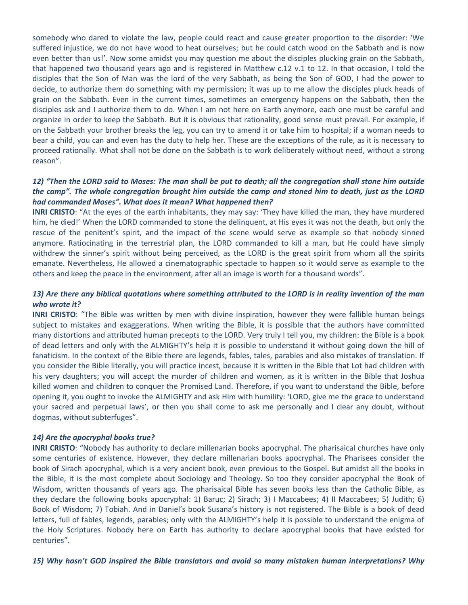somebody who dared to violate the law, people could react and cause greater proportion to the disorder: 'We suffered injustice, we do not have wood to heat ourselves; but he could catch wood on the Sabbath and is now even better than us!'. Now some amidst you may question me about the disciples plucking grain on the Sabbath, that happened two thousand years ago and is registered in Matthew c.12 v.1 to 12. In that occasion, I told the disciples that the Son of Man was the lord of the very Sabbath, as being the Son of GOD, I had the power to decide, to authorize them do something with my permission; it was up to me allow the disciples pluck heads of grain on the Sabbath. Even in the current times, sometimes an emergency happens on the Sabbath, then the disciples ask and I authorize them to do. When I am not here on Earth anymore, each one must be careful and organize in order to keep the Sabbath. But it is obvious that rationality, good sense must prevail. For example, if on the Sabbath your brother breaks the leg, you can try to amend it or take him to hospital; if a woman needs to bear a child, you can and even has the duty to help her. These are the exceptions of the rule, as it is necessary to proceed rationally. What shall not be done on the Sabbath is to work deliberately without need, without a strong reason".

# *12) "Then the LORD said to Moses: The man shall be put to death; all the congregation shall stone him outside the camp". The whole congregation brought him outside the camp and stoned him to death, just as the LORD had commanded Moses". What does it mean? What happened then?*

**INRI CRISTO**: "At the eyes of the earth inhabitants, they may say: 'They have killed the man, they have murdered him, he died!' When the LORD commanded to stone the delinquent, at His eyes it was not the death, but only the rescue of the penitent's spirit, and the impact of the scene would serve as example so that nobody sinned anymore. Ratiocinating in the terrestrial plan, the LORD commanded to kill a man, but He could have simply withdrew the sinner's spirit without being perceived, as the LORD is the great spirit from whom all the spirits emanate. Nevertheless, He allowed a cinematographic spectacle to happen so it would serve as example to the others and keep the peace in the environment, after all an image is worth for a thousand words".

# *13) Are there any biblical quotations where something attributed to the LORD is in reality invention of the man who wrote it?*

**INRI CRISTO**: "The Bible was written by men with divine inspiration, however they were fallible human beings subject to mistakes and exaggerations. When writing the Bible, it is possible that the authors have committed many distortions and attributed human precepts to the LORD. Very truly I tell you, my children: the Bible is a book of dead letters and only with the ALMIGHTY's help it is possible to understand it without going down the hill of fanaticism. In the context of the Bible there are legends, fables, tales, parables and also mistakes of translation. If you consider the Bible literally, you will practice incest, because it is written in the Bible that Lot had children with his very daughters; you will accept the murder of children and women, as it is written in the Bible that Joshua killed women and children to conquer the Promised Land. Therefore, if you want to understand the Bible, before opening it, you ought to invoke the ALMIGHTY and ask Him with humility: 'LORD, give me the grace to understand your sacred and perpetual laws', or then you shall come to ask me personally and I clear any doubt, without dogmas, without subterfuges".

## *14) Are the apocryphal books true?*

**INRI CRISTO**: "Nobody has authority to declare millenarian books apocryphal. The pharisaical churches have only some centuries of existence. However, they declare millenarian books apocryphal. The Pharisees consider the book of Sirach apocryphal, which is a very ancient book, even previous to the Gospel. But amidst all the books in the Bible, it is the most complete about Sociology and Theology. So too they consider apocryphal the Book of Wisdom, written thousands of years ago. The pharisaical Bible has seven books less than the Catholic Bible, as they declare the following books apocryphal: 1) Baruc; 2) Sirach; 3) I Maccabees; 4) II Maccabees; 5) Judith; 6) Book of Wisdom; 7) Tobiah. And in Daniel's book Susana's history is not registered. The Bible is a book of dead letters, full of fables, legends, parables; only with the ALMIGHTY's help it is possible to understand the enigma of the Holy Scriptures. Nobody here on Earth has authority to declare apocryphal books that have existed for centuries".

*15) Why hasn't GOD inspired the Bible translators and avoid so many mistaken human interpretations? Why*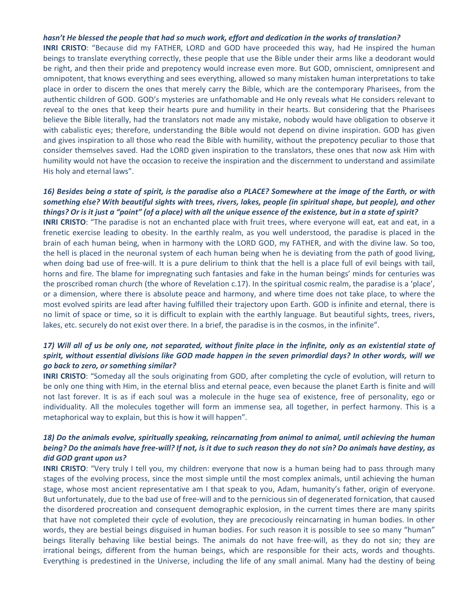#### *hasn't He blessed the people that had so much work, effort and dedication in the works of translation?*

**INRI CRISTO**: "Because did my FATHER, LORD and GOD have proceeded this way, had He inspired the human beings to translate everything correctly, these people that use the Bible under their arms like a deodorant would be right, and then their pride and prepotency would increase even more. But GOD, omniscient, omnipresent and omnipotent, that knows everything and sees everything, allowed so many mistaken human interpretations to take place in order to discern the ones that merely carry the Bible, which are the contemporary Pharisees, from the authentic children of GOD. GOD's mysteries are unfathomable and He only reveals what He considers relevant to reveal to the ones that keep their hearts pure and humility in their hearts. But considering that the Pharisees believe the Bible literally, had the translators not made any mistake, nobody would have obligation to observe it with cabalistic eyes; therefore, understanding the Bible would not depend on divine inspiration. GOD has given and gives inspiration to all those who read the Bible with humility, without the prepotency peculiar to those that consider themselves saved. Had the LORD given inspiration to the translators, these ones that now ask Him with humility would not have the occasion to receive the inspiration and the discernment to understand and assimilate His holy and eternal laws".

# *16) Besides being a state of spirit, is the paradise also a PLACE? Somewhere at the image of the Earth, or with something else? With beautiful sights with trees, rivers, lakes, people (in spiritual shape, but people), and other things? Or is it just a "point" (of a place) with all the unique essence of the existence, but in a state of spirit?*

**INRI CRISTO**: "The paradise is not an enchanted place with fruit trees, where everyone will eat, eat and eat, in a frenetic exercise leading to obesity. In the earthly realm, as you well understood, the paradise is placed in the brain of each human being, when in harmony with the LORD GOD, my FATHER, and with the divine law. So too, the hell is placed in the neuronal system of each human being when he is deviating from the path of good living, when doing bad use of free-will. It is a pure delirium to think that the hell is a place full of evil beings with tail, horns and fire. The blame for impregnating such fantasies and fake in the human beings' minds for centuries was the proscribed roman church (the whore of Revelation c.17). In the spiritual cosmic realm, the paradise is a 'place', or a dimension, where there is absolute peace and harmony, and where time does not take place, to where the most evolved spirits are lead after having fulfilled their trajectory upon Earth. GOD is infinite and eternal, there is no limit of space or time, so it is difficult to explain with the earthly language. But beautiful sights, trees, rivers, lakes, etc. securely do not exist over there. In a brief, the paradise is in the cosmos, in the infinite".

# *17) Will all of us be only one, not separated, without finite place in the infinite, only as an existential state of spirit, without essential divisions like GOD made happen in the seven primordial days? In other words, will we go back to zero, or something similar?*

**INRI CRISTO**: "Someday all the souls originating from GOD, after completing the cycle of evolution, will return to be only one thing with Him, in the eternal bliss and eternal peace, even because the planet Earth is finite and will not last forever. It is as if each soul was a molecule in the huge sea of existence, free of personality, ego or individuality. All the molecules together will form an immense sea, all together, in perfect harmony. This is a metaphorical way to explain, but this is how it will happen".

# *18) Do the animals evolve, spiritually speaking, reincarnating from animal to animal, until achieving the human being? Do the animals have free-will? If not, is it due to such reason they do not sin? Do animals have destiny, as did GOD grant upon us?*

**INRI CRISTO**: "Very truly I tell you, my children: everyone that now is a human being had to pass through many stages of the evolving process, since the most simple until the most complex animals, until achieving the human stage, whose most ancient representative am I that speak to you, Adam, humanity's father, origin of everyone. But unfortunately, due to the bad use of free-will and to the pernicious sin of degenerated fornication, that caused the disordered procreation and consequent demographic explosion, in the current times there are many spirits that have not completed their cycle of evolution, they are precociously reincarnating in human bodies. In other words, they are bestial beings disguised in human bodies. For such reason it is possible to see so many "human" beings literally behaving like bestial beings. The animals do not have free-will, as they do not sin; they are irrational beings, different from the human beings, which are responsible for their acts, words and thoughts. Everything is predestined in the Universe, including the life of any small animal. Many had the destiny of being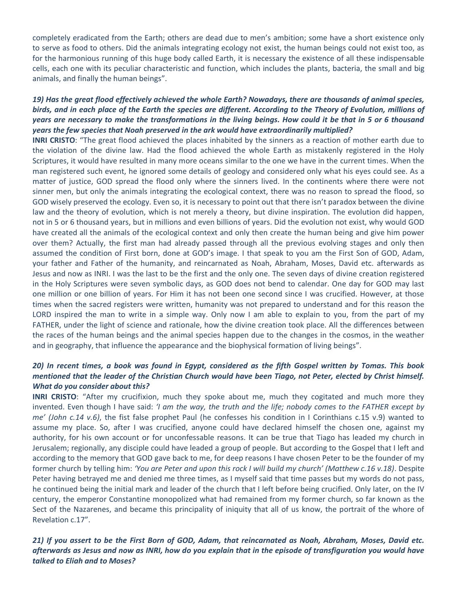completely eradicated from the Earth; others are dead due to men's ambition; some have a short existence only to serve as food to others. Did the animals integrating ecology not exist, the human beings could not exist too, as for the harmonious running of this huge body called Earth, it is necessary the existence of all these indispensable cells, each one with its peculiar characteristic and function, which includes the plants, bacteria, the small and big animals, and finally the human beings".

# *19) Has the great flood effectively achieved the whole Earth? Nowadays, there are thousands of animal species, birds, and in each place of the Earth the species are different. According to the Theory of Evolution, millions of years are necessary to make the transformations in the living beings. How could it be that in 5 or 6 thousand years the few species that Noah preserved in the ark would have extraordinarily multiplied?*

**INRI CRISTO**: "The great flood achieved the places inhabited by the sinners as a reaction of mother earth due to the violation of the divine law. Had the flood achieved the whole Earth as mistakenly registered in the Holy Scriptures, it would have resulted in many more oceans similar to the one we have in the current times. When the man registered such event, he ignored some details of geology and considered only what his eyes could see. As a matter of justice, GOD spread the flood only where the sinners lived. In the continents where there were not sinner men, but only the animals integrating the ecological context, there was no reason to spread the flood, so GOD wisely preserved the ecology. Even so, it is necessary to point out that there isn't paradox between the divine law and the theory of evolution, which is not merely a theory, but divine inspiration. The evolution did happen, not in 5 or 6 thousand years, but in millions and even billions of years. Did the evolution not exist, why would GOD have created all the animals of the ecological context and only then create the human being and give him power over them? Actually, the first man had already passed through all the previous evolving stages and only then assumed the condition of First born, done at GOD's image. I that speak to you am the First Son of GOD, Adam, your father and Father of the humanity, and reincarnated as Noah, Abraham, Moses, David etc. afterwards as Jesus and now as INRI. I was the last to be the first and the only one. The seven days of divine creation registered in the Holy Scriptures were seven symbolic days, as GOD does not bend to calendar. One day for GOD may last one million or one billion of years. For Him it has not been one second since I was crucified. However, at those times when the sacred registers were written, humanity was not prepared to understand and for this reason the LORD inspired the man to write in a simple way. Only now I am able to explain to you, from the part of my FATHER, under the light of science and rationale, how the divine creation took place. All the differences between the races of the human beings and the animal species happen due to the changes in the cosmos, in the weather and in geography, that influence the appearance and the biophysical formation of living beings".

# *20) In recent times, a book was found in Egypt, considered as the fifth Gospel written by Tomas. This book mentioned that the leader of the Christian Church would have been Tiago, not Peter, elected by Christ himself. What do you consider about this?*

**INRI CRISTO**: "After my crucifixion, much they spoke about me, much they cogitated and much more they invented. Even though I have said: *'I am the way, the truth and the life; nobody comes to the FATHER except by me' (John c.14 v.6)*, the fist false prophet Paul (he confesses his condition in I Corinthians c.15 v.9) wanted to assume my place. So, after I was crucified, anyone could have declared himself the chosen one, against my authority, for his own account or for unconfessable reasons. It can be true that Tiago has leaded my church in Jerusalem; regionally, any disciple could have leaded a group of people. But according to the Gospel that I left and according to the memory that GOD gave back to me, for deep reasons I have chosen Peter to be the founder of my former church by telling him: *'You are Peter and upon this rock I will build my church' (Matthew c.16 v.18)*. Despite Peter having betrayed me and denied me three times, as I myself said that time passes but my words do not pass, he continued being the initial mark and leader of the church that I left before being crucified. Only later, on the IV century, the emperor Constantine monopolized what had remained from my former church, so far known as the Sect of the Nazarenes, and became this principality of iniquity that all of us know, the portrait of the whore of Revelation c.17".

# *21) If you assert to be the First Born of GOD, Adam, that reincarnated as Noah, Abraham, Moses, David etc. afterwards as Jesus and now as INRI, how do you explain that in the episode of transfiguration you would have talked to Eliah and to Moses?*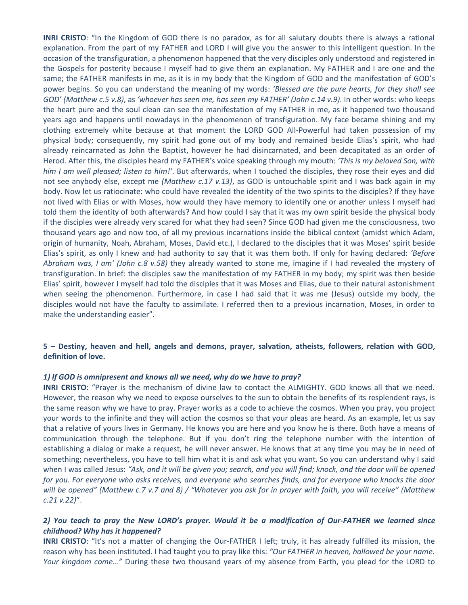**INRI CRISTO**: "In the Kingdom of GOD there is no paradox, as for all salutary doubts there is always a rational explanation. From the part of my FATHER and LORD I will give you the answer to this intelligent question. In the occasion of the transfiguration, a phenomenon happened that the very disciples only understood and registered in the Gospels for posterity because I myself had to give them an explanation. My FATHER and I are one and the same; the FATHER manifests in me, as it is in my body that the Kingdom of GOD and the manifestation of GOD's power begins. So you can understand the meaning of my words: *'Blessed are the pure hearts, for they shall see GOD' (Matthew c.5 v.8)*, as *'whoever has seen me, has seen my FATHER' (John c.14 v.9)*. In other words: who keeps the heart pure and the soul clean can see the manifestation of my FATHER in me, as it happened two thousand years ago and happens until nowadays in the phenomenon of transfiguration. My face became shining and my clothing extremely white because at that moment the LORD GOD All-Powerful had taken possession of my physical body; consequently, my spirit had gone out of my body and remained beside Elias's spirit, who had already reincarnated as John the Baptist, however he had disincarnated, and been decapitated as an order of Herod. After this, the disciples heard my FATHER's voice speaking through my mouth: *'This is my beloved Son, with him I am well pleased; listen to him!'*. But afterwards, when I touched the disciples, they rose their eyes and did not see anybody else, except me *(Matthew c.17 v.13)*, as GOD is untouchable spirit and I was back again in my body. Now let us ratiocinate: who could have revealed the identity of the two spirits to the disciples? If they have not lived with Elias or with Moses, how would they have memory to identify one or another unless I myself had told them the identity of both afterwards? And how could I say that it was my own spirit beside the physical body if the disciples were already very scared for what they had seen? Since GOD had given me the consciousness, two thousand years ago and now too, of all my previous incarnations inside the biblical context (amidst which Adam, origin of humanity, Noah, Abraham, Moses, David etc.), I declared to the disciples that it was Moses' spirit beside Elias's spirit, as only I knew and had authority to say that it was them both. If only for having declared: *'Before Abraham was, I am' (John c.8 v.58)* they already wanted to stone me, imagine if I had revealed the mystery of transfiguration. In brief: the disciples saw the manifestation of my FATHER in my body; my spirit was then beside Elias' spirit, however I myself had told the disciples that it was Moses and Elias, due to their natural astonishment when seeing the phenomenon. Furthermore, in case I had said that it was me (Jesus) outside my body, the disciples would not have the faculty to assimilate. I referred then to a previous incarnation, Moses, in order to make the understanding easier".

## **5 – Destiny, heaven and hell, angels and demons, prayer, salvation, atheists, followers, relation with GOD, definition of love.**

#### *1) If GOD is omnipresent and knows all we need, why do we have to pray?*

**INRI CRISTO**: "Prayer is the mechanism of divine law to contact the ALMIGHTY. GOD knows all that we need. However, the reason why we need to expose ourselves to the sun to obtain the benefits of its resplendent rays, is the same reason why we have to pray. Prayer works as a code to achieve the cosmos. When you pray, you project your words to the infinite and they will action the cosmos so that your pleas are heard. As an example, let us say that a relative of yours lives in Germany. He knows you are here and you know he is there. Both have a means of communication through the telephone. But if you don't ring the telephone number with the intention of establishing a dialog or make a request, he will never answer. He knows that at any time you may be in need of something; nevertheless, you have to tell him what it is and ask what you want. So you can understand why I said when I was called Jesus: *"Ask, and it will be given you; search, and you will find; knock, and the door will be opened for you. For everyone who asks receives, and everyone who searches finds, and for everyone who knocks the door will be opened" (Matthew c.7 v.7 and 8) / "Whatever you ask for in prayer with faith, you will receive" (Matthew c.21 v.22)*".

# *2) You teach to pray the New LORD's prayer. Would it be a modification of Our-FATHER we learned since childhood? Why has it happened?*

**INRI CRISTO**: "It's not a matter of changing the Our-FATHER I left; truly, it has already fulfilled its mission, the reason why has been instituted. I had taught you to pray like this: *"Our FATHER in heaven, hallowed be your name. Your kingdom come…"* During these two thousand years of my absence from Earth, you plead for the LORD to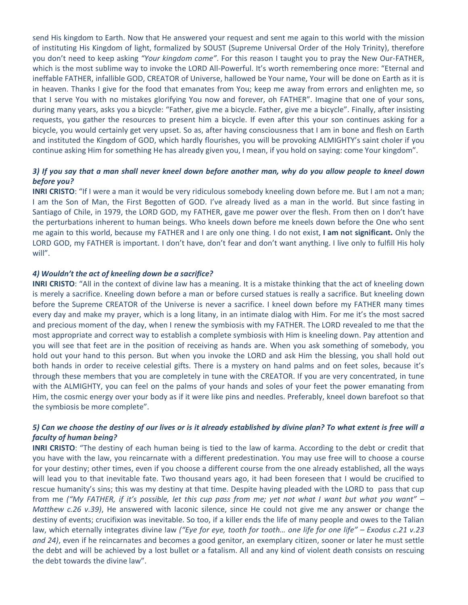send His kingdom to Earth. Now that He answered your request and sent me again to this world with the mission of instituting His Kingdom of light, formalized by SOUST (Supreme Universal Order of the Holy Trinity), therefore you don't need to keep asking *"Your kingdom come"*. For this reason I taught you to pray the New Our-FATHER, which is the most sublime way to invoke the LORD All-Powerful. It's worth remembering once more: "Eternal and ineffable FATHER, infallible GOD, CREATOR of Universe, hallowed be Your name, Your will be done on Earth as it is in heaven. Thanks I give for the food that emanates from You; keep me away from errors and enlighten me, so that I serve You with no mistakes glorifying You now and forever, oh FATHER". Imagine that one of your sons, during many years, asks you a bicycle: "Father, give me a bicycle. Father, give me a bicycle". Finally, after insisting requests, you gather the resources to present him a bicycle. If even after this your son continues asking for a bicycle, you would certainly get very upset. So as, after having consciousness that I am in bone and flesh on Earth and instituted the Kingdom of GOD, which hardly flourishes, you will be provoking ALMIGHTY's saint choler if you continue asking Him for something He has already given you, I mean, if you hold on saying: come Your kingdom".

## *3) If you say that a man shall never kneel down before another man, why do you allow people to kneel down before you?*

**INRI CRISTO**: "If I were a man it would be very ridiculous somebody kneeling down before me. But I am not a man; I am the Son of Man, the First Begotten of GOD. I've already lived as a man in the world. But since fasting in Santiago of Chile, in 1979, the LORD GOD, my FATHER, gave me power over the flesh. From then on I don't have the perturbations inherent to human beings. Who kneels down before me kneels down before the One who sent me again to this world, because my FATHER and I are only one thing. I do not exist, **I am no**t **significant.** Only the LORD GOD, my FATHER is important. I don't have, don't fear and don't want anything. I live only to fulfill His holy will".

## *4) Wouldn't the act of kneeling down be a sacrifice?*

**INRI CRISTO**: "All in the context of divine law has a meaning. It is a mistake thinking that the act of kneeling down is merely a sacrifice. Kneeling down before a man or before cursed statues is really a sacrifice. But kneeling down before the Supreme CREATOR of the Universe is never a sacrifice. I kneel down before my FATHER many times every day and make my prayer, which is a long litany, in an intimate dialog with Him. For me it's the most sacred and precious moment of the day, when I renew the symbiosis with my FATHER. The LORD revealed to me that the most appropriate and correct way to establish a complete symbiosis with Him is kneeling down. Pay attention and you will see that feet are in the position of receiving as hands are. When you ask something of somebody, you hold out your hand to this person. But when you invoke the LORD and ask Him the blessing, you shall hold out both hands in order to receive celestial gifts. There is a mystery on hand palms and on feet soles, because it's through these members that you are completely in tune with the CREATOR. If you are very concentrated, in tune with the ALMIGHTY, you can feel on the palms of your hands and soles of your feet the power emanating from Him, the cosmic energy over your body as if it were like pins and needles. Preferably, kneel down barefoot so that the symbiosis be more complete".

# *5) Can we choose the destiny of our lives or is it already established by divine plan? To what extent is free will a faculty of human being?*

**INRI CRISTO**: "The destiny of each human being is tied to the law of karma. According to the debt or credit that you have with the law, you reincarnate with a different predestination. You may use free will to choose a course for your destiny; other times, even if you choose a different course from the one already established, all the ways will lead you to that inevitable fate. Two thousand years ago, it had been foreseen that I would be crucified to rescue humanity's sins; this was my destiny at that time. Despite having pleaded with the LORD to pass that cup from me *("My FATHER, if it's possible, let this cup pass from me; yet not what I want but what you want" – Matthew c.26 v.39)*, He answered with laconic silence, since He could not give me any answer or change the destiny of events; crucifixion was inevitable. So too, if a killer ends the life of many people and owes to the Talian law, which eternally integrates divine law *("Eye for eye, tooth for tooth… one life for one life" – Exodus c.21 v.23 and 24)*, even if he reincarnates and becomes a good genitor, an exemplary citizen, sooner or later he must settle the debt and will be achieved by a lost bullet or a fatalism. All and any kind of violent death consists on rescuing the debt towards the divine law".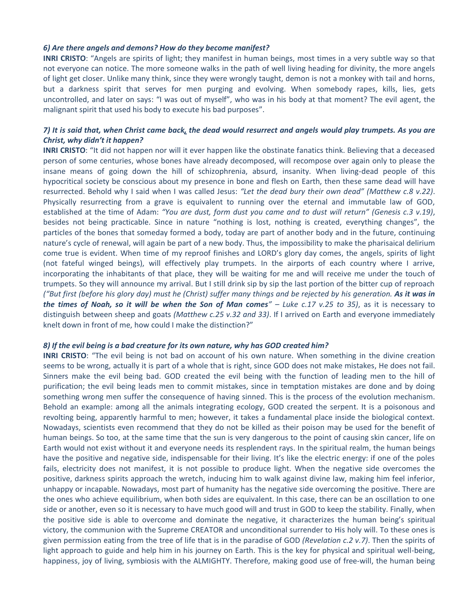## *6) Are there angels and demons? How do they become manifest?*

**INRI CRISTO**: "Angels are spirits of light; they manifest in human beings, most times in a very subtle way so that not everyone can notice. The more someone walks in the path of well living heading for divinity, the more angels of light get closer. Unlike many think, since they were wrongly taught, demon is not a monkey with tail and horns, but a darkness spirit that serves for men purging and evolving. When somebody rapes, kills, lies, gets uncontrolled, and later on says: "I was out of myself", who was in his body at that moment? The evil agent, the malignant spirit that used his body to execute his bad purposes".

# *7) It is said that, when Christ came back, the dead would resurrect and angels would play trumpets. As you are Christ, why didn't it happen?*

**INRI CRISTO**: "It did not happen nor will it ever happen like the obstinate fanatics think. Believing that a deceased person of some centuries, whose bones have already decomposed, will recompose over again only to please the insane means of going down the hill of schizophrenia, absurd, insanity. When living-dead people of this hypocritical society be conscious about my presence in bone and flesh on Earth, then these same dead will have resurrected. Behold why I said when I was called Jesus: *"Let the dead bury their own dead" (Matthew c.8 v.22)*. Physically resurrecting from a grave is equivalent to running over the eternal and immutable law of GOD, established at the time of Adam: *"You are dust, form dust you came and to dust will return" (Genesis c.3 v.19)*, besides not being practicable. Since in nature "nothing is lost, nothing is created, everything changes", the particles of the bones that someday formed a body, today are part of another body and in the future, continuing nature's cycle of renewal, will again be part of a new body. Thus, the impossibility to make the pharisaical delirium come true is evident. When time of my reproof finishes and LORD's glory day comes, the angels, spirits of light (not fateful winged beings), will effectively play trumpets. In the airports of each country where I arrive, incorporating the inhabitants of that place, they will be waiting for me and will receive me under the touch of trumpets. So they will announce my arrival. But I still drink sip by sip the last portion of the bitter cup of reproach *("But first (before his glory day) must he (Christ) suffer many things and be rejected by his generation. As it was in the times of Noah, so it will be when the Son of Man comes" – Luke c.17 v.25 to 35)*, as it is necessary to distinguish between sheep and goats *(Matthew c.25 v.32 and 33)*. If I arrived on Earth and everyone immediately knelt down in front of me, how could I make the distinction?"

## *8) If the evil being is a bad creature for its own nature, why has GOD created him?*

**INRI CRISTO**: "The evil being is not bad on account of his own nature. When something in the divine creation seems to be wrong, actually it is part of a whole that is right, since GOD does not make mistakes, He does not fail. Sinners make the evil being bad. GOD created the evil being with the function of leading men to the hill of purification; the evil being leads men to commit mistakes, since in temptation mistakes are done and by doing something wrong men suffer the consequence of having sinned. This is the process of the evolution mechanism. Behold an example: among all the animals integrating ecology, GOD created the serpent. It is a poisonous and revolting being, apparently harmful to men; however, it takes a fundamental place inside the biological context. Nowadays, scientists even recommend that they do not be killed as their poison may be used for the benefit of human beings. So too, at the same time that the sun is very dangerous to the point of causing skin cancer, life on Earth would not exist without it and everyone needs its resplendent rays. In the spiritual realm, the human beings have the positive and negative side, indispensable for their living. It's like the electric energy: if one of the poles fails, electricity does not manifest, it is not possible to produce light. When the negative side overcomes the positive, darkness spirits approach the wretch, inducing him to walk against divine law, making him feel inferior, unhappy or incapable. Nowadays, most part of humanity has the negative side overcoming the positive. There are the ones who achieve equilibrium, when both sides are equivalent. In this case, there can be an oscillation to one side or another, even so it is necessary to have much good will and trust in GOD to keep the stability. Finally, when the positive side is able to overcome and dominate the negative, it characterizes the human being's spiritual victory, the communion with the Supreme CREATOR and unconditional surrender to His holy will. To these ones is given permission eating from the tree of life that is in the paradise of GOD *(Revelation c.2 v.7)*. Then the spirits of light approach to guide and help him in his journey on Earth. This is the key for physical and spiritual well-being, happiness, joy of living, symbiosis with the ALMIGHTY. Therefore, making good use of free-will, the human being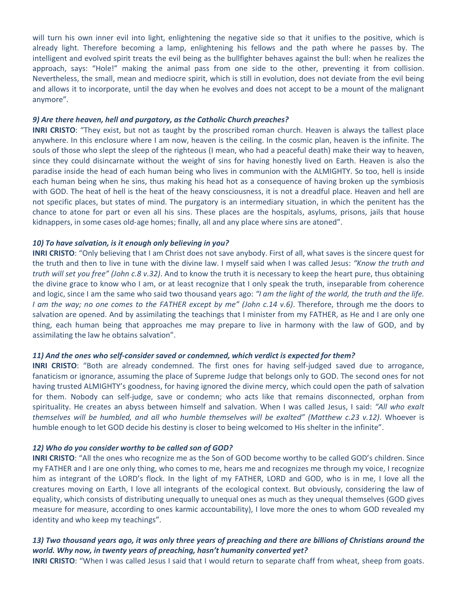will turn his own inner evil into light, enlightening the negative side so that it unifies to the positive, which is already light. Therefore becoming a lamp, enlightening his fellows and the path where he passes by. The intelligent and evolved spirit treats the evil being as the bullfighter behaves against the bull: when he realizes the approach, says: "Hole!" making the animal pass from one side to the other, preventing it from collision. Nevertheless, the small, mean and mediocre spirit, which is still in evolution, does not deviate from the evil being and allows it to incorporate, until the day when he evolves and does not accept to be a mount of the malignant anymore".

## *9) Are there heaven, hell and purgatory, as the Catholic Church preaches?*

**INRI CRISTO**: "They exist, but not as taught by the proscribed roman church. Heaven is always the tallest place anywhere. In this enclosure where I am now, heaven is the ceiling. In the cosmic plan, heaven is the infinite. The souls of those who slept the sleep of the righteous (I mean, who had a peaceful death) make their way to heaven, since they could disincarnate without the weight of sins for having honestly lived on Earth. Heaven is also the paradise inside the head of each human being who lives in communion with the ALMIGHTY. So too, hell is inside each human being when he sins, thus making his head hot as a consequence of having broken up the symbiosis with GOD. The heat of hell is the heat of the heavy consciousness, it is not a dreadful place. Heaven and hell are not specific places, but states of mind. The purgatory is an intermediary situation, in which the penitent has the chance to atone for part or even all his sins. These places are the hospitals, asylums, prisons, jails that house kidnappers, in some cases old-age homes; finally, all and any place where sins are atoned".

## *10) To have salvation, is it enough only believing in you?*

**INRI CRISTO**: "Only believing that I am Christ does not save anybody. First of all, what saves is the sincere quest for the truth and then to live in tune with the divine law. I myself said when I was called Jesus: *"Know the truth and truth will set you free" (John c.8 v.32)*. And to know the truth it is necessary to keep the heart pure, thus obtaining the divine grace to know who I am, or at least recognize that I only speak the truth, inseparable from coherence and logic, since I am the same who said two thousand years ago: *"I am the light of the world, the truth and the life. I am the way; no one comes to the FATHER except by me" (John c.14 v.6)*. Therefore, through me the doors to salvation are opened. And by assimilating the teachings that I minister from my FATHER, as He and I are only one thing, each human being that approaches me may prepare to live in harmony with the law of GOD, and by assimilating the law he obtains salvation".

## *11) And the ones who self-consider saved or condemned, which verdict is expected for them?*

**INRI CRISTO**: "Both are already condemned. The first ones for having self-judged saved due to arrogance, fanaticism or ignorance, assuming the place of Supreme Judge that belongs only to GOD. The second ones for not having trusted ALMIGHTY's goodness, for having ignored the divine mercy, which could open the path of salvation for them. Nobody can self-judge, save or condemn; who acts like that remains disconnected, orphan from spirituality. He creates an abyss between himself and salvation. When I was called Jesus, I said: *"All who exalt themselves will be humbled, and all who humble themselves will be exalted" (Matthew c.23 v.12)*. Whoever is humble enough to let GOD decide his destiny is closer to being welcomed to His shelter in the infinite".

## *12) Who do you consider worthy to be called son of GOD?*

**INRI CRISTO**: "All the ones who recognize me as the Son of GOD become worthy to be called GOD's children. Since my FATHER and I are one only thing, who comes to me, hears me and recognizes me through my voice, I recognize him as integrant of the LORD's flock. In the light of my FATHER, LORD and GOD, who is in me, I love all the creatures moving on Earth, I love all integrants of the ecological context. But obviously, considering the law of equality, which consists of distributing unequally to unequal ones as much as they unequal themselves (GOD gives measure for measure, according to ones karmic accountability), I love more the ones to whom GOD revealed my identity and who keep my teachings".

# *13) Two thousand years ago, it was only three years of preaching and there are billions of Christians around the world. Why now, in twenty years of preaching, hasn't humanity converted yet?*

**INRI CRISTO**: "When I was called Jesus I said that I would return to separate chaff from wheat, sheep from goats.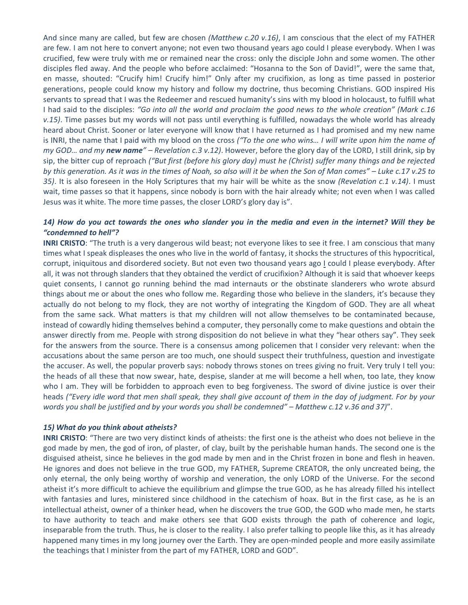And since many are called, but few are chosen *(Matthew c.20 v.16)*, I am conscious that the elect of my FATHER are few. I am not here to convert anyone; not even two thousand years ago could I please everybody. When I was crucified, few were truly with me or remained near the cross: only the disciple John and some women. The other disciples fled away. And the people who before acclaimed: "Hosanna to the Son of David!", were the same that, en masse, shouted: "Crucify him! Crucify him!" Only after my crucifixion, as long as time passed in posterior generations, people could know my history and follow my doctrine, thus becoming Christians. GOD inspired His servants to spread that I was the Redeemer and rescued humanity's sins with my blood in holocaust, to fulfill what I had said to the disciples: *"Go into all the world and proclaim the good news to the whole creation" (Mark c.16 v.15)*. Time passes but my words will not pass until everything is fulfilled, nowadays the whole world has already heard about Christ. Sooner or later everyone will know that I have returned as I had promised and my new name is INRI, the name that I paid with my blood on the cross *("To the one who wins… I will write upon him the name of my GOD… and my new name" – Revelation c.3 v.12)*. However, before the glory day of the LORD, I still drink, sip by sip, the bitter cup of reproach *("But first (before his glory day) must he (Christ) suffer many things and be rejected by this generation. As it was in the times of Noah, so also will it be when the Son of Man comes" – Luke c.17 v.25 to 35)*. It is also foreseen in the Holy Scriptures that my hair will be white as the snow *(Revelation c.1 v.14)*. I must wait, time passes so that it happens, since nobody is born with the hair already white; not even when I was called Jesus was it white. The more time passes, the closer LORD's glory day is".

## *14) How do you act towards the ones who slander you in the media and even in the internet? Will they be "condemned to hell"?*

**INRI CRISTO**: "The truth is a very dangerous wild beast; not everyone likes to see it free. I am conscious that many times what I speak displeases the ones who live in the world of fantasy, it shocks the structures of this hypocritical, corrupt, iniquitous and disordered society. But not even two thousand years ago I could I please everybody. After all, it was not through slanders that they obtained the verdict of crucifixion? Although it is said that whoever keeps quiet consents, I cannot go running behind the mad internauts or the obstinate slanderers who wrote absurd things about me or about the ones who follow me. Regarding those who believe in the slanders, it's because they actually do not belong to my flock, they are not worthy of integrating the Kingdom of GOD. They are all wheat from the same sack. What matters is that my children will not allow themselves to be contaminated because, instead of cowardly hiding themselves behind a computer, they personally come to make questions and obtain the answer directly from me. People with strong disposition do not believe in what they "hear others say". They seek for the answers from the source. There is a consensus among policemen that I consider very relevant: when the accusations about the same person are too much, one should suspect their truthfulness, question and investigate the accuser. As well, the popular proverb says: nobody throws stones on trees giving no fruit. Very truly I tell you: the heads of all these that now swear, hate, despise, slander at me will become a hell when, too late, they know who I am. They will be forbidden to approach even to beg forgiveness. The sword of divine justice is over their heads *("Every idle word that men shall speak, they shall give account of them in the day of judgment. For by your words you shall be justified and by your words you shall be condemned" – Matthew c.12 v.36 and 37)*".

#### *15) What do you think about atheists?*

**INRI CRISTO**: "There are two very distinct kinds of atheists: the first one is the atheist who does not believe in the god made by men, the god of iron, of plaster, of clay, built by the perishable human hands. The second one is the disguised atheist, since he believes in the god made by men and in the Christ frozen in bone and flesh in heaven. He ignores and does not believe in the true GOD, my FATHER, Supreme CREATOR, the only uncreated being, the only eternal, the only being worthy of worship and veneration, the only LORD of the Universe. For the second atheist it's more difficult to achieve the equilibrium and glimpse the true GOD, as he has already filled his intellect with fantasies and lures, ministered since childhood in the catechism of hoax. But in the first case, as he is an intellectual atheist, owner of a thinker head, when he discovers the true GOD, the GOD who made men, he starts to have authority to teach and make others see that GOD exists through the path of coherence and logic, inseparable from the truth. Thus, he is closer to the reality. I also prefer talking to people like this, as it has already happened many times in my long journey over the Earth. They are open-minded people and more easily assimilate the teachings that I minister from the part of my FATHER, LORD and GOD".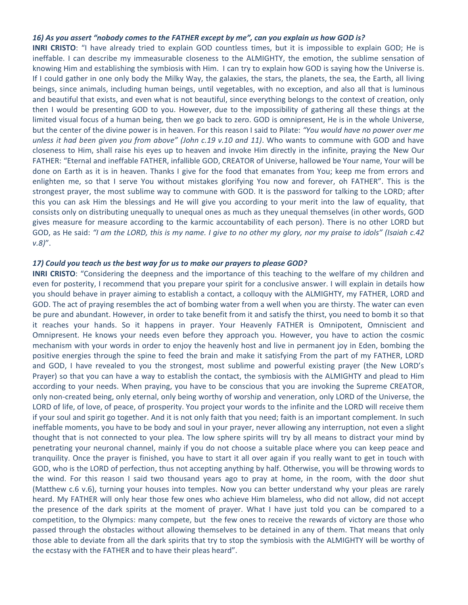## *16) As you assert "nobody comes to the FATHER except by me", can you explain us how GOD is?*

**INRI CRISTO**: "I have already tried to explain GOD countless times, but it is impossible to explain GOD; He is ineffable. I can describe my immeasurable closeness to the ALMIGHTY, the emotion, the sublime sensation of knowing Him and establishing the symbiosis with Him. I can try to explain how GOD is saying how the Universe is. If I could gather in one only body the Milky Way, the galaxies, the stars, the planets, the sea, the Earth, all living beings, since animals, including human beings, until vegetables, with no exception, and also all that is luminous and beautiful that exists, and even what is not beautiful, since everything belongs to the context of creation, only then I would be presenting GOD to you. However, due to the impossibility of gathering all these things at the limited visual focus of a human being, then we go back to zero. GOD is omnipresent, He is in the whole Universe, but the center of the divine power is in heaven. For this reason I said to Pilate: *"You would have no power over me unless it had been given you from above" (John c.19 v.10 and 11)*. Who wants to commune with GOD and have closeness to Him, shall raise his eyes up to heaven and invoke Him directly in the infinite, praying the New Our FATHER: "Eternal and ineffable FATHER, infallible GOD, CREATOR of Universe, hallowed be Your name, Your will be done on Earth as it is in heaven. Thanks I give for the food that emanates from You; keep me from errors and enlighten me, so that I serve You without mistakes glorifying You now and forever, oh FATHER". This is the strongest prayer, the most sublime way to commune with GOD. It is the password for talking to the LORD; after this you can ask Him the blessings and He will give you according to your merit into the law of equality, that consists only on distributing unequally to unequal ones as much as they unequal themselves (in other words, GOD gives measure for measure according to the karmic accountability of each person). There is no other LORD but GOD, as He said: *"I am the LORD, this is my name. I give to no other my glory, nor my praise to idols" (Isaiah c.42 v.8)*".

## *17) Could you teach us the best way for us to make our prayers to please GOD?*

**INRI CRISTO**: "Considering the deepness and the importance of this teaching to the welfare of my children and even for posterity, I recommend that you prepare your spirit for a conclusive answer. I will explain in details how you should behave in prayer aiming to establish a contact, a colloquy with the ALMIGHTY, my FATHER, LORD and GOD. The act of praying resembles the act of bombing water from a well when you are thirsty. The water can even be pure and abundant. However, in order to take benefit from it and satisfy the thirst, you need to bomb it so that it reaches your hands. So it happens in prayer. Your Heavenly FATHER is Omnipotent, Omniscient and Omnipresent. He knows your needs even before they approach you. However, you have to action the cosmic mechanism with your words in order to enjoy the heavenly host and live in permanent joy in Eden, bombing the positive energies through the spine to feed the brain and make it satisfying From the part of my FATHER, LORD and GOD, I have revealed to you the strongest, most sublime and powerful existing prayer (the New LORD's Prayer) so that you can have a way to establish the contact, the symbiosis with the ALMIGHTY and plead to Him according to your needs. When praying, you have to be conscious that you are invoking the Supreme CREATOR, only non-created being, only eternal, only being worthy of worship and veneration, only LORD of the Universe, the LORD of life, of love, of peace, of prosperity. You project your words to the infinite and the LORD will receive them if your soul and spirit go together. And it is not only faith that you need; faith is an important complement. In such ineffable moments, you have to be body and soul in your prayer, never allowing any interruption, not even a slight thought that is not connected to your plea. The low sphere spirits will try by all means to distract your mind by penetrating your neuronal channel, mainly if you do not choose a suitable place where you can keep peace and tranquility. Once the prayer is finished, you have to start it all over again if you really want to get in touch with GOD, who is the LORD of perfection, thus not accepting anything by half. Otherwise, you will be throwing words to the wind. For this reason I said two thousand years ago to pray at home, in the room, with the door shut (Matthew c.6 v.6), turning your houses into temples. Now you can better understand why your pleas are rarely heard. My FATHER will only hear those few ones who achieve Him blameless, who did not allow, did not accept the presence of the dark spirits at the moment of prayer. What I have just told you can be compared to a competition, to the Olympics: many compete, but the few ones to receive the rewards of victory are those who passed through the obstacles without allowing themselves to be detained in any of them. That means that only those able to deviate from all the dark spirits that try to stop the symbiosis with the ALMIGHTY will be worthy of the ecstasy with the FATHER and to have their pleas heard".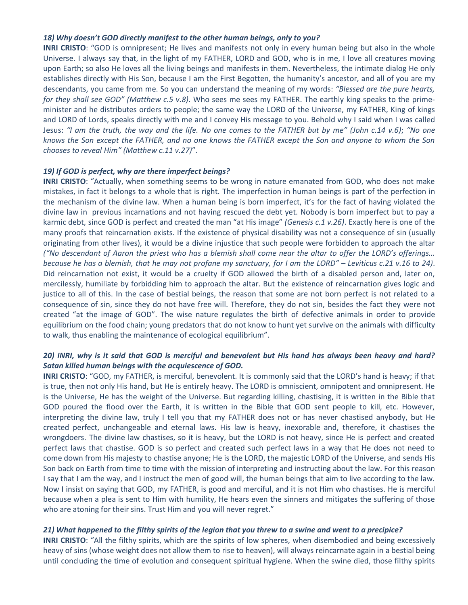## *18) Why doesn't GOD directly manifest to the other human beings, only to you?*

**INRI CRISTO**: "GOD is omnipresent; He lives and manifests not only in every human being but also in the whole Universe. I always say that, in the light of my FATHER, LORD and GOD, who is in me, I love all creatures moving upon Earth; so also He loves all the living beings and manifests in them. Nevertheless, the intimate dialog He only establishes directly with His Son, because I am the First Begotten, the humanity's ancestor, and all of you are my descendants, you came from me. So you can understand the meaning of my words: *"Blessed are the pure hearts, for they shall see GOD" (Matthew c.5 v.8)*. Who sees me sees my FATHER. The earthly king speaks to the primeminister and he distributes orders to people; the same way the LORD of the Universe, my FATHER, King of kings and LORD of Lords, speaks directly with me and I convey His message to you. Behold why I said when I was called Jesus: *"I am the truth, the way and the life. No one comes to the FATHER but by me" (John c.14 v.6)*; *"No one knows the Son except the FATHER, and no one knows the FATHER except the Son and anyone to whom the Son chooses to reveal Him" (Matthew c.11 v.27)*".

## *19) If GOD is perfect, why are there imperfect beings?*

**INRI CRISTO**: "Actually, when something seems to be wrong in nature emanated from GOD, who does not make mistakes, in fact it belongs to a whole that is right. The imperfection in human beings is part of the perfection in the mechanism of the divine law. When a human being is born imperfect, it's for the fact of having violated the divine law in previous incarnations and not having rescued the debt yet. Nobody is born imperfect but to pay a karmic debt, since GOD is perfect and created the man "at His image" *(Genesis c.1 v.26)*. Exactly here is one of the many proofs that reincarnation exists. If the existence of physical disability was not a consequence of sin (usually originating from other lives), it would be a divine injustice that such people were forbidden to approach the altar *("No descendant of Aaron the priest who has a blemish shall come near the altar to offer the LORD's offerings… because he has a blemish, that he may not profane my sanctuary, for I am the LORD" – Leviticus c.21 v.16 to 24)*. Did reincarnation not exist, it would be a cruelty if GOD allowed the birth of a disabled person and, later on, mercilessly, humiliate by forbidding him to approach the altar. But the existence of reincarnation gives logic and justice to all of this. In the case of bestial beings, the reason that some are not born perfect is not related to a consequence of sin, since they do not have free will. Therefore, they do not sin, besides the fact they were not created "at the image of GOD". The wise nature regulates the birth of defective animals in order to provide equilibrium on the food chain; young predators that do not know to hunt yet survive on the animals with difficulty to walk, thus enabling the maintenance of ecological equilibrium".

## *20) INRI, why is it said that GOD is merciful and benevolent but His hand has always been heavy and hard? Satan killed human beings with the acquiescence of GOD.*

**INRI CRISTO**: "GOD, my FATHER, is merciful, benevolent. It is commonly said that the LORD's hand is heavy; if that is true, then not only His hand, but He is entirely heavy. The LORD is omniscient, omnipotent and omnipresent. He is the Universe, He has the weight of the Universe. But regarding killing, chastising, it is written in the Bible that GOD poured the flood over the Earth, it is written in the Bible that GOD sent people to kill, etc. However, interpreting the divine law, truly I tell you that my FATHER does not or has never chastised anybody, but He created perfect, unchangeable and eternal laws. His law is heavy, inexorable and, therefore, it chastises the wrongdoers. The divine law chastises, so it is heavy, but the LORD is not heavy, since He is perfect and created perfect laws that chastise. GOD is so perfect and created such perfect laws in a way that He does not need to come down from His majesty to chastise anyone; He is the LORD, the majestic LORD of the Universe, and sends His Son back on Earth from time to time with the mission of interpreting and instructing about the law. For this reason I say that I am the way, and I instruct the men of good will, the human beings that aim to live according to the law. Now I insist on saying that GOD, my FATHER, is good and merciful, and it is not Him who chastises. He is merciful because when a plea is sent to Him with humility, He hears even the sinners and mitigates the suffering of those who are atoning for their sins. Trust Him and you will never regret."

## *21) What happened to the filthy spirits of the legion that you threw to a swine and went to a precipice?*

**INRI CRISTO**: "All the filthy spirits, which are the spirits of low spheres, when disembodied and being excessively heavy of sins (whose weight does not allow them to rise to heaven), will always reincarnate again in a bestial being until concluding the time of evolution and consequent spiritual hygiene. When the swine died, those filthy spirits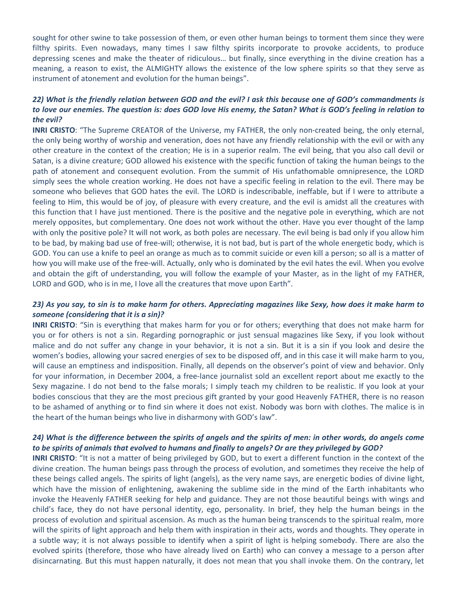sought for other swine to take possession of them, or even other human beings to torment them since they were filthy spirits. Even nowadays, many times I saw filthy spirits incorporate to provoke accidents, to produce depressing scenes and make the theater of ridiculous… but finally, since everything in the divine creation has a meaning, a reason to exist, the ALMIGHTY allows the existence of the low sphere spirits so that they serve as instrument of atonement and evolution for the human beings".

# *22) What is the friendly relation between GOD and the evil? I ask this because one of GOD's commandments is to love our enemies. The question is: does GOD love His enemy, the Satan? What is GOD's feeling in relation to the evil?*

**INRI CRISTO**: "The Supreme CREATOR of the Universe, my FATHER, the only non-created being, the only eternal, the only being worthy of worship and veneration, does not have any friendly relationship with the evil or with any other creature in the context of the creation; He is in a superior realm. The evil being, that you also call devil or Satan, is a divine creature; GOD allowed his existence with the specific function of taking the human beings to the path of atonement and consequent evolution. From the summit of His unfathomable omnipresence, the LORD simply sees the whole creation working. He does not have a specific feeling in relation to the evil. There may be someone who believes that GOD hates the evil. The LORD is indescribable, ineffable, but if I were to attribute a feeling to Him, this would be of joy, of pleasure with every creature, and the evil is amidst all the creatures with this function that I have just mentioned. There is the positive and the negative pole in everything, which are not merely opposites, but complementary. One does not work without the other. Have you ever thought of the lamp with only the positive pole? It will not work, as both poles are necessary. The evil being is bad only if you allow him to be bad, by making bad use of free-will; otherwise, it is not bad, but is part of the whole energetic body, which is GOD. You can use a knife to peel an orange as much as to commit suicide or even kill a person; so all is a matter of how you will make use of the free-will. Actually, only who is dominated by the evil hates the evil. When you evolve and obtain the gift of understanding, you will follow the example of your Master, as in the light of my FATHER, LORD and GOD, who is in me, I love all the creatures that move upon Earth".

## *23) As you say, to sin is to make harm for others. Appreciating magazines like Sexy, how does it make harm to someone (considering that it is a sin)?*

**INRI CRISTO**: "Sin is everything that makes harm for you or for others; everything that does not make harm for you or for others is not a sin. Regarding pornographic or just sensual magazines like Sexy, if you look without malice and do not suffer any change in your behavior, it is not a sin. But it is a sin if you look and desire the women's bodies, allowing your sacred energies of sex to be disposed off, and in this case it will make harm to you, will cause an emptiness and indisposition. Finally, all depends on the observer's point of view and behavior. Only for your information, in December 2004, a free-lance journalist sold an excellent report about me exactly to the Sexy magazine. I do not bend to the false morals; I simply teach my children to be realistic. If you look at your bodies conscious that they are the most precious gift granted by your good Heavenly FATHER, there is no reason to be ashamed of anything or to find sin where it does not exist. Nobody was born with clothes. The malice is in the heart of the human beings who live in disharmony with GOD's law".

# *24) What is the difference between the spirits of angels and the spirits of men: in other words, do angels come to be spirits of animals that evolved to humans and finally to angels? Or are they privileged by GOD?*

**INRI CRISTO**: "It is not a matter of being privileged by GOD, but to exert a different function in the context of the divine creation. The human beings pass through the process of evolution, and sometimes they receive the help of these beings called angels. The spirits of light (angels), as the very name says, are energetic bodies of divine light, which have the mission of enlightening, awakening the sublime side in the mind of the Earth inhabitants who invoke the Heavenly FATHER seeking for help and guidance. They are not those beautiful beings with wings and child's face, they do not have personal identity, ego, personality. In brief, they help the human beings in the process of evolution and spiritual ascension. As much as the human being transcends to the spiritual realm, more will the spirits of light approach and help them with inspiration in their acts, words and thoughts. They operate in a subtle way; it is not always possible to identify when a spirit of light is helping somebody. There are also the evolved spirits (therefore, those who have already lived on Earth) who can convey a message to a person after disincarnating. But this must happen naturally, it does not mean that you shall invoke them. On the contrary, let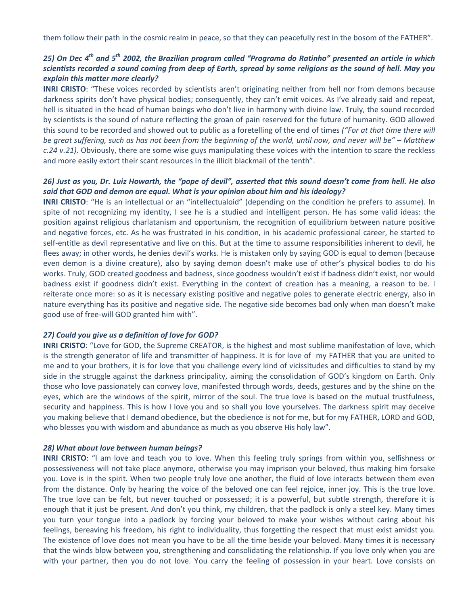# *25) On Dec 4th and 5th 2002, the Brazilian program called "Programa do Ratinho" presented an article in which scientists recorded a sound coming from deep of Earth, spread by some religions as the sound of hell. May you explain this matter more clearly?*

**INRI CRISTO**: "These voices recorded by scientists aren't originating neither from hell nor from demons because darkness spirits don't have physical bodies; consequently, they can't emit voices. As I've already said and repeat, hell is situated in the head of human beings who don't live in harmony with divine law. Truly, the sound recorded by scientists is the sound of nature reflecting the groan of pain reserved for the future of humanity. GOD allowed this sound to be recorded and showed out to public as a foretelling of the end of times *("For at that time there will be great suffering, such as has not been from the beginning of the world, until now, and never will be" – Matthew c.24 v.21)*. Obviously, there are some wise guys manipulating these voices with the intention to scare the reckless and more easily extort their scant resources in the illicit blackmail of the tenth".

# *26) Just as you, Dr. Luiz Howarth, the "pope of devil", asserted that this sound doesn't come from hell. He also said that GOD and demon are equal. What is your opinion about him and his ideology?*

**INRI CRISTO**: "He is an intellectual or an "intellectualoid" (depending on the condition he prefers to assume). In spite of not recognizing my identity, I see he is a studied and intelligent person. He has some valid ideas: the position against religious charlatanism and opportunism, the recognition of equilibrium between nature positive and negative forces, etc. As he was frustrated in his condition, in his academic professional career, he started to self-entitle as devil representative and live on this. But at the time to assume responsibilities inherent to devil, he flees away; in other words, he denies devil's works. He is mistaken only by saying GOD is equal to demon (because even demon is a divine creature), also by saying demon doesn't make use of other's physical bodies to do his works. Truly, GOD created goodness and badness, since goodness wouldn't exist if badness didn't exist, nor would badness exist if goodness didn't exist. Everything in the context of creation has a meaning, a reason to be. I reiterate once more: so as it is necessary existing positive and negative poles to generate electric energy, also in nature everything has its positive and negative side. The negative side becomes bad only when man doesn't make good use of free-will GOD granted him with".

## *27) Could you give us a definition of love for GOD?*

**INRI CRISTO**: "Love for GOD, the Supreme CREATOR, is the highest and most sublime manifestation of love, which is the strength generator of life and transmitter of happiness. It is for love of my FATHER that you are united to me and to your brothers, it is for love that you challenge every kind of vicissitudes and difficulties to stand by my side in the struggle against the darkness principality, aiming the consolidation of GOD's kingdom on Earth. Only those who love passionately can convey love, manifested through words, deeds, gestures and by the shine on the eyes, which are the windows of the spirit, mirror of the soul. The true love is based on the mutual trustfulness, security and happiness. This is how I love you and so shall you love yourselves. The darkness spirit may deceive you making believe that I demand obedience, but the obedience is not for me, but for my FATHER, LORD and GOD, who blesses you with wisdom and abundance as much as you observe His holy law".

#### *28) What about love between human beings?*

**INRI CRISTO**: "I am love and teach you to love. When this feeling truly springs from within you, selfishness or possessiveness will not take place anymore, otherwise you may imprison your beloved, thus making him forsake you. Love is in the spirit. When two people truly love one another, the fluid of love interacts between them even from the distance. Only by hearing the voice of the beloved one can feel rejoice, inner joy. This is the true love. The true love can be felt, but never touched or possessed; it is a powerful, but subtle strength, therefore it is enough that it just be present. And don't you think, my children, that the padlock is only a steel key. Many times you turn your tongue into a padlock by forcing your beloved to make your wishes without caring about his feelings, bereaving his freedom, his right to individuality, thus forgetting the respect that must exist amidst you. The existence of love does not mean you have to be all the time beside your beloved. Many times it is necessary that the winds blow between you, strengthening and consolidating the relationship. If you love only when you are with your partner, then you do not love. You carry the feeling of possession in your heart. Love consists on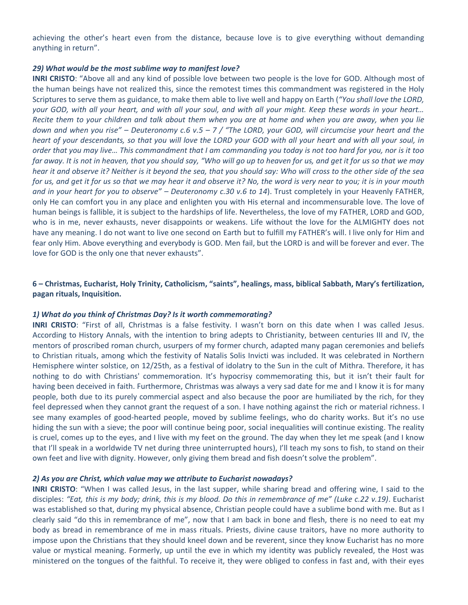achieving the other's heart even from the distance, because love is to give everything without demanding anything in return".

#### *29) What would be the most sublime way to manifest love?*

**INRI CRISTO**: "Above all and any kind of possible love between two people is the love for GOD. Although most of the human beings have not realized this, since the remotest times this commandment was registered in the Holy Scriptures to serve them as guidance, to make them able to live well and happy on Earth (*"You shall love the LORD, your GOD, with all your heart, and with all your soul, and with all your might. Keep these words in your heart… Recite them to your children and talk about them when you are at home and when you are away, when you lie down and when you rise" – Deuteronomy c.6 v.5 – 7 / "The LORD, your GOD, will circumcise your heart and the heart of your descendants, so that you will love the LORD your GOD with all your heart and with all your soul, in order that you may live… This commandment that I am commanding you today is not too hard for you, nor is it too far away. It is not in heaven, that you should say, "Who will go up to heaven for us, and get it for us so that we may hear it and observe it? Neither is it beyond the sea, that you should say: Who will cross to the other side of the sea for us, and get it for us so that we may hear it and observe it? No, the word is very near to you; it is in your mouth and in your heart for you to observe" – Deuteronomy c.30 v.6 to 14*). Trust completely in your Heavenly FATHER, only He can comfort you in any place and enlighten you with His eternal and incommensurable love. The love of human beings is fallible, it is subject to the hardships of life. Nevertheless, the love of my FATHER, LORD and GOD, who is in me, never exhausts, never disappoints or weakens. Life without the love for the ALMIGHTY does not have any meaning. I do not want to live one second on Earth but to fulfill my FATHER's will. I live only for Him and fear only Him. Above everything and everybody is GOD. Men fail, but the LORD is and will be forever and ever. The love for GOD is the only one that never exhausts".

**6 – Christmas, Eucharist, Holy Trinity, Catholicism, "saints", healings, mass, biblical Sabbath, Mary's fertilization, pagan rituals, Inquisition.**

## *1) What do you think of Christmas Day? Is it worth commemorating?*

**INRI CRISTO**: "First of all, Christmas is a false festivity. I wasn't born on this date when I was called Jesus. According to History Annals, with the intention to bring adepts to Christianity, between centuries III and IV, the mentors of proscribed roman church, usurpers of my former church, adapted many pagan ceremonies and beliefs to Christian rituals, among which the festivity of Natalis Solis Invicti was included. It was celebrated in Northern Hemisphere winter solstice, on 12/25th, as a festival of idolatry to the Sun in the cult of Mithra. Therefore, it has nothing to do with Christians' commemoration. It's hypocrisy commemorating this, but it isn't their fault for having been deceived in faith. Furthermore, Christmas was always a very sad date for me and I know it is for many people, both due to its purely commercial aspect and also because the poor are humiliated by the rich, for they feel depressed when they cannot grant the request of a son. I have nothing against the rich or material richness. I see many examples of good-hearted people, moved by sublime feelings, who do charity works. But it's no use hiding the sun with a sieve; the poor will continue being poor, social inequalities will continue existing. The reality is cruel, comes up to the eyes, and I live with my feet on the ground. The day when they let me speak (and I know that I'll speak in a worldwide TV net during three uninterrupted hours), I'll teach my sons to fish, to stand on their own feet and live with dignity. However, only giving them bread and fish doesn't solve the problem".

## *2) As you are Christ, which value may we attribute to Eucharist nowadays?*

**INRI CRISTO**: "When I was called Jesus, in the last supper, while sharing bread and offering wine, I said to the disciples: *"Eat, this is my body; drink, this is my blood. Do this in remembrance of me" (Luke c.22 v.19)*. Eucharist was established so that, during my physical absence, Christian people could have a sublime bond with me. But as I clearly said "do this in remembrance of me", now that I am back in bone and flesh, there is no need to eat my body as bread in remembrance of me in mass rituals. Priests, divine cause traitors, have no more authority to impose upon the Christians that they should kneel down and be reverent, since they know Eucharist has no more value or mystical meaning. Formerly, up until the eve in which my identity was publicly revealed, the Host was ministered on the tongues of the faithful. To receive it, they were obliged to confess in fast and, with their eyes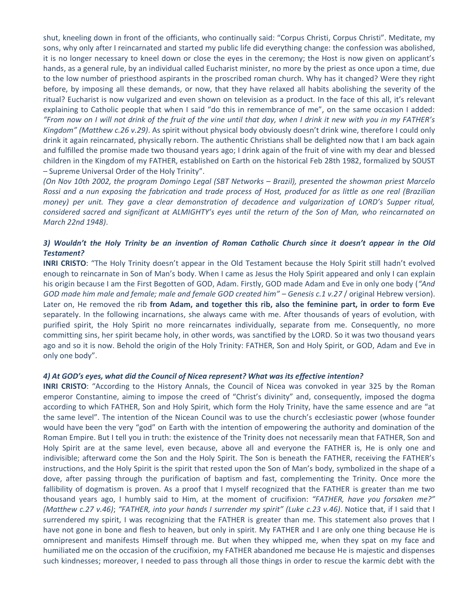shut, kneeling down in front of the officiants, who continually said: "Corpus Christi, Corpus Christi". Meditate, my sons, why only after I reincarnated and started my public life did everything change: the confession was abolished, it is no longer necessary to kneel down or close the eyes in the ceremony; the Host is now given on applicant's hands, as a general rule, by an individual called Eucharist minister, no more by the priest as once upon a time, due to the low number of priesthood aspirants in the proscribed roman church. Why has it changed? Were they right before, by imposing all these demands, or now, that they have relaxed all habits abolishing the severity of the ritual? Eucharist is now vulgarized and even shown on television as a product. In the face of this all, it's relevant explaining to Catholic people that when I said "do this in remembrance of me", on the same occasion I added: *"From now on I will not drink of the fruit of the vine until that day, when I drink it new with you in my FATHER's Kingdom" (Matthew c.26 v.29)*. As spirit without physical body obviously doesn't drink wine, therefore I could only drink it again reincarnated, physically reborn. The authentic Christians shall be delighted now that I am back again and fulfilled the promise made two thousand years ago; I drink again of the fruit of vine with my dear and blessed children in the Kingdom of my FATHER, established on Earth on the historical Feb 28th 1982, formalized by SOUST – Supreme Universal Order of the Holy Trinity".

*(On Nov 10th 2002, the program Domingo Legal (SBT Networks – Brazil), presented the showman priest Marcelo Rossi and a nun exposing the fabrication and trade process of Host, produced for as little as one real (Brazilian money) per unit. They gave a clear demonstration of decadence and vulgarization of LORD's Supper ritual, considered sacred and significant at ALMIGHTY's eyes until the return of the Son of Man, who reincarnated on March 22nd 1948)*.

# *3) Wouldn't the Holy Trinity be an invention of Roman Catholic Church since it doesn't appear in the Old Testament?*

**INRI CRISTO**: "The Holy Trinity doesn't appear in the Old Testament because the Holy Spirit still hadn't evolved enough to reincarnate in Son of Man's body. When I came as Jesus the Holy Spirit appeared and only I can explain his origin because I am the First Begotten of GOD, Adam. Firstly, GOD made Adam and Eve in only one body (*"And GOD made him male and female; male and female GOD created him" – Genesis c.1 v.27* / original Hebrew version). Later on, He removed the rib **from Adam, and together this rib, also the feminine part, in order to form Eve** separately. In the following incarnations, she always came with me. After thousands of years of evolution, with purified spirit, the Holy Spirit no more reincarnates individually, separate from me. Consequently, no more committing sins, her spirit became holy, in other words, was sanctified by the LORD. So it was two thousand years ago and so it is now. Behold the origin of the Holy Trinity: FATHER, Son and Holy Spirit, or GOD, Adam and Eve in only one body".

## *4) At GOD's eyes, what did the Council of Nicea represent? What was its effective intention?*

**INRI CRISTO**: "According to the History Annals, the Council of Nicea was convoked in year 325 by the Roman emperor Constantine, aiming to impose the creed of "Christ's divinity" and, consequently, imposed the dogma according to which FATHER, Son and Holy Spirit, which form the Holy Trinity, have the same essence and are "at the same level". The intention of the Nicean Council was to use the church's ecclesiastic power (whose founder would have been the very "god" on Earth with the intention of empowering the authority and domination of the Roman Empire. But I tell you in truth: the existence of the Trinity does not necessarily mean that FATHER, Son and Holy Spirit are at the same level, even because, above all and everyone the FATHER is, He is only one and indivisible; afterward come the Son and the Holy Spirit. The Son is beneath the FATHER, receiving the FATHER's instructions, and the Holy Spirit is the spirit that rested upon the Son of Man's body, symbolized in the shape of a dove, after passing through the purification of baptism and fast, complementing the Trinity. Once more the fallibility of dogmatism is proven. As a proof that I myself recognized that the FATHER is greater than me two thousand years ago, I humbly said to Him, at the moment of crucifixion: *"FATHER, have you forsaken me?" (Matthew c.27 v.46)*; *"FATHER, into your hands I surrender my spirit" (Luke c.23 v.46)*. Notice that, if I said that I surrendered my spirit, I was recognizing that the FATHER is greater than me. This statement also proves that I have not gone in bone and flesh to heaven, but only in spirit. My FATHER and I are only one thing because He is omnipresent and manifests Himself through me. But when they whipped me, when they spat on my face and humiliated me on the occasion of the crucifixion, my FATHER abandoned me because He is majestic and dispenses such kindnesses; moreover, I needed to pass through all those things in order to rescue the karmic debt with the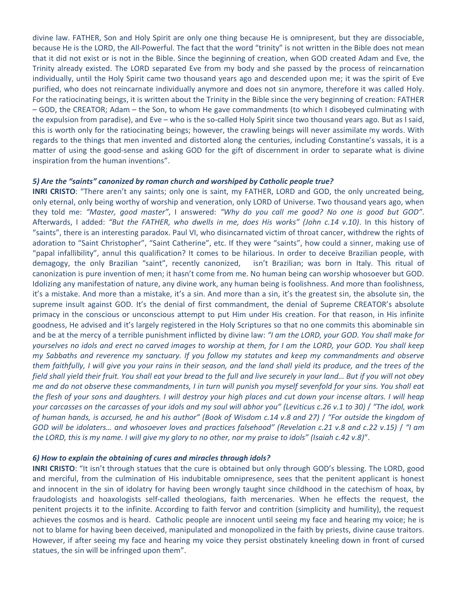divine law. FATHER, Son and Holy Spirit are only one thing because He is omnipresent, but they are dissociable, because He is the LORD, the All-Powerful. The fact that the word "trinity" is not written in the Bible does not mean that it did not exist or is not in the Bible. Since the beginning of creation, when GOD created Adam and Eve, the Trinity already existed. The LORD separated Eve from my body and she passed by the process of reincarnation individually, until the Holy Spirit came two thousand years ago and descended upon me; it was the spirit of Eve purified, who does not reincarnate individually anymore and does not sin anymore, therefore it was called Holy. For the ratiocinating beings, it is written about the Trinity in the Bible since the very beginning of creation: FATHER – GOD, the CREATOR; Adam – the Son, to whom He gave commandments (to which I disobeyed culminating with the expulsion from paradise), and Eve – who is the so-called Holy Spirit since two thousand years ago. But as I said, this is worth only for the ratiocinating beings; however, the crawling beings will never assimilate my words. With regards to the things that men invented and distorted along the centuries, including Constantine's vassals, it is a matter of using the good-sense and asking GOD for the gift of discernment in order to separate what is divine inspiration from the human inventions".

## *5) Are the "saints" canonized by roman church and worshiped by Catholic people true?*

**INRI CRISTO**: "There aren't any saints; only one is saint, my FATHER, LORD and GOD, the only uncreated being, only eternal, only being worthy of worship and veneration, only LORD of Universe. Two thousand years ago, when they told me: *"Master, good master"*, I answered: *"Why do you call me good? No one is good but GOD"*. Afterwards, I added: *"But the FATHER, who dwells in me, does His works" (John c.14 v.10)*. In this history of "saints", there is an interesting paradox. Paul VI, who disincarnated victim of throat cancer, withdrew the rights of adoration to "Saint Christopher", "Saint Catherine", etc. If they were "saints", how could a sinner, making use of "papal infallibility", annul this qualification? It comes to be hilarious. In order to deceive Brazilian people, with demagogy, the only Brazilian "saint", recently canonized, isn't Brazilian; was born in Italy. This ritual of canonization is pure invention of men; it hasn't come from me. No human being can worship whosoever but GOD. Idolizing any manifestation of nature, any divine work, any human being is foolishness. And more than foolishness, it's a mistake. And more than a mistake, it's a sin. And more than a sin, it's the greatest sin, the absolute sin, the supreme insult against GOD. It's the denial of first commandment, the denial of Supreme CREATOR's absolute primacy in the conscious or unconscious attempt to put Him under His creation. For that reason, in His infinite goodness, He advised and it's largely registered in the Holy Scriptures so that no one commits this abominable sin and be at the mercy of a terrible punishment inflicted by divine law: *"I am the LORD, your GOD. You shall make for yourselves no idols and erect no carved images to worship at them, for I am the LORD, your GOD. You shall keep my Sabbaths and reverence my sanctuary. If you follow my statutes and keep my commandments and observe them faithfully, I will give you your rains in their season, and the land shall yield its produce, and the trees of the field shall yield their fruit. You shall eat your bread to the full and live securely in your land… But if you will not obey me and do not observe these commandments, I in turn will punish you myself sevenfold for your sins. You shall eat the flesh of your sons and daughters. I will destroy your high places and cut down your incense altars. I will heap your carcasses on the carcasses of your idols and my soul will abhor you" (Leviticus c.26 v.1 to 30)* / *"The idol, work of human hands, is accursed, he and his author" (Book of Wisdom c.14 v.8 and 27)* / *"For outside the kingdom of GOD will be idolaters… and whosoever loves and practices falsehood" (Revelation c.21 v.8 and c.22 v.15)* / *"I am the LORD, this is my name. I will give my glory to no other, nor my praise to idols" (Isaiah c.42 v.8)*".

## *6) How to explain the obtaining of cures and miracles through idols?*

**INRI CRISTO**: "It isn't through statues that the cure is obtained but only through GOD's blessing. The LORD, good and merciful, from the culmination of His indubitable omnipresence, sees that the penitent applicant is honest and innocent in the sin of idolatry for having been wrongly taught since childhood in the catechism of hoax, by fraudologists and hoaxologists self-called theologians, faith mercenaries. When he effects the request, the penitent projects it to the infinite. According to faith fervor and contrition (simplicity and humility), the request achieves the cosmos and is heard. Catholic people are innocent until seeing my face and hearing my voice; he is not to blame for having been deceived, manipulated and monopolized in the faith by priests, divine cause traitors. However, if after seeing my face and hearing my voice they persist obstinately kneeling down in front of cursed statues, the sin will be infringed upon them".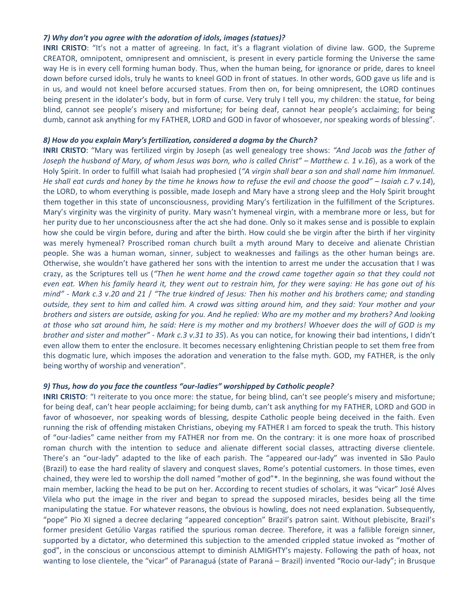### *7) Why don't you agree with the adoration of idols, images (statues)?*

**INRI CRISTO**: "It's not a matter of agreeing. In fact, it's a flagrant violation of divine law. GOD, the Supreme CREATOR, omnipotent, omnipresent and omniscient, is present in every particle forming the Universe the same way He is in every cell forming human body. Thus, when the human being, for ignorance or pride, dares to kneel down before cursed idols, truly he wants to kneel GOD in front of statues. In other words, GOD gave us life and is in us, and would not kneel before accursed statues. From then on, for being omnipresent, the LORD continues being present in the idolater's body, but in form of curse. Very truly I tell you, my children: the statue, for being blind, cannot see people's misery and misfortune; for being deaf, cannot hear people's acclaiming; for being dumb, cannot ask anything for my FATHER, LORD and GOD in favor of whosoever, nor speaking words of blessing".

### *8) How do you explain Mary's fertilization, considered a dogma by the Church?*

**INRI CRISTO**: "Mary was fertilized virgin by Joseph (as well genealogy tree shows: *"And Jacob was the father of Joseph the husband of Mary, of whom Jesus was born, who is called Christ" – Matthew c. 1 v.16*), as a work of the Holy Spirit. In order to fulfill what Isaiah had prophesied (*"A virgin shall bear a son and shall name him Immanuel. He shall eat curds and honey by the time he knows how to refuse the evil and choose the good" – Isaiah c.7 v.14*), the LORD, to whom everything is possible, made Joseph and Mary have a strong sleep and the Holy Spirit brought them together in this state of unconsciousness, providing Mary's fertilization in the fulfillment of the Scriptures. Mary's virginity was the virginity of purity. Mary wasn't hymeneal virgin, with a membrane more or less, but for her purity due to her unconsciousness after the act she had done. Only so it makes sense and is possible to explain how she could be virgin before, during and after the birth. How could she be virgin after the birth if her virginity was merely hymeneal? Proscribed roman church built a myth around Mary to deceive and alienate Christian people. She was a human woman, sinner, subject to weaknesses and failings as the other human beings are. Otherwise, she wouldn't have gathered her sons with the intention to arrest me under the accusation that I was crazy, as the Scriptures tell us (*"Then he went home and the crowd came together again so that they could not even eat. When his family heard it, they went out to restrain him, for they were saying: He has gone out of his mind" - Mark c.3 v.20 and 21* / *"The true kindred of Jesus: Then his mother and his brothers came; and standing outside, they sent to him and called him. A crowd was sitting around him, and they said: Your mother and your brothers and sisters are outside, asking for you. And he replied: Who are my mother and my brothers? And looking at those who sat around him, he said: Here is my mother and my brothers! Whoever does the will of GOD is my brother and sister and mother" - Mark c.3 v.31 to 35*). As you can notice, for knowing their bad intentions, I didn't even allow them to enter the enclosure. It becomes necessary enlightening Christian people to set them free from this dogmatic lure, which imposes the adoration and veneration to the false myth. GOD, my FATHER, is the only being worthy of worship and veneration".

### *9) Thus, how do you face the countless "our-ladies" worshipped by Catholic people?*

**INRI CRISTO**: "I reiterate to you once more: the statue, for being blind, can't see people's misery and misfortune; for being deaf, can't hear people acclaiming; for being dumb, can't ask anything for my FATHER, LORD and GOD in favor of whosoever, nor speaking words of blessing, despite Catholic people being deceived in the faith. Even running the risk of offending mistaken Christians, obeying my FATHER I am forced to speak the truth. This history of "our-ladies" came neither from my FATHER nor from me. On the contrary: it is one more hoax of proscribed roman church with the intention to seduce and alienate different social classes, attracting diverse clientele. There's an "our-lady" adapted to the like of each parish. The "appeared our-lady" was invented in São Paulo (Brazil) to ease the hard reality of slavery and conquest slaves, Rome's potential customers. In those times, even chained, they were led to worship the doll named "mother of god"\*. In the beginning, she was found without the main member, lacking the head to be put on her. According to recent studies of scholars, it was "vicar" José Alves Vilela who put the image in the river and began to spread the supposed miracles, besides being all the time manipulating the statue. For whatever reasons, the obvious is howling, does not need explanation. Subsequently, "pope" Pio XI signed a decree declaring "appeared conception" Brazil's patron saint. Without plebiscite, Brazil's former president Getúlio Vargas ratified the spurious roman decree. Therefore, it was a fallible foreign sinner, supported by a dictator, who determined this subjection to the amended crippled statue invoked as "mother of god", in the conscious or unconscious attempt to diminish ALMIGHTY's majesty. Following the path of hoax, not wanting to lose clientele, the "vicar" of Paranaguá (state of Paraná – Brazil) invented "Rocio our-lady"; in Brusque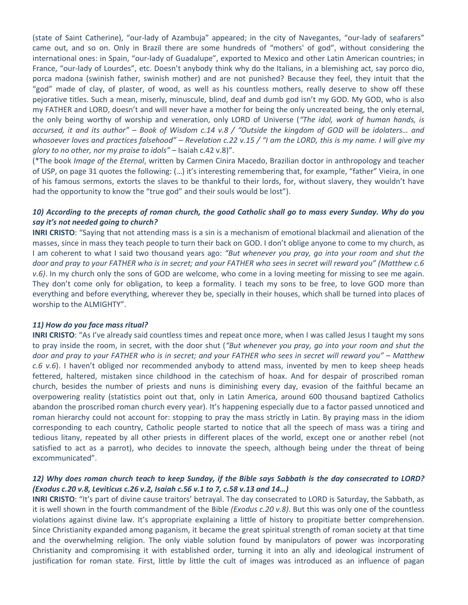(state of Saint Catherine), "our-lady of Azambuja" appeared; in the city of Navegantes, "our-lady of seafarers" came out, and so on. Only in Brazil there are some hundreds of "mothers' of god", without considering the international ones: in Spain, "our-lady of Guadalupe", exported to Mexico and other Latin American countries; in France, "our-lady of Lourdes", etc. Doesn't anybody think why do the Italians, in a blemishing act, say porco dio, porca madona (swinish father, swinish mother) and are not punished? Because they feel, they intuit that the "god" made of clay, of plaster, of wood, as well as his countless mothers, really deserve to show off these pejorative titles. Such a mean, miserly, minuscule, blind, deaf and dumb god isn't my GOD. My GOD, who is also my FATHER and LORD, doesn't and will never have a mother for being the only uncreated being, the only eternal, the only being worthy of worship and veneration, only LORD of Universe (*"The idol, work of human hands, is accursed, it and its author" – Book of Wisdom c.14 v.8 / "Outside the kingdom of GOD will be idolaters… and whosoever loves and practices falsehood" – Revelation c.22 v.15 / "I am the LORD, this is my name. I will give my glory to no other, nor my praise to idols"* – Isaiah c.42 v.8)".

(\*The book *Image of the Eternal*, written by Carmen Cinira Macedo, Brazilian doctor in anthropology and teacher of USP, on page 31 quotes the following: (…) it's interesting remembering that, for example, "father" Vieira, in one of his famous sermons, extorts the slaves to be thankful to their lords, for, without slavery, they wouldn't have had the opportunity to know the "true god" and their souls would be lost").

# *10) According to the precepts of roman church, the good Catholic shall go to mass every Sunday. Why do you say it's not needed going to church?*

**INRI CRISTO**: "Saying that not attending mass is a sin is a mechanism of emotional blackmail and alienation of the masses, since in mass they teach people to turn their back on GOD. I don't oblige anyone to come to my church, as I am coherent to what I said two thousand years ago: *"But whenever you pray, go into your room and shut the door and pray to your FATHER who is in secret; and your FATHER who sees in secret will reward you" (Matthew c.6 v.6)*. In my church only the sons of GOD are welcome, who come in a loving meeting for missing to see me again. They don't come only for obligation, to keep a formality. I teach my sons to be free, to love GOD more than everything and before everything, wherever they be, specially in their houses, which shall be turned into places of worship to the ALMIGHTY".

### *11) How do you face mass ritual?*

**INRI CRISTO**: "As I've already said countless times and repeat once more, when I was called Jesus I taught my sons to pray inside the room, in secret, with the door shut (*"But whenever you pray, go into your room and shut the door and pray to your FATHER who is in secret; and your FATHER who sees in secret will reward you" – Matthew c.6 v.6*). I haven't obliged nor recommended anybody to attend mass, invented by men to keep sheep heads fettered, haltered, mistaken since childhood in the catechism of hoax. And for despair of proscribed roman church, besides the number of priests and nuns is diminishing every day, evasion of the faithful became an overpowering reality (statistics point out that, only in Latin America, around 600 thousand baptized Catholics abandon the proscribed roman church every year). It's happening especially due to a factor passed unnoticed and roman hierarchy could not account for: stopping to pray the mass strictly in Latin. By praying mass in the idiom corresponding to each country, Catholic people started to notice that all the speech of mass was a tiring and tedious litany, repeated by all other priests in different places of the world, except one or another rebel (not satisfied to act as a parrot), who decides to innovate the speech, although being under the threat of being excommunicated".

## *12) Why does roman church teach to keep Sunday, if the Bible says Sabbath is the day consecrated to LORD? (Exodus c.20 v.8, Leviticus c.26 v.2, Isaiah c.56 v.1 to 7, c.58 v.13 and 14…)*

**INRI CRISTO**: "It's part of divine cause traitors' betrayal. The day consecrated to LORD is Saturday, the Sabbath, as it is well shown in the fourth commandment of the Bible *(Exodus c.20 v.8)*. But this was only one of the countless violations against divine law. It's appropriate explaining a little of history to propitiate better comprehension. Since Christianity expanded among paganism, it became the great spiritual strength of roman society at that time and the overwhelming religion. The only viable solution found by manipulators of power was incorporating Christianity and compromising it with established order, turning it into an ally and ideological instrument of justification for roman state. First, little by little the cult of images was introduced as an influence of pagan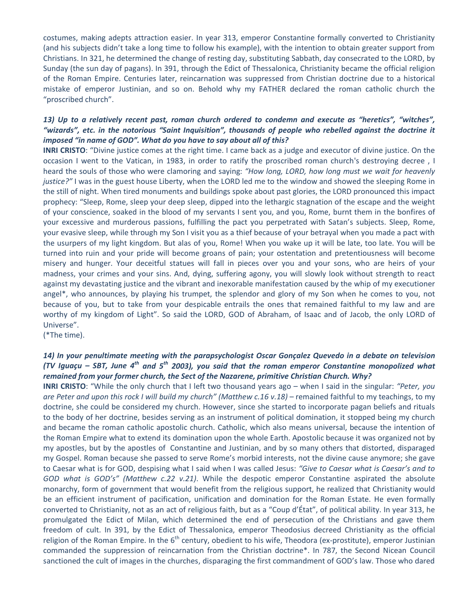costumes, making adepts attraction easier. In year 313, emperor Constantine formally converted to Christianity (and his subjects didn't take a long time to follow his example), with the intention to obtain greater support from Christians. In 321, he determined the change of resting day, substituting Sabbath, day consecrated to the LORD, by Sunday (the sun day of pagans). In 391, through the Edict of Thessalonica, Christianity became the official religion of the Roman Empire. Centuries later, reincarnation was suppressed from Christian doctrine due to a historical mistake of emperor Justinian, and so on. Behold why my FATHER declared the roman catholic church the "proscribed church".

# *13) Up to a relatively recent past, roman church ordered to condemn and execute as "heretics", "witches", "wizards", etc. in the notorious "Saint Inquisition", thousands of people who rebelled against the doctrine it imposed "in name of GOD". What do you have to say about all of this?*

**INRI CRISTO**: "Divine justice comes at the right time. I came back as a judge and executor of divine justice. On the occasion I went to the Vatican, in 1983, in order to ratify the proscribed roman church's destroying decree , I heard the souls of those who were clamoring and saying: *"How long, LORD, how long must we wait for heavenly justice?"* I was in the guest house Liberty, when the LORD led me to the window and showed the sleeping Rome in the still of night. When tired monuments and buildings spoke about past glories, the LORD pronounced this impact prophecy: "Sleep, Rome, sleep your deep sleep, dipped into the lethargic stagnation of the escape and the weight of your conscience, soaked in the blood of my servants I sent you, and you, Rome, burnt them in the bonfires of your excessive and murderous passions, fulfilling the pact you perpetrated with Satan's subjects. Sleep, Rome, your evasive sleep, while through my Son I visit you as a thief because of your betrayal when you made a pact with the usurpers of my light kingdom. But alas of you, Rome! When you wake up it will be late, too late. You will be turned into ruin and your pride will become groans of pain; your ostentation and pretentiousness will become misery and hunger. Your deceitful statues will fall in pieces over you and your sons, who are heirs of your madness, your crimes and your sins. And, dying, suffering agony, you will slowly look without strength to react against my devastating justice and the vibrant and inexorable manifestation caused by the whip of my executioner angel\*, who announces, by playing his trumpet, the splendor and glory of my Son when he comes to you, not because of you, but to take from your despicable entrails the ones that remained faithful to my law and are worthy of my kingdom of Light". So said the LORD, GOD of Abraham, of Isaac and of Jacob, the only LORD of Universe".

(\*The time).

# *14) In your penultimate meeting with the parapsychologist Oscar Gonçalez Quevedo in a debate on television (TV Iguaçu – SBT, June 4th and 5th 2003), you said that the roman emperor Constantine monopolized what remained from your former church, the Sect of the Nazarene, primitive Christian Church. Why?*

**INRI CRISTO**: "While the only church that I left two thousand years ago – when I said in the singular: *"Peter, you are Peter and upon this rock I will build my church" (Matthew c.16 v.18)* – remained faithful to my teachings, to my doctrine, she could be considered my church. However, since she started to incorporate pagan beliefs and rituals to the body of her doctrine, besides serving as an instrument of political domination, it stopped being my church and became the roman catholic apostolic church. Catholic, which also means universal, because the intention of the Roman Empire what to extend its domination upon the whole Earth. Apostolic because it was organized not by my apostles, but by the apostles of Constantine and Justinian, and by so many others that distorted, disparaged my Gospel. Roman because she passed to serve Rome's morbid interests, not the divine cause anymore; she gave to Caesar what is for GOD, despising what I said when I was called Jesus: *"Give to Caesar what is Caesar's and to GOD what is GOD's" (Matthew c.22 v.21)*. While the despotic emperor Constantine aspirated the absolute monarchy, form of government that would benefit from the religious support, he realized that Christianity would be an efficient instrument of pacification, unification and domination for the Roman Estate. He even formally converted to Christianity, not as an act of religious faith, but as a "Coup d'État", of political ability. In year 313, he promulgated the Edict of Milan, which determined the end of persecution of the Christians and gave them freedom of cult. In 391, by the Edict of Thessalonica, emperor Theodosius decreed Christianity as the official religion of the Roman Empire. In the  $6<sup>th</sup>$  century, obedient to his wife, Theodora (ex-prostitute), emperor Justinian commanded the suppression of reincarnation from the Christian doctrine\*. In 787, the Second Nicean Council sanctioned the cult of images in the churches, disparaging the first commandment of GOD's law. Those who dared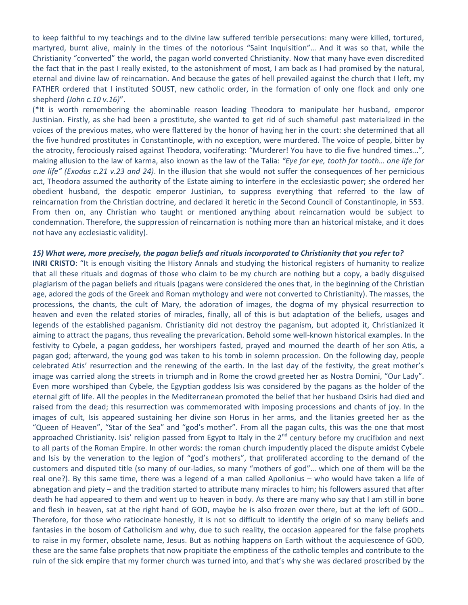to keep faithful to my teachings and to the divine law suffered terrible persecutions: many were killed, tortured, martyred, burnt alive, mainly in the times of the notorious "Saint Inquisition"… And it was so that, while the Christianity "converted" the world, the pagan world converted Christianity. Now that many have even discredited the fact that in the past I really existed, to the astonishment of most, I am back as I had promised by the natural, eternal and divine law of reincarnation. And because the gates of hell prevailed against the church that I left, my FATHER ordered that I instituted SOUST, new catholic order, in the formation of only one flock and only one shepherd *(John c.10 v.16)*".

(\*It is worth remembering the abominable reason leading Theodora to manipulate her husband, emperor Justinian. Firstly, as she had been a prostitute, she wanted to get rid of such shameful past materialized in the voices of the previous mates, who were flattered by the honor of having her in the court: she determined that all the five hundred prostitutes in Constantinople, with no exception, were murdered. The voice of people, bitter by the atrocity, ferociously raised against Theodora, vociferating: "Murderer! You have to die five hundred times…", making allusion to the law of karma, also known as the law of the Talia: *"Eye for eye, tooth for tooth… one life for one life" (Exodus c.21 v.23 and 24)*. In the illusion that she would not suffer the consequences of her pernicious act, Theodora assumed the authority of the Estate aiming to interfere in the ecclesiastic power; she ordered her obedient husband, the despotic emperor Justinian, to suppress everything that referred to the law of reincarnation from the Christian doctrine, and declared it heretic in the Second Council of Constantinople, in 553. From then on, any Christian who taught or mentioned anything about reincarnation would be subject to condemnation. Therefore, the suppression of reincarnation is nothing more than an historical mistake, and it does not have any ecclesiastic validity).

#### *15) What were, more precisely, the pagan beliefs and rituals incorporated to Christianity that you refer to?*

**INRI CRISTO**: "It is enough visiting the History Annals and studying the historical registers of humanity to realize that all these rituals and dogmas of those who claim to be my church are nothing but a copy, a badly disguised plagiarism of the pagan beliefs and rituals (pagans were considered the ones that, in the beginning of the Christian age, adored the gods of the Greek and Roman mythology and were not converted to Christianity). The masses, the processions, the chants, the cult of Mary, the adoration of images, the dogma of my physical resurrection to heaven and even the related stories of miracles, finally, all of this is but adaptation of the beliefs, usages and legends of the established paganism. Christianity did not destroy the paganism, but adopted it, Christianized it aiming to attract the pagans, thus revealing the prevarication. Behold some well-known historical examples. In the festivity to Cybele, a pagan goddess, her worshipers fasted, prayed and mourned the dearth of her son Atis, a pagan god; afterward, the young god was taken to his tomb in solemn procession. On the following day, people celebrated Atis' resurrection and the renewing of the earth. In the last day of the festivity, the great mother's image was carried along the streets in triumph and in Rome the crowd greeted her as Nostra Domini, "Our Lady". Even more worshiped than Cybele, the Egyptian goddess Isis was considered by the pagans as the holder of the eternal gift of life. All the peoples in the Mediterranean promoted the belief that her husband Osiris had died and raised from the dead; this resurrection was commemorated with imposing processions and chants of joy. In the images of cult, Isis appeared sustaining her divine son Horus in her arms, and the litanies greeted her as the "Queen of Heaven", "Star of the Sea" and "god's mother". From all the pagan cults, this was the one that most approached Christianity. Isis' religion passed from Egypt to Italy in the  $2^{nd}$  century before my crucifixion and next to all parts of the Roman Empire. In other words: the roman church impudently placed the dispute amidst Cybele and Isis by the veneration to the legion of "god's mothers", that proliferated according to the demand of the customers and disputed title (so many of our-ladies, so many "mothers of god"… which one of them will be the real one?). By this same time, there was a legend of a man called Apollonius – who would have taken a life of abnegation and piety – and the tradition started to attribute many miracles to him; his followers assured that after death he had appeared to them and went up to heaven in body. As there are many who say that I am still in bone and flesh in heaven, sat at the right hand of GOD, maybe he is also frozen over there, but at the left of GOD… Therefore, for those who ratiocinate honestly, it is not so difficult to identify the origin of so many beliefs and fantasies in the bosom of Catholicism and why, due to such reality, the occasion appeared for the false prophets to raise in my former, obsolete name, Jesus. But as nothing happens on Earth without the acquiescence of GOD, these are the same false prophets that now propitiate the emptiness of the catholic temples and contribute to the ruin of the sick empire that my former church was turned into, and that's why she was declared proscribed by the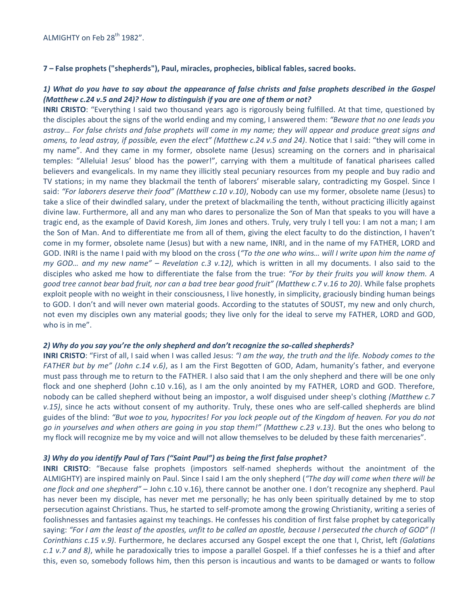## **7 – False prophets ("shepherds"), Paul, miracles, prophecies, biblical fables, sacred books.**

# *1) What do you have to say about the appearance of false christs and false prophets described in the Gospel (Matthew c.24 v.5 and 24)? How to distinguish if you are one of them or not?*

**INRI CRISTO**: "Everything I said two thousand years ago is rigorously being fulfilled. At that time, questioned by the disciples about the signs of the world ending and my coming, I answered them: *"Beware that no one leads you astray… For false christs and false prophets will come in my name; they will appear and produce great signs and omens, to lead astray, if possible, even the elect" (Matthew c.24 v.5 and 24)*. Notice that I said: "they will come in my name". And they came in my former, obsolete name (Jesus) screaming on the corners and in pharisaical temples: "Alleluia! Jesus' blood has the power!", carrying with them a multitude of fanatical pharisees called believers and evangelicals. In my name they illicitly steal pecuniary resources from my people and buy radio and TV stations; in my name they blackmail the tenth of laborers' miserable salary, contradicting my Gospel. Since I said: *"For laborers deserve their food" (Matthew c.10 v.10)*, Nobody can use my former, obsolete name (Jesus) to take a slice of their dwindled salary, under the pretext of blackmailing the tenth, without practicing illicitly against divine law. Furthermore, all and any man who dares to personalize the Son of Man that speaks to you will have a tragic end, as the example of David Koresh, Jim Jones and others. Truly, very truly I tell you: I am not a man; I am the Son of Man. And to differentiate me from all of them, giving the elect faculty to do the distinction, I haven't come in my former, obsolete name (Jesus) but with a new name, INRI, and in the name of my FATHER, LORD and GOD. INRI is the name I paid with my blood on the cross (*"To the one who wins… will I write upon him the name of my GOD… and my new name"* – *Revelation c.3 v.12)*, which is written in all my documents. I also said to the disciples who asked me how to differentiate the false from the true: *"For by their fruits you will know them. A good tree cannot bear bad fruit, nor can a bad tree bear good fruit" (Matthew c.7 v.16 to 20)*. While false prophets exploit people with no weight in their consciousness, I live honestly, in simplicity, graciously binding human beings to GOD. I don't and will never own material goods. According to the statutes of SOUST, my new and only church, not even my disciples own any material goods; they live only for the ideal to serve my FATHER, LORD and GOD, who is in me".

### *2) Why do you say you're the only shepherd and don't recognize the so-called shepherds?*

**INRI CRISTO**: "First of all, I said when I was called Jesus: *"I am the way, the truth and the life. Nobody comes to the FATHER but by me" (John c.14 v.6)*, as I am the First Begotten of GOD, Adam, humanity's father, and everyone must pass through me to return to the FATHER. I also said that I am the only shepherd and there will be one only flock and one shepherd (John c.10 v.16), as I am the only anointed by my FATHER, LORD and GOD. Therefore, nobody can be called shepherd without being an impostor, a wolf disguised under sheep's clothing *(Matthew c.7 v.15)*, since he acts without consent of my authority. Truly, these ones who are self-called shepherds are blind guides of the blind: *"But woe to you, hypocrites! For you lock people out of the Kingdom of heaven. For you do not go in yourselves and when others are going in you stop them!" (Matthew c.23 v.13)*. But the ones who belong to my flock will recognize me by my voice and will not allow themselves to be deluded by these faith mercenaries".

## *3) Why do you identify Paul of Tars ("Saint Paul") as being the first false prophet?*

**INRI CRISTO**: "Because false prophets (impostors self-named shepherds without the anointment of the ALMIGHTY) are inspired mainly on Paul. Since I said I am the only shepherd (*"The day will come when there will be one flock and one shepherd"* – John c.10 v.16), there cannot be another one. I don't recognize any shepherd. Paul has never been my disciple, has never met me personally; he has only been spiritually detained by me to stop persecution against Christians. Thus, he started to self-promote among the growing Christianity, writing a series of foolishnesses and fantasies against my teachings. He confesses his condition of first false prophet by categorically saying: *"For I am the least of the apostles, unfit to be called an apostle, because I persecuted the church of GOD" (I Corinthians c.15 v.9)*. Furthermore, he declares accursed any Gospel except the one that I, Christ, left *(Galatians c.1 v.7 and 8)*, while he paradoxically tries to impose a parallel Gospel. If a thief confesses he is a thief and after this, even so, somebody follows him, then this person is incautious and wants to be damaged or wants to follow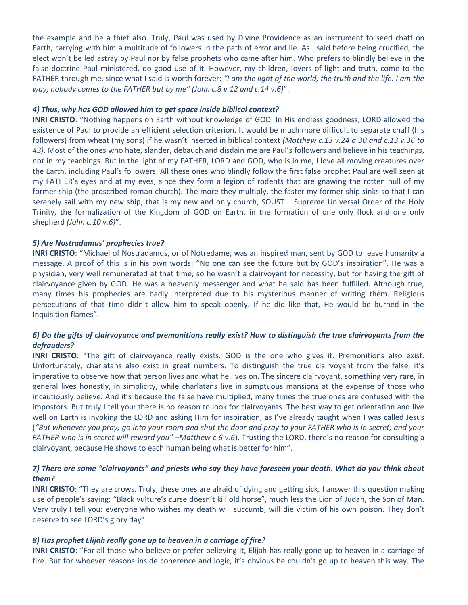the example and be a thief also. Truly, Paul was used by Divine Providence as an instrument to seed chaff on Earth, carrying with him a multitude of followers in the path of error and lie. As I said before being crucified, the elect won't be led astray by Paul nor by false prophets who came after him. Who prefers to blindly believe in the false doctrine Paul ministered, do good use of it. However, my children, lovers of light and truth, come to the FATHER through me, since what I said is worth forever: *"I am the light of the world, the truth and the life. I am the way; nobody comes to the FATHER but by me" (John c.8 v.12 and c.14 v.6)*".

### *4) Thus, why has GOD allowed him to get space inside biblical context?*

**INRI CRISTO**: "Nothing happens on Earth without knowledge of GOD. In His endless goodness, LORD allowed the existence of Paul to provide an efficient selection criterion. It would be much more difficult to separate chaff (his followers) from wheat (my sons) if he wasn't inserted in biblical context *(Matthew c.13 v.24 a 30 and c.13 v.36 to 43)*. Most of the ones who hate, slander, debauch and disdain me are Paul's followers and believe in his teachings, not in my teachings. But in the light of my FATHER, LORD and GOD, who is in me, I love all moving creatures over the Earth, including Paul's followers. All these ones who blindly follow the first false prophet Paul are well seen at my FATHER's eyes and at my eyes, since they form a legion of rodents that are gnawing the rotten hull of my former ship (the proscribed roman church). The more they multiply, the faster my former ship sinks so that I can serenely sail with my new ship, that is my new and only church, SOUST – Supreme Universal Order of the Holy Trinity, the formalization of the Kingdom of GOD on Earth, in the formation of one only flock and one only shepherd *(John c.10 v.6)*".

## *5) Are Nostradamus' prophecies true?*

**INRI CRISTO**: "Michael of Nostradamus, or of Notredame, was an inspired man, sent by GOD to leave humanity a message. A proof of this is in his own words: "No one can see the future but by GOD's inspiration". He was a physician, very well remunerated at that time, so he wasn't a clairvoyant for necessity, but for having the gift of clairvoyance given by GOD. He was a heavenly messenger and what he said has been fulfilled. Although true, many times his prophecies are badly interpreted due to his mysterious manner of writing them. Religious persecutions of that time didn't allow him to speak openly. If he did like that, He would be burned in the Inquisition flames".

## *6) Do the gifts of clairvoyance and premonitions really exist? How to distinguish the true clairvoyants from the defrauders?*

**INRI CRISTO**: "The gift of clairvoyance really exists. GOD is the one who gives it. Premonitions also exist. Unfortunately, charlatans also exist in great numbers. To distinguish the true clairvoyant from the false, it's imperative to observe how that person lives and what he lives on. The sincere clairvoyant, something very rare, in general lives honestly, in simplicity, while charlatans live in sumptuous mansions at the expense of those who incautiously believe. And it's because the false have multiplied, many times the true ones are confused with the impostors. But truly I tell you: there is no reason to look for clairvoyants. The best way to get orientation and live well on Earth is invoking the LORD and asking Him for inspiration, as I've already taught when I was called Jesus (*"But whenever you pray, go into your room and shut the door and pray to your FATHER who is in secret; and your FATHER who is in secret will reward you" –Matthew c.6 v.6*). Trusting the LORD, there's no reason for consulting a clairvoyant, because He shows to each human being what is better for him".

# *7) There are some "clairvoyants" and priests who say they have foreseen your death. What do you think about them?*

**INRI CRISTO**: "They are crows. Truly, these ones are afraid of dying and getting sick. I answer this question making use of people's saying: "Black vulture's curse doesn't kill old horse", much less the Lion of Judah, the Son of Man. Very truly I tell you: everyone who wishes my death will succumb, will die victim of his own poison. They don't deserve to see LORD's glory day".

## *8) Has prophet Elijah really gone up to heaven in a carriage of fire?*

**INRI CRISTO**: "For all those who believe or prefer believing it, Elijah has really gone up to heaven in a carriage of fire. But for whoever reasons inside coherence and logic, it's obvious he couldn't go up to heaven this way. The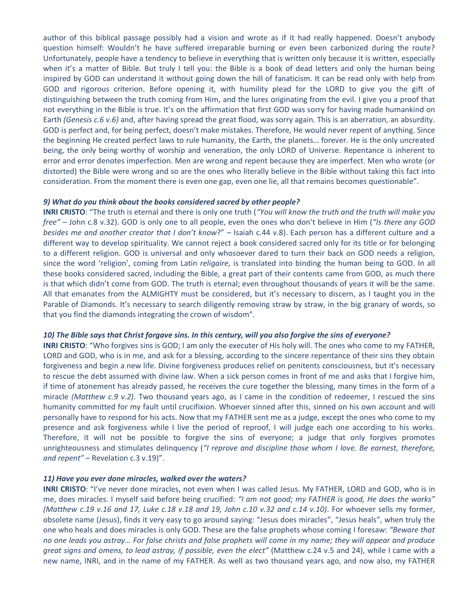author of this biblical passage possibly had a vision and wrote as if it had really happened. Doesn't anybody question himself: Wouldn't he have suffered irreparable burning or even been carbonized during the route? Unfortunately, people have a tendency to believe in everything that is written only because it is written, especially when it's a matter of Bible. But truly I tell you: the Bible is a book of dead letters and only the human being inspired by GOD can understand it without going down the hill of fanaticism. It can be read only with help from GOD and rigorous criterion. Before opening it, with humility plead for the LORD to give you the gift of distinguishing between the truth coming from Him, and the lures originating from the evil. I give you a proof that not everything in the Bible is true. It's on the affirmation that first GOD was sorry for having made humankind on Earth *(Genesis c.6 v.6)* and, after having spread the great flood, was sorry again. This is an aberration, an absurdity. GOD is perfect and, for being perfect, doesn't make mistakes. Therefore, He would never repent of anything. Since the beginning He created perfect laws to rule humanity, the Earth, the planets… forever. He is the only uncreated being, the only being worthy of worship and veneration, the only LORD of Universe. Repentance is inherent to error and error denotes imperfection. Men are wrong and repent because they are imperfect. Men who wrote (or distorted) the Bible were wrong and so are the ones who literally believe in the Bible without taking this fact into consideration. From the moment there is even one gap, even one lie, all that remains becomes questionable".

#### *9) What do you think about the books considered sacred by other people?*

**INRI CRISTO**: "The truth is eternal and there is only one truth (*"You will know the truth and the truth will make you free"* – John c.8 v.32). GOD is only one to all people, even the ones who don't believe in Him (*"Is there any GOD besides me and another creator that I don't know*?" – Isaiah c.44 v.8). Each person has a different culture and a different way to develop spirituality. We cannot reject a book considered sacred only for its title or for belonging to a different religion. GOD is universal and only whosoever dared to turn their back on GOD needs a religion, since the word 'religion', coming from Latin *religaire*, is translated into binding the human being to GOD. In all these books considered sacred, including the Bible, a great part of their contents came from GOD, as much there is that which didn't come from GOD. The truth is eternal; even throughout thousands of years it will be the same. All that emanates from the ALMIGHTY must be considered, but it's necessary to discern, as I taught you in the Parable of Diamonds. It's necessary to search diligently removing straw by straw, in the big granary of words, so that you find the diamonds integrating the crown of wisdom".

#### *10) The Bible says that Christ forgave sins. In this century, will you also forgive the sins of everyone?*

**INRI CRISTO**: "Who forgives sins is GOD; I am only the executer of His holy will. The ones who come to my FATHER, LORD and GOD, who is in me, and ask for a blessing, according to the sincere repentance of their sins they obtain forgiveness and begin a new life. Divine forgiveness produces relief on penitents consciousness, but it's necessary to rescue the debt assumed with divine law. When a sick person comes in front of me and asks that I forgive him, if time of atonement has already passed, he receives the cure together the blessing, many times in the form of a miracle *(Matthew c.9 v.2)*. Two thousand years ago, as I came in the condition of redeemer, I rescued the sins humanity committed for my fault until crucifixion. Whoever sinned after this, sinned on his own account and will personally have to respond for his acts. Now that my FATHER sent me as a judge, except the ones who come to my presence and ask forgiveness while I live the period of reproof, I will judge each one according to his works. Therefore, it will not be possible to forgive the sins of everyone; a judge that only forgives promotes unrighteousness and stimulates delinquency (*"I reprove and discipline those whom I love. Be earnest, therefore, and repent"* – Revelation c.3 v.19)".

### *11) Have you ever done miracles, walked over the waters?*

**INRI CRISTO**: "I've never done miracles, not even when I was called Jesus. My FATHER, LORD and GOD, who is in me, does miracles. I myself said before being crucified: *"I am not good; my FATHER is good, He does the works" (Matthew c.19 v.16 and 17, Luke c.18 v.18 and 19, John c.10 v.32 and c.14 v.10)*. For whoever sells my former, obsolete name (Jesus), finds it very easy to go around saying: "Jesus does miracles", "Jesus heals", when truly the one who heals and does miracles is only GOD. These are the false prophets whose coming I foresaw: *"Beware that no one leads you astray… For false christs and false prophets will come in my name; they will appear and produce great signs and omens, to lead astray, if possible, even the elect"* (Matthew c.24 v.5 and 24), while I came with a new name, INRI, and in the name of my FATHER. As well as two thousand years ago, and now also, my FATHER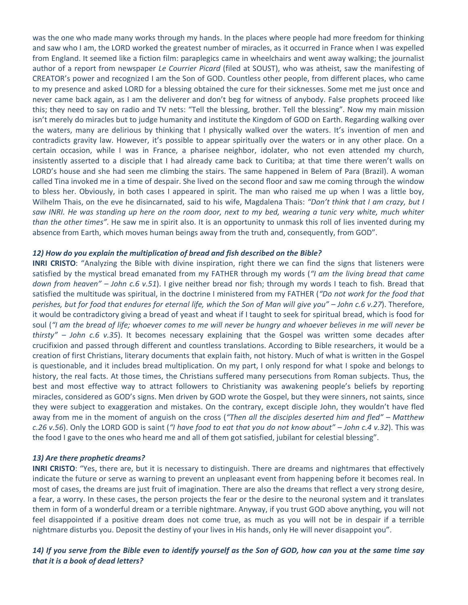was the one who made many works through my hands. In the places where people had more freedom for thinking and saw who I am, the LORD worked the greatest number of miracles, as it occurred in France when I was expelled from England. It seemed like a fiction film: paraplegics came in wheelchairs and went away walking; the journalist author of a report from newspaper *Le Courrier Picard* (filed at SOUST), who was atheist, saw the manifesting of CREATOR's power and recognized I am the Son of GOD. Countless other people, from different places, who came to my presence and asked LORD for a blessing obtained the cure for their sicknesses. Some met me just once and never came back again, as I am the deliverer and don't beg for witness of anybody. False prophets proceed like this; they need to say on radio and TV nets: "Tell the blessing, brother. Tell the blessing". Now my main mission isn't merely do miracles but to judge humanity and institute the Kingdom of GOD on Earth. Regarding walking over the waters, many are delirious by thinking that I physically walked over the waters. It's invention of men and contradicts gravity law. However, it's possible to appear spiritually over the waters or in any other place. On a certain occasion, while I was in France, a pharisee neighbor, idolater, who not even attended my church, insistently asserted to a disciple that I had already came back to Curitiba; at that time there weren't walls on LORD's house and she had seen me climbing the stairs. The same happened in Belem of Para (Brazil). A woman called Tina invoked me in a time of despair. She lived on the second floor and saw me coming through the window to bless her. Obviously, in both cases I appeared in spirit. The man who raised me up when I was a little boy, Wilhelm Thais, on the eve he disincarnated, said to his wife, Magdalena Thais: *"Don't think that I am crazy, but I saw INRI. He was standing up here on the room door, next to my bed, wearing a tunic very white, much whiter than the other times"*. He saw me in spirit also. It is an opportunity to unmask this roll of lies invented during my absence from Earth, which moves human beings away from the truth and, consequently, from GOD".

## *12) How do you explain the multiplication of bread and fish described on the Bible?*

**INRI CRISTO**: "Analyzing the Bible with divine inspiration, right there we can find the signs that listeners were satisfied by the mystical bread emanated from my FATHER through my words (*"I am the living bread that came down from heaven" – John c.6 v.51*). I give neither bread nor fish; through my words I teach to fish. Bread that satisfied the multitude was spiritual, in the doctrine I ministered from my FATHER (*"Do not work for the food that perishes, but for food that endures for eternal life, which the Son of Man will give you" – John c.6 v.27*). Therefore, it would be contradictory giving a bread of yeast and wheat if I taught to seek for spiritual bread, which is food for soul (*"I am the bread of life; whoever comes to me will never be hungry and whoever believes in me will never be thirsty" – John c.6 v.35*). It becomes necessary explaining that the Gospel was written some decades after crucifixion and passed through different and countless translations. According to Bible researchers, it would be a creation of first Christians, literary documents that explain faith, not history. Much of what is written in the Gospel is questionable, and it includes bread multiplication. On my part, I only respond for what I spoke and belongs to history, the real facts. At those times, the Christians suffered many persecutions from Roman subjects. Thus, the best and most effective way to attract followers to Christianity was awakening people's beliefs by reporting miracles, considered as GOD's signs. Men driven by GOD wrote the Gospel, but they were sinners, not saints, since they were subject to exaggeration and mistakes. On the contrary, except disciple John, they wouldn't have fled away from me in the moment of anguish on the cross (*"Then all the disciples deserted him and fled" – Matthew c.26 v.56*). Only the LORD GOD is saint (*"I have food to eat that you do not know about" – John c.4 v.32*). This was the food I gave to the ones who heard me and all of them got satisfied, jubilant for celestial blessing".

### *13) Are there prophetic dreams?*

**INRI CRISTO**: "Yes, there are, but it is necessary to distinguish. There are dreams and nightmares that effectively indicate the future or serve as warning to prevent an unpleasant event from happening before it becomes real. In most of cases, the dreams are just fruit of imagination. There are also the dreams that reflect a very strong desire, a fear, a worry. In these cases, the person projects the fear or the desire to the neuronal system and it translates them in form of a wonderful dream or a terrible nightmare. Anyway, if you trust GOD above anything, you will not feel disappointed if a positive dream does not come true, as much as you will not be in despair if a terrible nightmare disturbs you. Deposit the destiny of your lives in His hands, only He will never disappoint you".

# *14) If you serve from the Bible even to identify yourself as the Son of GOD, how can you at the same time say that it is a book of dead letters?*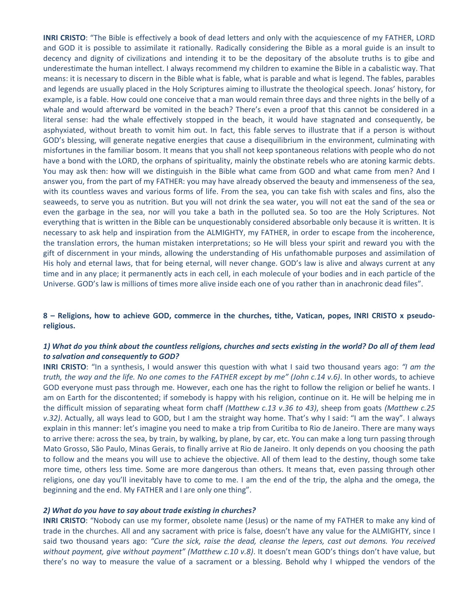**INRI CRISTO**: "The Bible is effectively a book of dead letters and only with the acquiescence of my FATHER, LORD and GOD it is possible to assimilate it rationally. Radically considering the Bible as a moral guide is an insult to decency and dignity of civilizations and intending it to be the depositary of the absolute truths is to gibe and underestimate the human intellect. I always recommend my children to examine the Bible in a cabalistic way. That means: it is necessary to discern in the Bible what is fable, what is parable and what is legend. The fables, parables and legends are usually placed in the Holy Scriptures aiming to illustrate the theological speech. Jonas' history, for example, is a fable. How could one conceive that a man would remain three days and three nights in the belly of a whale and would afterward be vomited in the beach? There's even a proof that this cannot be considered in a literal sense: had the whale effectively stopped in the beach, it would have stagnated and consequently, be asphyxiated, without breath to vomit him out. In fact, this fable serves to illustrate that if a person is without GOD's blessing, will generate negative energies that cause a disequilibrium in the environment, culminating with misfortunes in the familiar bosom. It means that you shall not keep spontaneous relations with people who do not have a bond with the LORD, the orphans of spirituality, mainly the obstinate rebels who are atoning karmic debts. You may ask then: how will we distinguish in the Bible what came from GOD and what came from men? And I answer you, from the part of my FATHER: you may have already observed the beauty and immenseness of the sea, with its countless waves and various forms of life. From the sea, you can take fish with scales and fins, also the seaweeds, to serve you as nutrition. But you will not drink the sea water, you will not eat the sand of the sea or even the garbage in the sea, nor will you take a bath in the polluted sea. So too are the Holy Scriptures. Not everything that is written in the Bible can be unquestionably considered absorbable only because it is written. It is necessary to ask help and inspiration from the ALMIGHTY, my FATHER, in order to escape from the incoherence, the translation errors, the human mistaken interpretations; so He will bless your spirit and reward you with the gift of discernment in your minds, allowing the understanding of His unfathomable purposes and assimilation of His holy and eternal laws, that for being eternal, will never change. GOD's law is alive and always current at any time and in any place; it permanently acts in each cell, in each molecule of your bodies and in each particle of the Universe. GOD's law is millions of times more alive inside each one of you rather than in anachronic dead files".

# **8 – Religions, how to achieve GOD, commerce in the churches, tithe, Vatican, popes, INRI CRISTO x pseudoreligious.**

## *1) What do you think about the countless religions, churches and sects existing in the world? Do all of them lead to salvation and consequently to GOD?*

**INRI CRISTO**: "In a synthesis, I would answer this question with what I said two thousand years ago: *"I am the truth, the way and the life. No one comes to the FATHER except by me" (John c.14 v.6)*. In other words, to achieve GOD everyone must pass through me. However, each one has the right to follow the religion or belief he wants. I am on Earth for the discontented; if somebody is happy with his religion, continue on it. He will be helping me in the difficult mission of separating wheat form chaff *(Matthew c.13 v.36 to 43)*, sheep from goats *(Matthew c.25 v.32)*. Actually, all ways lead to GOD, but I am the straight way home. That's why I said: "I am the way". I always explain in this manner: let's imagine you need to make a trip from Curitiba to Rio de Janeiro. There are many ways to arrive there: across the sea, by train, by walking, by plane, by car, etc. You can make a long turn passing through Mato Grosso, São Paulo, Minas Gerais, to finally arrive at Rio de Janeiro. It only depends on you choosing the path to follow and the means you will use to achieve the objective. All of them lead to the destiny, though some take more time, others less time. Some are more dangerous than others. It means that, even passing through other religions, one day you'll inevitably have to come to me. I am the end of the trip, the alpha and the omega, the beginning and the end. My FATHER and I are only one thing".

### *2) What do you have to say about trade existing in churches?*

**INRI CRISTO**: "Nobody can use my former, obsolete name (Jesus) or the name of my FATHER to make any kind of trade in the churches. All and any sacrament with price is false, doesn't have any value for the ALMIGHTY, since I said two thousand years ago: *"Cure the sick, raise the dead, cleanse the lepers, cast out demons. You received without payment, give without payment" (Matthew c.10 v.8)*. It doesn't mean GOD's things don't have value, but there's no way to measure the value of a sacrament or a blessing. Behold why I whipped the vendors of the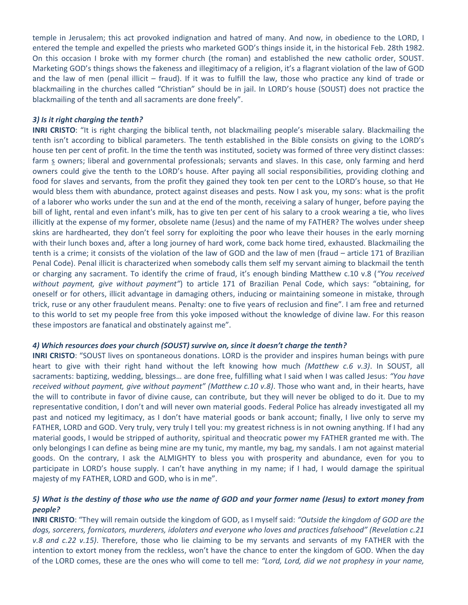temple in Jerusalem; this act provoked indignation and hatred of many. And now, in obedience to the LORD, I entered the temple and expelled the priests who marketed GOD's things inside it, in the historical Feb. 28th 1982. On this occasion I broke with my former church (the roman) and established the new catholic order, SOUST. Marketing GOD's things shows the fakeness and illegitimacy of a religion, it's a flagrant violation of the law of GOD and the law of men (penal illicit – fraud). If it was to fulfill the law, those who practice any kind of trade or blackmailing in the churches called "Christian" should be in jail. In LORD's house (SOUST) does not practice the blackmailing of the tenth and all sacraments are done freely".

### *3) Is it right charging the tenth?*

**INRI CRISTO**: "It is right charging the biblical tenth, not blackmailing people's miserable salary. Blackmailing the tenth isn't according to biblical parameters. The tenth established in the Bible consists on giving to the LORD's house ten per cent of profit. In the time the tenth was instituted, society was formed of three very distinct classes: farm s owners; liberal and governmental professionals; servants and slaves. In this case, only farming and herd owners could give the tenth to the LORD's house. After paying all social responsibilities, providing clothing and food for slaves and servants, from the profit they gained they took ten per cent to the LORD's house, so that He would bless them with abundance, protect against diseases and pests. Now I ask you, my sons: what is the profit of a laborer who works under the sun and at the end of the month, receiving a salary of hunger, before paying the bill of light, rental and even infant's milk, has to give ten per cent of his salary to a crook wearing a tie, who lives illicitly at the expense of my former, obsolete name (Jesus) and the name of my FATHER? The wolves under sheep skins are hardhearted, they don't feel sorry for exploiting the poor who leave their houses in the early morning with their lunch boxes and, after a long journey of hard work, come back home tired, exhausted. Blackmailing the tenth is a crime; it consists of the violation of the law of GOD and the law of men (fraud – article 171 of Brazilian Penal Code). Penal illicit is characterized when somebody calls them self my servant aiming to blackmail the tenth or charging any sacrament. To identify the crime of fraud, it's enough binding Matthew c.10 v.8 (*"You received without payment, give without payment"*) to article 171 of Brazilian Penal Code, which says: "obtaining, for oneself or for others, illicit advantage in damaging others, inducing or maintaining someone in mistake, through trick, ruse or any other fraudulent means. Penalty: one to five years of reclusion and fine". I am free and returned to this world to set my people free from this yoke imposed without the knowledge of divine law. For this reason these impostors are fanatical and obstinately against me".

### *4) Which resources does your church (SOUST) survive on, since it doesn't charge the tenth?*

**INRI CRISTO**: "SOUST lives on spontaneous donations. LORD is the provider and inspires human beings with pure heart to give with their right hand without the left knowing how much *(Matthew c.6 v.3)*. In SOUST, all sacraments: baptizing, wedding, blessings… are done free, fulfilling what I said when I was called Jesus: *"You have received without payment, give without payment" (Matthew c.10 v.8)*. Those who want and, in their hearts, have the will to contribute in favor of divine cause, can contribute, but they will never be obliged to do it. Due to my representative condition, I don't and will never own material goods. Federal Police has already investigated all my past and noticed my legitimacy, as I don't have material goods or bank account; finally, I live only to serve my FATHER, LORD and GOD. Very truly, very truly I tell you: my greatest richness is in not owning anything. If I had any material goods, I would be stripped of authority, spiritual and theocratic power my FATHER granted me with. The only belongings I can define as being mine are my tunic, my mantle, my bag, my sandals. I am not against material goods. On the contrary, I ask the ALMIGHTY to bless you with prosperity and abundance, even for you to participate in LORD's house supply. I can't have anything in my name; if I had, I would damage the spiritual majesty of my FATHER, LORD and GOD, who is in me".

# *5) What is the destiny of those who use the name of GOD and your former name (Jesus) to extort money from people?*

**INRI CRISTO**: "They will remain outside the kingdom of GOD, as I myself said: *"Outside the kingdom of GOD are the dogs, sorcerers, fornicators, murderers, idolaters and everyone who loves and practices falsehood" (Revelation c.21 v.8 and c.22 v.15)*. Therefore, those who lie claiming to be my servants and servants of my FATHER with the intention to extort money from the reckless, won't have the chance to enter the kingdom of GOD. When the day of the LORD comes, these are the ones who will come to tell me: *"Lord, Lord, did we not prophesy in your name,*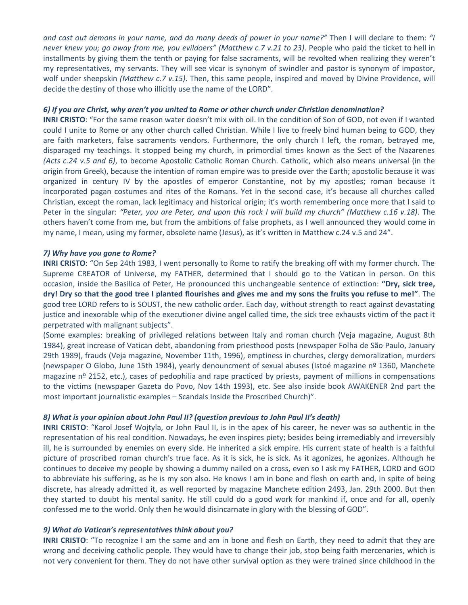*and cast out demons in your name, and do many deeds of power in your name?"* Then I will declare to them: *"I never knew you; go away from me, you evildoers" (Matthew c.7 v.21 to 23)*. People who paid the ticket to hell in installments by giving them the tenth or paying for false sacraments, will be revolted when realizing they weren't my representatives, my servants. They will see vicar is synonym of swindler and pastor is synonym of impostor, wolf under sheepskin *(Matthew c.7 v.15)*. Then, this same people, inspired and moved by Divine Providence, will decide the destiny of those who illicitly use the name of the LORD".

### *6) If you are Christ, why aren't you united to Rome or other church under Christian denomination?*

**INRI CRISTO**: "For the same reason water doesn't mix with oil. In the condition of Son of GOD, not even if I wanted could I unite to Rome or any other church called Christian. While I live to freely bind human being to GOD, they are faith marketers, false sacraments vendors. Furthermore, the only church I left, the roman, betrayed me, disparaged my teachings. It stopped being my church, in primordial times known as the Sect of the Nazarenes *(Acts c.24 v.5 and 6)*, to become Apostolic Catholic Roman Church. Catholic, which also means universal (in the origin from Greek), because the intention of roman empire was to preside over the Earth; apostolic because it was organized in century IV by the apostles of emperor Constantine, not by my apostles; roman because it incorporated pagan costumes and rites of the Romans. Yet in the second case, it's because all churches called Christian, except the roman, lack legitimacy and historical origin; it's worth remembering once more that I said to Peter in the singular: *"Peter, you are Peter, and upon this rock I will build my church" (Matthew c.16 v.18)*. The others haven't come from me, but from the ambitions of false prophets, as I well announced they would come in my name, I mean, using my former, obsolete name (Jesus), as it's written in Matthew c.24 v.5 and 24".

#### *7) Why have you gone to Rome?*

**INRI CRISTO**: "On Sep 24th 1983, I went personally to Rome to ratify the breaking off with my former church. The Supreme CREATOR of Universe, my FATHER, determined that I should go to the Vatican in person. On this occasion, inside the Basilica of Peter, He pronounced this unchangeable sentence of extinction: **"Dry, sick tree, dry! Dry so that the good tree I planted flourishes and gives me and my sons the fruits you refuse to me!"**. The good tree LORD refers to is SOUST, the new catholic order. Each day, without strength to react against devastating justice and inexorable whip of the executioner divine angel called time, the sick tree exhausts victim of the pact it perpetrated with malignant subjects".

(Some examples: breaking of privileged relations between Italy and roman church (Veja magazine, August 8th 1984), great increase of Vatican debt, abandoning from priesthood posts (newspaper Folha de São Paulo, January 29th 1989), frauds (Veja magazine, November 11th, 1996), emptiness in churches, clergy demoralization, murders (newspaper O Globo, June 15th 1984), yearly denouncment of sexual abuses (Istoé magazine nº 1360, Manchete magazine nº 2152, etc.), cases of pedophilia and rape practiced by priests, payment of millions in compensations to the victims (newspaper Gazeta do Povo, Nov 14th 1993), etc. See also inside book AWAKENER 2nd part the most important journalistic examples – Scandals Inside the Proscribed Church)".

#### *8) What is your opinion about John Paul II? (question previous to John Paul II's death)*

**INRI CRISTO**: "Karol Josef Wojtyla, or John Paul II, is in the apex of his career, he never was so authentic in the representation of his real condition. Nowadays, he even inspires piety; besides being irremediably and irreversibly ill, he is surrounded by enemies on every side. He inherited a sick empire. His current state of health is a faithful picture of proscribed roman church's true face. As it is sick, he is sick. As it agonizes, he agonizes. Although he continues to deceive my people by showing a dummy nailed on a cross, even so I ask my FATHER, LORD and GOD to abbreviate his suffering, as he is my son also. He knows I am in bone and flesh on earth and, in spite of being discrete, has already admitted it, as well reported by magazine Manchete edition 2493, Jan. 29th 2000. But then they started to doubt his mental sanity. He still could do a good work for mankind if, once and for all, openly confessed me to the world. Only then he would disincarnate in glory with the blessing of GOD".

#### *9) What do Vatican's representatives think about you?*

**INRI CRISTO**: "To recognize I am the same and am in bone and flesh on Earth, they need to admit that they are wrong and deceiving catholic people. They would have to change their job, stop being faith mercenaries, which is not very convenient for them. They do not have other survival option as they were trained since childhood in the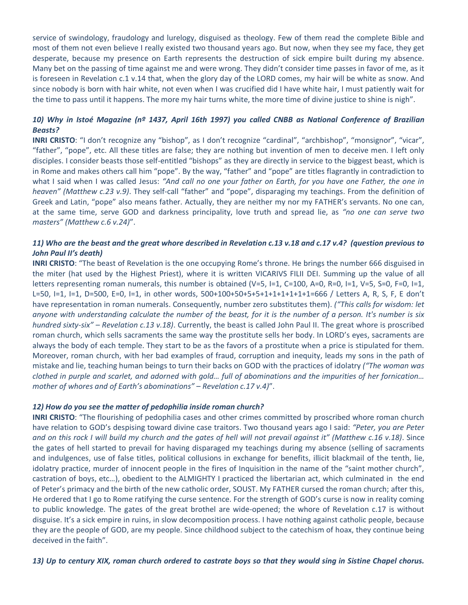service of swindology, fraudology and lurelogy, disguised as theology. Few of them read the complete Bible and most of them not even believe I really existed two thousand years ago. But now, when they see my face, they get desperate, because my presence on Earth represents the destruction of sick empire built during my absence. Many bet on the passing of time against me and were wrong. They didn't consider time passes in favor of me, as it is foreseen in Revelation c.1 v.14 that, when the glory day of the LORD comes, my hair will be white as snow. And since nobody is born with hair white, not even when I was crucified did I have white hair, I must patiently wait for the time to pass until it happens. The more my hair turns white, the more time of divine justice to shine is nigh".

# *10) Why in Istoé Magazine (nº 1437, April 16th 1997) you called CNBB as National Conference of Brazilian Beasts?*

**INRI CRISTO**: "I don't recognize any "bishop", as I don't recognize "cardinal", "archbishop", "monsignor", "vicar", "father", "pope", etc. All these titles are false; they are nothing but invention of men to deceive men. I left only disciples. I consider beasts those self-entitled "bishops" as they are directly in service to the biggest beast, which is in Rome and makes others call him "pope". By the way, "father" and "pope" are titles flagrantly in contradiction to what I said when I was called Jesus: *"And call no one your father on Earth, for you have one Father, the one in heaven" (Matthew c.23 v.9)*. They self-call "father" and "pope", disparaging my teachings. From the definition of Greek and Latin, "pope" also means father. Actually, they are neither my nor my FATHER's servants. No one can, at the same time, serve GOD and darkness principality, love truth and spread lie, as *"no one can serve two masters" (Matthew c.6 v.24)*".

# *11) Who are the beast and the great whore described in Revelation c.13 v.18 and c.17 v.4? (question previous to John Paul II's death)*

**INRI CRISTO**: "The beast of Revelation is the one occupying Rome's throne. He brings the number 666 disguised in the miter (hat used by the Highest Priest), where it is written VICARIVS FILII DEI. Summing up the value of all letters representing roman numerals, this number is obtained (V=5, I=1, C=100, A=0, R=0, I=1, V=5, S=0, F=0, I=1, L=50, I=1, I=1, D=500, E=0, I=1, in other words, 500+100+50+5+5+1+1+1+1+1+1=666 / Letters A, R, S, F, E don't have representation in roman numerals. Consequently, number zero substitutes them). *("This calls for wisdom: let anyone with understanding calculate the number of the beast, for it is the number of a person. It's number is six hundred sixty-six" – Revelation c.13 v.18)*. Currently, the beast is called John Paul II. The great whore is proscribed roman church, which sells sacraments the same way the prostitute sells her body. In LORD's eyes, sacraments are always the body of each temple. They start to be as the favors of a prostitute when a price is stipulated for them. Moreover, roman church, with her bad examples of fraud, corruption and inequity, leads my sons in the path of mistake and lie, teaching human beings to turn their backs on GOD with the practices of idolatry *("The woman was clothed in purple and scarlet, and adorned with gold… full of abominations and the impurities of her fornication… mother of whores and of Earth's abominations" – Revelation c.17 v.4)*".

## *12) How do you see the matter of pedophilia inside roman church?*

**INRI CRISTO**: "The flourishing of pedophilia cases and other crimes committed by proscribed whore roman church have relation to GOD's despising toward divine case traitors. Two thousand years ago I said: *"Peter, you are Peter and on this rock I will build my church and the gates of hell will not prevail against it" (Matthew c.16 v.18)*. Since the gates of hell started to prevail for having disparaged my teachings during my absence (selling of sacraments and indulgences, use of false titles, political collusions in exchange for benefits, illicit blackmail of the tenth, lie, idolatry practice, murder of innocent people in the fires of Inquisition in the name of the "saint mother church", castration of boys, etc…), obedient to the ALMIGHTY I practiced the libertarian act, which culminated in the end of Peter's primacy and the birth of the new catholic order, SOUST. My FATHER cursed the roman church; after this, He ordered that I go to Rome ratifying the curse sentence. For the strength of GOD's curse is now in reality coming to public knowledge. The gates of the great brothel are wide-opened; the whore of Revelation c.17 is without disguise. It's a sick empire in ruins, in slow decomposition process. I have nothing against catholic people, because they are the people of GOD, are my people. Since childhood subject to the catechism of hoax, they continue being deceived in the faith".

## *13) Up to century XIX, roman church ordered to castrate boys so that they would sing in Sistine Chapel chorus.*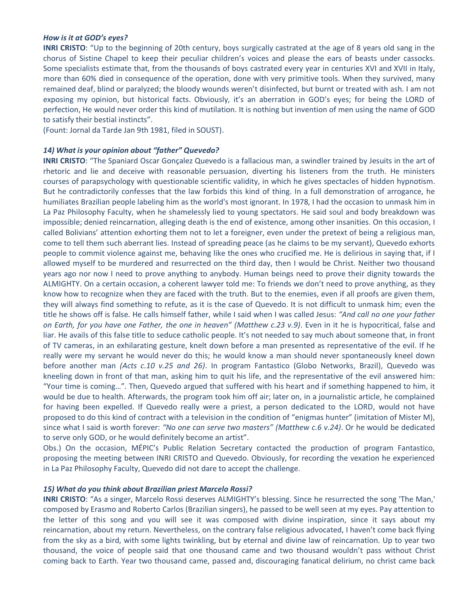### *How is it at GOD's eyes?*

**INRI CRISTO**: "Up to the beginning of 20th century, boys surgically castrated at the age of 8 years old sang in the chorus of Sistine Chapel to keep their peculiar children's voices and please the ears of beasts under cassocks. Some specialists estimate that, from the thousands of boys castrated every year in centuries XVI and XVII in Italy, more than 60% died in consequence of the operation, done with very primitive tools. When they survived, many remained deaf, blind or paralyzed; the bloody wounds weren't disinfected, but burnt or treated with ash. I am not exposing my opinion, but historical facts. Obviously, it's an aberration in GOD's eyes; for being the LORD of perfection, He would never order this kind of mutilation. It is nothing but invention of men using the name of GOD to satisfy their bestial instincts".

(Fount: Jornal da Tarde Jan 9th 1981, filed in SOUST).

#### *14) What is your opinion about "father" Quevedo?*

**INRI CRISTO**: "The Spaniard Oscar Gonçalez Quevedo is a fallacious man, a swindler trained by Jesuits in the art of rhetoric and lie and deceive with reasonable persuasion, diverting his listeners from the truth. He ministers courses of parapsychology with questionable scientific validity, in which he gives spectacles of hidden hypnotism. But he contradictorily confesses that the law forbids this kind of thing. In a full demonstration of arrogance, he humiliates Brazilian people labeling him as the world's most ignorant. In 1978, I had the occasion to unmask him in La Paz Philosophy Faculty, when he shamelessly lied to young spectators. He said soul and body breakdown was impossible; denied reincarnation, alleging death is the end of existence, among other insanities. On this occasion, I called Bolivians' attention exhorting them not to let a foreigner, even under the pretext of being a religious man, come to tell them such aberrant lies. Instead of spreading peace (as he claims to be my servant), Quevedo exhorts people to commit violence against me, behaving like the ones who crucified me. He is delirious in saying that, if I allowed myself to be murdered and resurrected on the third day, then I would be Christ. Neither two thousand years ago nor now I need to prove anything to anybody. Human beings need to prove their dignity towards the ALMIGHTY. On a certain occasion, a coherent lawyer told me: To friends we don't need to prove anything, as they know how to recognize when they are faced with the truth. But to the enemies, even if all proofs are given them, they will always find something to refute, as it is the case of Quevedo. It is not difficult to unmask him; even the title he shows off is false. He calls himself father, while I said when I was called Jesus: *"And call no one your father on Earth, for you have one Father, the one in heaven" (Matthew c.23 v.9)*. Even in it he is hypocritical, false and liar. He avails of this false title to seduce catholic people. It's not needed to say much about someone that, in front of TV cameras, in an exhilarating gesture, knelt down before a man presented as representative of the evil. If he really were my servant he would never do this; he would know a man should never spontaneously kneel down before another man *(Acts c.10 v.25 and 26)*. In program Fantastico (Globo Networks, Brazil), Quevedo was kneeling down in front of that man, asking him to quit his life, and the representative of the evil answered him: "Your time is coming…". Then, Quevedo argued that suffered with his heart and if something happened to him, it would be due to health. Afterwards, the program took him off air; later on, in a journalistic article, he complained for having been expelled. If Quevedo really were a priest, a person dedicated to the LORD, would not have proposed to do this kind of contract with a television in the condition of "enigmas hunter" (imitation of Mister M), since what I said is worth forever: *"No one can serve two masters" (Matthew c.6 v.24)*. Or he would be dedicated to serve only GOD, or he would definitely become an artist".

Obs.) On the occasion, MÉPIC's Public Relation Secretary contacted the production of program Fantastico, proposing the meeting between INRI CRISTO and Quevedo. Obviously, for recording the vexation he experienced in La Paz Philosophy Faculty, Quevedo did not dare to accept the challenge.

#### *15) What do you think about Brazilian priest Marcelo Rossi?*

**INRI CRISTO**: "As a singer, Marcelo Rossi deserves ALMIGHTY's blessing. Since he resurrected the song 'The Man,' composed by Erasmo and Roberto Carlos (Brazilian singers), he passed to be well seen at my eyes. Pay attention to the letter of this song and you will see it was composed with divine inspiration, since it says about my reincarnation, about my return. Nevertheless, on the contrary false religious advocated, I haven't come back flying from the sky as a bird, with some lights twinkling, but by eternal and divine law of reincarnation. Up to year two thousand, the voice of people said that one thousand came and two thousand wouldn't pass without Christ coming back to Earth. Year two thousand came, passed and, discouraging fanatical delirium, no christ came back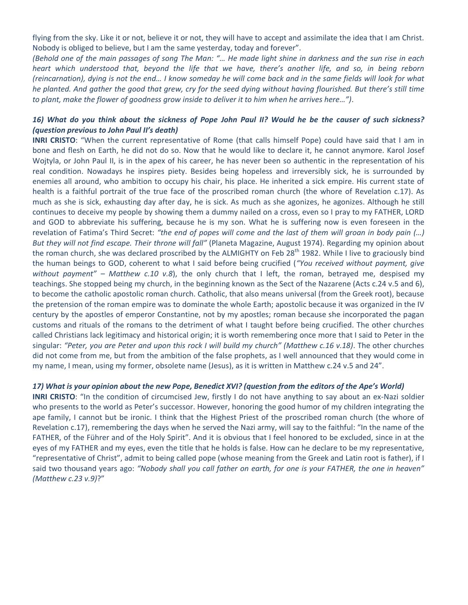flying from the sky. Like it or not, believe it or not, they will have to accept and assimilate the idea that I am Christ. Nobody is obliged to believe, but I am the same yesterday, today and forever".

*(Behold one of the main passages of song The Man: "… He made light shine in darkness and the sun rise in each heart which understood that, beyond the life that we have, there's another life, and so, in being reborn (reincarnation), dying is not the end… I know someday he will come back and in the same fields will look for what he planted. And gather the good that grew, cry for the seed dying without having flourished. But there's still time to plant, make the flower of goodness grow inside to deliver it to him when he arrives here…")*.

# *16) What do you think about the sickness of Pope John Paul II? Would he be the causer of such sickness? (question previous to John Paul II's death)*

**INRI CRISTO**: "When the current representative of Rome (that calls himself Pope) could have said that I am in bone and flesh on Earth, he did not do so. Now that he would like to declare it, he cannot anymore. Karol Josef Wojtyla, or John Paul II, is in the apex of his career, he has never been so authentic in the representation of his real condition. Nowadays he inspires piety. Besides being hopeless and irreversibly sick, he is surrounded by enemies all around, who ambition to occupy his chair, his place. He inherited a sick empire. His current state of health is a faithful portrait of the true face of the proscribed roman church (the whore of Revelation c.17). As much as she is sick, exhausting day after day, he is sick. As much as she agonizes, he agonizes. Although he still continues to deceive my people by showing them a dummy nailed on a cross, even so I pray to my FATHER, LORD and GOD to abbreviate his suffering, because he is my son. What he is suffering now is even foreseen in the revelation of Fatima's Third Secret: *"the end of popes will come and the last of them will groan in body pain (…) But they will not find escape. Their throne will fall"* (Planeta Magazine, August 1974). Regarding my opinion about the roman church, she was declared proscribed by the ALMIGHTY on Feb 28<sup>th</sup> 1982. While I live to graciously bind the human beings to GOD, coherent to what I said before being crucified (*"You received without payment, give without payment" – Matthew c.10 v.8*), the only church that I left, the roman, betrayed me, despised my teachings. She stopped being my church, in the beginning known as the Sect of the Nazarene (Acts c.24 v.5 and 6), to become the catholic apostolic roman church. Catholic, that also means universal (from the Greek root), because the pretension of the roman empire was to dominate the whole Earth; apostolic because it was organized in the IV century by the apostles of emperor Constantine, not by my apostles; roman because she incorporated the pagan customs and rituals of the romans to the detriment of what I taught before being crucified. The other churches called Christians lack legitimacy and historical origin; it is worth remembering once more that I said to Peter in the singular: *"Peter, you are Peter and upon this rock I will build my church" (Matthew c.16 v.18)*. The other churches did not come from me, but from the ambition of the false prophets, as I well announced that they would come in my name, I mean, using my former, obsolete name (Jesus), as it is written in Matthew c.24 v.5 and 24".

### *17) What is your opinion about the new Pope, Benedict XVI? (question from the editors of the Ape's World)*

**INRI CRISTO**: "In the condition of circumcised Jew, firstly I do not have anything to say about an ex-Nazi soldier who presents to the world as Peter's successor. However, honoring the good humor of my children integrating the ape family, I cannot but be ironic. I think that the Highest Priest of the proscribed roman church (the whore of Revelation c.17), remembering the days when he served the Nazi army, will say to the faithful: "In the name of the FATHER, of the Führer and of the Holy Spirit". And it is obvious that I feel honored to be excluded, since in at the eyes of my FATHER and my eyes, even the title that he holds is false. How can he declare to be my representative, "representative of Christ", admit to being called pope (whose meaning from the Greek and Latin root is father), if I said two thousand years ago: *"Nobody shall you call father on earth, for one is your FATHER, the one in heaven" (Matthew c.23 v.9)*?"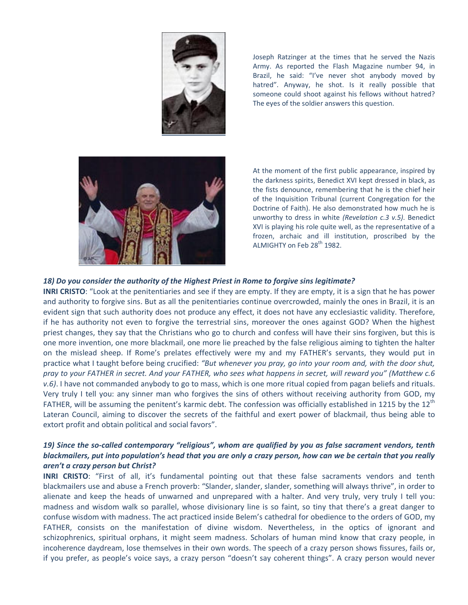

Joseph Ratzinger at the times that he served the Nazis Army. As reported the Flash Magazine number 94, in Brazil, he said: "I've never shot anybody moved by hatred". Anyway, he shot. Is it really possible that someone could shoot against his fellows without hatred? The eyes of the soldier answers this question.



At the moment of the first public appearance, inspired by the darkness spirits, Benedict XVI kept dressed in black, as the fists denounce, remembering that he is the chief heir of the Inquisition Tribunal (current Congregation for the Doctrine of Faith). He also demonstrated how much he is unworthy to dress in white *(Revelation c.3 v.5)*. Benedict XVI is playing his role quite well, as the representative of a frozen, archaic and ill institution, proscribed by the ALMIGHTY on Feb 28<sup>th</sup> 1982.

### *18) Do you consider the authority of the Highest Priest in Rome to forgive sins legitimate?*

**INRI CRISTO**: "Look at the penitentiaries and see if they are empty. If they are empty, it is a sign that he has power and authority to forgive sins. But as all the penitentiaries continue overcrowded, mainly the ones in Brazil, it is an evident sign that such authority does not produce any effect, it does not have any ecclesiastic validity. Therefore, if he has authority not even to forgive the terrestrial sins, moreover the ones against GOD? When the highest priest changes, they say that the Christians who go to church and confess will have their sins forgiven, but this is one more invention, one more blackmail, one more lie preached by the false religious aiming to tighten the halter on the mislead sheep. If Rome's prelates effectively were my and my FATHER's servants, they would put in practice what I taught before being crucified: *"But whenever you pray, go into your room and, with the door shut, pray to your FATHER in secret. And your FATHER, who sees what happens in secret, will reward you" (Matthew c.6 v.6)*. I have not commanded anybody to go to mass, which is one more ritual copied from pagan beliefs and rituals. Very truly I tell you: any sinner man who forgives the sins of others without receiving authority from GOD, my FATHER, will be assuming the penitent's karmic debt. The confession was officially established in 1215 by the  $12^{th}$ Lateran Council, aiming to discover the secrets of the faithful and exert power of blackmail, thus being able to extort profit and obtain political and social favors".

# *19) Since the so-called contemporary "religious", whom are qualified by you as false sacrament vendors, tenth blackmailers, put into population's head that you are only a crazy person, how can we be certain that you really aren't a crazy person but Christ?*

**INRI CRISTO**: "First of all, it's fundamental pointing out that these false sacraments vendors and tenth blackmailers use and abuse a French proverb: "Slander, slander, slander, something will always thrive", in order to alienate and keep the heads of unwarned and unprepared with a halter. And very truly, very truly I tell you: madness and wisdom walk so parallel, whose divisionary line is so faint, so tiny that there's a great danger to confuse wisdom with madness. The act practiced inside Belem's cathedral for obedience to the orders of GOD, my FATHER, consists on the manifestation of divine wisdom. Nevertheless, in the optics of ignorant and schizophrenics, spiritual orphans, it might seem madness. Scholars of human mind know that crazy people, in incoherence daydream, lose themselves in their own words. The speech of a crazy person shows fissures, fails or, if you prefer, as people's voice says, a crazy person "doesn't say coherent things". A crazy person would never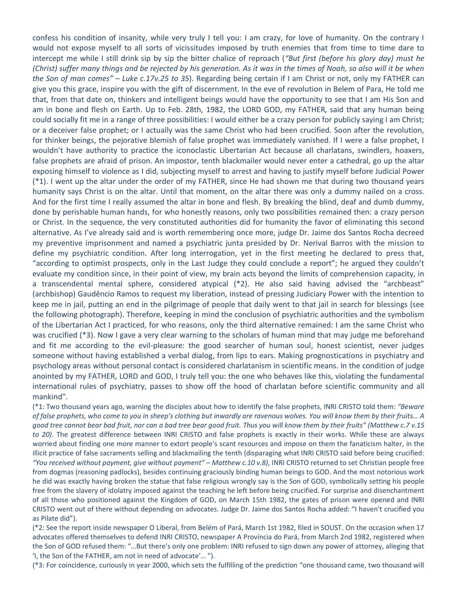confess his condition of insanity, while very truly I tell you: I am crazy, for love of humanity. On the contrary I would not expose myself to all sorts of vicissitudes imposed by truth enemies that from time to time dare to intercept me while I still drink sip by sip the bitter chalice of reproach (*"But first (before his glory day) must he (Christ) suffer many things and be rejected by his generation. As it was in the times of Noah, so also will it be when the Son of man comes" – Luke c.17v.25 to 35*). Regarding being certain if I am Christ or not, only my FATHER can give you this grace, inspire you with the gift of discernment. In the eve of revolution in Belem of Para, He told me that, from that date on, thinkers and intelligent beings would have the opportunity to see that I am His Son and am in bone and flesh on Earth. Up to Feb. 28th, 1982, the LORD GOD, my FATHER, said that any human being could socially fit me in a range of three possibilities: I would either be a crazy person for publicly saying I am Christ; or a deceiver false prophet; or I actually was the same Christ who had been crucified. Soon after the revolution, for thinker beings, the pejorative blemish of false prophet was immediately vanished. If I were a false prophet, I wouldn't have authority to practice the iconoclastic Libertarian Act because all charlatans, swindlers, hoaxers, false prophets are afraid of prison. An impostor, tenth blackmailer would never enter a cathedral, go up the altar exposing himself to violence as I did, subjecting myself to arrest and having to justify myself before Judicial Power (\*1). I went up the altar under the order of my FATHER, since He had shown me that during two thousand years humanity says Christ is on the altar. Until that moment, on the altar there was only a dummy nailed on a cross. And for the first time I really assumed the altar in bone and flesh. By breaking the blind, deaf and dumb dummy, done by perishable human hands, for who honestly reasons, only two possibilities remained then: a crazy person or Christ. In the sequence, the very constituted authorities did for humanity the favor of eliminating this second alternative. As I've already said and is worth remembering once more, judge Dr. Jaime dos Santos Rocha decreed my preventive imprisonment and named a psychiatric junta presided by Dr. Nerival Barros with the mission to define my psychiatric condition. After long interrogation, yet in the first meeting he declared to press that, "according to optimist prospects, only in the Last Judge they could conclude a report"; he argued they couldn't evaluate my condition since, in their point of view, my brain acts beyond the limits of comprehension capacity, in a transcendental mental sphere, considered atypical (\*2). He also said having advised the "archbeast" (archbishop) Gaudêncio Ramos to request my liberation, instead of pressing Judiciary Power with the intention to keep me in jail, putting an end in the pilgrimage of people that daily went to that jail in search for blessings (see the following photograph). Therefore, keeping in mind the conclusion of psychiatric authorities and the symbolism of the Libertarian Act I practiced, for who reasons, only the third alternative remained: I am the same Christ who was crucified (\*3). Now I gave a very clear warning to the scholars of human mind that may judge me beforehand and fit me according to the evil-pleasure: the good searcher of human soul, honest scientist, never judges someone without having established a verbal dialog, from lips to ears. Making prognostications in psychiatry and psychology areas without personal contact is considered charlatanism in scientific means. In the condition of judge anointed by my FATHER, LORD and GOD, I truly tell you: the one who behaves like this, violating the fundamental international rules of psychiatry, passes to show off the hood of charlatan before scientific community and all mankind".

(\*1: Two thousand years ago, warning the disciples about how to identify the false prophets, INRI CRISTO told them: *"Beware of false prophets, who come to you in sheep's clothing but inwardly are ravenous wolves. You will know them by their fruits… A good tree cannot bear bad fruit, nor can a bad tree bear good fruit. Thus you will know them by their fruits" (Matthew c.7 v.15 to 20)*. The greatest difference between INRI CRISTO and false prophets is exactly in their works. While these are always worried about finding one more manner to extort people's scant resources and impose on them the fanaticism halter, in the illicit practice of false sacraments selling and blackmailing the tenth (disparaging what INRI CRISTO said before being crucified: *"You received without payment, give without payment" – Matthew c.10 v.8)*, INRI CRISTO returned to set Christian people free from dogmas (reasoning padlocks), besides continuing graciously binding human beings to GOD. And the most notorious work he did was exactly having broken the statue that false religious wrongly say is the Son of GOD, symbolically setting his people free from the slavery of idolatry imposed against the teaching he left before being crucified. For surprise and disenchantment of all those who positioned against the Kingdom of GOD, on March 15th 1982, the gates of prison were opened and INRI CRISTO went out of there without depending on advocates. Judge Dr. Jaime dos Santos Rocha added: "I haven't crucified you as Pilate did").

(\*2: See the report inside newspaper O Liberal, from Belém of Pará, March 1st 1982, filed in SOUST. On the occasion when 17 advocates offered themselves to defend INRI CRISTO, newspaper A Província do Pará, from March 2nd 1982, registered when the Son of GOD refused them: "…But there's only one problem: INRI refused to sign down any power of attorney, alleging that 'I, the Son of the FATHER, am not in need of advocate'… ").

(\*3: For coincidence, curiously in year 2000, which sets the fulfilling of the prediction "one thousand came, two thousand will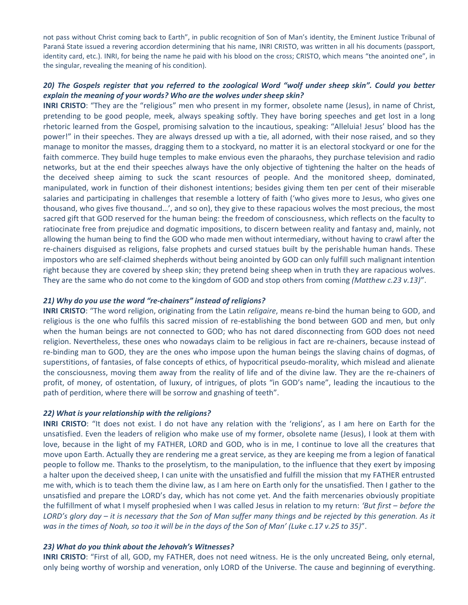not pass without Christ coming back to Earth", in public recognition of Son of Man's identity, the Eminent Justice Tribunal of Paraná State issued a revering accordion determining that his name, INRI CRISTO, was written in all his documents (passport, identity card, etc.). INRI, for being the name he paid with his blood on the cross; CRISTO, which means "the anointed one", in the singular, revealing the meaning of his condition).

## *20) The Gospels register that you referred to the zoological Word "wolf under sheep skin". Could you better explain the meaning of your words? Who are the wolves under sheep skin?*

**INRI CRISTO**: "They are the "religious" men who present in my former, obsolete name (Jesus), in name of Christ, pretending to be good people, meek, always speaking softly. They have boring speeches and get lost in a long rhetoric learned from the Gospel, promising salvation to the incautious, speaking: "Alleluia! Jesus' blood has the power!" in their speeches. They are always dressed up with a tie, all adorned, with their nose raised, and so they manage to monitor the masses, dragging them to a stockyard, no matter it is an electoral stockyard or one for the faith commerce. They build huge temples to make envious even the pharaohs, they purchase television and radio networks, but at the end their speeches always have the only objective of tightening the halter on the heads of the deceived sheep aiming to suck the scant resources of people. And the monitored sheep, dominated, manipulated, work in function of their dishonest intentions; besides giving them ten per cent of their miserable salaries and participating in challenges that resemble a lottery of faith ('who gives more to Jesus, who gives one thousand, who gives five thousand…', and so on), they give to these rapacious wolves the most precious, the most sacred gift that GOD reserved for the human being: the freedom of consciousness, which reflects on the faculty to ratiocinate free from prejudice and dogmatic impositions, to discern between reality and fantasy and, mainly, not allowing the human being to find the GOD who made men without intermediary, without having to crawl after the re-chainers disguised as religions, false prophets and cursed statues built by the perishable human hands. These impostors who are self-claimed shepherds without being anointed by GOD can only fulfill such malignant intention right because they are covered by sheep skin; they pretend being sheep when in truth they are rapacious wolves. They are the same who do not come to the kingdom of GOD and stop others from coming *(Matthew c.23 v.13)*".

#### *21) Why do you use the word "re-chainers" instead of religions?*

**INRI CRISTO**: "The word religion, originating from the Latin *religaire*, means re-bind the human being to GOD, and religious is the one who fulfils this sacred mission of re-establishing the bond between GOD and men, but only when the human beings are not connected to GOD; who has not dared disconnecting from GOD does not need religion. Nevertheless, these ones who nowadays claim to be religious in fact are re-chainers, because instead of re-binding man to GOD, they are the ones who impose upon the human beings the slaving chains of dogmas, of superstitions, of fantasies, of false concepts of ethics, of hypocritical pseudo-morality, which mislead and alienate the consciousness, moving them away from the reality of life and of the divine law. They are the re-chainers of profit, of money, of ostentation, of luxury, of intrigues, of plots "in GOD's name", leading the incautious to the path of perdition, where there will be sorrow and gnashing of teeth".

#### *22) What is your relationship with the religions?*

**INRI CRISTO**: "It does not exist. I do not have any relation with the 'religions', as I am here on Earth for the unsatisfied. Even the leaders of religion who make use of my former, obsolete name (Jesus), I look at them with love, because in the light of my FATHER, LORD and GOD, who is in me, I continue to love all the creatures that move upon Earth. Actually they are rendering me a great service, as they are keeping me from a legion of fanatical people to follow me. Thanks to the proselytism, to the manipulation, to the influence that they exert by imposing a halter upon the deceived sheep, I can unite with the unsatisfied and fulfill the mission that my FATHER entrusted me with, which is to teach them the divine law, as I am here on Earth only for the unsatisfied. Then I gather to the unsatisfied and prepare the LORD's day, which has not come yet. And the faith mercenaries obviously propitiate the fulfillment of what I myself prophesied when I was called Jesus in relation to my return: *'But first – before the LORD's glory day – it is necessary that the Son of Man suffer many things and be rejected by this generation. As it was in the times of Noah, so too it will be in the days of the Son of Man' (Luke c.17 v.25 to 35)*".

#### *23) What do you think about the Jehovah's Witnesses?*

**INRI CRISTO**: "First of all, GOD, my FATHER, does not need witness. He is the only uncreated Being, only eternal, only being worthy of worship and veneration, only LORD of the Universe. The cause and beginning of everything.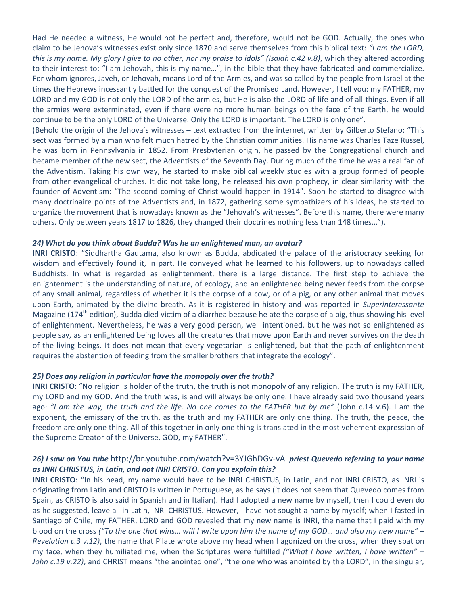Had He needed a witness, He would not be perfect and, therefore, would not be GOD. Actually, the ones who claim to be Jehova's witnesses exist only since 1870 and serve themselves from this biblical text: *"I am the LORD, this is my name. My glory I give to no other, nor my praise to idols" (Isaiah c.42 v.8)*, which they altered according to their interest to: "I am Jehovah, this is my name…", in the bible that they have fabricated and commercialize. For whom ignores, Javeh, or Jehovah, means Lord of the Armies, and was so called by the people from Israel at the times the Hebrews incessantly battled for the conquest of the Promised Land. However, I tell you: my FATHER, my LORD and my GOD is not only the LORD of the armies, but He is also the LORD of life and of all things. Even if all the armies were exterminated, even if there were no more human beings on the face of the Earth, he would continue to be the only LORD of the Universe. Only the LORD is important. The LORD is only one".

(Behold the origin of the Jehova's witnesses – text extracted from the internet, written by Gilberto Stefano: "This sect was formed by a man who felt much hatred by the Christian communities. His name was Charles Taze Russel, he was born in Pennsylvania in 1852. From Presbyterian origin, he passed by the Congregational church and became member of the new sect, the Adventists of the Seventh Day. During much of the time he was a real fan of the Adventism. Taking his own way, he started to make biblical weekly studies with a group formed of people from other evangelical churches. It did not take long, he released his own prophecy, in clear similarity with the founder of Adventism: "The second coming of Christ would happen in 1914". Soon he started to disagree with many doctrinaire points of the Adventists and, in 1872, gathering some sympathizers of his ideas, he started to organize the movement that is nowadays known as the "Jehovah's witnesses". Before this name, there were many others. Only between years 1817 to 1826, they changed their doctrines nothing less than 148 times…").

#### *24) What do you think about Budda? Was he an enlightened man, an avatar?*

**INRI CRISTO**: "Siddhartha Gautama, also known as Budda, abdicated the palace of the aristocracy seeking for wisdom and effectively found it, in part. He conveyed what he learned to his followers, up to nowadays called Buddhists. In what is regarded as enlightenment, there is a large distance. The first step to achieve the enlightenment is the understanding of nature, of ecology, and an enlightened being never feeds from the corpse of any small animal, regardless of whether it is the corpse of a cow, or of a pig, or any other animal that moves upon Earth, animated by the divine breath. As it is registered in history and was reported in *Superinteressante* Magazine (174<sup>th</sup> edition), Budda died victim of a diarrhea because he ate the corpse of a pig, thus showing his level of enlightenment. Nevertheless, he was a very good person, well intentioned, but he was not so enlightened as people say, as an enlightened being loves all the creatures that move upon Earth and never survives on the death of the living beings. It does not mean that every vegetarian is enlightened, but that the path of enlightenment requires the abstention of feeding from the smaller brothers that integrate the ecology".

## *25) Does any religion in particular have the monopoly over the truth?*

**INRI CRISTO**: "No religion is holder of the truth, the truth is not monopoly of any religion. The truth is my FATHER, my LORD and my GOD. And the truth was, is and will always be only one. I have already said two thousand years ago: *"I am the way, the truth and the life. No one comes to the FATHER but by me"* (John c.14 v.6). I am the exponent, the emissary of the truth, as the truth and my FATHER are only one thing. The truth, the peace, the freedom are only one thing. All of this together in only one thing is translated in the most vehement expression of the Supreme Creator of the Universe, GOD, my FATHER".

## *26) I saw on You tube* <http://br.youtube.com/watch?v=3YJGhDGv-vA> *priest Quevedo referring to your name as INRI CHRISTUS, in Latin, and not INRI CRISTO. Can you explain this?*

**INRI CRISTO**: "In his head, my name would have to be INRI CHRISTUS, in Latin, and not INRI CRISTO, as INRI is originating from Latin and CRISTO is written in Portuguese, as he says (it does not seem that Quevedo comes from Spain, as CRISTO is also said in Spanish and in Italian). Had I adopted a new name by myself, then I could even do as he suggested, leave all in Latin, INRI CHRISTUS. However, I have not sought a name by myself; when I fasted in Santiago of Chile, my FATHER, LORD and GOD revealed that my new name is INRI, the name that I paid with my blood on the cross *("To the one that wins… will I write upon him the name of my GOD… and also my new name" – Revelation c.3 v.12)*, the name that Pilate wrote above my head when I agonized on the cross, when they spat on my face, when they humiliated me, when the Scriptures were fulfilled *("What I have written, I have written" – John c.19 v.22)*, and CHRIST means "the anointed one", "the one who was anointed by the LORD", in the singular,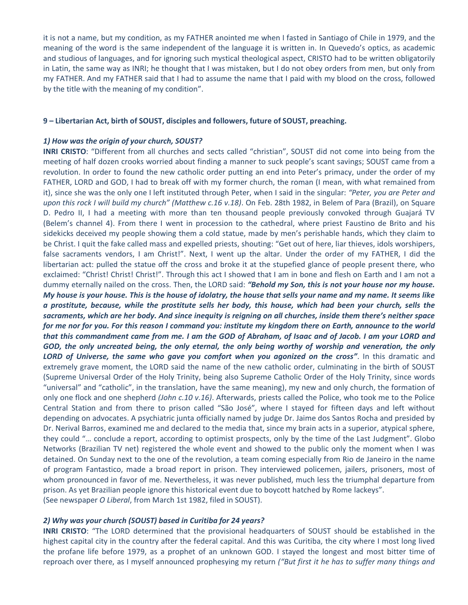it is not a name, but my condition, as my FATHER anointed me when I fasted in Santiago of Chile in 1979, and the meaning of the word is the same independent of the language it is written in. In Quevedo's optics, as academic and studious of languages, and for ignoring such mystical theological aspect, CRISTO had to be written obligatorily in Latin, the same way as INRI; he thought that I was mistaken, but I do not obey orders from men, but only from my FATHER. And my FATHER said that I had to assume the name that I paid with my blood on the cross, followed by the title with the meaning of my condition".

#### **9 – Libertarian Act, birth of SOUST, disciples and followers, future of SOUST, preaching.**

#### *1) How was the origin of your church, SOUST?*

**INRI CRISTO**: "Different from all churches and sects called "christian", SOUST did not come into being from the meeting of half dozen crooks worried about finding a manner to suck people's scant savings; SOUST came from a revolution. In order to found the new catholic order putting an end into Peter's primacy, under the order of my FATHER, LORD and GOD, I had to break off with my former church, the roman (I mean, with what remained from it), since she was the only one I left instituted through Peter, when I said in the singular: *"Peter, you are Peter and upon this rock I will build my church" (Matthew c.16 v.18)*. On Feb. 28th 1982, in Belem of Para (Brazil), on Square D. Pedro II, I had a meeting with more than ten thousand people previously convoked through Guajará TV (Belem's channel 4). From there I went in procession to the cathedral, where priest Faustino de Brito and his sidekicks deceived my people showing them a cold statue, made by men's perishable hands, which they claim to be Christ. I quit the fake called mass and expelled priests, shouting: "Get out of here, liar thieves, idols worshipers, false sacraments vendors, I am Christ!". Next, I went up the altar. Under the order of my FATHER, I did the libertarian act: pulled the statue off the cross and broke it at the stupefied glance of people present there, who exclaimed: "Christ! Christ! Christ!". Through this act I showed that I am in bone and flesh on Earth and I am not a dummy eternally nailed on the cross. Then, the LORD said: *"Behold my Son, this is not your house nor my house. My house is your house. This is the house of idolatry, the house that sells your name and my name. It seems like a prostitute, because, while the prostitute sells her body, this house, which had been your church, sells the sacraments, which are her body. And since inequity is reigning on all churches, inside them there's neither space for me nor for you. For this reason I command you: institute my kingdom there on Earth, announce to the world that this commandment came from me. I am the GOD of Abraham, of Isaac and of Jacob. I am your LORD and GOD, the only uncreated being, the only eternal, the only being worthy of worship and veneration, the only LORD of Universe, the same who gave you comfort when you agonized on the cross"*. In this dramatic and extremely grave moment, the LORD said the name of the new catholic order, culminating in the birth of SOUST (Supreme Universal Order of the Holy Trinity, being also Supreme Catholic Order of the Holy Trinity, since words "universal" and "catholic", in the translation, have the same meaning), my new and only church, the formation of only one flock and one shepherd *(John c.10 v.16)*. Afterwards, priests called the Police, who took me to the Police Central Station and from there to prison called "São José", where I stayed for fifteen days and left without depending on advocates. A psychiatric junta officially named by judge Dr. Jaime dos Santos Rocha and presided by Dr. Nerival Barros, examined me and declared to the media that, since my brain acts in a superior, atypical sphere, they could "… conclude a report, according to optimist prospects, only by the time of the Last Judgment". Globo Networks (Brazilian TV net) registered the whole event and showed to the public only the moment when I was detained. On Sunday next to the one of the revolution, a team coming especially from Rio de Janeiro in the name of program Fantastico, made a broad report in prison. They interviewed policemen, jailers, prisoners, most of whom pronounced in favor of me. Nevertheless, it was never published, much less the triumphal departure from prison. As yet Brazilian people ignore this historical event due to boycott hatched by Rome lackeys". (See newspaper *O Liberal*, from March 1st 1982, filed in SOUST).

#### *2) Why was your church (SOUST) based in Curitiba for 24 years?*

**INRI CRISTO**: "The LORD determined that the provisional headquarters of SOUST should be established in the highest capital city in the country after the federal capital. And this was Curitiba, the city where I most long lived the profane life before 1979, as a prophet of an unknown GOD. I stayed the longest and most bitter time of reproach over there, as I myself announced prophesying my return *("But first it he has to suffer many things and*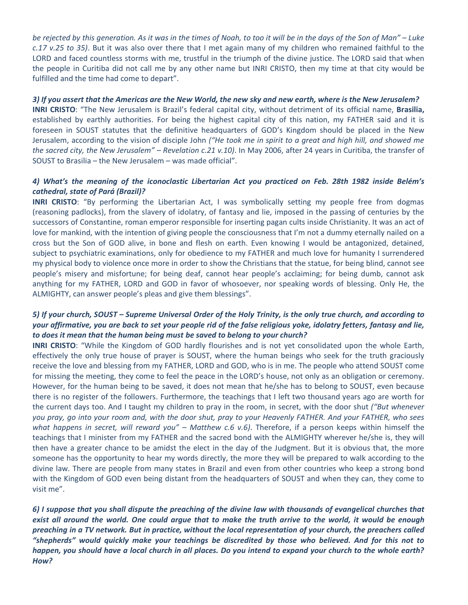*be rejected by this generation. As it was in the times of Noah, to too it will be in the days of the Son of Man" – Luke c.17 v.25 to 35)*. But it was also over there that I met again many of my children who remained faithful to the LORD and faced countless storms with me, trustful in the triumph of the divine justice. The LORD said that when the people in Curitiba did not call me by any other name but INRI CRISTO, then my time at that city would be fulfilled and the time had come to depart".

#### *3) If you assert that the Americas are the New World, the new sky and new earth, where is the New Jerusalem?*

**INRI CRISTO**: "The New Jerusalem is Brazil's federal capital city, without detriment of its official name, **Brasilia,** established by earthly authorities. For being the highest capital city of this nation, my FATHER said and it is foreseen in SOUST statutes that the definitive headquarters of GOD's Kingdom should be placed in the New Jerusalem, according to the vision of disciple John *("He took me in spirit to a great and high hill, and showed me the sacred city, the New Jerusalem" – Revelation c.21 v.10)*. In May 2006, after 24 years in Curitiba, the transfer of SOUST to Brasilia – the New Jerusalem – was made official".

## *4) What's the meaning of the iconoclastic Libertarian Act you practiced on Feb. 28th 1982 inside Belém's cathedral, state of Pará (Brazil)?*

**INRI CRISTO**: "By performing the Libertarian Act, I was symbolically setting my people free from dogmas (reasoning padlocks), from the slavery of idolatry, of fantasy and lie, imposed in the passing of centuries by the successors of Constantine, roman emperor responsible for inserting pagan cults inside Christianity. It was an act of love for mankind, with the intention of giving people the consciousness that I'm not a dummy eternally nailed on a cross but the Son of GOD alive, in bone and flesh on earth. Even knowing I would be antagonized, detained, subject to psychiatric examinations, only for obedience to my FATHER and much love for humanity I surrendered my physical body to violence once more in order to show the Christians that the statue, for being blind, cannot see people's misery and misfortune; for being deaf, cannot hear people's acclaiming; for being dumb, cannot ask anything for my FATHER, LORD and GOD in favor of whosoever, nor speaking words of blessing. Only He, the ALMIGHTY, can answer people's pleas and give them blessings".

# *5) If your church, SOUST – Supreme Universal Order of the Holy Trinity, is the only true church, and according to your affirmative, you are back to set your people rid of the false religious yoke, idolatry fetters, fantasy and lie, to does it mean that the human being must be saved to belong to your church?*

**INRI CRISTO**: "While the Kingdom of GOD hardly flourishes and is not yet consolidated upon the whole Earth, effectively the only true house of prayer is SOUST, where the human beings who seek for the truth graciously receive the love and blessing from my FATHER, LORD and GOD, who is in me. The people who attend SOUST come for missing the meeting, they come to feel the peace in the LORD's house, not only as an obligation or ceremony. However, for the human being to be saved, it does not mean that he/she has to belong to SOUST, even because there is no register of the followers. Furthermore, the teachings that I left two thousand years ago are worth for the current days too. And I taught my children to pray in the room, in secret, with the door shut *("But whenever you pray, go into your room and, with the door shut, pray to your Heavenly FATHER. And your FATHER, who sees what happens in secret, will reward you" – Matthew c.6 v.6)*. Therefore, if a person keeps within himself the teachings that I minister from my FATHER and the sacred bond with the ALMIGHTY wherever he/she is, they will then have a greater chance to be amidst the elect in the day of the Judgment. But it is obvious that, the more someone has the opportunity to hear my words directly, the more they will be prepared to walk according to the divine law. There are people from many states in Brazil and even from other countries who keep a strong bond with the Kingdom of GOD even being distant from the headquarters of SOUST and when they can, they come to visit me".

*6) I suppose that you shall dispute the preaching of the divine law with thousands of evangelical churches that exist all around the world. One could argue that to make the truth arrive to the world, it would be enough preaching in a TV network. But in practice, without the local representation of your church, the preachers called "shepherds" would quickly make your teachings be discredited by those who believed. And for this not to happen, you should have a local church in all places. Do you intend to expand your church to the whole earth? How?*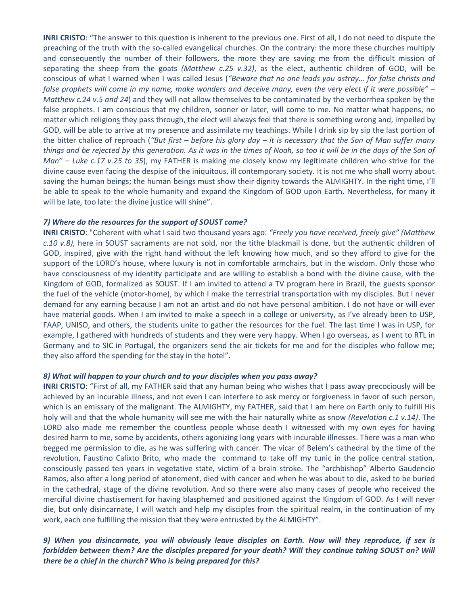**INRI CRISTO**: "The answer to this question is inherent to the previous one. First of all, I do not need to dispute the preaching of the truth with the so-called evangelical churches. On the contrary: the more these churches multiply and consequently the number of their followers, the more they are saving me from the difficult mission of separating the sheep from the goats *(Matthew c.25 v.32)*, as the elect, authentic children of GOD, will be conscious of what I warned when I was called Jesus (*"Beware that no one leads you astray… for false christs and false prophets will come in my name, make wonders and deceive many, even the very elect if it were possible" – Matthew c.24 v.5 and 24*) and they will not allow themselves to be contaminated by the verborrhea spoken by the false prophets. I am conscious that my children, sooner or later, will come to me. No matter what happens, no matter which religions they pass through, the elect will always feel that there is something wrong and, impelled by GOD, will be able to arrive at my presence and assimilate my teachings. While I drink sip by sip the last portion of the bitter chalice of reproach (*"But first – before his glory day – it is necessary that the Son of Man suffer many things and be rejected by this generation. As it was in the times of Noah, so too it will be in the days of the Son of Man" – Luke c.17 v.25 to 35*), my FATHER is making me closely know my legitimate children who strive for the divine cause even facing the despise of the iniquitous, ill contemporary society. It is not me who shall worry about saving the human beings; the human beings must show their dignity towards the ALMIGHTY. In the right time, I'll be able to speak to the whole humanity and expand the Kingdom of GOD upon Earth. Nevertheless, for many it will be late, too late: the divine justice will shine".

## *7) Where do the resources for the support of SOUST come?*

**INRI CRISTO**: "Coherent with what I said two thousand years ago: *"Freely you have received, freely give" (Matthew c.10 v.8)*, here in SOUST sacraments are not sold, nor the tithe blackmail is done, but the authentic children of GOD, inspired, give with the right hand without the left knowing how much, and so they afford to give for the support of the LORD's house, where luxury is not in comfortable armchairs, but in the wisdom. Only those who have consciousness of my identity participate and are willing to establish a bond with the divine cause, with the Kingdom of GOD, formalized as SOUST. If I am invited to attend a TV program here in Brazil, the guests sponsor the fuel of the vehicle (motor-home), by which I make the terrestrial transportation with my disciples. But I never demand for any earning because I am not an artist and do not have personal ambition. I do not have or will ever have material goods. When I am invited to make a speech in a college or university, as I've already been to USP, FAAP, UNISO, and others, the students unite to gather the resources for the fuel. The last time I was in USP, for example, I gathered with hundreds of students and they were very happy. When I go overseas, as I went to RTL in Germany and to SIC in Portugal, the organizers send the air tickets for me and for the disciples who follow me; they also afford the spending for the stay in the hotel".

### *8) What will happen to your church and to your disciples when you pass away?*

**INRI CRISTO**: "First of all, my FATHER said that any human being who wishes that I pass away precociously will be achieved by an incurable illness, and not even I can interfere to ask mercy or forgiveness in favor of such person, which is an emissary of the malignant. The ALMIGHTY, my FATHER, said that I am here on Earth only to fulfill His holy will and that the whole humanity will see me with the hair naturally white as snow *(Revelation c.1 v.14)*. The LORD also made me remember the countless people whose death I witnessed with my own eyes for having desired harm to me, some by accidents, others agonizing long years with incurable illnesses. There was a man who begged me permission to die, as he was suffering with cancer. The vicar of Belem's cathedral by the time of the revolution, Faustino Calixto Brito, who made the command to take off my tunic in the police central station, consciously passed ten years in vegetative state, victim of a brain stroke. The "archbishop" Alberto Gaudencio Ramos, also after a long period of atonement, died with cancer and when he was about to die, asked to be buried in the cathedral, stage of the divine revolution. And so there were also many cases of people who received the merciful divine chastisement for having blasphemed and positioned against the Kingdom of GOD. As I will never die, but only disincarnate, I will watch and help my disciples from the spiritual realm, in the continuation of my work, each one fulfilling the mission that they were entrusted by the ALMIGHTY".

# *9) When you disincarnate, you will obviously leave disciples on Earth. How will they reproduce, if sex is forbidden between them? Are the disciples prepared for your death? Will they continue taking SOUST on? Will there be a chief in the church? Who is being prepared for this?*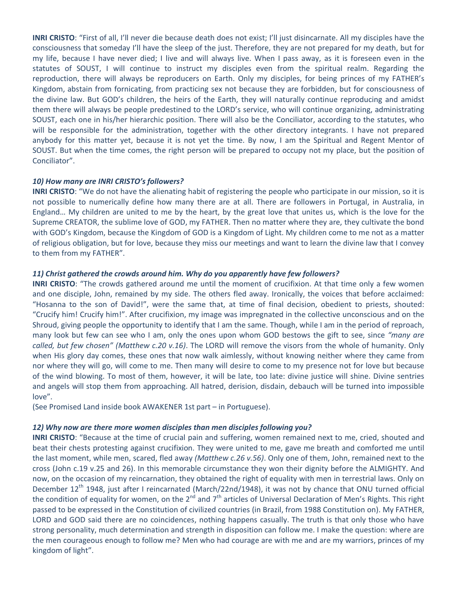**INRI CRISTO**: "First of all, I'll never die because death does not exist; I'll just disincarnate. All my disciples have the consciousness that someday I'll have the sleep of the just. Therefore, they are not prepared for my death, but for my life, because I have never died; I live and will always live. When I pass away, as it is foreseen even in the statutes of SOUST, I will continue to instruct my disciples even from the spiritual realm. Regarding the reproduction, there will always be reproducers on Earth. Only my disciples, for being princes of my FATHER's Kingdom, abstain from fornicating, from practicing sex not because they are forbidden, but for consciousness of the divine law. But GOD's children, the heirs of the Earth, they will naturally continue reproducing and amidst them there will always be people predestined to the LORD's service, who will continue organizing, administrating SOUST, each one in his/her hierarchic position. There will also be the Conciliator, according to the statutes, who will be responsible for the administration, together with the other directory integrants. I have not prepared anybody for this matter yet, because it is not yet the time. By now, I am the Spiritual and Regent Mentor of SOUST. But when the time comes, the right person will be prepared to occupy not my place, but the position of Conciliator".

## *10) How many are INRI CRISTO's followers?*

**INRI CRISTO**: "We do not have the alienating habit of registering the people who participate in our mission, so it is not possible to numerically define how many there are at all. There are followers in Portugal, in Australia, in England… My children are united to me by the heart, by the great love that unites us, which is the love for the Supreme CREATOR, the sublime love of GOD, my FATHER. Then no matter where they are, they cultivate the bond with GOD's Kingdom, because the Kingdom of GOD is a Kingdom of Light. My children come to me not as a matter of religious obligation, but for love, because they miss our meetings and want to learn the divine law that I convey to them from my FATHER".

## *11) Christ gathered the crowds around him. Why do you apparently have few followers?*

**INRI CRISTO**: "The crowds gathered around me until the moment of crucifixion. At that time only a few women and one disciple, John, remained by my side. The others fled away. Ironically, the voices that before acclaimed: "Hosanna to the son of David!", were the same that, at time of final decision, obedient to priests, shouted: "Crucify him! Crucify him!". After crucifixion, my image was impregnated in the collective unconscious and on the Shroud, giving people the opportunity to identify that I am the same. Though, while I am in the period of reproach, many look but few can see who I am, only the ones upon whom GOD bestows the gift to see, since *"many are called, but few chosen" (Matthew c.20 v.16)*. The LORD will remove the visors from the whole of humanity. Only when His glory day comes, these ones that now walk aimlessly, without knowing neither where they came from nor where they will go, will come to me. Then many will desire to come to my presence not for love but because of the wind blowing. To most of them, however, it will be late, too late: divine justice will shine. Divine sentries and angels will stop them from approaching. All hatred, derision, disdain, debauch will be turned into impossible love".

(See Promised Land inside book AWAKENER 1st part – in Portuguese).

## *12) Why now are there more women disciples than men disciples following you?*

**INRI CRISTO**: "Because at the time of crucial pain and suffering, women remained next to me, cried, shouted and beat their chests protesting against crucifixion. They were united to me, gave me breath and comforted me until the last moment, while men, scared, fled away *(Matthew c.26 v.56)*. Only one of them, John, remained next to the cross (John c.19 v.25 and 26). In this memorable circumstance they won their dignity before the ALMIGHTY. And now, on the occasion of my reincarnation, they obtained the right of equality with men in terrestrial laws. Only on December 12<sup>th</sup> 1948, just after I reincarnated (March/22nd/1948), it was not by chance that ONU turned official the condition of equality for women, on the  $2^{nd}$  and  $7^{th}$  articles of Universal Declaration of Men's Rights. This right passed to be expressed in the Constitution of civilized countries (in Brazil, from 1988 Constitution on). My FATHER, LORD and GOD said there are no coincidences, nothing happens casually. The truth is that only those who have strong personality, much determination and strength in disposition can follow me. I make the question: where are the men courageous enough to follow me? Men who had courage are with me and are my warriors, princes of my kingdom of light".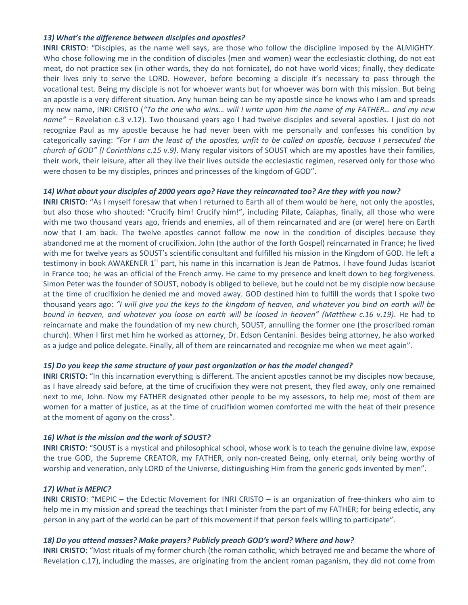## *13) What's the difference between disciples and apostles?*

**INRI CRISTO**: "Disciples, as the name well says, are those who follow the discipline imposed by the ALMIGHTY. Who chose following me in the condition of disciples (men and women) wear the ecclesiastic clothing, do not eat meat, do not practice sex (in other words, they do not fornicate), do not have world vices; finally, they dedicate their lives only to serve the LORD. However, before becoming a disciple it's necessary to pass through the vocational test. Being my disciple is not for whoever wants but for whoever was born with this mission. But being an apostle is a very different situation. Any human being can be my apostle since he knows who I am and spreads my new name, INRI CRISTO (*"To the one who wins… will I write upon him the name of my FATHER… and my new name"* – Revelation c.3 v.12). Two thousand years ago I had twelve disciples and several apostles. I just do not recognize Paul as my apostle because he had never been with me personally and confesses his condition by categorically saying: *"For I am the least of the apostles, unfit to be called an apostle, because I persecuted the church of GOD" (I Corinthians c.15 v.9)*. Many regular visitors of SOUST which are my apostles have their families, their work, their leisure, after all they live their lives outside the ecclesiastic regimen, reserved only for those who were chosen to be my disciples, princes and princesses of the kingdom of GOD".

## *14) What about your disciples of 2000 years ago? Have they reincarnated too? Are they with you now?*

**INRI CRISTO**: "As I myself foresaw that when I returned to Earth all of them would be here, not only the apostles, but also those who shouted: "Crucify him! Crucify him!", including Pilate, Caiaphas, finally, all those who were with me two thousand years ago, friends and enemies, all of them reincarnated and are (or were) here on Earth now that I am back. The twelve apostles cannot follow me now in the condition of disciples because they abandoned me at the moment of crucifixion. John (the author of the forth Gospel) reincarnated in France; he lived with me for twelve years as SOUST's scientific consultant and fulfilled his mission in the Kingdom of GOD. He left a testimony in book AWAKENER 1<sup>st</sup> part, his name in this incarnation is Jean de Patmos. I have found Judas Iscariot in France too; he was an official of the French army. He came to my presence and knelt down to beg forgiveness. Simon Peter was the founder of SOUST, nobody is obliged to believe, but he could not be my disciple now because at the time of crucifixion he denied me and moved away. GOD destined him to fulfill the words that I spoke two thousand years ago: *"I will give you the keys to the kingdom of heaven, and whatever you bind on earth will be bound in heaven, and whatever you loose on earth will be loosed in heaven" (Matthew c.16 v.19)*. He had to reincarnate and make the foundation of my new church, SOUST, annulling the former one (the proscribed roman church). When I first met him he worked as attorney, Dr. Edson Centanini. Besides being attorney, he also worked as a judge and police delegate. Finally, all of them are reincarnated and recognize me when we meet again".

### *15) Do you keep the same structure of your past organization or has the model changed?*

**INRI CRISTO:** "In this incarnation everything is different. The ancient apostles cannot be my disciples now because, as I have already said before, at the time of crucifixion they were not present, they fled away, only one remained next to me, John. Now my FATHER designated other people to be my assessors, to help me; most of them are women for a matter of justice, as at the time of crucifixion women comforted me with the heat of their presence at the moment of agony on the cross".

### *16) What is the mission and the work of SOUST?*

**INRI CRISTO**: "SOUST is a mystical and philosophical school, whose work is to teach the genuine divine law, expose the true GOD, the Supreme CREATOR, my FATHER, only non-created Being, only eternal, only being worthy of worship and veneration, only LORD of the Universe, distinguishing Him from the generic gods invented by men".

### *17) What is MEPIC?*

**INRI CRISTO**: "MEPIC – the Eclectic Movement for INRI CRISTO – is an organization of free-thinkers who aim to help me in my mission and spread the teachings that I minister from the part of my FATHER; for being eclectic, any person in any part of the world can be part of this movement if that person feels willing to participate".

### *18) Do you attend masses? Make prayers? Publicly preach GOD's word? Where and how?*

**INRI CRISTO**: "Most rituals of my former church (the roman catholic, which betrayed me and became the whore of Revelation c.17), including the masses, are originating from the ancient roman paganism, they did not come from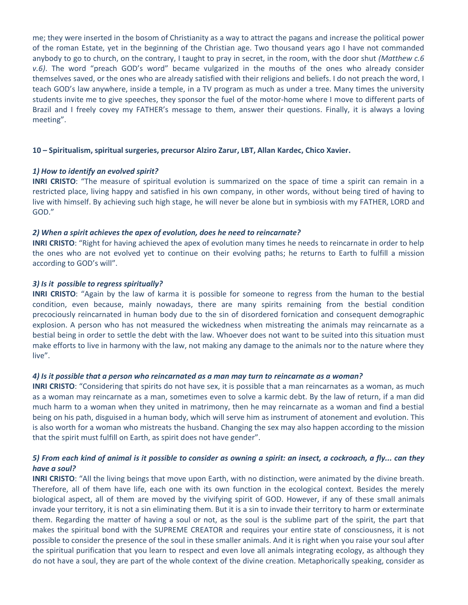me; they were inserted in the bosom of Christianity as a way to attract the pagans and increase the political power of the roman Estate, yet in the beginning of the Christian age. Two thousand years ago I have not commanded anybody to go to church, on the contrary, I taught to pray in secret, in the room, with the door shut *(Matthew c.6 v.6)*. The word "preach GOD's word" became vulgarized in the mouths of the ones who already consider themselves saved, or the ones who are already satisfied with their religions and beliefs. I do not preach the word, I teach GOD's law anywhere, inside a temple, in a TV program as much as under a tree. Many times the university students invite me to give speeches, they sponsor the fuel of the motor-home where I move to different parts of Brazil and I freely covey my FATHER's message to them, answer their questions. Finally, it is always a loving meeting".

## **10 – Spiritualism, spiritual surgeries, precursor Alziro Zarur, LBT, Allan Kardec, Chico Xavier.**

## *1) How to identify an evolved spirit?*

**INRI CRISTO**: "The measure of spiritual evolution is summarized on the space of time a spirit can remain in a restricted place, living happy and satisfied in his own company, in other words, without being tired of having to live with himself. By achieving such high stage, he will never be alone but in symbiosis with my FATHER, LORD and GOD."

## *2) When a spirit achieves the apex of evolution, does he need to reincarnate?*

**INRI CRISTO**: "Right for having achieved the apex of evolution many times he needs to reincarnate in order to help the ones who are not evolved yet to continue on their evolving paths; he returns to Earth to fulfill a mission according to GOD's will".

## *3) Is it possible to regress spiritually?*

**INRI CRISTO**: "Again by the law of karma it is possible for someone to regress from the human to the bestial condition, even because, mainly nowadays, there are many spirits remaining from the bestial condition precociously reincarnated in human body due to the sin of disordered fornication and consequent demographic explosion. A person who has not measured the wickedness when mistreating the animals may reincarnate as a bestial being in order to settle the debt with the law. Whoever does not want to be suited into this situation must make efforts to live in harmony with the law, not making any damage to the animals nor to the nature where they live".

### *4) Is it possible that a person who reincarnated as a man may turn to reincarnate as a woman?*

**INRI CRISTO**: "Considering that spirits do not have sex, it is possible that a man reincarnates as a woman, as much as a woman may reincarnate as a man, sometimes even to solve a karmic debt. By the law of return, if a man did much harm to a woman when they united in matrimony, then he may reincarnate as a woman and find a bestial being on his path, disguised in a human body, which will serve him as instrument of atonement and evolution. This is also worth for a woman who mistreats the husband. Changing the sex may also happen according to the mission that the spirit must fulfill on Earth, as spirit does not have gender".

# *5) From each kind of animal is it possible to consider as owning a spirit: an insect, a cockroach, a fly... can they have a soul?*

**INRI CRISTO**: "All the living beings that move upon Earth, with no distinction, were animated by the divine breath. Therefore, all of them have life, each one with its own function in the ecological context. Besides the merely biological aspect, all of them are moved by the vivifying spirit of GOD. However, if any of these small animals invade your territory, it is not a sin eliminating them. But it is a sin to invade their territory to harm or exterminate them. Regarding the matter of having a soul or not, as the soul is the sublime part of the spirit, the part that makes the spiritual bond with the SUPREME CREATOR and requires your entire state of consciousness, it is not possible to consider the presence of the soul in these smaller animals. And it is right when you raise your soul after the spiritual purification that you learn to respect and even love all animals integrating ecology, as although they do not have a soul, they are part of the whole context of the divine creation. Metaphorically speaking, consider as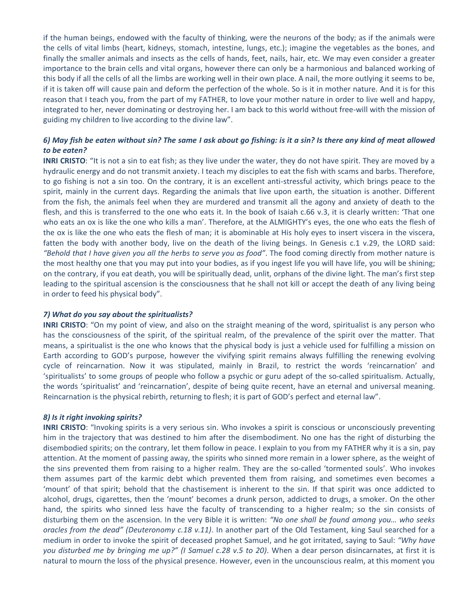if the human beings, endowed with the faculty of thinking, were the neurons of the body; as if the animals were the cells of vital limbs (heart, kidneys, stomach, intestine, lungs, etc.); imagine the vegetables as the bones, and finally the smaller animals and insects as the cells of hands, feet, nails, hair, etc. We may even consider a greater importance to the brain cells and vital organs, however there can only be a harmonious and balanced working of this body if all the cells of all the limbs are working well in their own place. A nail, the more outlying it seems to be, if it is taken off will cause pain and deform the perfection of the whole. So is it in mother nature. And it is for this reason that I teach you, from the part of my FATHER, to love your mother nature in order to live well and happy, integrated to her, never dominating or destroying her. I am back to this world without free-will with the mission of guiding my children to live according to the divine law".

# *6) May fish be eaten without sin? The same I ask about go fishing: is it a sin? Is there any kind of meat allowed to be eaten?*

**INRI CRISTO**: "It is not a sin to eat fish; as they live under the water, they do not have spirit. They are moved by a hydraulic energy and do not transmit anxiety. I teach my disciples to eat the fish with scams and barbs. Therefore, to go fishing is not a sin too. On the contrary, it is an excellent anti-stressful activity, which brings peace to the spirit, mainly in the current days. Regarding the animals that live upon earth, the situation is another. Different from the fish, the animals feel when they are murdered and transmit all the agony and anxiety of death to the flesh, and this is transferred to the one who eats it. In the book of Isaiah c.66 v.3, it is clearly written: 'That one who eats an ox is like the one who kills a man'. Therefore, at the ALMIGHTY's eyes, the one who eats the flesh of the ox is like the one who eats the flesh of man; it is abominable at His holy eyes to insert viscera in the viscera, fatten the body with another body, live on the death of the living beings. In Genesis c.1 v.29, the LORD said: *"Behold that I have given you all the herbs to serve you as food"*. The food coming directly from mother nature is the most healthy one that you may put into your bodies, as if you ingest life you will have life, you will be shining; on the contrary, if you eat death, you will be spiritually dead, unlit, orphans of the divine light. The man's first step leading to the spiritual ascension is the consciousness that he shall not kill or accept the death of any living being in order to feed his physical body".

## *7) What do you say about the spiritualists?*

**INRI CRISTO**: "On my point of view, and also on the straight meaning of the word, spiritualist is any person who has the consciousness of the spirit, of the spiritual realm, of the prevalence of the spirit over the matter. That means, a spiritualist is the one who knows that the physical body is just a vehicle used for fulfilling a mission on Earth according to GOD's purpose, however the vivifying spirit remains always fulfilling the renewing evolving cycle of reincarnation. Now it was stipulated, mainly in Brazil, to restrict the words 'reincarnation' and 'spiritualists' to some groups of people who follow a psychic or guru adept of the so-called spiritualism. Actually, the words 'spiritualist' and 'reincarnation', despite of being quite recent, have an eternal and universal meaning. Reincarnation is the physical rebirth, returning to flesh; it is part of GOD's perfect and eternal law".

### *8) Is it right invoking spirits?*

**INRI CRISTO**: "Invoking spirits is a very serious sin. Who invokes a spirit is conscious or unconsciously preventing him in the trajectory that was destined to him after the disembodiment. No one has the right of disturbing the disembodied spirits; on the contrary, let them follow in peace. I explain to you from my FATHER why it is a sin, pay attention. At the moment of passing away, the spirits who sinned more remain in a lower sphere, as the weight of the sins prevented them from raising to a higher realm. They are the so-called 'tormented souls'. Who invokes them assumes part of the karmic debt which prevented them from raising, and sometimes even becomes a 'mount' of that spirit; behold that the chastisement is inherent to the sin. If that spirit was once addicted to alcohol, drugs, cigarettes, then the 'mount' becomes a drunk person, addicted to drugs, a smoker. On the other hand, the spirits who sinned less have the faculty of transcending to a higher realm; so the sin consists of disturbing them on the ascension. In the very Bible it is written: *"No one shall be found among you… who seeks oracles from the dead" (Deuteronomy c.18 v.11)*. In another part of the Old Testament, king Saul searched for a medium in order to invoke the spirit of deceased prophet Samuel, and he got irritated, saying to Saul: *"Why have you disturbed me by bringing me up?" (I Samuel c.28 v.5 to 20)*. When a dear person disincarnates, at first it is natural to mourn the loss of the physical presence. However, even in the uncounscious realm, at this moment you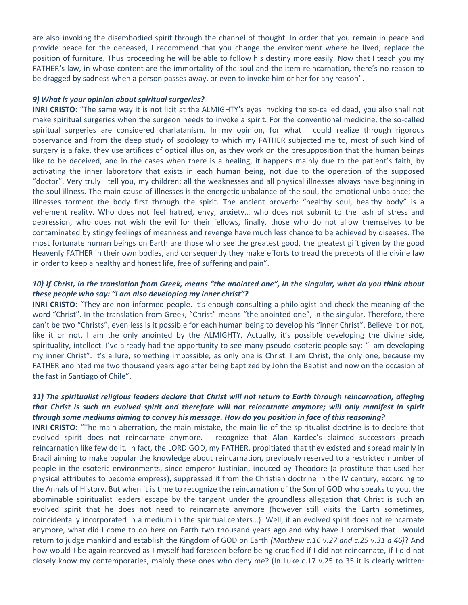are also invoking the disembodied spirit through the channel of thought. In order that you remain in peace and provide peace for the deceased, I recommend that you change the environment where he lived, replace the position of furniture. Thus proceeding he will be able to follow his destiny more easily. Now that I teach you my FATHER's law, in whose content are the immortality of the soul and the item reincarnation, there's no reason to be dragged by sadness when a person passes away, or even to invoke him or her for any reason".

#### *9) What is your opinion about spiritual surgeries?*

**INRI CRISTO**: "The same way it is not licit at the ALMIGHTY's eyes invoking the so-called dead, you also shall not make spiritual surgeries when the surgeon needs to invoke a spirit. For the conventional medicine, the so-called spiritual surgeries are considered charlatanism. In my opinion, for what I could realize through rigorous observance and from the deep study of sociology to which my FATHER subjected me to, most of such kind of surgery is a fake, they use artifices of optical illusion, as they work on the presupposition that the human beings like to be deceived, and in the cases when there is a healing, it happens mainly due to the patient's faith, by activating the inner laboratory that exists in each human being, not due to the operation of the supposed "doctor". Very truly I tell you, my children: all the weaknesses and all physical illnesses always have beginning in the soul illness. The main cause of illnesses is the energetic unbalance of the soul, the emotional unbalance; the illnesses torment the body first through the spirit. The ancient proverb: "healthy soul, healthy body" is a vehement reality. Who does not feel hatred, envy, anxiety… who does not submit to the lash of stress and depression, who does not wish the evil for their fellows, finally, those who do not allow themselves to be contaminated by stingy feelings of meanness and revenge have much less chance to be achieved by diseases. The most fortunate human beings on Earth are those who see the greatest good, the greatest gift given by the good Heavenly FATHER in their own bodies, and consequently they make efforts to tread the precepts of the divine law in order to keep a healthy and honest life, free of suffering and pain".

# *10) If Christ, in the translation from Greek, means "the anointed one", in the singular, what do you think about these people who say: "I am also developing my inner christ"?*

**INRI CRISTO**: "They are non-informed people. It's enough consulting a philologist and check the meaning of the word "Christ". In the translation from Greek, "Christ" means "the anointed one", in the singular. Therefore, there can't be two "Christs", even less is it possible for each human being to develop his "inner Christ". Believe it or not, like it or not, I am the only anointed by the ALMIGHTY. Actually, it's possible developing the divine side, spirituality, intellect. I've already had the opportunity to see many pseudo-esoteric people say: "I am developing my inner Christ". It's a lure, something impossible, as only one is Christ. I am Christ, the only one, because my FATHER anointed me two thousand years ago after being baptized by John the Baptist and now on the occasion of the fast in Santiago of Chile".

# *11) The spiritualist religious leaders declare that Christ will not return to Earth through reincarnation, alleging that Christ is such an evolved spirit and therefore will not reincarnate anymore; will only manifest in spirit through some mediums aiming to convey his message. How do you position in face of this reasoning?*

**INRI CRISTO**: "The main aberration, the main mistake, the main lie of the spiritualist doctrine is to declare that evolved spirit does not reincarnate anymore. I recognize that Alan Kardec's claimed successors preach reincarnation like few do it. In fact, the LORD GOD, my FATHER, propitiated that they existed and spread mainly in Brazil aiming to make popular the knowledge about reincarnation, previously reserved to a restricted number of people in the esoteric environments, since emperor Justinian, induced by Theodore (a prostitute that used her physical attributes to become empress), suppressed it from the Christian doctrine in the IV century, according to the Annals of History. But when it is time to recognize the reincarnation of the Son of GOD who speaks to you, the abominable spiritualist leaders escape by the tangent under the groundless allegation that Christ is such an evolved spirit that he does not need to reincarnate anymore (however still visits the Earth sometimes, coincidentally incorporated in a medium in the spiritual centers…). Well, if an evolved spirit does not reincarnate anymore, what did I come to do here on Earth two thousand years ago and why have I promised that I would return to judge mankind and establish the Kingdom of GOD on Earth *(Matthew c.16 v.27 and c.25 v.31 a 46)*? And how would I be again reproved as I myself had foreseen before being crucified if I did not reincarnate, if I did not closely know my contemporaries, mainly these ones who deny me? (In Luke c.17 v.25 to 35 it is clearly written: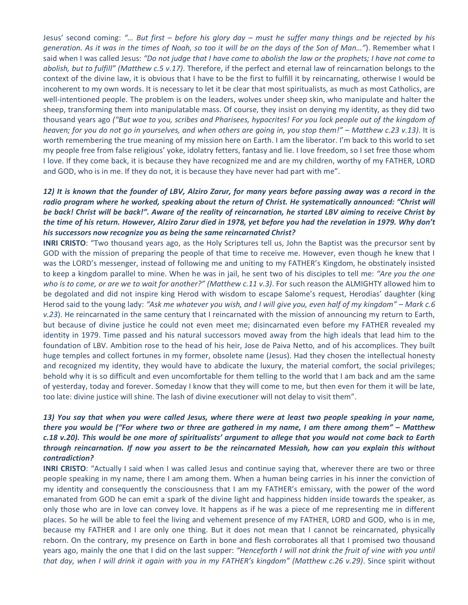Jesus' second coming: *"… But first – before his glory day – must he suffer many things and be rejected by his generation. As it was in the times of Noah, so too it will be on the days of the Son of Man…"*). Remember what I said when I was called Jesus: *"Do not judge that I have come to abolish the law or the prophets; I have not come to abolish, but to fulfill" (Matthew c.5 v.17)*. Therefore, if the perfect and eternal law of reincarnation belongs to the context of the divine law, it is obvious that I have to be the first to fulfill it by reincarnating, otherwise I would be incoherent to my own words. It is necessary to let it be clear that most spiritualists, as much as most Catholics, are well-intentioned people. The problem is on the leaders, wolves under sheep skin, who manipulate and halter the sheep, transforming them into manipulatable mass. Of course, they insist on denying my identity, as they did two thousand years ago *("But woe to you, scribes and Pharisees, hypocrites! For you lock people out of the kingdom of heaven; for you do not go in yourselves, and when others are going in, you stop them!" – Matthew c.23 v.13)*. It is worth remembering the true meaning of my mission here on Earth. I am the liberator. I'm back to this world to set my people free from false religious' yoke, idolatry fetters, fantasy and lie. I love freedom, so I set free those whom I love. If they come back, it is because they have recognized me and are my children, worthy of my FATHER, LORD and GOD, who is in me. If they do not, it is because they have never had part with me".

# *12) It is known that the founder of LBV, Alziro Zarur, for many years before passing away was a record in the*  radio program where he worked, speaking about the return of Christ. He systematically announced: "Christ will *be back! Christ will be back!". Aware of the reality of reincarnation, he started LBV aiming to receive Christ by*  the time of his return. However, Alziro Zarur died in 1978, yet before you had the revelation in 1979. Why don't *his successors now recognize you as being the same reincarnated Christ?*

**INRI CRISTO**: "Two thousand years ago, as the Holy Scriptures tell us, John the Baptist was the precursor sent by GOD with the mission of preparing the people of that time to receive me. However, even though he knew that I was the LORD's messenger, instead of following me and uniting to my FATHER's Kingdom, he obstinately insisted to keep a kingdom parallel to mine. When he was in jail, he sent two of his disciples to tell me: *"Are you the one who is to come, or are we to wait for another?" (Matthew c.11 v.3)*. For such reason the ALMIGHTY allowed him to be degolated and did not inspire king Herod with wisdom to escape Salome's request, Herodias' daughter (king Herod said to the young lady: *"Ask me whatever you wish, and I will give you, even half of my kingdom" – Mark c.6 v.23*). He reincarnated in the same century that I reincarnated with the mission of announcing my return to Earth, but because of divine justice he could not even meet me; disincarnated even before my FATHER revealed my identity in 1979. Time passed and his natural successors moved away from the high ideals that lead him to the foundation of LBV. Ambition rose to the head of his heir, Jose de Paiva Netto, and of his accomplices. They built huge temples and collect fortunes in my former, obsolete name (Jesus). Had they chosen the intellectual honesty and recognized my identity, they would have to abdicate the luxury, the material comfort, the social privileges; behold why it is so difficult and even uncomfortable for them telling to the world that I am back and am the same of yesterday, today and forever. Someday I know that they will come to me, but then even for them it will be late, too late: divine justice will shine. The lash of divine executioner will not delay to visit them".

# *13) You say that when you were called Jesus, where there were at least two people speaking in your name, there you would be ("For where two or three are gathered in my name, I am there among them" – Matthew c.18 v.20). This would be one more of spiritualists' argument to allege that you would not come back to Earth through reincarnation. If now you assert to be the reincarnated Messiah, how can you explain this without contradiction?*

**INRI CRISTO**: "Actually I said when I was called Jesus and continue saying that, wherever there are two or three people speaking in my name, there I am among them. When a human being carries in his inner the conviction of my identity and consequently the consciousness that I am my FATHER's emissary, with the power of the word emanated from GOD he can emit a spark of the divine light and happiness hidden inside towards the speaker, as only those who are in love can convey love. It happens as if he was a piece of me representing me in different places. So he will be able to feel the living and vehement presence of my FATHER, LORD and GOD, who is in me, because my FATHER and I are only one thing. But it does not mean that I cannot be reincarnated, physically reborn. On the contrary, my presence on Earth in bone and flesh corroborates all that I promised two thousand years ago, mainly the one that I did on the last supper: *"Henceforth I will not drink the fruit of vine with you until that day, when I will drink it again with you in my FATHER's kingdom" (Matthew c.26 v.29)*. Since spirit without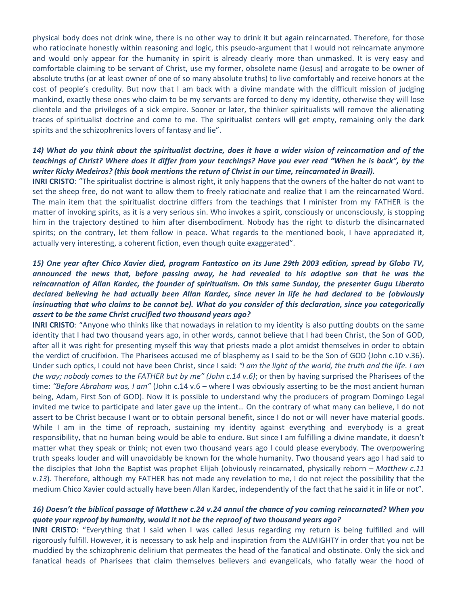physical body does not drink wine, there is no other way to drink it but again reincarnated. Therefore, for those who ratiocinate honestly within reasoning and logic, this pseudo-argument that I would not reincarnate anymore and would only appear for the humanity in spirit is already clearly more than unmasked. It is very easy and comfortable claiming to be servant of Christ, use my former, obsolete name (Jesus) and arrogate to be owner of absolute truths (or at least owner of one of so many absolute truths) to live comfortably and receive honors at the cost of people's credulity. But now that I am back with a divine mandate with the difficult mission of judging mankind, exactly these ones who claim to be my servants are forced to deny my identity, otherwise they will lose clientele and the privileges of a sick empire. Sooner or later, the thinker spiritualists will remove the alienating traces of spiritualist doctrine and come to me. The spiritualist centers will get empty, remaining only the dark spirits and the schizophrenics lovers of fantasy and lie".

# *14) What do you think about the spiritualist doctrine, does it have a wider vision of reincarnation and of the teachings of Christ? Where does it differ from your teachings? Have you ever read "When he is back", by the writer Ricky Medeiros? (this book mentions the return of Christ in our time, reincarnated in Brazil).*

**INRI CRISTO**: "The spiritualist doctrine is almost right, it only happens that the owners of the halter do not want to set the sheep free, do not want to allow them to freely ratiocinate and realize that I am the reincarnated Word. The main item that the spiritualist doctrine differs from the teachings that I minister from my FATHER is the matter of invoking spirits, as it is a very serious sin. Who invokes a spirit, consciously or unconsciously, is stopping him in the trajectory destined to him after disembodiment. Nobody has the right to disturb the disincarnated spirits; on the contrary, let them follow in peace. What regards to the mentioned book, I have appreciated it, actually very interesting, a coherent fiction, even though quite exaggerated".

# *15) One year after Chico Xavier died, program Fantastico on its June 29th 2003 edition, spread by Globo TV, announced the news that, before passing away, he had revealed to his adoptive son that he was the reincarnation of Allan Kardec, the founder of spiritualism. On this same Sunday, the presenter Gugu Liberato declared believing he had actually been Allan Kardec, since never in life he had declared to be (obviously insinuating that who claims to be cannot be). What do you consider of this declaration, since you categorically assert to be the same Christ crucified two thousand years ago?*

**INRI CRISTO**: "Anyone who thinks like that nowadays in relation to my identity is also putting doubts on the same identity that I had two thousand years ago, in other words, cannot believe that I had been Christ, the Son of GOD, after all it was right for presenting myself this way that priests made a plot amidst themselves in order to obtain the verdict of crucifixion. The Pharisees accused me of blasphemy as I said to be the Son of GOD (John c.10 v.36). Under such optics, I could not have been Christ, since I said: *"I am the light of the world, the truth and the life. I am the way; nobody comes to the FATHER but by me" (John c.14 v.6)*; or then by having surprised the Pharisees of the time: *"Before Abraham was, I am"* (John c.14 v.6 – where I was obviously asserting to be the most ancient human being, Adam, First Son of GOD). Now it is possible to understand why the producers of program Domingo Legal invited me twice to participate and later gave up the intent… On the contrary of what many can believe, I do not assert to be Christ because I want or to obtain personal benefit, since I do not or will never have material goods. While I am in the time of reproach, sustaining my identity against everything and everybody is a great responsibility, that no human being would be able to endure. But since I am fulfilling a divine mandate, it doesn't matter what they speak or think; not even two thousand years ago I could please everybody. The overpowering truth speaks louder and will unavoidably be known for the whole humanity. Two thousand years ago I had said to the disciples that John the Baptist was prophet Elijah (obviously reincarnated, physically reborn – *Matthew c.11 v.13*). Therefore, although my FATHER has not made any revelation to me, I do not reject the possibility that the medium Chico Xavier could actually have been Allan Kardec, independently of the fact that he said it in life or not".

## *16) Doesn't the biblical passage of Matthew c.24 v.24 annul the chance of you coming reincarnated? When you quote your reproof by humanity, would it not be the reproof of two thousand years ago?*

**INRI CRISTO**: "Everything that I said when I was called Jesus regarding my return is being fulfilled and will rigorously fulfill. However, it is necessary to ask help and inspiration from the ALMIGHTY in order that you not be muddied by the schizophrenic delirium that permeates the head of the fanatical and obstinate. Only the sick and fanatical heads of Pharisees that claim themselves believers and evangelicals, who fatally wear the hood of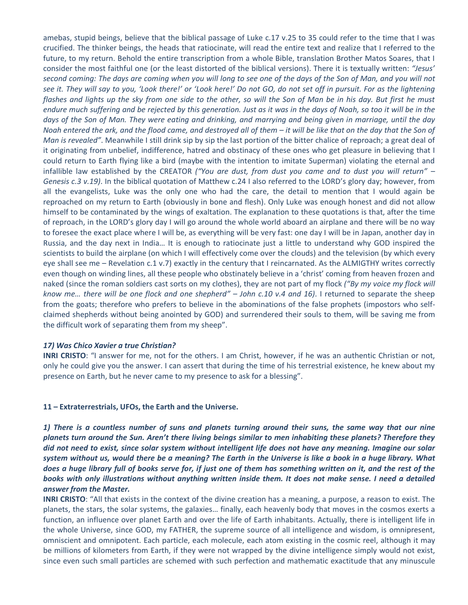amebas, stupid beings, believe that the biblical passage of Luke c.17 v.25 to 35 could refer to the time that I was crucified. The thinker beings, the heads that ratiocinate, will read the entire text and realize that I referred to the future, to my return. Behold the entire transcription from a whole Bible, translation Brother Matos Soares, that I consider the most faithful one (or the least distorted of the biblical versions). There it is textually written: *"Jesus' second coming: The days are coming when you will long to see one of the days of the Son of Man, and you will not see it. They will say to you, 'Look there!' or 'Look here!' Do not GO, do not set off in pursuit. For as the lightening flashes and lights up the sky from one side to the other, so will the Son of Man be in his day. But first he must*  endure much suffering and be rejected by this generation. Just as it was in the days of Noah, so too it will be in the *days of the Son of Man. They were eating and drinking, and marrying and being given in marriage, until the day Noah entered the ark, and the flood came, and destroyed all of them – it will be like that on the day that the Son of Man is revealed"*. Meanwhile I still drink sip by sip the last portion of the bitter chalice of reproach; a great deal of it originating from unbelief, indifference, hatred and obstinacy of these ones who get pleasure in believing that I could return to Earth flying like a bird (maybe with the intention to imitate Superman) violating the eternal and infallible law established by the CREATOR *("You are dust, from dust you came and to dust you will return" – Genesis c.3 v.19)*. In the biblical quotation of Matthew c.24 I also referred to the LORD's glory day; however, from all the evangelists, Luke was the only one who had the care, the detail to mention that I would again be reproached on my return to Earth (obviously in bone and flesh). Only Luke was enough honest and did not allow himself to be contaminated by the wings of exaltation. The explanation to these quotations is that, after the time of reproach, in the LORD's glory day I will go around the whole world aboard an airplane and there will be no way to foresee the exact place where I will be, as everything will be very fast: one day I will be in Japan, another day in Russia, and the day next in India… It is enough to ratiocinate just a little to understand why GOD inspired the scientists to build the airplane (on which I will effectively come over the clouds) and the television (by which every eye shall see me – Revelation c.1 v.7) exactly in the century that I reincarnated. As the ALMIGTHY writes correctly even though on winding lines, all these people who obstinately believe in a 'christ' coming from heaven frozen and naked (since the roman soldiers cast sorts on my clothes), they are not part of my flock *("By my voice my flock will know me… there will be one flock and one shepherd" – John c.10 v.4 and 16)*. I returned to separate the sheep from the goats; therefore who prefers to believe in the abominations of the false prophets (impostors who selfclaimed shepherds without being anointed by GOD) and surrendered their souls to them, will be saving me from the difficult work of separating them from my sheep".

#### *17) Was Chico Xavier a true Christian?*

**INRI CRISTO**: "I answer for me, not for the others. I am Christ, however, if he was an authentic Christian or not, only he could give you the answer. I can assert that during the time of his terrestrial existence, he knew about my presence on Earth, but he never came to my presence to ask for a blessing".

#### **11 – Extraterrestrials, UFOs, the Earth and the Universe.**

*1) There is a countless number of suns and planets turning around their suns, the same way that our nine planets turn around the Sun. Aren't there living beings similar to men inhabiting these planets? Therefore they did not need to exist, since solar system without intelligent life does not have any meaning. Imagine our solar system without us, would there be a meaning? The Earth in the Universe is like a book in a huge library. What does a huge library full of books serve for, if just one of them has something written on it, and the rest of the books with only illustrations without anything written inside them. It does not make sense. I need a detailed answer from the Master.*

**INRI CRISTO**: "All that exists in the context of the divine creation has a meaning, a purpose, a reason to exist. The planets, the stars, the solar systems, the galaxies… finally, each heavenly body that moves in the cosmos exerts a function, an influence over planet Earth and over the life of Earth inhabitants. Actually, there is intelligent life in the whole Universe, since GOD, my FATHER, the supreme source of all intelligence and wisdom, is omnipresent, omniscient and omnipotent. Each particle, each molecule, each atom existing in the cosmic reel, although it may be millions of kilometers from Earth, if they were not wrapped by the divine intelligence simply would not exist, since even such small particles are schemed with such perfection and mathematic exactitude that any minuscule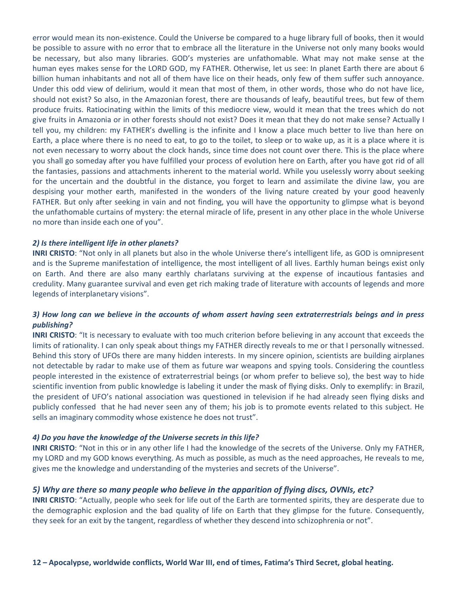error would mean its non-existence. Could the Universe be compared to a huge library full of books, then it would be possible to assure with no error that to embrace all the literature in the Universe not only many books would be necessary, but also many libraries. GOD's mysteries are unfathomable. What may not make sense at the human eyes makes sense for the LORD GOD, my FATHER. Otherwise, let us see: In planet Earth there are about 6 billion human inhabitants and not all of them have lice on their heads, only few of them suffer such annoyance. Under this odd view of delirium, would it mean that most of them, in other words, those who do not have lice, should not exist? So also, in the Amazonian forest, there are thousands of leafy, beautiful trees, but few of them produce fruits. Ratiocinating within the limits of this mediocre view, would it mean that the trees which do not give fruits in Amazonia or in other forests should not exist? Does it mean that they do not make sense? Actually I tell you, my children: my FATHER's dwelling is the infinite and I know a place much better to live than here on Earth, a place where there is no need to eat, to go to the toilet, to sleep or to wake up, as it is a place where it is not even necessary to worry about the clock hands, since time does not count over there. This is the place where you shall go someday after you have fulfilled your process of evolution here on Earth, after you have got rid of all the fantasies, passions and attachments inherent to the material world. While you uselessly worry about seeking for the uncertain and the doubtful in the distance, you forget to learn and assimilate the divine law, you are despising your mother earth, manifested in the wonders of the living nature created by your good heavenly FATHER. But only after seeking in vain and not finding, you will have the opportunity to glimpse what is beyond the unfathomable curtains of mystery: the eternal miracle of life, present in any other place in the whole Universe no more than inside each one of you".

### *2) Is there intelligent life in other planets?*

**INRI CRISTO**: "Not only in all planets but also in the whole Universe there's intelligent life, as GOD is omnipresent and is the Supreme manifestation of intelligence, the most intelligent of all lives. Earthly human beings exist only on Earth. And there are also many earthly charlatans surviving at the expense of incautious fantasies and credulity. Many guarantee survival and even get rich making trade of literature with accounts of legends and more legends of interplanetary visions".

# *3) How long can we believe in the accounts of whom assert having seen extraterrestrials beings and in press publishing?*

**INRI CRISTO**: "It is necessary to evaluate with too much criterion before believing in any account that exceeds the limits of rationality. I can only speak about things my FATHER directly reveals to me or that I personally witnessed. Behind this story of UFOs there are many hidden interests. In my sincere opinion, scientists are building airplanes not detectable by radar to make use of them as future war weapons and spying tools. Considering the countless people interested in the existence of extraterrestrial beings (or whom prefer to believe so), the best way to hide scientific invention from public knowledge is labeling it under the mask of flying disks. Only to exemplify: in Brazil, the president of UFO's national association was questioned in television if he had already seen flying disks and publicly confessed that he had never seen any of them; his job is to promote events related to this subject. He sells an imaginary commodity whose existence he does not trust".

### *4) Do you have the knowledge of the Universe secrets in this life?*

**INRI CRISTO**: "Not in this or in any other life I had the knowledge of the secrets of the Universe. Only my FATHER, my LORD and my GOD knows everything. As much as possible, as much as the need approaches, He reveals to me, gives me the knowledge and understanding of the mysteries and secrets of the Universe".

## *5) Why are there so many people who believe in the apparition of flying discs, OVNIs, etc?*

**INRI CRISTO**: "Actually, people who seek for life out of the Earth are tormented spirits, they are desperate due to the demographic explosion and the bad quality of life on Earth that they glimpse for the future. Consequently, they seek for an exit by the tangent, regardless of whether they descend into schizophrenia or not".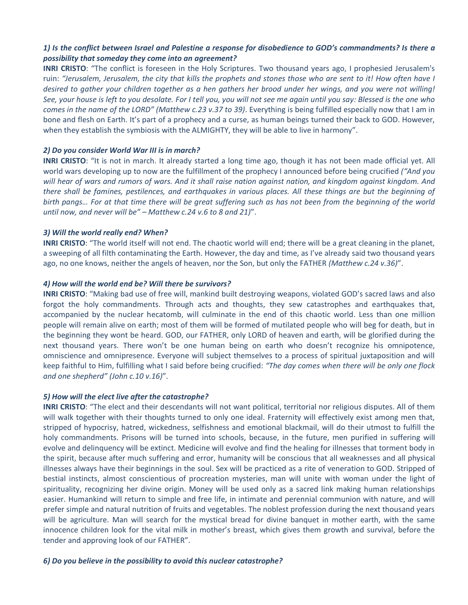# *1) Is the conflict between Israel and Palestine a response for disobedience to GOD's commandments? Is there a possibility that someday they come into an agreement?*

**INRI CRISTO**: "The conflict is foreseen in the Holy Scriptures. Two thousand years ago, I prophesied Jerusalem's ruin: *"Jerusalem, Jerusalem, the city that kills the prophets and stones those who are sent to it! How often have I desired to gather your children together as a hen gathers her brood under her wings, and you were not willing! See, your house is left to you desolate. For I tell you, you will not see me again until you say: Blessed is the one who comes in the name of the LORD" (Matthew c.23 v.37 to 39)*. Everything is being fulfilled especially now that I am in bone and flesh on Earth. It's part of a prophecy and a curse, as human beings turned their back to GOD. However, when they establish the symbiosis with the ALMIGHTY, they will be able to live in harmony".

## *2) Do you consider World War III is in march?*

**INRI CRISTO**: "It is not in march. It already started a long time ago, though it has not been made official yet. All world wars developing up to now are the fulfillment of the prophecy I announced before being crucified *("And you will hear of wars and rumors of wars. And it shall raise nation against nation, and kingdom against kingdom. And there shall be famines, pestilences, and earthquakes in various places. All these things are but the beginning of birth pangs… For at that time there will be great suffering such as has not been from the beginning of the world until now, and never will be" – Matthew c.24 v.6 to 8 and 21)*".

## *3) Will the world really end? When?*

**INRI CRISTO**: "The world itself will not end. The chaotic world will end; there will be a great cleaning in the planet, a sweeping of all filth contaminating the Earth. However, the day and time, as I've already said two thousand years ago, no one knows, neither the angels of heaven, nor the Son, but only the FATHER *(Matthew c.24 v.36)*".

## *4) How will the world end be? Will there be survivors?*

**INRI CRISTO**: "Making bad use of free will, mankind built destroying weapons, violated GOD's sacred laws and also forgot the holy commandments. Through acts and thoughts, they sew catastrophes and earthquakes that, accompanied by the nuclear hecatomb, will culminate in the end of this chaotic world. Less than one million people will remain alive on earth; most of them will be formed of mutilated people who will beg for death, but in the beginning they wont be heard. GOD, our FATHER, only LORD of heaven and earth, will be glorified during the next thousand years. There won't be one human being on earth who doesn't recognize his omnipotence, omniscience and omnipresence. Everyone will subject themselves to a process of spiritual juxtaposition and will keep faithful to Him, fulfilling what I said before being crucified: *"The day comes when there will be only one flock and one shepherd" (John c.10 v.16)*".

### *5) How will the elect live after the catastrophe?*

**INRI CRISTO**: "The elect and their descendants will not want political, territorial nor religious disputes. All of them will walk together with their thoughts turned to only one ideal. Fraternity will effectively exist among men that, stripped of hypocrisy, hatred, wickedness, selfishness and emotional blackmail, will do their utmost to fulfill the holy commandments. Prisons will be turned into schools, because, in the future, men purified in suffering will evolve and delinquency will be extinct. Medicine will evolve and find the healing for illnesses that torment body in the spirit, because after much suffering and error, humanity will be conscious that all weaknesses and all physical illnesses always have their beginnings in the soul. Sex will be practiced as a rite of veneration to GOD. Stripped of bestial instincts, almost conscientious of procreation mysteries, man will unite with woman under the light of spirituality, recognizing her divine origin. Money will be used only as a sacred link making human relationships easier. Humankind will return to simple and free life, in intimate and perennial communion with nature, and will prefer simple and natural nutrition of fruits and vegetables. The noblest profession during the next thousand years will be agriculture. Man will search for the mystical bread for divine banquet in mother earth, with the same innocence children look for the vital milk in mother's breast, which gives them growth and survival, before the tender and approving look of our FATHER".

### *6) Do you believe in the possibility to avoid this nuclear catastrophe?*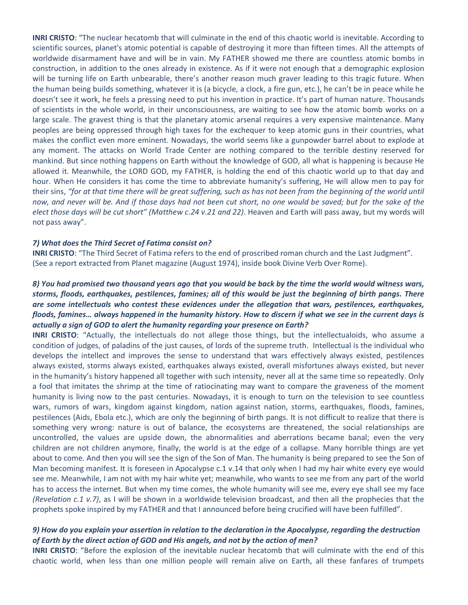**INRI CRISTO**: "The nuclear hecatomb that will culminate in the end of this chaotic world is inevitable. According to scientific sources, planet's atomic potential is capable of destroying it more than fifteen times. All the attempts of worldwide disarmament have and will be in vain. My FATHER showed me there are countless atomic bombs in construction, in addition to the ones already in existence. As if it were not enough that a demographic explosion will be turning life on Earth unbearable, there's another reason much graver leading to this tragic future. When the human being builds something, whatever it is (a bicycle, a clock, a fire gun, etc.), he can't be in peace while he doesn't see it work, he feels a pressing need to put his invention in practice. It's part of human nature. Thousands of scientists in the whole world, in their unconsciousness, are waiting to see how the atomic bomb works on a large scale. The gravest thing is that the planetary atomic arsenal requires a very expensive maintenance. Many peoples are being oppressed through high taxes for the exchequer to keep atomic guns in their countries, what makes the conflict even more eminent. Nowadays, the world seems like a gunpowder barrel about to explode at any moment. The attacks on World Trade Center are nothing compared to the terrible destiny reserved for mankind. But since nothing happens on Earth without the knowledge of GOD, all what is happening is because He allowed it. Meanwhile, the LORD GOD, my FATHER, is holding the end of this chaotic world up to that day and hour. When He considers it has come the time to abbreviate humanity's suffering, He will allow men to pay for their sins, *"for at that time there will be great suffering, such as has not been from the beginning of the world until*  now, and never will be. And if those days had not been cut short, no one would be saved; but for the sake of the *elect those days will be cut short" (Matthew c.24 v.21 and 22)*. Heaven and Earth will pass away, but my words will not pass away".

#### *7) What does the Third Secret of Fatima consist on?*

**INRI CRISTO**: "The Third Secret of Fatima refers to the end of proscribed roman church and the Last Judgment". (See a report extracted from Planet magazine (August 1974), inside book Divine Verb Over Rome).

# *8) You had promised two thousand years ago that you would be back by the time the world would witness wars, storms, floods, earthquakes, pestilences, famines; all of this would be just the beginning of birth pangs. There are some intellectuals who contest these evidences under the allegation that wars, pestilences, earthquakes, floods, famines… always happened in the humanity history. How to discern if what we see in the current days is actually a sign of GOD to alert the humanity regarding your presence on Earth?*

**INRI CRISTO**: "Actually, the intellectuals do not allege those things, but the intellectualoids, who assume a condition of judges, of paladins of the just causes, of lords of the supreme truth. Intellectual is the individual who develops the intellect and improves the sense to understand that wars effectively always existed, pestilences always existed, storms always existed, earthquakes always existed, overall misfortunes always existed, but never in the humanity's history happened all together with such intensity, never all at the same time so repeatedly. Only a fool that imitates the shrimp at the time of ratiocinating may want to compare the graveness of the moment humanity is living now to the past centuries. Nowadays, it is enough to turn on the television to see countless wars, rumors of wars, kingdom against kingdom, nation against nation, storms, earthquakes, floods, famines, pestilences (Aids, Ebola etc.), which are only the beginning of birth pangs. It is not difficult to realize that there is something very wrong: nature is out of balance, the ecosystems are threatened, the social relationships are uncontrolled, the values are upside down, the abnormalities and aberrations became banal; even the very children are not children anymore, finally, the world is at the edge of a collapse. Many horrible things are yet about to come. And then you will see the sign of the Son of Man. The humanity is being prepared to see the Son of Man becoming manifest. It is foreseen in Apocalypse c.1 v.14 that only when I had my hair white every eye would see me. Meanwhile, I am not with my hair white yet; meanwhile, who wants to see me from any part of the world has to access the internet. But when my time comes, the whole humanity will see me, every eye shall see my face *(Revelation c.1 v.7)*, as I will be shown in a worldwide television broadcast, and then all the prophecies that the prophets spoke inspired by my FATHER and that I announced before being crucified will have been fulfilled".

## *9) How do you explain your assertion in relation to the declaration in the Apocalypse, regarding the destruction of Earth by the direct action of GOD and His angels, and not by the action of men?*

**INRI CRISTO**: "Before the explosion of the inevitable nuclear hecatomb that will culminate with the end of this chaotic world, when less than one million people will remain alive on Earth, all these fanfares of trumpets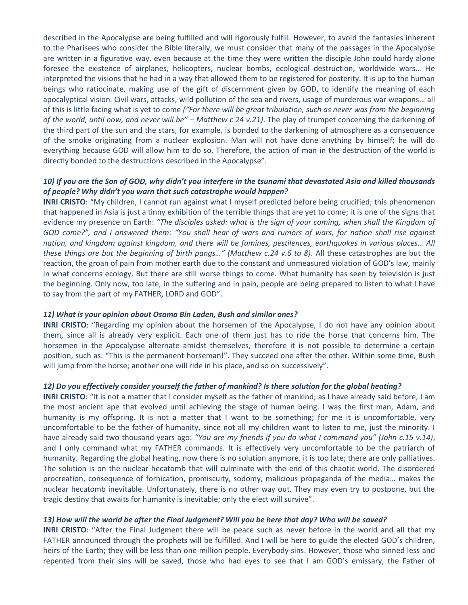described in the Apocalypse are being fulfilled and will rigorously fulfill. However, to avoid the fantasies inherent to the Pharisees who consider the Bible literally, we must consider that many of the passages in the Apocalypse are written in a figurative way, even because at the time they were written the disciple John could hardy alone foresee the existence of airplanes, helicopters, nuclear bombs, ecological destruction, worldwide wars… He interpreted the visions that he had in a way that allowed them to be registered for posterity. It is up to the human beings who ratiocinate, making use of the gift of discernment given by GOD, to identify the meaning of each apocalyptical vision. Civil wars, attacks, wild pollution of the sea and rivers, usage of murderous war weapons… all of this is little facing what is yet to come *("For there will be great tribulation, such as never was from the beginning of the world, until now, and never will be" – Matthew c.24 v.21)*. The play of trumpet concerning the darkening of the third part of the sun and the stars, for example, is bonded to the darkening of atmosphere as a consequence of the smoke originating from a nuclear explosion. Man will not have done anything by himself; he will do everything because GOD will allow him to do so. Therefore, the action of man in the destruction of the world is directly bonded to the destructions described in the Apocalypse".

## *10) If you are the Son of GOD, why didn't you interfere in the tsunami that devastated Asia and killed thousands of people? Why didn't you warn that such catastrophe would happen?*

**INRI CRISTO**: "My children, I cannot run against what I myself predicted before being crucified; this phenomenon that happened in Asia is just a tinny exhibition of the terrible things that are yet to come; it is one of the signs that evidence my presence on Earth: *"The disciples asked: what is the sign of your coming, when shall the Kingdom of GOD come?", and I answered them: "You shall hear of wars and rumors of wars, for nation shall rise against nation, and kingdom against kingdom, and there will be famines, pestilences, earthquakes in various places… All these things are but the beginning of birth pangs…" (Matthew c.24 v.6 to 8)*. All these catastrophes are but the reaction, the groan of pain from mother earth due to the constant and unmeasured violation of GOD's law, mainly in what concerns ecology. But there are still worse things to come. What humanity has seen by television is just the beginning. Only now, too late, in the suffering and in pain, people are being prepared to listen to what I have to say from the part of my FATHER, LORD and GOD".

### *11) What is your opinion about Osama Bin Laden, Bush and similar ones?*

**INRI CRISTO**: "Regarding my opinion about the horsemen of the Apocalypse, I do not have any opinion about them, since all is already very explicit. Each one of them just has to ride the horse that concerns him. The horsemen in the Apocalypse alternate amidst themselves, therefore it is not possible to determine a certain position, such as: "This is the permanent horseman!". They succeed one after the other. Within some time, Bush will jump from the horse; another one will ride in his place, and so on successively".

#### *12) Do you effectively consider yourself the father of mankind? Is there solution for the global heating?*

**INRI CRISTO**: "It is not a matter that I consider myself as the father of mankind; as I have already said before, I am the most ancient ape that evolved until achieving the stage of human being. I was the first man, Adam, and humanity is my offspring. It is not a matter that I want to be something; for me it is uncomfortable, very uncomfortable to be the father of humanity, since not all my children want to listen to me, just the minority. I have already said two thousand years ago: *"You are my friends if you do what I command you" (John c.15 v.14)*, and I only command what my FATHER commands. It is effectively very uncomfortable to be the patriarch of humanity. Regarding the global heating, now there is no solution anymore, it is too late; there are only palliatives. The solution is on the nuclear hecatomb that will culminate with the end of this chaotic world. The disordered procreation, consequence of fornication, promiscuity, sodomy, malicious propaganda of the media… makes the nuclear hecatomb inevitable. Unfortunately, there is no other way out. They may even try to postpone, but the tragic destiny that awaits for humanity is inevitable; only the elect will survive".

#### *13) How will the world be after the Final Judgment? Will you be here that day? Who will be saved?*

**INRI CRISTO**: "After the Final Judgment there will be peace such as never before in the world and all that my FATHER announced through the prophets will be fulfilled. And I will be here to guide the elected GOD's children, heirs of the Earth; they will be less than one million people. Everybody sins. However, those who sinned less and repented from their sins will be saved, those who had eyes to see that I am GOD's emissary, the Father of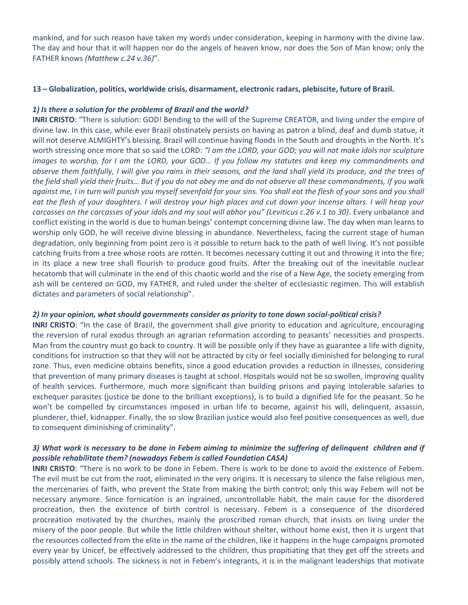mankind, and for such reason have taken my words under consideration, keeping in harmony with the divine law. The day and hour that it will happen nor do the angels of heaven know, nor does the Son of Man know; only the FATHER knows *(Matthew c.24 v.36)*".

## **13 – Globalization, politics, worldwide crisis, disarmament, electronic radars, plebiscite, future of Brazil.**

## *1) Is there a solution for the problems of Brazil and the world?*

**INRI CRISTO**: "There is solution: GOD! Bending to the will of the Supreme CREATOR, and living under the empire of divine law. In this case, while ever Brazil obstinately persists on having as patron a blind, deaf and dumb statue, it will not deserve ALMIGHTY's blessing. Brazil will continue having floods in the South and droughts in the North. It's worth stressing once more that so said the LORD: *"I am the LORD, your GOD; you will not make idols nor sculpture images to worship, for I am the LORD, your GOD… If you follow my statutes and keep my commandments and observe them faithfully, I will give you rains in their seasons, and the land shall yield its produce, and the trees of the field shall yield their fruits… But if you do not obey me and do not observe all these commandments, if you walk against me, I in turn will punish you myself sevenfold for your sins. You shall eat the flesh of your sons and you shall*  eat the flesh of your daughters. I will destroy your high places and cut down your incense altars. I will heap your *carcasses on the carcasses of your idols and my soul will abhor you" (Leviticus c.26 v.1 to 30)*. Every unbalance and conflict existing in the world is due to human beings' contempt concerning divine law. The day when man learns to worship only GOD, he will receive divine blessing in abundance. Nevertheless, facing the current stage of human degradation, only beginning from point zero is it possible to return back to the path of well living. It's not possible catching fruits from a tree whose roots are rotten. It becomes necessary cutting it out and throwing it into the fire; in its place a new tree shall flourish to produce good fruits. After the breaking out of the inevitable nuclear hecatomb that will culminate in the end of this chaotic world and the rise of a New Age, the society emerging from ash will be centered on GOD, my FATHER, and ruled under the shelter of ecclesiastic regimen. This will establish dictates and parameters of social relationship".

## *2) In your opinion, what should governments consider as priority to tone down social-political crisis?*

**INRI CRISTO**: "In the case of Brazil, the government shall give priority to education and agriculture, encouraging the reversion of rural exodus through an agrarian reformation according to peasants' necessities and prospects. Man from the country must go back to country. It will be possible only if they have as guarantee a life with dignity, conditions for instruction so that they will not be attracted by city or feel socially diminished for belonging to rural zone. Thus, even medicine obtains benefits, since a good education provides a reduction in illnesses, considering that prevention of many primary diseases is taught at school. Hospitals would not be so swollen, improving quality of health services. Furthermore, much more significant than building prisons and paying intolerable salaries to exchequer parasites (justice be done to the brilliant exceptions), is to build a dignified life for the peasant. So he won't be compelled by circumstances imposed in urban life to become, against his will, delinquent, assassin, plunderer, thief, kidnapper. Finally, the so slow Brazilian justice would also feel positive consequences as well, due to consequent diminishing of criminality".

# *3) What work is necessary to be done in Febem aiming to minimize the suffering of delinquent children and if possible rehabilitate them? (nowadays Febem is called Foundation CASA)*

**INRI CRISTO**: "There is no work to be done in Febem. There is work to be done to avoid the existence of Febem. The evil must be cut from the root, eliminated in the very origins. It is necessary to silence the false religious men, the mercenaries of faith, who prevent the State from making the birth control; only this way Febem will not be necessary anymore. Since fornication is an ingrained, uncontrollable habit, the main cause for the disordered procreation, then the existence of birth control is necessary. Febem is a consequence of the disordered procreation motivated by the churches, mainly the proscribed roman church, that insists on living under the misery of the poor people. But while the little children without shelter, without home exist, then it is urgent that the resources collected from the elite in the name of the children, like it happens in the huge campaigns promoted every year by Unicef, be effectively addressed to the children, thus propitiating that they get off the streets and possibly attend schools. The sickness is not in Febem's integrants, it is in the malignant leaderships that motivate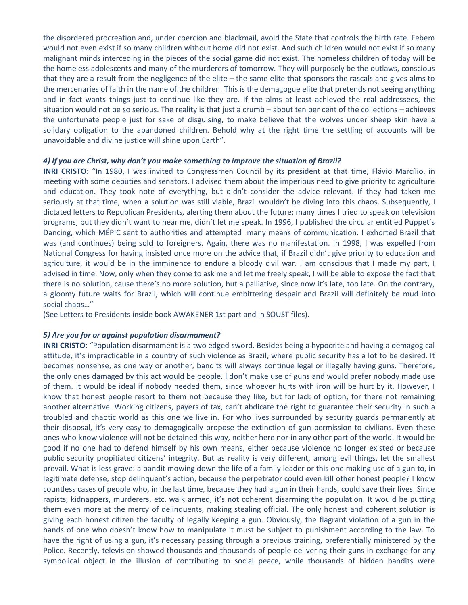the disordered procreation and, under coercion and blackmail, avoid the State that controls the birth rate. Febem would not even exist if so many children without home did not exist. And such children would not exist if so many malignant minds interceding in the pieces of the social game did not exist. The homeless children of today will be the homeless adolescents and many of the murderers of tomorrow. They will purposely be the outlaws, conscious that they are a result from the negligence of the elite – the same elite that sponsors the rascals and gives alms to the mercenaries of faith in the name of the children. This is the demagogue elite that pretends not seeing anything and in fact wants things just to continue like they are. If the alms at least achieved the real addressees, the situation would not be so serious. The reality is that just a crumb – about ten per cent of the collections – achieves the unfortunate people just for sake of disguising, to make believe that the wolves under sheep skin have a solidary obligation to the abandoned children. Behold why at the right time the settling of accounts will be unavoidable and divine justice will shine upon Earth".

#### *4) If you are Christ, why don't you make something to improve the situation of Brazil?*

**INRI CRISTO**: "In 1980, I was invited to Congressmen Council by its president at that time, Flávio Marcílio, in meeting with some deputies and senators. I advised them about the imperious need to give priority to agriculture and education. They took note of everything, but didn't consider the advice relevant. If they had taken me seriously at that time, when a solution was still viable, Brazil wouldn't be diving into this chaos. Subsequently, I dictated letters to Republican Presidents, alerting them about the future; many times I tried to speak on television programs, but they didn't want to hear me, didn't let me speak. In 1996, I published the circular entitled Puppet's Dancing, which MÉPIC sent to authorities and attempted many means of communication. I exhorted Brazil that was (and continues) being sold to foreigners. Again, there was no manifestation. In 1998, I was expelled from National Congress for having insisted once more on the advice that, if Brazil didn't give priority to education and agriculture, it would be in the imminence to endure a bloody civil war. I am conscious that I made my part, I advised in time. Now, only when they come to ask me and let me freely speak, I will be able to expose the fact that there is no solution, cause there's no more solution, but a palliative, since now it's late, too late. On the contrary, a gloomy future waits for Brazil, which will continue embittering despair and Brazil will definitely be mud into social chaos…"

(See Letters to Presidents inside book AWAKENER 1st part and in SOUST files).

### *5) Are you for or against population disarmament?*

**INRI CRISTO**: "Population disarmament is a two edged sword. Besides being a hypocrite and having a demagogical attitude, it's impracticable in a country of such violence as Brazil, where public security has a lot to be desired. It becomes nonsense, as one way or another, bandits will always continue legal or illegally having guns. Therefore, the only ones damaged by this act would be people. I don't make use of guns and would prefer nobody made use of them. It would be ideal if nobody needed them, since whoever hurts with iron will be hurt by it. However, I know that honest people resort to them not because they like, but for lack of option, for there not remaining another alternative. Working citizens, payers of tax, can't abdicate the right to guarantee their security in such a troubled and chaotic world as this one we live in. For who lives surrounded by security guards permanently at their disposal, it's very easy to demagogically propose the extinction of gun permission to civilians. Even these ones who know violence will not be detained this way, neither here nor in any other part of the world. It would be good if no one had to defend himself by his own means, either because violence no longer existed or because public security propitiated citizens' integrity. But as reality is very different, among evil things, let the smallest prevail. What is less grave: a bandit mowing down the life of a family leader or this one making use of a gun to, in legitimate defense, stop delinquent's action, because the perpetrator could even kill other honest people? I know countless cases of people who, in the last time, because they had a gun in their hands, could save their lives. Since rapists, kidnappers, murderers, etc. walk armed, it's not coherent disarming the population. It would be putting them even more at the mercy of delinquents, making stealing official. The only honest and coherent solution is giving each honest citizen the faculty of legally keeping a gun. Obviously, the flagrant violation of a gun in the hands of one who doesn't know how to manipulate it must be subject to punishment according to the law. To have the right of using a gun, it's necessary passing through a previous training, preferentially ministered by the Police. Recently, television showed thousands and thousands of people delivering their guns in exchange for any symbolical object in the illusion of contributing to social peace, while thousands of hidden bandits were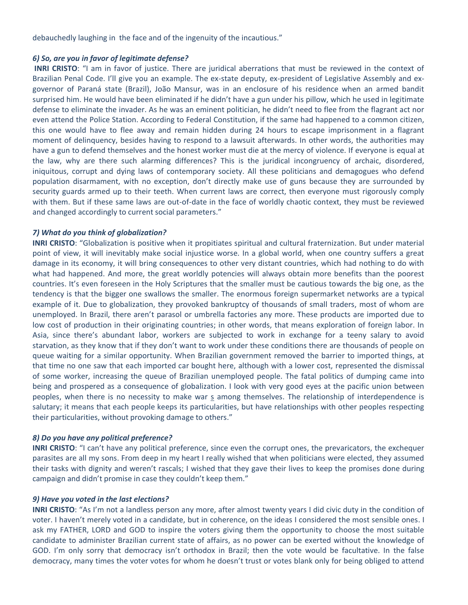debauchedly laughing in the face and of the ingenuity of the incautious."

## *6) So, are you in favor of legitimate defense?*

**INRI CRISTO**: "I am in favor of justice. There are juridical aberrations that must be reviewed in the context of Brazilian Penal Code. I'll give you an example. The ex-state deputy, ex-president of Legislative Assembly and exgovernor of Paraná state (Brazil), João Mansur, was in an enclosure of his residence when an armed bandit surprised him. He would have been eliminated if he didn't have a gun under his pillow, which he used in legitimate defense to eliminate the invader. As he was an eminent politician, he didn't need to flee from the flagrant act nor even attend the Police Station. According to Federal Constitution, if the same had happened to a common citizen, this one would have to flee away and remain hidden during 24 hours to escape imprisonment in a flagrant moment of delinquency, besides having to respond to a lawsuit afterwards. In other words, the authorities may have a gun to defend themselves and the honest worker must die at the mercy of violence. If everyone is equal at the law, why are there such alarming differences? This is the juridical incongruency of archaic, disordered, iniquitous, corrupt and dying laws of contemporary society. All these politicians and demagogues who defend population disarmament, with no exception, don't directly make use of guns because they are surrounded by security guards armed up to their teeth. When current laws are correct, then everyone must rigorously comply with them. But if these same laws are out-of-date in the face of worldly chaotic context, they must be reviewed and changed accordingly to current social parameters."

## *7) What do you think of globalization?*

**INRI CRISTO**: "Globalization is positive when it propitiates spiritual and cultural fraternization. But under material point of view, it will inevitably make social injustice worse. In a global world, when one country suffers a great damage in its economy, it will bring consequences to other very distant countries, which had nothing to do with what had happened. And more, the great worldly potencies will always obtain more benefits than the poorest countries. It's even foreseen in the Holy Scriptures that the smaller must be cautious towards the big one, as the tendency is that the bigger one swallows the smaller. The enormous foreign supermarket networks are a typical example of it. Due to globalization, they provoked bankruptcy of thousands of small traders, most of whom are unemployed. In Brazil, there aren't parasol or umbrella factories any more. These products are imported due to low cost of production in their originating countries; in other words, that means exploration of foreign labor. In Asia, since there's abundant labor, workers are subjected to work in exchange for a teeny salary to avoid starvation, as they know that if they don't want to work under these conditions there are thousands of people on queue waiting for a similar opportunity. When Brazilian government removed the barrier to imported things, at that time no one saw that each imported car bought here, although with a lower cost, represented the dismissal of some worker, increasing the queue of Brazilian unemployed people. The fatal politics of dumping came into being and prospered as a consequence of globalization. I look with very good eyes at the pacific union between peoples, when there is no necessity to make war s among themselves. The relationship of interdependence is salutary; it means that each people keeps its particularities, but have relationships with other peoples respecting their particularities, without provoking damage to others."

### *8) Do you have any political preference?*

**INRI CRISTO**: "I can't have any political preference, since even the corrupt ones, the prevaricators, the exchequer parasites are all my sons. From deep in my heart I really wished that when politicians were elected, they assumed their tasks with dignity and weren't rascals; I wished that they gave their lives to keep the promises done during campaign and didn't promise in case they couldn't keep them."

### *9) Have you voted in the last elections?*

**INRI CRISTO**: "As I'm not a landless person any more, after almost twenty years I did civic duty in the condition of voter. I haven't merely voted in a candidate, but in coherence, on the ideas I considered the most sensible ones. I ask my FATHER, LORD and GOD to inspire the voters giving them the opportunity to choose the most suitable candidate to administer Brazilian current state of affairs, as no power can be exerted without the knowledge of GOD. I'm only sorry that democracy isn't orthodox in Brazil; then the vote would be facultative. In the false democracy, many times the voter votes for whom he doesn't trust or votes blank only for being obliged to attend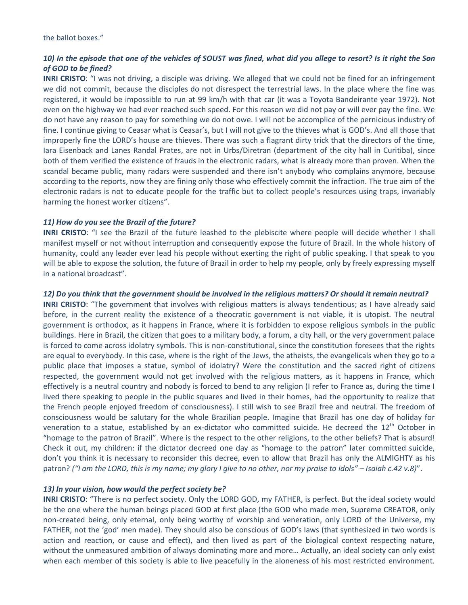# *10) In the episode that one of the vehicles of SOUST was fined, what did you allege to resort? Is it right the Son of GOD to be fined?*

**INRI CRISTO**: "I was not driving, a disciple was driving. We alleged that we could not be fined for an infringement we did not commit, because the disciples do not disrespect the terrestrial laws. In the place where the fine was registered, it would be impossible to run at 99 km/h with that car (it was a Toyota Bandeirante year 1972). Not even on the highway we had ever reached such speed. For this reason we did not pay or will ever pay the fine. We do not have any reason to pay for something we do not owe. I will not be accomplice of the pernicious industry of fine. I continue giving to Ceasar what is Ceasar's, but I will not give to the thieves what is GOD's. And all those that improperly fine the LORD's house are thieves. There was such a flagrant dirty trick that the directors of the time, Iara Eisenback and Lanes Randal Prates, are not in Urbs/Diretran (department of the city hall in Curitiba), since both of them verified the existence of frauds in the electronic radars, what is already more than proven. When the scandal became public, many radars were suspended and there isn't anybody who complains anymore, because according to the reports, now they are fining only those who effectively commit the infraction. The true aim of the electronic radars is not to educate people for the traffic but to collect people's resources using traps, invariably harming the honest worker citizens".

# *11) How do you see the Brazil of the future?*

**INRI CRISTO**: "I see the Brazil of the future leashed to the plebiscite where people will decide whether I shall manifest myself or not without interruption and consequently expose the future of Brazil. In the whole history of humanity, could any leader ever lead his people without exerting the right of public speaking. I that speak to you will be able to expose the solution, the future of Brazil in order to help my people, only by freely expressing myself in a national broadcast".

### *12) Do you think that the government should be involved in the religious matters? Or should it remain neutral?*

**INRI CRISTO**: "The government that involves with religious matters is always tendentious; as I have already said before, in the current reality the existence of a theocratic government is not viable, it is utopist. The neutral government is orthodox, as it happens in France, where it is forbidden to expose religious symbols in the public buildings. Here in Brazil, the citizen that goes to a military body, a forum, a city hall, or the very government palace is forced to come across idolatry symbols. This is non-constitutional, since the constitution foresees that the rights are equal to everybody. In this case, where is the right of the Jews, the atheists, the evangelicals when they go to a public place that imposes a statue, symbol of idolatry? Were the constitution and the sacred right of citizens respected, the government would not get involved with the religious matters, as it happens in France, which effectively is a neutral country and nobody is forced to bend to any religion (I refer to France as, during the time I lived there speaking to people in the public squares and lived in their homes, had the opportunity to realize that the French people enjoyed freedom of consciousness). I still wish to see Brazil free and neutral. The freedom of consciousness would be salutary for the whole Brazilian people. Imagine that Brazil has one day of holiday for veneration to a statue, established by an ex-dictator who committed suicide. He decreed the 12<sup>th</sup> October in "homage to the patron of Brazil". Where is the respect to the other religions, to the other beliefs? That is absurd! Check it out, my children: if the dictator decreed one day as "homage to the patron" later committed suicide, don't you think it is necessary to reconsider this decree, even to allow that Brazil has only the ALMIGHTY as his patron? *("I am the LORD, this is my name; my glory I give to no other, nor my praise to idols" – Isaiah c.42 v.8)*".

# *13) In your vision, how would the perfect society be?*

**INRI CRISTO**: "There is no perfect society. Only the LORD GOD, my FATHER, is perfect. But the ideal society would be the one where the human beings placed GOD at first place (the GOD who made men, Supreme CREATOR, only non-created being, only eternal, only being worthy of worship and veneration, only LORD of the Universe, my FATHER, not the 'god' men made). They should also be conscious of GOD's laws (that synthesized in two words is action and reaction, or cause and effect), and then lived as part of the biological context respecting nature, without the unmeasured ambition of always dominating more and more… Actually, an ideal society can only exist when each member of this society is able to live peacefully in the aloneness of his most restricted environment.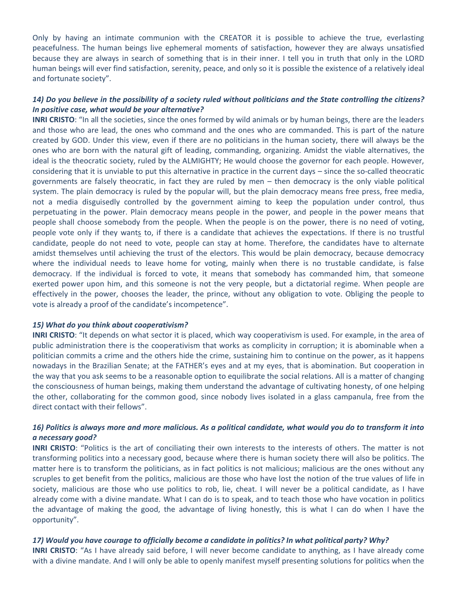Only by having an intimate communion with the CREATOR it is possible to achieve the true, everlasting peacefulness. The human beings live ephemeral moments of satisfaction, however they are always unsatisfied because they are always in search of something that is in their inner. I tell you in truth that only in the LORD human beings will ever find satisfaction, serenity, peace, and only so it is possible the existence of a relatively ideal and fortunate society".

# *14) Do you believe in the possibility of a society ruled without politicians and the State controlling the citizens? In positive case, what would be your alternative?*

**INRI CRISTO**: "In all the societies, since the ones formed by wild animals or by human beings, there are the leaders and those who are lead, the ones who command and the ones who are commanded. This is part of the nature created by GOD. Under this view, even if there are no politicians in the human society, there will always be the ones who are born with the natural gift of leading, commanding, organizing. Amidst the viable alternatives, the ideal is the theocratic society, ruled by the ALMIGHTY; He would choose the governor for each people. However, considering that it is unviable to put this alternative in practice in the current days – since the so-called theocratic governments are falsely theocratic, in fact they are ruled by men – then democracy is the only viable political system. The plain democracy is ruled by the popular will, but the plain democracy means free press, free media, not a media disguisedly controlled by the government aiming to keep the population under control, thus perpetuating in the power. Plain democracy means people in the power, and people in the power means that people shall choose somebody from the people. When the people is on the power, there is no need of voting, people vote only if they wants to, if there is a candidate that achieves the expectations. If there is no trustful candidate, people do not need to vote, people can stay at home. Therefore, the candidates have to alternate amidst themselves until achieving the trust of the electors. This would be plain democracy, because democracy where the individual needs to leave home for voting, mainly when there is no trustable candidate, is false democracy. If the individual is forced to vote, it means that somebody has commanded him, that someone exerted power upon him, and this someone is not the very people, but a dictatorial regime. When people are effectively in the power, chooses the leader, the prince, without any obligation to vote. Obliging the people to vote is already a proof of the candidate's incompetence".

#### *15) What do you think about cooperativism?*

**INRI CRISTO**: "It depends on what sector it is placed, which way cooperativism is used. For example, in the area of public administration there is the cooperativism that works as complicity in corruption; it is abominable when a politician commits a crime and the others hide the crime, sustaining him to continue on the power, as it happens nowadays in the Brazilian Senate; at the FATHER's eyes and at my eyes, that is abomination. But cooperation in the way that you ask seems to be a reasonable option to equilibrate the social relations. All is a matter of changing the consciousness of human beings, making them understand the advantage of cultivating honesty, of one helping the other, collaborating for the common good, since nobody lives isolated in a glass campanula, free from the direct contact with their fellows".

# *16) Politics is always more and more malicious. As a political candidate, what would you do to transform it into a necessary good?*

**INRI CRISTO**: "Politics is the art of conciliating their own interests to the interests of others. The matter is not transforming politics into a necessary good, because where there is human society there will also be politics. The matter here is to transform the politicians, as in fact politics is not malicious; malicious are the ones without any scruples to get benefit from the politics, malicious are those who have lost the notion of the true values of life in society, malicious are those who use politics to rob, lie, cheat. I will never be a political candidate, as I have already come with a divine mandate. What I can do is to speak, and to teach those who have vocation in politics the advantage of making the good, the advantage of living honestly, this is what I can do when I have the opportunity".

#### *17) Would you have courage to officially become a candidate in politics? In what political party? Why?*

**INRI CRISTO**: "As I have already said before, I will never become candidate to anything, as I have already come with a divine mandate. And I will only be able to openly manifest myself presenting solutions for politics when the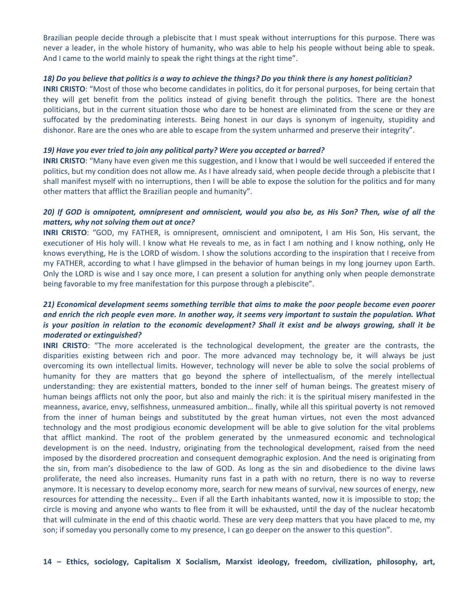Brazilian people decide through a plebiscite that I must speak without interruptions for this purpose. There was never a leader, in the whole history of humanity, who was able to help his people without being able to speak. And I came to the world mainly to speak the right things at the right time".

#### *18) Do you believe that politics is a way to achieve the things? Do you think there is any honest politician?*

**INRI CRISTO**: "Most of those who become candidates in politics, do it for personal purposes, for being certain that they will get benefit from the politics instead of giving benefit through the politics. There are the honest politicians, but in the current situation those who dare to be honest are eliminated from the scene or they are suffocated by the predominating interests. Being honest in our days is synonym of ingenuity, stupidity and dishonor. Rare are the ones who are able to escape from the system unharmed and preserve their integrity".

#### *19) Have you ever tried to join any political party? Were you accepted or barred?*

**INRI CRISTO**: "Many have even given me this suggestion, and I know that I would be well succeeded if entered the politics, but my condition does not allow me. As I have already said, when people decide through a plebiscite that I shall manifest myself with no interruptions, then I will be able to expose the solution for the politics and for many other matters that afflict the Brazilian people and humanity".

# *20) If GOD is omnipotent, omnipresent and omniscient, would you also be, as His Son? Then, wise of all the matters, why not solving them out at once?*

**INRI CRISTO**: "GOD, my FATHER, is omnipresent, omniscient and omnipotent, I am His Son, His servant, the executioner of His holy will. I know what He reveals to me, as in fact I am nothing and I know nothing, only He knows everything, He is the LORD of wisdom. I show the solutions according to the inspiration that I receive from my FATHER, according to what I have glimpsed in the behavior of human beings in my long journey upon Earth. Only the LORD is wise and I say once more, I can present a solution for anything only when people demonstrate being favorable to my free manifestation for this purpose through a plebiscite".

# *21) Economical development seems something terrible that aims to make the poor people become even poorer and enrich the rich people even more. In another way, it seems very important to sustain the population. What is your position in relation to the economic development? Shall it exist and be always growing, shall it be moderated or extinguished?*

**INRI CRISTO**: "The more accelerated is the technological development, the greater are the contrasts, the disparities existing between rich and poor. The more advanced may technology be, it will always be just overcoming its own intellectual limits. However, technology will never be able to solve the social problems of humanity for they are matters that go beyond the sphere of intellectualism, of the merely intellectual understanding: they are existential matters, bonded to the inner self of human beings. The greatest misery of human beings afflicts not only the poor, but also and mainly the rich: it is the spiritual misery manifested in the meanness, avarice, envy, selfishness, unmeasured ambition… finally, while all this spiritual poverty is not removed from the inner of human beings and substituted by the great human virtues, not even the most advanced technology and the most prodigious economic development will be able to give solution for the vital problems that afflict mankind. The root of the problem generated by the unmeasured economic and technological development is on the need. Industry, originating from the technological development, raised from the need imposed by the disordered procreation and consequent demographic explosion. And the need is originating from the sin, from man's disobedience to the law of GOD. As long as the sin and disobedience to the divine laws proliferate, the need also increases. Humanity runs fast in a path with no return, there is no way to reverse anymore. It is necessary to develop economy more, search for new means of survival, new sources of energy, new resources for attending the necessity… Even if all the Earth inhabitants wanted, now it is impossible to stop; the circle is moving and anyone who wants to flee from it will be exhausted, until the day of the nuclear hecatomb that will culminate in the end of this chaotic world. These are very deep matters that you have placed to me, my son; if someday you personally come to my presence, I can go deeper on the answer to this question".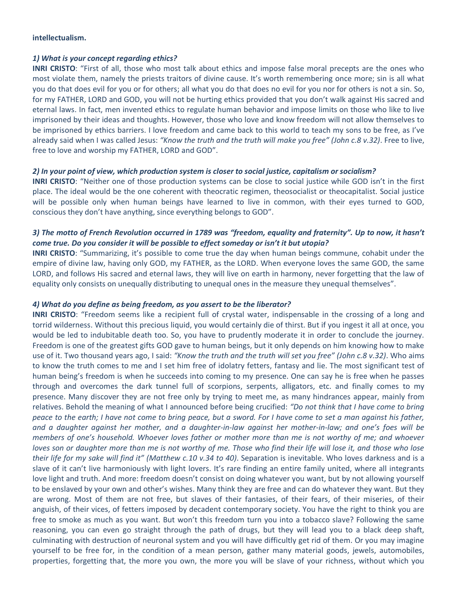#### **intellectualism.**

#### *1) What is your concept regarding ethics?*

**INRI CRISTO**: "First of all, those who most talk about ethics and impose false moral precepts are the ones who most violate them, namely the priests traitors of divine cause. It's worth remembering once more; sin is all what you do that does evil for you or for others; all what you do that does no evil for you nor for others is not a sin. So, for my FATHER, LORD and GOD, you will not be hurting ethics provided that you don't walk against His sacred and eternal laws. In fact, men invented ethics to regulate human behavior and impose limits on those who like to live imprisoned by their ideas and thoughts. However, those who love and know freedom will not allow themselves to be imprisoned by ethics barriers. I love freedom and came back to this world to teach my sons to be free, as I've already said when I was called Jesus: *"Know the truth and the truth will make you free" (John c.8 v.32)*. Free to live, free to love and worship my FATHER, LORD and GOD".

#### *2) In your point of view, which production system is closer to social justice, capitalism or socialism?*

**INRI CRISTO**: "Neither one of those production systems can be close to social justice while GOD isn't in the first place. The ideal would be the one coherent with theocratic regimen, theosocialist or theocapitalist. Social justice will be possible only when human beings have learned to live in common, with their eyes turned to GOD, conscious they don't have anything, since everything belongs to GOD".

# *3) The motto of French Revolution occurred in 1789 was "freedom, equality and fraternity". Up to now, it hasn't come true. Do you consider it will be possible to effect someday or isn't it but utopia?*

**INRI CRISTO**: "Summarizing, it's possible to come true the day when human beings commune, cohabit under the empire of divine law, having only GOD, my FATHER, as the LORD. When everyone loves the same GOD, the same LORD, and follows His sacred and eternal laws, they will live on earth in harmony, never forgetting that the law of equality only consists on unequally distributing to unequal ones in the measure they unequal themselves".

#### *4) What do you define as being freedom, as you assert to be the liberator?*

**INRI CRISTO**: "Freedom seems like a recipient full of crystal water, indispensable in the crossing of a long and torrid wilderness. Without this precious liquid, you would certainly die of thirst. But if you ingest it all at once, you would be led to indubitable death too. So, you have to prudently moderate it in order to conclude the journey. Freedom is one of the greatest gifts GOD gave to human beings, but it only depends on him knowing how to make use of it. Two thousand years ago, I said: *"Know the truth and the truth will set you free" (John c.8 v.32)*. Who aims to know the truth comes to me and I set him free of idolatry fetters, fantasy and lie. The most significant test of human being's freedom is when he succeeds into coming to my presence. One can say he is free when he passes through and overcomes the dark tunnel full of scorpions, serpents, alligators, etc. and finally comes to my presence. Many discover they are not free only by trying to meet me, as many hindrances appear, mainly from relatives. Behold the meaning of what I announced before being crucified: *"Do not think that I have come to bring peace to the earth; I have not come to bring peace, but a sword. For I have come to set a man against his father, and a daughter against her mother, and a daughter-in-law against her mother-in-law; and one's foes will be members of one's household. Whoever loves father or mother more than me is not worthy of me; and whoever loves son or daughter more than me is not worthy of me. Those who find their life will lose it, and those who lose their life for my sake will find it" (Matthew c.10 v.34 to 40)*. Separation is inevitable. Who loves darkness and is a slave of it can't live harmoniously with light lovers. It's rare finding an entire family united, where all integrants love light and truth. And more: freedom doesn't consist on doing whatever you want, but by not allowing yourself to be enslaved by your own and other's wishes. Many think they are free and can do whatever they want. But they are wrong. Most of them are not free, but slaves of their fantasies, of their fears, of their miseries, of their anguish, of their vices, of fetters imposed by decadent contemporary society. You have the right to think you are free to smoke as much as you want. But won't this freedom turn you into a tobacco slave? Following the same reasoning, you can even go straight through the path of drugs, but they will lead you to a black deep shaft, culminating with destruction of neuronal system and you will have difficultly get rid of them. Or you may imagine yourself to be free for, in the condition of a mean person, gather many material goods, jewels, automobiles, properties, forgetting that, the more you own, the more you will be slave of your richness, without which you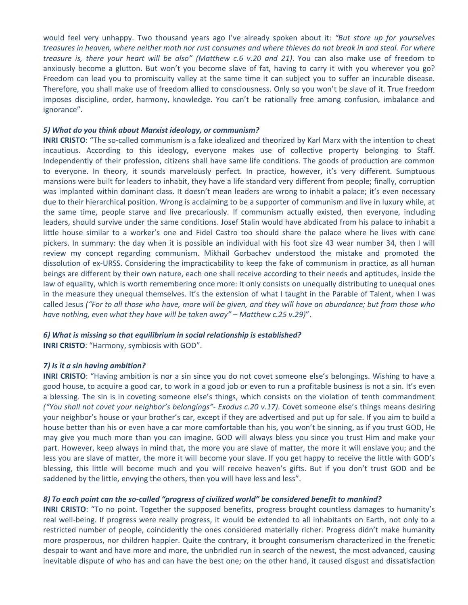would feel very unhappy. Two thousand years ago I've already spoken about it: *"But store up for yourselves treasures in heaven, where neither moth nor rust consumes and where thieves do not break in and steal. For where treasure is, there your heart will be also" (Matthew c.6 v.20 and 21)*. You can also make use of freedom to anxiously become a glutton. But won't you become slave of fat, having to carry it with you wherever you go? Freedom can lead you to promiscuity valley at the same time it can subject you to suffer an incurable disease. Therefore, you shall make use of freedom allied to consciousness. Only so you won't be slave of it. True freedom imposes discipline, order, harmony, knowledge. You can't be rationally free among confusion, imbalance and ignorance".

#### *5) What do you think about Marxist ideology, or communism?*

**INRI CRISTO**: "The so-called communism is a fake idealized and theorized by Karl Marx with the intention to cheat incautious. According to this ideology, everyone makes use of collective property belonging to Staff. Independently of their profession, citizens shall have same life conditions. The goods of production are common to everyone. In theory, it sounds marvelously perfect. In practice, however, it's very different. Sumptuous mansions were built for leaders to inhabit, they have a life standard very different from people; finally, corruption was implanted within dominant class. It doesn't mean leaders are wrong to inhabit a palace; it's even necessary due to their hierarchical position. Wrong is acclaiming to be a supporter of communism and live in luxury while, at the same time, people starve and live precariously. If communism actually existed, then everyone, including leaders, should survive under the same conditions. Josef Stalin would have abdicated from his palace to inhabit a little house similar to a worker's one and Fidel Castro too should share the palace where he lives with cane pickers. In summary: the day when it is possible an individual with his foot size 43 wear number 34, then I will review my concept regarding communism. Mikhail Gorbachev understood the mistake and promoted the dissolution of ex-URSS. Considering the impracticability to keep the fake of communism in practice, as all human beings are different by their own nature, each one shall receive according to their needs and aptitudes, inside the law of equality, which is worth remembering once more: it only consists on unequally distributing to unequal ones in the measure they unequal themselves. It's the extension of what I taught in the Parable of Talent, when I was called Jesus *("For to all those who have, more will be given, and they will have an abundance; but from those who have nothing, even what they have will be taken away" – Matthew c.25 v.29)*".

#### *6) What is missing so that equilibrium in social relationship is established?* **INRI CRISTO**: "Harmony, symbiosis with GOD".

#### *7) Is it a sin having ambition?*

**INRI CRISTO**: "Having ambition is nor a sin since you do not covet someone else's belongings. Wishing to have a good house, to acquire a good car, to work in a good job or even to run a profitable business is not a sin. It's even a blessing. The sin is in coveting someone else's things, which consists on the violation of tenth commandment *("You shall not covet your neighbor's belongings"- Exodus c.20 v.17)*. Covet someone else's things means desiring your neighbor's house or your brother's car, except if they are advertised and put up for sale. If you aim to build a house better than his or even have a car more comfortable than his, you won't be sinning, as if you trust GOD, He may give you much more than you can imagine. GOD will always bless you since you trust Him and make your part. However, keep always in mind that, the more you are slave of matter, the more it will enslave you; and the less you are slave of matter, the more it will become your slave. If you get happy to receive the little with GOD's blessing, this little will become much and you will receive heaven's gifts. But if you don't trust GOD and be saddened by the little, envying the others, then you will have less and less".

### *8) To each point can the so-called "progress of civilized world" be considered benefit to mankind?*

**INRI CRISTO**: "To no point. Together the supposed benefits, progress brought countless damages to humanity's real well-being. If progress were really progress, it would be extended to all inhabitants on Earth, not only to a restricted number of people, coincidently the ones considered materially richer. Progress didn't make humanity more prosperous, nor children happier. Quite the contrary, it brought consumerism characterized in the frenetic despair to want and have more and more, the unbridled run in search of the newest, the most advanced, causing inevitable dispute of who has and can have the best one; on the other hand, it caused disgust and dissatisfaction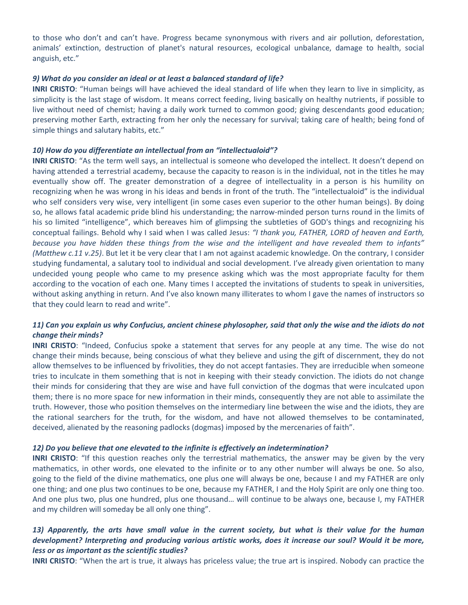to those who don't and can't have. Progress became synonymous with rivers and air pollution, deforestation, animals' extinction, destruction of planet's natural resources, ecological unbalance, damage to health, social anguish, etc."

#### *9) What do you consider an ideal or at least a balanced standard of life?*

**INRI CRISTO**: "Human beings will have achieved the ideal standard of life when they learn to live in simplicity, as simplicity is the last stage of wisdom. It means correct feeding, living basically on healthy nutrients, if possible to live without need of chemist; having a daily work turned to common good; giving descendants good education; preserving mother Earth, extracting from her only the necessary for survival; taking care of health; being fond of simple things and salutary habits, etc."

### *10) How do you differentiate an intellectual from an "intellectualoid"?*

**INRI CRISTO**: "As the term well says, an intellectual is someone who developed the intellect. It doesn't depend on having attended a terrestrial academy, because the capacity to reason is in the individual, not in the titles he may eventually show off. The greater demonstration of a degree of intellectuality in a person is his humility on recognizing when he was wrong in his ideas and bends in front of the truth. The "intellectualoid" is the individual who self considers very wise, very intelligent (in some cases even superior to the other human beings). By doing so, he allows fatal academic pride blind his understanding; the narrow-minded person turns round in the limits of his so limited "intelligence", which bereaves him of glimpsing the subtleties of GOD's things and recognizing his conceptual failings. Behold why I said when I was called Jesus: *"I thank you, FATHER, LORD of heaven and Earth, because you have hidden these things from the wise and the intelligent and have revealed them to infants" (Matthew c.11 v.25)*. But let it be very clear that I am not against academic knowledge. On the contrary, I consider studying fundamental, a salutary tool to individual and social development. I've already given orientation to many undecided young people who came to my presence asking which was the most appropriate faculty for them according to the vocation of each one. Many times I accepted the invitations of students to speak in universities, without asking anything in return. And I've also known many illiterates to whom I gave the names of instructors so that they could learn to read and write".

# *11) Can you explain us why Confucius, ancient chinese phylosopher, said that only the wise and the idiots do not change their minds?*

**INRI CRISTO**: "Indeed, Confucius spoke a statement that serves for any people at any time. The wise do not change their minds because, being conscious of what they believe and using the gift of discernment, they do not allow themselves to be influenced by frivolities, they do not accept fantasies. They are irreducible when someone tries to inculcate in them something that is not in keeping with their steady conviction. The idiots do not change their minds for considering that they are wise and have full conviction of the dogmas that were inculcated upon them; there is no more space for new information in their minds, consequently they are not able to assimilate the truth. However, those who position themselves on the intermediary line between the wise and the idiots, they are the rational searchers for the truth, for the wisdom, and have not allowed themselves to be contaminated, deceived, alienated by the reasoning padlocks (dogmas) imposed by the mercenaries of faith".

#### *12) Do you believe that one elevated to the infinite is effectively an indetermination?*

**INRI CRISTO**: "If this question reaches only the terrestrial mathematics, the answer may be given by the very mathematics, in other words, one elevated to the infinite or to any other number will always be one. So also, going to the field of the divine mathematics, one plus one will always be one, because I and my FATHER are only one thing; and one plus two continues to be one, because my FATHER, I and the Holy Spirit are only one thing too. And one plus two, plus one hundred, plus one thousand… will continue to be always one, because I, my FATHER and my children will someday be all only one thing".

# *13) Apparently, the arts have small value in the current society, but what is their value for the human development? Interpreting and producing various artistic works, does it increase our soul? Would it be more, less or as important as the scientific studies?*

**INRI CRISTO**: "When the art is true, it always has priceless value; the true art is inspired. Nobody can practice the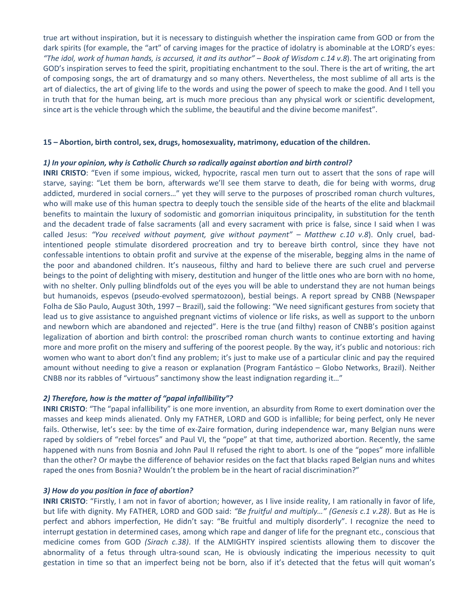true art without inspiration, but it is necessary to distinguish whether the inspiration came from GOD or from the dark spirits (for example, the "art" of carving images for the practice of idolatry is abominable at the LORD's eyes: *"The idol, work of human hands, is accursed, it and its author" – Book of Wisdom c.14 v.8*). The art originating from GOD's inspiration serves to feed the spirit, propitiating enchantment to the soul. There is the art of writing, the art of composing songs, the art of dramaturgy and so many others. Nevertheless, the most sublime of all arts is the art of dialectics, the art of giving life to the words and using the power of speech to make the good. And I tell you in truth that for the human being, art is much more precious than any physical work or scientific development, since art is the vehicle through which the sublime, the beautiful and the divine become manifest".

#### **15 – Abortion, birth control, sex, drugs, homosexuality, matrimony, education of the children.**

### *1) In your opinion, why is Catholic Church so radically against abortion and birth control?*

**INRI CRISTO**: "Even if some impious, wicked, hypocrite, rascal men turn out to assert that the sons of rape will starve, saying: "Let them be born, afterwards we'll see them starve to death, die for being with worms, drug addicted, murdered in social corners…" yet they will serve to the purposes of proscribed roman church vultures, who will make use of this human spectra to deeply touch the sensible side of the hearts of the elite and blackmail benefits to maintain the luxury of sodomistic and gomorrian iniquitous principality, in substitution for the tenth and the decadent trade of false sacraments (all and every sacrament with price is false, since I said when I was called Jesus: *"You received without payment, give without payment" – Matthew c.10 v.8*). Only cruel, badintentioned people stimulate disordered procreation and try to bereave birth control, since they have not confessable intentions to obtain profit and survive at the expense of the miserable, begging alms in the name of the poor and abandoned children. It's nauseous, filthy and hard to believe there are such cruel and perverse beings to the point of delighting with misery, destitution and hunger of the little ones who are born with no home, with no shelter. Only pulling blindfolds out of the eyes you will be able to understand they are not human beings but humanoids, espevos (pseudo-evolved spermatozoon), bestial beings. A report spread by CNBB (Newspaper Folha de São Paulo, August 30th, 1997 – Brazil), said the following: "We need significant gestures from society that lead us to give assistance to anguished pregnant victims of violence or life risks, as well as support to the unborn and newborn which are abandoned and rejected". Here is the true (and filthy) reason of CNBB's position against legalization of abortion and birth control: the proscribed roman church wants to continue extorting and having more and more profit on the misery and suffering of the poorest people. By the way, it's public and notorious: rich women who want to abort don't find any problem; it's just to make use of a particular clinic and pay the required amount without needing to give a reason or explanation (Program Fantástico – Globo Networks, Brazil). Neither CNBB nor its rabbles of "virtuous" sanctimony show the least indignation regarding it…"

# *2) Therefore, how is the matter of "papal infallibility"?*

**INRI CRISTO**: "The "papal infallibility" is one more invention, an absurdity from Rome to exert domination over the masses and keep minds alienated. Only my FATHER, LORD and GOD is infallible; for being perfect, only He never fails. Otherwise, let's see: by the time of ex-Zaire formation, during independence war, many Belgian nuns were raped by soldiers of "rebel forces" and Paul VI, the "pope" at that time, authorized abortion. Recently, the same happened with nuns from Bosnia and John Paul II refused the right to abort. Is one of the "popes" more infallible than the other? Or maybe the difference of behavior resides on the fact that blacks raped Belgian nuns and whites raped the ones from Bosnia? Wouldn't the problem be in the heart of racial discrimination?"

#### *3) How do you position in face of abortion?*

**INRI CRISTO**: "Firstly, I am not in favor of abortion; however, as I live inside reality, I am rationally in favor of life, but life with dignity. My FATHER, LORD and GOD said: *"Be fruitful and multiply…" (Genesis c.1 v.28)*. But as He is perfect and abhors imperfection, He didn't say: "Be fruitful and multiply disorderly". I recognize the need to interrupt gestation in determined cases, among which rape and danger of life for the pregnant etc., conscious that medicine comes from GOD *(Sirach c.38)*. If the ALMIGHTY inspired scientists allowing them to discover the abnormality of a fetus through ultra-sound scan, He is obviously indicating the imperious necessity to quit gestation in time so that an imperfect being not be born, also if it's detected that the fetus will quit woman's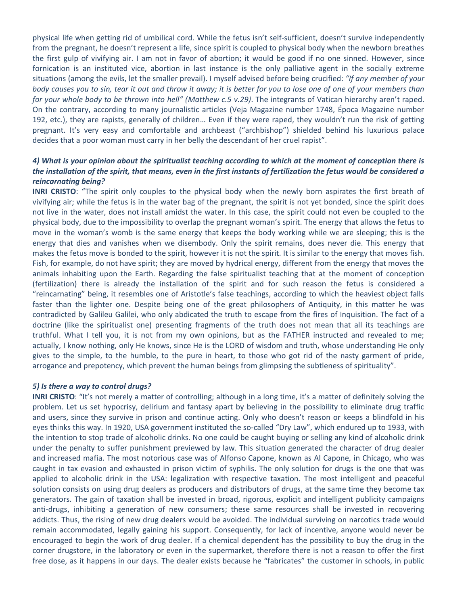physical life when getting rid of umbilical cord. While the fetus isn't self-sufficient, doesn't survive independently from the pregnant, he doesn't represent a life, since spirit is coupled to physical body when the newborn breathes the first gulp of vivifying air. I am not in favor of abortion; it would be good if no one sinned. However, since fornication is an instituted vice, abortion in last instance is the only palliative agent in the socially extreme situations (among the evils, let the smaller prevail). I myself advised before being crucified: *"If any member of your body causes you to sin, tear it out and throw it away; it is better for you to lose one of one of your members than for your whole body to be thrown into hell" (Matthew c.5 v.29)*. The integrants of Vatican hierarchy aren't raped. On the contrary, according to many journalistic articles (Veja Magazine number 1748, Época Magazine number 192, etc.), they are rapists, generally of children… Even if they were raped, they wouldn't run the risk of getting pregnant. It's very easy and comfortable and archbeast ("archbishop") shielded behind his luxurious palace decides that a poor woman must carry in her belly the descendant of her cruel rapist".

# *4) What is your opinion about the spiritualist teaching according to which at the moment of conception there is the installation of the spirit, that means, even in the first instants of fertilization the fetus would be considered a reincarnating being?*

**INRI CRISTO**: "The spirit only couples to the physical body when the newly born aspirates the first breath of vivifying air; while the fetus is in the water bag of the pregnant, the spirit is not yet bonded, since the spirit does not live in the water, does not install amidst the water. In this case, the spirit could not even be coupled to the physical body, due to the impossibility to overlap the pregnant woman's spirit. The energy that allows the fetus to move in the woman's womb is the same energy that keeps the body working while we are sleeping; this is the energy that dies and vanishes when we disembody. Only the spirit remains, does never die. This energy that makes the fetus move is bonded to the spirit, however it is not the spirit. It is similar to the energy that moves fish. Fish, for example, do not have spirit; they are moved by hydrical energy, different from the energy that moves the animals inhabiting upon the Earth. Regarding the false spiritualist teaching that at the moment of conception (fertilization) there is already the installation of the spirit and for such reason the fetus is considered a "reincarnating" being, it resembles one of Aristotle's false teachings, according to which the heaviest object falls faster than the lighter one. Despite being one of the great philosophers of Antiquity, in this matter he was contradicted by Galileu Galilei, who only abdicated the truth to escape from the fires of Inquisition. The fact of a doctrine (like the spiritualist one) presenting fragments of the truth does not mean that all its teachings are truthful. What I tell you, it is not from my own opinions, but as the FATHER instructed and revealed to me; actually, I know nothing, only He knows, since He is the LORD of wisdom and truth, whose understanding He only gives to the simple, to the humble, to the pure in heart, to those who got rid of the nasty garment of pride, arrogance and prepotency, which prevent the human beings from glimpsing the subtleness of spirituality".

#### *5) Is there a way to control drugs?*

**INRI CRISTO**: "It's not merely a matter of controlling; although in a long time, it's a matter of definitely solving the problem. Let us set hypocrisy, delirium and fantasy apart by believing in the possibility to eliminate drug traffic and users, since they survive in prison and continue acting. Only who doesn't reason or keeps a blindfold in his eyes thinks this way. In 1920, USA government instituted the so-called "Dry Law", which endured up to 1933, with the intention to stop trade of alcoholic drinks. No one could be caught buying or selling any kind of alcoholic drink under the penalty to suffer punishment previewed by law. This situation generated the character of drug dealer and increased mafia. The most notorious case was of Alfonso Capone, known as Al Capone, in Chicago, who was caught in tax evasion and exhausted in prison victim of syphilis. The only solution for drugs is the one that was applied to alcoholic drink in the USA: legalization with respective taxation. The most intelligent and peaceful solution consists on using drug dealers as producers and distributors of drugs, at the same time they become tax generators. The gain of taxation shall be invested in broad, rigorous, explicit and intelligent publicity campaigns anti-drugs, inhibiting a generation of new consumers; these same resources shall be invested in recovering addicts. Thus, the rising of new drug dealers would be avoided. The individual surviving on narcotics trade would remain accommodated, legally gaining his support. Consequently, for lack of incentive, anyone would never be encouraged to begin the work of drug dealer. If a chemical dependent has the possibility to buy the drug in the corner drugstore, in the laboratory or even in the supermarket, therefore there is not a reason to offer the first free dose, as it happens in our days. The dealer exists because he "fabricates" the customer in schools, in public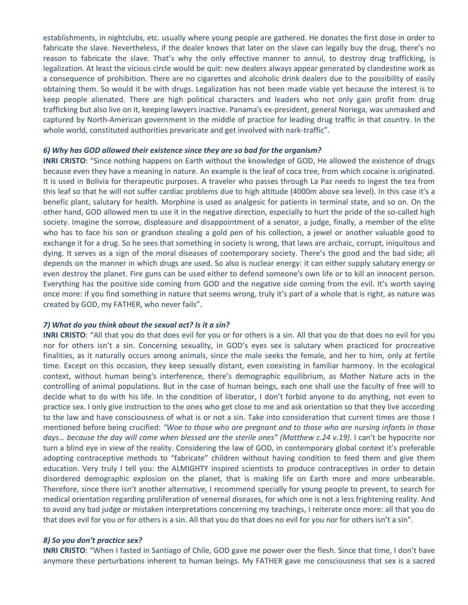establishments, in nightclubs, etc. usually where young people are gathered. He donates the first dose in order to fabricate the slave. Nevertheless, if the dealer knows that later on the slave can legally buy the drug, there's no reason to fabricate the slave. That's why the only effective manner to annul, to destroy drug trafficking, is legalization. At least the vicious circle would be quit: new dealers always appear generated by clandestine work as a consequence of prohibition. There are no cigarettes and alcoholic drink dealers due to the possibility of easily obtaining them. So would it be with drugs. Legalization has not been made viable yet because the interest is to keep people alienated. There are high political characters and leaders who not only gain profit from drug trafficking but also live on it, keeping lawyers inactive. Panama's ex-president, general Noriega, was unmasked and captured by North-American government in the middle of practice for leading drug traffic in that country. In the whole world, constituted authorities prevaricate and get involved with nark-traffic".

#### *6) Why has GOD allowed their existence since they are so bad for the organism?*

**INRI CRISTO**: "Since nothing happens on Earth without the knowledge of GOD, He allowed the existence of drugs because even they have a meaning in nature. An example is the leaf of coca tree, from which cocaine is originated. It is used in Bolivia for therapeutic purposes. A traveler who passes through La Paz needs to ingest the tea from this leaf so that he will not suffer cardiac problems due to high altitude (4000m above sea level). In this case it's a benefic plant, salutary for health. Morphine is used as analgesic for patients in terminal state, and so on. On the other hand, GOD allowed men to use it in the negative direction, especially to hurt the pride of the so-called high society. Imagine the sorrow, displeasure and disappointment of a senator, a judge, finally, a member of the elite who has to face his son or grandson stealing a gold pen of his collection, a jewel or another valuable good to exchange it for a drug. So he sees that something in society is wrong, that laws are archaic, corrupt, iniquitous and dying. It serves as a sign of the moral diseases of contemporary society. There's the good and the bad side; all depends on the manner in which drugs are used. So also is nuclear energy: it can either supply salutary energy or even destroy the planet. Fire guns can be used either to defend someone's own life or to kill an innocent person. Everything has the positive side coming from GOD and the negative side coming from the evil. It's worth saying once more: if you find something in nature that seems wrong, truly it's part of a whole that is right, as nature was created by GOD, my FATHER, who never fails".

#### *7) What do you think about the sexual act? Is it a sin?*

**INRI CRISTO**: "All that you do that does evil for you or for others is a sin. All that you do that does no evil for you nor for others isn't a sin. Concerning sexuality, in GOD's eyes sex is salutary when practiced for procreative finalities, as it naturally occurs among animals, since the male seeks the female, and her to him, only at fertile time. Except on this occasion, they keep sexually distant, even coexisting in familiar harmony. In the ecological context, without human being's interference, there's demographic equilibrium, as Mother Nature acts in the controlling of animal populations. But in the case of human beings, each one shall use the faculty of free will to decide what to do with his life. In the condition of liberator, I don't forbid anyone to do anything, not even to practice sex. I only give instruction to the ones who get close to me and ask orientation so that they live according to the law and have consciousness of what is or not a sin. Take into consideration that current times are those I mentioned before being crucified: *"Woe to those who are pregnant and to those who are nursing infants in those days… because the day will come when blessed are the sterile ones" (Matthew c.24 v.19)*. I can't be hypocrite nor turn a blind eye in view of the reality. Considering the law of GOD, in contemporary global context it's preferable adopting contraceptive methods to "fabricate" children without having condition to feed them and give them education. Very truly I tell you: the ALMIGHTY inspired scientists to produce contraceptives in order to detain disordered demographic explosion on the planet, that is making life on Earth more and more unbearable. Therefore, since there isn't another alternative, I recommend specially for young people to prevent, to search for medical orientation regarding proliferation of venereal diseases, for which one is not a less frightening reality. And to avoid any bad judge or mistaken interpretations concerning my teachings, I reiterate once more: all that you do that does evil for you or for others is a sin. All that you do that does no evil for you nor for others isn't a sin".

#### *8) So you don't practice sex?*

**INRI CRISTO**: "When I fasted in Santiago of Chile, GOD gave me power over the flesh. Since that time, I don't have anymore these perturbations inherent to human beings. My FATHER gave me consciousness that sex is a sacred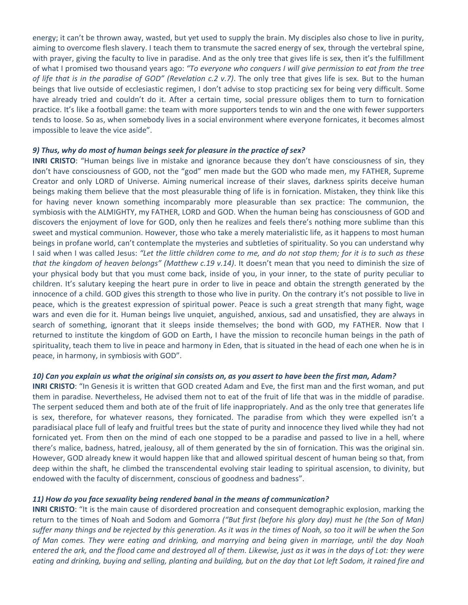energy; it can't be thrown away, wasted, but yet used to supply the brain. My disciples also chose to live in purity, aiming to overcome flesh slavery. I teach them to transmute the sacred energy of sex, through the vertebral spine, with prayer, giving the faculty to live in paradise. And as the only tree that gives life is sex, then it's the fulfillment of what I promised two thousand years ago: *"To everyone who conquers I will give permission to eat from the tree of life that is in the paradise of GOD" (Revelation c.2 v.7)*. The only tree that gives life is sex. But to the human beings that live outside of ecclesiastic regimen, I don't advise to stop practicing sex for being very difficult. Some have already tried and couldn't do it. After a certain time, social pressure obliges them to turn to fornication practice. It's like a football game: the team with more supporters tends to win and the one with fewer supporters tends to loose. So as, when somebody lives in a social environment where everyone fornicates, it becomes almost impossible to leave the vice aside".

#### *9) Thus, why do most of human beings seek for pleasure in the practice of sex?*

**INRI CRISTO**: "Human beings live in mistake and ignorance because they don't have consciousness of sin, they don't have consciousness of GOD, not the "god" men made but the GOD who made men, my FATHER, Supreme Creator and only LORD of Universe. Aiming numerical increase of their slaves, darkness spirits deceive human beings making them believe that the most pleasurable thing of life is in fornication. Mistaken, they think like this for having never known something incomparably more pleasurable than sex practice: The communion, the symbiosis with the ALMIGHTY, my FATHER, LORD and GOD. When the human being has consciousness of GOD and discovers the enjoyment of love for GOD, only then he realizes and feels there's nothing more sublime than this sweet and mystical communion. However, those who take a merely materialistic life, as it happens to most human beings in profane world, can't contemplate the mysteries and subtleties of spirituality. So you can understand why I said when I was called Jesus: *"Let the little children come to me, and do not stop them; for it is to such as these that the kingdom of heaven belongs" (Matthew c.19 v.14)*. It doesn't mean that you need to diminish the size of your physical body but that you must come back, inside of you, in your inner, to the state of purity peculiar to children. It's salutary keeping the heart pure in order to live in peace and obtain the strength generated by the innocence of a child. GOD gives this strength to those who live in purity. On the contrary it's not possible to live in peace, which is the greatest expression of spiritual power. Peace is such a great strength that many fight, wage wars and even die for it. Human beings live unquiet, anguished, anxious, sad and unsatisfied, they are always in search of something, ignorant that it sleeps inside themselves; the bond with GOD, my FATHER. Now that I returned to institute the kingdom of GOD on Earth, I have the mission to reconcile human beings in the path of spirituality, teach them to live in peace and harmony in Eden, that is situated in the head of each one when he is in peace, in harmony, in symbiosis with GOD".

#### *10) Can you explain us what the original sin consists on, as you assert to have been the first man, Adam?*

**INRI CRISTO**: "In Genesis it is written that GOD created Adam and Eve, the first man and the first woman, and put them in paradise. Nevertheless, He advised them not to eat of the fruit of life that was in the middle of paradise. The serpent seduced them and both ate of the fruit of life inappropriately. And as the only tree that generates life is sex, therefore, for whatever reasons, they fornicated. The paradise from which they were expelled isn't a paradisiacal place full of leafy and fruitful trees but the state of purity and innocence they lived while they had not fornicated yet. From then on the mind of each one stopped to be a paradise and passed to live in a hell, where there's malice, badness, hatred, jealousy, all of them generated by the sin of fornication. This was the original sin. However, GOD already knew it would happen like that and allowed spiritual descent of human being so that, from deep within the shaft, he climbed the transcendental evolving stair leading to spiritual ascension, to divinity, but endowed with the faculty of discernment, conscious of goodness and badness".

### *11) How do you face sexuality being rendered banal in the means of communication?*

**INRI CRISTO**: "It is the main cause of disordered procreation and consequent demographic explosion, marking the return to the times of Noah and Sodom and Gomorra *("But first (before his glory day) must he (the Son of Man) suffer many things and be rejected by this generation. As it was in the times of Noah, so too it will be when the Son of Man comes. They were eating and drinking, and marrying and being given in marriage, until the day Noah entered the ark, and the flood came and destroyed all of them. Likewise, just as it was in the days of Lot: they were*  eating and drinking, buying and selling, planting and building, but on the day that Lot left Sodom, it rained fire and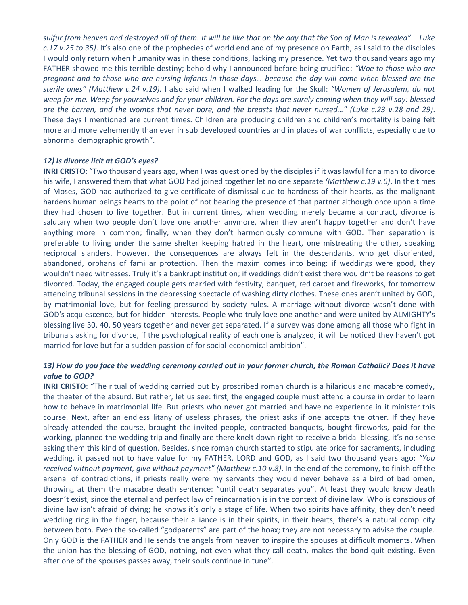*sulfur from heaven and destroyed all of them. It will be like that on the day that the Son of Man is revealed" – Luke c.17 v.25 to 35)*. It's also one of the prophecies of world end and of my presence on Earth, as I said to the disciples I would only return when humanity was in these conditions, lacking my presence. Yet two thousand years ago my FATHER showed me this terrible destiny; behold why I announced before being crucified: *"Woe to those who are pregnant and to those who are nursing infants in those days… because the day will come when blessed are the sterile ones" (Matthew c.24 v.19)*. I also said when I walked leading for the Skull: *"Women of Jerusalem, do not weep for me. Weep for yourselves and for your children. For the days are surely coming when they will say: blessed are the barren, and the wombs that never bore, and the breasts that never nursed…" (Luke c.23 v.28 and 29)*. These days I mentioned are current times. Children are producing children and children's mortality is being felt more and more vehemently than ever in sub developed countries and in places of war conflicts, especially due to abnormal demographic growth".

#### *12) Is divorce licit at GOD's eyes?*

**INRI CRISTO**: "Two thousand years ago, when I was questioned by the disciples if it was lawful for a man to divorce his wife, I answered them that what GOD had joined together let no one separate *(Matthew c.19 v.6)*. In the times of Moses, GOD had authorized to give certificate of dismissal due to hardness of their hearts, as the malignant hardens human beings hearts to the point of not bearing the presence of that partner although once upon a time they had chosen to live together. But in current times, when wedding merely became a contract, divorce is salutary when two people don't love one another anymore, when they aren't happy together and don't have anything more in common; finally, when they don't harmoniously commune with GOD. Then separation is preferable to living under the same shelter keeping hatred in the heart, one mistreating the other, speaking reciprocal slanders. However, the consequences are always felt in the descendants, who get disoriented, abandoned, orphans of familiar protection. Then the maxim comes into being: if weddings were good, they wouldn't need witnesses. Truly it's a bankrupt institution; if weddings didn't exist there wouldn't be reasons to get divorced. Today, the engaged couple gets married with festivity, banquet, red carpet and fireworks, for tomorrow attending tribunal sessions in the depressing spectacle of washing dirty clothes. These ones aren't united by GOD, by matrimonial love, but for feeling pressured by society rules. A marriage without divorce wasn't done with GOD's acquiescence, but for hidden interests. People who truly love one another and were united by ALMIGHTY's blessing live 30, 40, 50 years together and never get separated. If a survey was done among all those who fight in tribunals asking for divorce, if the psychological reality of each one is analyzed, it will be noticed they haven't got married for love but for a sudden passion of for social-economical ambition".

# *13) How do you face the wedding ceremony carried out in your former church, the Roman Catholic? Does it have value to GOD?*

**INRI CRISTO**: "The ritual of wedding carried out by proscribed roman church is a hilarious and macabre comedy, the theater of the absurd. But rather, let us see: first, the engaged couple must attend a course in order to learn how to behave in matrimonial life. But priests who never got married and have no experience in it minister this course. Next, after an endless litany of useless phrases, the priest asks if one accepts the other. If they have already attended the course, brought the invited people, contracted banquets, bought fireworks, paid for the working, planned the wedding trip and finally are there knelt down right to receive a bridal blessing, it's no sense asking them this kind of question. Besides, since roman church started to stipulate price for sacraments, including wedding, it passed not to have value for my FATHER, LORD and GOD, as I said two thousand years ago: *"You received without payment, give without payment" (Matthew c.10 v.8)*. In the end of the ceremony, to finish off the arsenal of contradictions, if priests really were my servants they would never behave as a bird of bad omen, throwing at them the macabre death sentence: "until death separates you". At least they would know death doesn't exist, since the eternal and perfect law of reincarnation is in the context of divine law. Who is conscious of divine law isn't afraid of dying; he knows it's only a stage of life. When two spirits have affinity, they don't need wedding ring in the finger, because their alliance is in their spirits, in their hearts; there's a natural complicity between both. Even the so-called "godparents" are part of the hoax; they are not necessary to advise the couple. Only GOD is the FATHER and He sends the angels from heaven to inspire the spouses at difficult moments. When the union has the blessing of GOD, nothing, not even what they call death, makes the bond quit existing. Even after one of the spouses passes away, their souls continue in tune".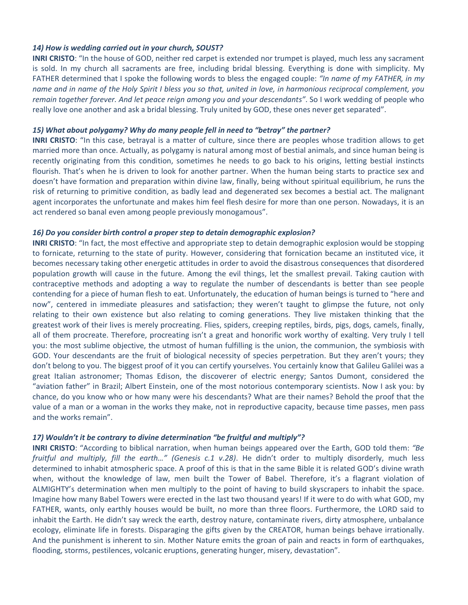### *14) How is wedding carried out in your church, SOUST?*

**INRI CRISTO**: "In the house of GOD, neither red carpet is extended nor trumpet is played, much less any sacrament is sold. In my church all sacraments are free, including bridal blessing. Everything is done with simplicity. My FATHER determined that I spoke the following words to bless the engaged couple: *"In name of my FATHER, in my name and in name of the Holy Spirit I bless you so that, united in love, in harmonious reciprocal complement, you remain together forever. And let peace reign among you and your descendants"*. So I work wedding of people who really love one another and ask a bridal blessing. Truly united by GOD, these ones never get separated".

# *15) What about polygamy? Why do many people fell in need to "betray" the partner?*

**INRI CRISTO**: "In this case, betrayal is a matter of culture, since there are peoples whose tradition allows to get married more than once. Actually, as polygamy is natural among most of bestial animals, and since human being is recently originating from this condition, sometimes he needs to go back to his origins, letting bestial instincts flourish. That's when he is driven to look for another partner. When the human being starts to practice sex and doesn't have formation and preparation within divine law, finally, being without spiritual equilibrium, he runs the risk of returning to primitive condition, as badly lead and degenerated sex becomes a bestial act. The malignant agent incorporates the unfortunate and makes him feel flesh desire for more than one person. Nowadays, it is an act rendered so banal even among people previously monogamous".

### *16) Do you consider birth control a proper step to detain demographic explosion?*

**INRI CRISTO**: "In fact, the most effective and appropriate step to detain demographic explosion would be stopping to fornicate, returning to the state of purity. However, considering that fornication became an instituted vice, it becomes necessary taking other energetic attitudes in order to avoid the disastrous consequences that disordered population growth will cause in the future. Among the evil things, let the smallest prevail. Taking caution with contraceptive methods and adopting a way to regulate the number of descendants is better than see people contending for a piece of human flesh to eat. Unfortunately, the education of human beings is turned to "here and now", centered in immediate pleasures and satisfaction; they weren't taught to glimpse the future, not only relating to their own existence but also relating to coming generations. They live mistaken thinking that the greatest work of their lives is merely procreating. Flies, spiders, creeping reptiles, birds, pigs, dogs, camels, finally, all of them procreate. Therefore, procreating isn't a great and honorific work worthy of exalting. Very truly I tell you: the most sublime objective, the utmost of human fulfilling is the union, the communion, the symbiosis with GOD. Your descendants are the fruit of biological necessity of species perpetration. But they aren't yours; they don't belong to you. The biggest proof of it you can certify yourselves. You certainly know that Galileu Galilei was a great Italian astronomer; Thomas Edison, the discoverer of electric energy; Santos Dumont, considered the "aviation father" in Brazil; Albert Einstein, one of the most notorious contemporary scientists. Now I ask you: by chance, do you know who or how many were his descendants? What are their names? Behold the proof that the value of a man or a woman in the works they make, not in reproductive capacity, because time passes, men pass and the works remain".

# *17) Wouldn't it be contrary to divine determination "be fruitful and multiply"?*

**INRI CRISTO**: "According to biblical narration, when human beings appeared over the Earth, GOD told them: *"Be fruitful and multiply, fill the earth…" (Genesis c.1 v.28)*. He didn't order to multiply disorderly, much less determined to inhabit atmospheric space. A proof of this is that in the same Bible it is related GOD's divine wrath when, without the knowledge of law, men built the Tower of Babel. Therefore, it's a flagrant violation of ALMIGHTY's determination when men multiply to the point of having to build skyscrapers to inhabit the space. Imagine how many Babel Towers were erected in the last two thousand years! If it were to do with what GOD, my FATHER, wants, only earthly houses would be built, no more than three floors. Furthermore, the LORD said to inhabit the Earth. He didn't say wreck the earth, destroy nature, contaminate rivers, dirty atmosphere, unbalance ecology, eliminate life in forests. Disparaging the gifts given by the CREATOR, human beings behave irrationally. And the punishment is inherent to sin. Mother Nature emits the groan of pain and reacts in form of earthquakes, flooding, storms, pestilences, volcanic eruptions, generating hunger, misery, devastation".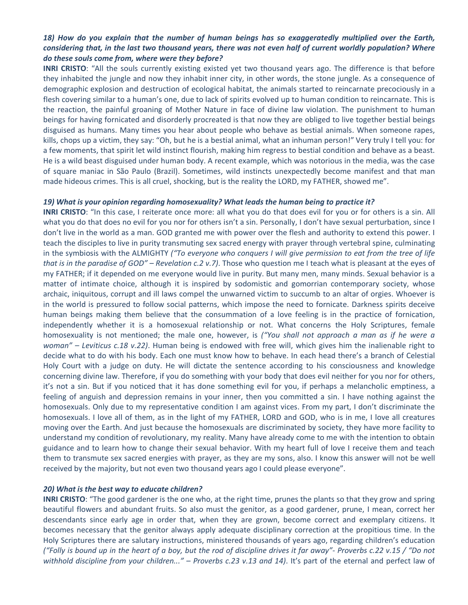# *18) How do you explain that the number of human beings has so exaggeratedly multiplied over the Earth, considering that, in the last two thousand years, there was not even half of current worldly population? Where do these souls come from, where were they before?*

**INRI CRISTO**: "All the souls currently existing existed yet two thousand years ago. The difference is that before they inhabited the jungle and now they inhabit inner city, in other words, the stone jungle. As a consequence of demographic explosion and destruction of ecological habitat, the animals started to reincarnate precociously in a flesh covering similar to a human's one, due to lack of spirits evolved up to human condition to reincarnate. This is the reaction, the painful groaning of Mother Nature in face of divine law violation. The punishment to human beings for having fornicated and disorderly procreated is that now they are obliged to live together bestial beings disguised as humans. Many times you hear about people who behave as bestial animals. When someone rapes, kills, chops up a victim, they say: "Oh, but he is a bestial animal, what an inhuman person!" Very truly I tell you: for a few moments, that spirit let wild instinct flourish, making him regress to bestial condition and behave as a beast. He is a wild beast disguised under human body. A recent example, which was notorious in the media, was the case of square maniac in São Paulo (Brazil). Sometimes, wild instincts unexpectedly become manifest and that man made hideous crimes. This is all cruel, shocking, but is the reality the LORD, my FATHER, showed me".

#### *19) What is your opinion regarding homosexuality? What leads the human being to practice it?*

**INRI CRISTO**: "In this case, I reiterate once more: all what you do that does evil for you or for others is a sin. All what you do that does no evil for you nor for others isn't a sin. Personally, I don't have sexual perturbation, since I don't live in the world as a man. GOD granted me with power over the flesh and authority to extend this power. I teach the disciples to live in purity transmuting sex sacred energy with prayer through vertebral spine, culminating in the symbiosis with the ALMIGHTY *("To everyone who conquers I will give permission to eat from the tree of life that is in the paradise of GOD" – Revelation c.2 v.7)*. Those who question me I teach what is pleasant at the eyes of my FATHER; if it depended on me everyone would live in purity. But many men, many minds. Sexual behavior is a matter of intimate choice, although it is inspired by sodomistic and gomorrian contemporary society, whose archaic, iniquitous, corrupt and ill laws compel the unwarned victim to succumb to an altar of orgies. Whoever is in the world is pressured to follow social patterns, which impose the need to fornicate. Darkness spirits deceive human beings making them believe that the consummation of a love feeling is in the practice of fornication, independently whether it is a homosexual relationship or not. What concerns the Holy Scriptures, female homosexuality is not mentioned; the male one, however, is *("You shall not approach a man as if he were a woman" – Leviticus c.18 v.22)*. Human being is endowed with free will, which gives him the inalienable right to decide what to do with his body. Each one must know how to behave. In each head there's a branch of Celestial Holy Court with a judge on duty. He will dictate the sentence according to his consciousness and knowledge concerning divine law. Therefore, if you do something with your body that does evil neither for you nor for others, it's not a sin. But if you noticed that it has done something evil for you, if perhaps a melancholic emptiness, a feeling of anguish and depression remains in your inner, then you committed a sin. I have nothing against the homosexuals. Only due to my representative condition I am against vices. From my part, I don't discriminate the homosexuals. I love all of them, as in the light of my FATHER, LORD and GOD, who is in me, I love all creatures moving over the Earth. And just because the homosexuals are discriminated by society, they have more facility to understand my condition of revolutionary, my reality. Many have already come to me with the intention to obtain guidance and to learn how to change their sexual behavior. With my heart full of love I receive them and teach them to transmute sex sacred energies with prayer, as they are my sons, also. I know this answer will not be well received by the majority, but not even two thousand years ago I could please everyone".

#### *20) What is the best way to educate children?*

**INRI CRISTO**: "The good gardener is the one who, at the right time, prunes the plants so that they grow and spring beautiful flowers and abundant fruits. So also must the genitor, as a good gardener, prune, I mean, correct her descendants since early age in order that, when they are grown, become correct and exemplary citizens. It becomes necessary that the genitor always apply adequate disciplinary correction at the propitious time. In the Holy Scriptures there are salutary instructions, ministered thousands of years ago, regarding children's education *("Folly is bound up in the heart of a boy, but the rod of discipline drives it far away"- Proverbs c.22 v.15 / "Do not withhold discipline from your children..." – Proverbs c.23 v.13 and 14)*. It's part of the eternal and perfect law of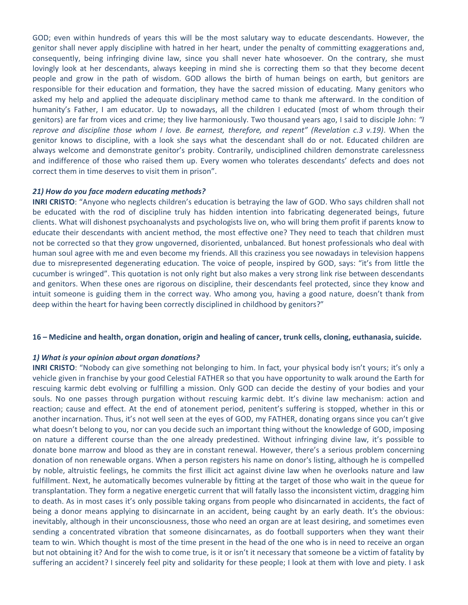GOD; even within hundreds of years this will be the most salutary way to educate descendants. However, the genitor shall never apply discipline with hatred in her heart, under the penalty of committing exaggerations and, consequently, being infringing divine law, since you shall never hate whosoever. On the contrary, she must lovingly look at her descendants, always keeping in mind she is correcting them so that they become decent people and grow in the path of wisdom. GOD allows the birth of human beings on earth, but genitors are responsible for their education and formation, they have the sacred mission of educating. Many genitors who asked my help and applied the adequate disciplinary method came to thank me afterward. In the condition of humanity's Father, I am educator. Up to nowadays, all the children I educated (most of whom through their genitors) are far from vices and crime; they live harmoniously. Two thousand years ago, I said to disciple John: *"I reprove and discipline those whom I love. Be earnest, therefore, and repent" (Revelation c.3 v.19)*. When the genitor knows to discipline, with a look she says what the descendant shall do or not. Educated children are always welcome and demonstrate genitor's probity. Contrarily, undisciplined children demonstrate carelessness and indifference of those who raised them up. Every women who tolerates descendants' defects and does not correct them in time deserves to visit them in prison".

#### *21) How do you face modern educating methods?*

**INRI CRISTO**: "Anyone who neglects children's education is betraying the law of GOD. Who says children shall not be educated with the rod of discipline truly has hidden intention into fabricating degenerated beings, future clients. What will dishonest psychoanalysts and psychologists live on, who will bring them profit if parents know to educate their descendants with ancient method, the most effective one? They need to teach that children must not be corrected so that they grow ungoverned, disoriented, unbalanced. But honest professionals who deal with human soul agree with me and even become my friends. All this craziness you see nowadays in television happens due to misrepresented degenerating education. The voice of people, inspired by GOD, says: "it's from little the cucumber is wringed". This quotation is not only right but also makes a very strong link rise between descendants and genitors. When these ones are rigorous on discipline, their descendants feel protected, since they know and intuit someone is guiding them in the correct way. Who among you, having a good nature, doesn't thank from deep within the heart for having been correctly disciplined in childhood by genitors?"

#### **16 – Medicine and health, organ donation, origin and healing of cancer, trunk cells, cloning, euthanasia, suicide.**

#### *1) What is your opinion about organ donations?*

**INRI CRISTO**: "Nobody can give something not belonging to him. In fact, your physical body isn't yours; it's only a vehicle given in franchise by your good Celestial FATHER so that you have opportunity to walk around the Earth for rescuing karmic debt evolving or fulfilling a mission. Only GOD can decide the destiny of your bodies and your souls. No one passes through purgation without rescuing karmic debt. It's divine law mechanism: action and reaction; cause and effect. At the end of atonement period, penitent's suffering is stopped, whether in this or another incarnation. Thus, it's not well seen at the eyes of GOD, my FATHER, donating organs since you can't give what doesn't belong to you, nor can you decide such an important thing without the knowledge of GOD, imposing on nature a different course than the one already predestined. Without infringing divine law, it's possible to donate bone marrow and blood as they are in constant renewal. However, there's a serious problem concerning donation of non renewable organs. When a person registers his name on donor's listing, although he is compelled by noble, altruistic feelings, he commits the first illicit act against divine law when he overlooks nature and law fulfillment. Next, he automatically becomes vulnerable by fitting at the target of those who wait in the queue for transplantation. They form a negative energetic current that will fatally lasso the inconsistent victim, dragging him to death. As in most cases it's only possible taking organs from people who disincarnated in accidents, the fact of being a donor means applying to disincarnate in an accident, being caught by an early death. It's the obvious: inevitably, although in their unconsciousness, those who need an organ are at least desiring, and sometimes even sending a concentrated vibration that someone disincarnates, as do football supporters when they want their team to win. Which thought is most of the time present in the head of the one who is in need to receive an organ but not obtaining it? And for the wish to come true, is it or isn't it necessary that someone be a victim of fatality by suffering an accident? I sincerely feel pity and solidarity for these people; I look at them with love and piety. I ask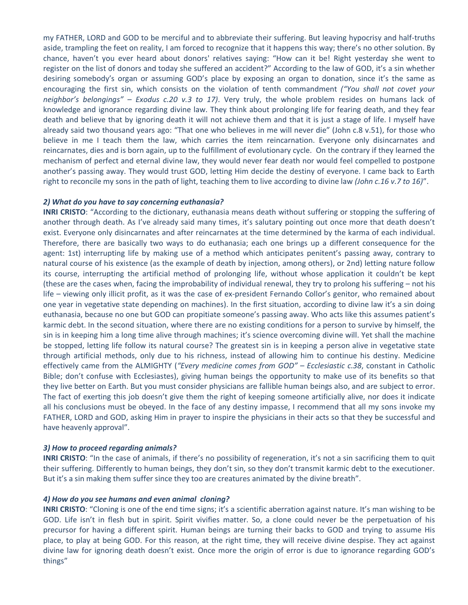my FATHER, LORD and GOD to be merciful and to abbreviate their suffering. But leaving hypocrisy and half-truths aside, trampling the feet on reality, I am forced to recognize that it happens this way; there's no other solution. By chance, haven't you ever heard about donors' relatives saying: "How can it be! Right yesterday she went to register on the list of donors and today she suffered an accident?" According to the law of GOD, it's a sin whether desiring somebody's organ or assuming GOD's place by exposing an organ to donation, since it's the same as encouraging the first sin, which consists on the violation of tenth commandment *("You shall not covet your neighbor's belongings" – Exodus c.20 v.3 to 17)*. Very truly, the whole problem resides on humans lack of knowledge and ignorance regarding divine law. They think about prolonging life for fearing death, and they fear death and believe that by ignoring death it will not achieve them and that it is just a stage of life. I myself have already said two thousand years ago: "That one who believes in me will never die" (John c.8 v.51), for those who believe in me I teach them the law, which carries the item reincarnation. Everyone only disincarnates and reincarnates, dies and is born again, up to the fulfillment of evolutionary cycle. On the contrary if they learned the mechanism of perfect and eternal divine law, they would never fear death nor would feel compelled to postpone another's passing away. They would trust GOD, letting Him decide the destiny of everyone. I came back to Earth right to reconcile my sons in the path of light, teaching them to live according to divine law *(John c.16 v.7 to 16)*".

### *2) What do you have to say concerning euthanasia?*

**INRI CRISTO**: "According to the dictionary, euthanasia means death without suffering or stopping the suffering of another through death. As I've already said many times, it's salutary pointing out once more that death doesn't exist. Everyone only disincarnates and after reincarnates at the time determined by the karma of each individual. Therefore, there are basically two ways to do euthanasia; each one brings up a different consequence for the agent: 1st) interrupting life by making use of a method which anticipates penitent's passing away, contrary to natural course of his existence (as the example of death by injection, among others), or 2nd) letting nature follow its course, interrupting the artificial method of prolonging life, without whose application it couldn't be kept (these are the cases when, facing the improbability of individual renewal, they try to prolong his suffering – not his life – viewing only illicit profit, as it was the case of ex-president Fernando Collor's genitor, who remained about one year in vegetative state depending on machines). In the first situation, according to divine law it's a sin doing euthanasia, because no one but GOD can propitiate someone's passing away. Who acts like this assumes patient's karmic debt. In the second situation, where there are no existing conditions for a person to survive by himself, the sin is in keeping him a long time alive through machines; it's science overcoming divine will. Yet shall the machine be stopped, letting life follow its natural course? The greatest sin is in keeping a person alive in vegetative state through artificial methods, only due to his richness, instead of allowing him to continue his destiny. Medicine effectively came from the ALMIGHTY (*"Every medicine comes from GOD" – Ecclesiastic c.38*, constant in Catholic Bible; don't confuse with Ecclesiastes), giving human beings the opportunity to make use of its benefits so that they live better on Earth. But you must consider physicians are fallible human beings also, and are subject to error. The fact of exerting this job doesn't give them the right of keeping someone artificially alive, nor does it indicate all his conclusions must be obeyed. In the face of any destiny impasse, I recommend that all my sons invoke my FATHER, LORD and GOD, asking Him in prayer to inspire the physicians in their acts so that they be successful and have heavenly approval".

#### *3) How to proceed regarding animals?*

**INRI CRISTO**: "In the case of animals, if there's no possibility of regeneration, it's not a sin sacrificing them to quit their suffering. Differently to human beings, they don't sin, so they don't transmit karmic debt to the executioner. But it's a sin making them suffer since they too are creatures animated by the divine breath".

#### *4) How do you see humans and even animal cloning?*

**INRI CRISTO**: "Cloning is one of the end time signs; it's a scientific aberration against nature. It's man wishing to be GOD. Life isn't in flesh but in spirit. Spirit vivifies matter. So, a clone could never be the perpetuation of his precursor for having a different spirit. Human beings are turning their backs to GOD and trying to assume His place, to play at being GOD. For this reason, at the right time, they will receive divine despise. They act against divine law for ignoring death doesn't exist. Once more the origin of error is due to ignorance regarding GOD's things"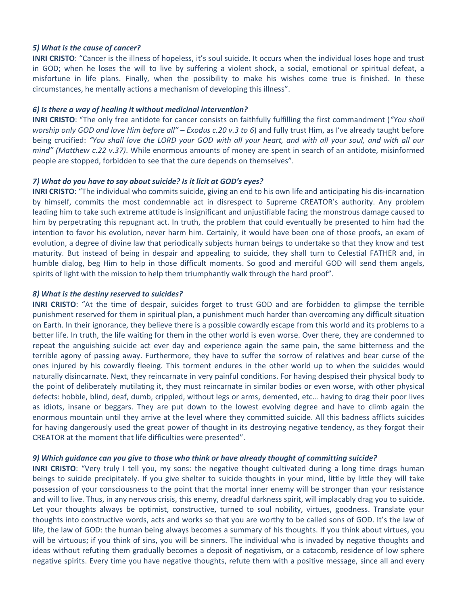### *5) What is the cause of cancer?*

**INRI CRISTO**: "Cancer is the illness of hopeless, it's soul suicide. It occurs when the individual loses hope and trust in GOD; when he loses the will to live by suffering a violent shock, a social, emotional or spiritual defeat, a misfortune in life plans. Finally, when the possibility to make his wishes come true is finished. In these circumstances, he mentally actions a mechanism of developing this illness".

### *6) Is there a way of healing it without medicinal intervention?*

**INRI CRISTO**: "The only free antidote for cancer consists on faithfully fulfilling the first commandment (*"You shall worship only GOD and love Him before all" – Exodus c.20 v.3 to 6*) and fully trust Him, as I've already taught before being crucified: *"You shall love the LORD your GOD with all your heart, and with all your soul, and with all our mind" (Matthew c.22 v.37)*. While enormous amounts of money are spent in search of an antidote, misinformed people are stopped, forbidden to see that the cure depends on themselves".

### *7) What do you have to say about suicide? Is it licit at GOD's eyes?*

**INRI CRISTO**: "The individual who commits suicide, giving an end to his own life and anticipating his dis-incarnation by himself, commits the most condemnable act in disrespect to Supreme CREATOR's authority. Any problem leading him to take such extreme attitude is insignificant and unjustifiable facing the monstrous damage caused to him by perpetrating this repugnant act. In truth, the problem that could eventually be presented to him had the intention to favor his evolution, never harm him. Certainly, it would have been one of those proofs, an exam of evolution, a degree of divine law that periodically subjects human beings to undertake so that they know and test maturity. But instead of being in despair and appealing to suicide, they shall turn to Celestial FATHER and, in humble dialog, beg Him to help in those difficult moments. So good and merciful GOD will send them angels, spirits of light with the mission to help them triumphantly walk through the hard proof".

### *8) What is the destiny reserved to suicides?*

**INRI CRISTO**: "At the time of despair, suicides forget to trust GOD and are forbidden to glimpse the terrible punishment reserved for them in spiritual plan, a punishment much harder than overcoming any difficult situation on Earth. In their ignorance, they believe there is a possible cowardly escape from this world and its problems to a better life. In truth, the life waiting for them in the other world is even worse. Over there, they are condemned to repeat the anguishing suicide act ever day and experience again the same pain, the same bitterness and the terrible agony of passing away. Furthermore, they have to suffer the sorrow of relatives and bear curse of the ones injured by his cowardly fleeing. This torment endures in the other world up to when the suicides would naturally disincarnate. Next, they reincarnate in very painful conditions. For having despised their physical body to the point of deliberately mutilating it, they must reincarnate in similar bodies or even worse, with other physical defects: hobble, blind, deaf, dumb, crippled, without legs or arms, demented, etc… having to drag their poor lives as idiots, insane or beggars. They are put down to the lowest evolving degree and have to climb again the enormous mountain until they arrive at the level where they committed suicide. All this badness afflicts suicides for having dangerously used the great power of thought in its destroying negative tendency, as they forgot their CREATOR at the moment that life difficulties were presented".

# *9) Which guidance can you give to those who think or have already thought of committing suicide?*

**INRI CRISTO**: "Very truly I tell you, my sons: the negative thought cultivated during a long time drags human beings to suicide precipitately. If you give shelter to suicide thoughts in your mind, little by little they will take possession of your consciousness to the point that the mortal inner enemy will be stronger than your resistance and will to live. Thus, in any nervous crisis, this enemy, dreadful darkness spirit, will implacably drag you to suicide. Let your thoughts always be optimist, constructive, turned to soul nobility, virtues, goodness. Translate your thoughts into constructive words, acts and works so that you are worthy to be called sons of GOD. It's the law of life, the law of GOD: the human being always becomes a summary of his thoughts. If you think about virtues, you will be virtuous; if you think of sins, you will be sinners. The individual who is invaded by negative thoughts and ideas without refuting them gradually becomes a deposit of negativism, or a catacomb, residence of low sphere negative spirits. Every time you have negative thoughts, refute them with a positive message, since all and every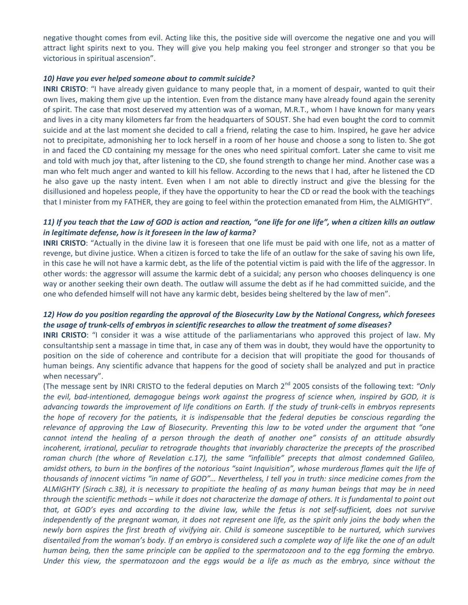negative thought comes from evil. Acting like this, the positive side will overcome the negative one and you will attract light spirits next to you. They will give you help making you feel stronger and stronger so that you be victorious in spiritual ascension".

#### *10) Have you ever helped someone about to commit suicide?*

**INRI CRISTO**: "I have already given guidance to many people that, in a moment of despair, wanted to quit their own lives, making them give up the intention. Even from the distance many have already found again the serenity of spirit. The case that most deserved my attention was of a woman, M.R.T., whom I have known for many years and lives in a city many kilometers far from the headquarters of SOUST. She had even bought the cord to commit suicide and at the last moment she decided to call a friend, relating the case to him. Inspired, he gave her advice not to precipitate, admonishing her to lock herself in a room of her house and choose a song to listen to. She got in and faced the CD containing my message for the ones who need spiritual comfort. Later she came to visit me and told with much joy that, after listening to the CD, she found strength to change her mind. Another case was a man who felt much anger and wanted to kill his fellow. According to the news that I had, after he listened the CD he also gave up the nasty intent. Even when I am not able to directly instruct and give the blessing for the disillusioned and hopeless people, if they have the opportunity to hear the CD or read the book with the teachings that I minister from my FATHER, they are going to feel within the protection emanated from Him, the ALMIGHTY".

# *11) If you teach that the Law of GOD is action and reaction, "one life for one life", when a citizen kills an outlaw in legitimate defense, how is it foreseen in the law of karma?*

**INRI CRISTO**: "Actually in the divine law it is foreseen that one life must be paid with one life, not as a matter of revenge, but divine justice. When a citizen is forced to take the life of an outlaw for the sake of saving his own life, in this case he will not have a karmic debt, as the life of the potential victim is paid with the life of the aggressor. In other words: the aggressor will assume the karmic debt of a suicidal; any person who chooses delinquency is one way or another seeking their own death. The outlaw will assume the debt as if he had committed suicide, and the one who defended himself will not have any karmic debt, besides being sheltered by the law of men".

# *12) How do you position regarding the approval of the Biosecurity Law by the National Congress, which foresees the usage of trunk-cells of embryos in scientific researches to allow the treatment of some diseases?*

**INRI CRISTO**: "I consider it was a wise attitude of the parliamentarians who approved this project of law. My consultantship sent a massage in time that, in case any of them was in doubt, they would have the opportunity to position on the side of coherence and contribute for a decision that will propitiate the good for thousands of human beings. Any scientific advance that happens for the good of society shall be analyzed and put in practice when necessary".

(The message sent by INRI CRISTO to the federal deputies on March 2<sup>nd</sup> 2005 consists of the following text: "Only *the evil, bad-intentioned, demagogue beings work against the progress of science when, inspired by GOD, it is advancing towards the improvement of life conditions on Earth. If the study of trunk-cells in embryos represents the hope of recovery for the patients, it is indispensable that the federal deputies be conscious regarding the relevance of approving the Law of Biosecurity. Preventing this law to be voted under the argument that "one cannot intend the healing of a person through the death of another one" consists of an attitude absurdly incoherent, irrational, peculiar to retrograde thoughts that invariably characterize the precepts of the proscribed roman church (the whore of Revelation c.17), the same "infallible" precepts that almost condemned Galileo, amidst others, to burn in the bonfires of the notorious "saint Inquisition", whose murderous flames quit the life of thousands of innocent victims "in name of GOD"… Nevertheless, I tell you in truth: since medicine comes from the ALMIGHTY (Sirach c.38), it is necessary to propitiate the healing of as many human beings that may be in need through the scientific methods – while it does not characterize the damage of others. It is fundamental to point out that, at GOD's eyes and according to the divine law, while the fetus is not self-sufficient, does not survive independently of the pregnant woman, it does not represent one life, as the spirit only joins the body when the newly born aspires the first breath of vivifying air. Child is someone susceptible to be nurtured, which survives disentailed from the woman's body. If an embryo is considered such a complete way of life like the one of an adult human being, then the same principle can be applied to the spermatozoon and to the egg forming the embryo. Under this view, the spermatozoon and the eggs would be a life as much as the embryo, since without the*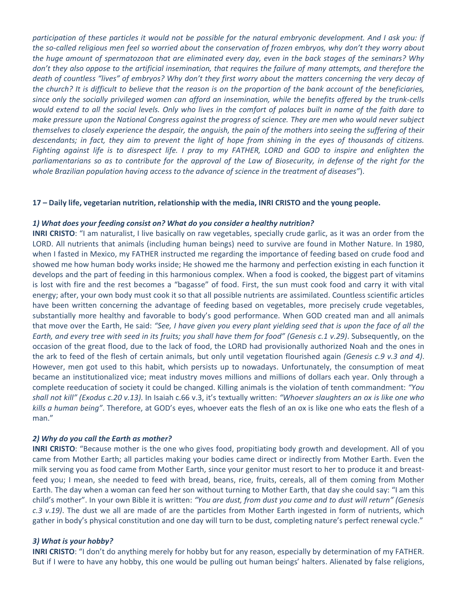*participation of these particles it would not be possible for the natural embryonic development. And I ask you: if the so-called religious men feel so worried about the conservation of frozen embryos, why don't they worry about the huge amount of spermatozoon that are eliminated every day, even in the back stages of the seminars? Why don't they also oppose to the artificial insemination, that requires the failure of many attempts, and therefore the death of countless "lives" of embryos? Why don't they first worry about the matters concerning the very decay of the church? It is difficult to believe that the reason is on the proportion of the bank account of the beneficiaries, since only the socially privileged women can afford an insemination, while the benefits offered by the trunk-cells would extend to all the social levels. Only who lives in the comfort of palaces built in name of the faith dare to make pressure upon the National Congress against the progress of science. They are men who would never subject themselves to closely experience the despair, the anguish, the pain of the mothers into seeing the suffering of their descendants; in fact, they aim to prevent the light of hope from shining in the eyes of thousands of citizens. Fighting against life is to disrespect life. I pray to my FATHER, LORD and GOD to inspire and enlighten the*  parliamentarians so as to contribute for the approval of the Law of Biosecurity, in defense of the right for the *whole Brazilian population having access to the advance of science in the treatment of diseases"*).

# **17 – Daily life, vegetarian nutrition, relationship with the media, INRI CRISTO and the young people.**

# *1) What does your feeding consist on? What do you consider a healthy nutrition?*

**INRI CRISTO**: "I am naturalist, I live basically on raw vegetables, specially crude garlic, as it was an order from the LORD. All nutrients that animals (including human beings) need to survive are found in Mother Nature. In 1980, when I fasted in Mexico, my FATHER instructed me regarding the importance of feeding based on crude food and showed me how human body works inside; He showed me the harmony and perfection existing in each function it develops and the part of feeding in this harmonious complex. When a food is cooked, the biggest part of vitamins is lost with fire and the rest becomes a "bagasse" of food. First, the sun must cook food and carry it with vital energy; after, your own body must cook it so that all possible nutrients are assimilated. Countless scientific articles have been written concerning the advantage of feeding based on vegetables, more precisely crude vegetables, substantially more healthy and favorable to body's good performance. When GOD created man and all animals that move over the Earth, He said: *"See, I have given you every plant yielding seed that is upon the face of all the Earth, and every tree with seed in its fruits; you shall have them for food" (Genesis c.1 v.29)*. Subsequently, on the occasion of the great flood, due to the lack of food, the LORD had provisionally authorized Noah and the ones in the ark to feed of the flesh of certain animals, but only until vegetation flourished again *(Genesis c.9 v.3 and 4)*. However, men got used to this habit, which persists up to nowadays. Unfortunately, the consumption of meat became an institutionalized vice; meat industry moves millions and millions of dollars each year. Only through a complete reeducation of society it could be changed. Killing animals is the violation of tenth commandment: *"You shall not kill" (Exodus c.20 v.13)*. In Isaiah c.66 v.3, it's textually written: *"Whoever slaughters an ox is like one who kills a human being"*. Therefore, at GOD's eyes, whoever eats the flesh of an ox is like one who eats the flesh of a man."

# *2) Why do you call the Earth as mother?*

**INRI CRISTO**: "Because mother is the one who gives food, propitiating body growth and development. All of you came from Mother Earth; all particles making your bodies came direct or indirectly from Mother Earth. Even the milk serving you as food came from Mother Earth, since your genitor must resort to her to produce it and breastfeed you; I mean, she needed to feed with bread, beans, rice, fruits, cereals, all of them coming from Mother Earth. The day when a woman can feed her son without turning to Mother Earth, that day she could say: "I am this child's mother". In your own Bible it is written: *"You are dust, from dust you came and to dust will return" (Genesis c.3 v.19)*. The dust we all are made of are the particles from Mother Earth ingested in form of nutrients, which gather in body's physical constitution and one day will turn to be dust, completing nature's perfect renewal cycle."

# *3) What is your hobby?*

**INRI CRISTO**: "I don't do anything merely for hobby but for any reason, especially by determination of my FATHER. But if I were to have any hobby, this one would be pulling out human beings' halters. Alienated by false religions,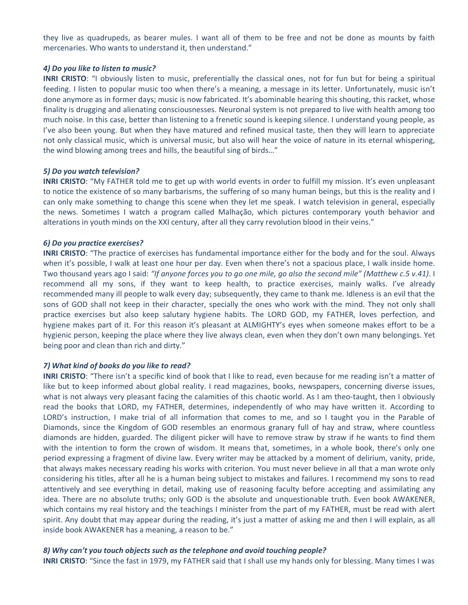they live as quadrupeds, as bearer mules. I want all of them to be free and not be done as mounts by faith mercenaries. Who wants to understand it, then understand."

#### *4) Do you like to listen to music?*

**INRI CRISTO**: "I obviously listen to music, preferentially the classical ones, not for fun but for being a spiritual feeding. I listen to popular music too when there's a meaning, a message in its letter. Unfortunately, music isn't done anymore as in former days; music is now fabricated. It's abominable hearing this shouting, this racket, whose finality is drugging and alienating consciousnesses. Neuronal system is not prepared to live with health among too much noise. In this case, better than listening to a frenetic sound is keeping silence. I understand young people, as I've also been young. But when they have matured and refined musical taste, then they will learn to appreciate not only classical music, which is universal music, but also will hear the voice of nature in its eternal whispering, the wind blowing among trees and hills, the beautiful sing of birds…"

#### *5) Do you watch television?*

**INRI CRISTO**: "My FATHER told me to get up with world events in order to fulfill my mission. It's even unpleasant to notice the existence of so many barbarisms, the suffering of so many human beings, but this is the reality and I can only make something to change this scene when they let me speak. I watch television in general, especially the news. Sometimes I watch a program called Malhação, which pictures contemporary youth behavior and alterations in youth minds on the XXI century, after all they carry revolution blood in their veins."

#### *6) Do you practice exercises?*

**INRI CRISTO**: "The practice of exercises has fundamental importance either for the body and for the soul. Always when it's possible, I walk at least one hour per day. Even when there's not a spacious place, I walk inside home. Two thousand years ago I said: *"If anyone forces you to go one mile, go also the second mile" (Matthew c.5 v.41)*. I recommend all my sons, if they want to keep health, to practice exercises, mainly walks. I've already recommended many ill people to walk every day; subsequently, they came to thank me. Idleness is an evil that the sons of GOD shall not keep in their character, specially the ones who work with the mind. They not only shall practice exercises but also keep salutary hygiene habits. The LORD GOD, my FATHER, loves perfection, and hygiene makes part of it. For this reason it's pleasant at ALMIGHTY's eyes when someone makes effort to be a hygienic person, keeping the place where they live always clean, even when they don't own many belongings. Yet being poor and clean than rich and dirty."

#### *7) What kind of books do you like to read?*

**INRI CRISTO**: "There isn't a specific kind of book that I like to read, even because for me reading isn't a matter of like but to keep informed about global reality. I read magazines, books, newspapers, concerning diverse issues, what is not always very pleasant facing the calamities of this chaotic world. As I am theo-taught, then I obviously read the books that LORD, my FATHER, determines, independently of who may have written it. According to LORD's instruction, I make trial of all information that comes to me, and so I taught you in the Parable of Diamonds, since the Kingdom of GOD resembles an enormous granary full of hay and straw, where countless diamonds are hidden, guarded. The diligent picker will have to remove straw by straw if he wants to find them with the intention to form the crown of wisdom. It means that, sometimes, in a whole book, there's only one period expressing a fragment of divine law. Every writer may be attacked by a moment of delirium, vanity, pride, that always makes necessary reading his works with criterion. You must never believe in all that a man wrote only considering his titles, after all he is a human being subject to mistakes and failures. I recommend my sons to read attentively and see everything in detail, making use of reasoning faculty before accepting and assimilating any idea. There are no absolute truths; only GOD is the absolute and unquestionable truth. Even book AWAKENER, which contains my real history and the teachings I minister from the part of my FATHER, must be read with alert spirit. Any doubt that may appear during the reading, it's just a matter of asking me and then I will explain, as all inside book AWAKENER has a meaning, a reason to be."

#### *8) Why can't you touch objects such as the telephone and avoid touching people?*

**INRI CRISTO**: "Since the fast in 1979, my FATHER said that I shall use my hands only for blessing. Many times I was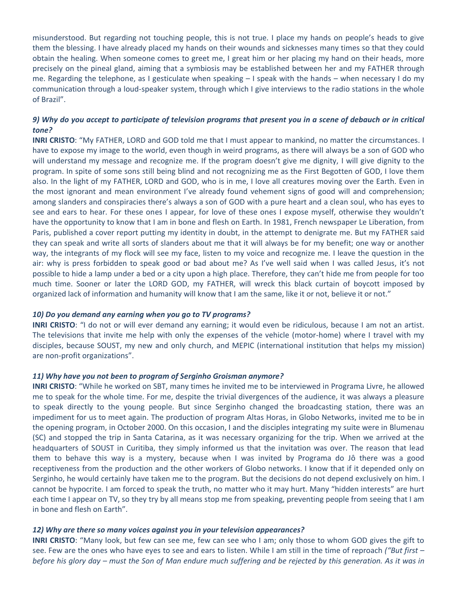misunderstood. But regarding not touching people, this is not true. I place my hands on people's heads to give them the blessing. I have already placed my hands on their wounds and sicknesses many times so that they could obtain the healing. When someone comes to greet me, I great him or her placing my hand on their heads, more precisely on the pineal gland, aiming that a symbiosis may be established between her and my FATHER through me. Regarding the telephone, as I gesticulate when speaking – I speak with the hands – when necessary I do my communication through a loud-speaker system, through which I give interviews to the radio stations in the whole of Brazil".

# *9) Why do you accept to participate of television programs that present you in a scene of debauch or in critical tone?*

**INRI CRISTO**: "My FATHER, LORD and GOD told me that I must appear to mankind, no matter the circumstances. I have to expose my image to the world, even though in weird programs, as there will always be a son of GOD who will understand my message and recognize me. If the program doesn't give me dignity, I will give dignity to the program. In spite of some sons still being blind and not recognizing me as the First Begotten of GOD, I love them also. In the light of my FATHER, LORD and GOD, who is in me, I love all creatures moving over the Earth. Even in the most ignorant and mean environment I've already found vehement signs of good will and comprehension; among slanders and conspiracies there's always a son of GOD with a pure heart and a clean soul, who has eyes to see and ears to hear. For these ones I appear, for love of these ones I expose myself, otherwise they wouldn't have the opportunity to know that I am in bone and flesh on Earth. In 1981, French newspaper Le Liberation, from Paris, published a cover report putting my identity in doubt, in the attempt to denigrate me. But my FATHER said they can speak and write all sorts of slanders about me that it will always be for my benefit; one way or another way, the integrants of my flock will see my face, listen to my voice and recognize me. I leave the question in the air: why is press forbidden to speak good or bad about me? As I've well said when I was called Jesus, it's not possible to hide a lamp under a bed or a city upon a high place. Therefore, they can't hide me from people for too much time. Sooner or later the LORD GOD, my FATHER, will wreck this black curtain of boycott imposed by organized lack of information and humanity will know that I am the same, like it or not, believe it or not."

#### *10) Do you demand any earning when you go to TV programs?*

**INRI CRISTO**: "I do not or will ever demand any earning; it would even be ridiculous, because I am not an artist. The televisions that invite me help with only the expenses of the vehicle (motor-home) where I travel with my disciples, because SOUST, my new and only church, and MEPIC (international institution that helps my mission) are non-profit organizations".

#### *11) Why have you not been to program of Serginho Groisman anymore?*

**INRI CRISTO**: "While he worked on SBT, many times he invited me to be interviewed in Programa Livre, he allowed me to speak for the whole time. For me, despite the trivial divergences of the audience, it was always a pleasure to speak directly to the young people. But since Serginho changed the broadcasting station, there was an impediment for us to meet again. The production of program Altas Horas, in Globo Networks, invited me to be in the opening program, in October 2000. On this occasion, I and the disciples integrating my suite were in Blumenau (SC) and stopped the trip in Santa Catarina, as it was necessary organizing for the trip. When we arrived at the headquarters of SOUST in Curitiba, they simply informed us that the invitation was over. The reason that lead them to behave this way is a mystery, because when I was invited by Programa do Jô there was a good receptiveness from the production and the other workers of Globo networks. I know that if it depended only on Serginho, he would certainly have taken me to the program. But the decisions do not depend exclusively on him. I cannot be hypocrite. I am forced to speak the truth, no matter who it may hurt. Many "hidden interests" are hurt each time I appear on TV, so they try by all means stop me from speaking, preventing people from seeing that I am in bone and flesh on Earth".

#### *12) Why are there so many voices against you in your television appearances?*

**INRI CRISTO**: "Many look, but few can see me, few can see who I am; only those to whom GOD gives the gift to see. Few are the ones who have eyes to see and ears to listen. While I am still in the time of reproach *("But first – before his glory day – must the Son of Man endure much suffering and be rejected by this generation. As it was in*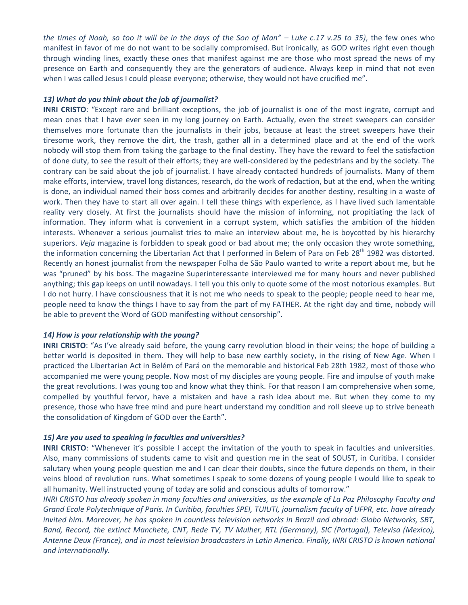*the times of Noah, so too it will be in the days of the Son of Man" – Luke c.17 v.25 to 35)*, the few ones who manifest in favor of me do not want to be socially compromised. But ironically, as GOD writes right even though through winding lines, exactly these ones that manifest against me are those who most spread the news of my presence on Earth and consequently they are the generators of audience. Always keep in mind that not even when I was called Jesus I could please everyone; otherwise, they would not have crucified me".

#### *13) What do you think about the job of journalist?*

**INRI CRISTO**: "Except rare and brilliant exceptions, the job of journalist is one of the most ingrate, corrupt and mean ones that I have ever seen in my long journey on Earth. Actually, even the street sweepers can consider themselves more fortunate than the journalists in their jobs, because at least the street sweepers have their tiresome work, they remove the dirt, the trash, gather all in a determined place and at the end of the work nobody will stop them from taking the garbage to the final destiny. They have the reward to feel the satisfaction of done duty, to see the result of their efforts; they are well-considered by the pedestrians and by the society. The contrary can be said about the job of journalist. I have already contacted hundreds of journalists. Many of them make efforts, interview, travel long distances, research, do the work of redaction, but at the end, when the writing is done, an individual named their boss comes and arbitrarily decides for another destiny, resulting in a waste of work. Then they have to start all over again. I tell these things with experience, as I have lived such lamentable reality very closely. At first the journalists should have the mission of informing, not propitiating the lack of information. They inform what is convenient in a corrupt system, which satisfies the ambition of the hidden interests. Whenever a serious journalist tries to make an interview about me, he is boycotted by his hierarchy superiors. *Veja* magazine is forbidden to speak good or bad about me; the only occasion they wrote something, the information concerning the Libertarian Act that I performed in Belem of Para on Feb 28<sup>th</sup> 1982 was distorted. Recently an honest journalist from the newspaper Folha de São Paulo wanted to write a report about me, but he was "pruned" by his boss. The magazine Superinteressante interviewed me for many hours and never published anything; this gap keeps on until nowadays. I tell you this only to quote some of the most notorious examples. But I do not hurry. I have consciousness that it is not me who needs to speak to the people; people need to hear me, people need to know the things I have to say from the part of my FATHER. At the right day and time, nobody will be able to prevent the Word of GOD manifesting without censorship".

#### *14) How is your relationship with the young?*

**INRI CRISTO**: "As I've already said before, the young carry revolution blood in their veins; the hope of building a better world is deposited in them. They will help to base new earthly society, in the rising of New Age. When I practiced the Libertarian Act in Belém of Pará on the memorable and historical Feb 28th 1982, most of those who accompanied me were young people. Now most of my disciples are young people. Fire and impulse of youth make the great revolutions. I was young too and know what they think. For that reason I am comprehensive when some, compelled by youthful fervor, have a mistaken and have a rash idea about me. But when they come to my presence, those who have free mind and pure heart understand my condition and roll sleeve up to strive beneath the consolidation of Kingdom of GOD over the Earth".

#### *15) Are you used to speaking in faculties and universities?*

**INRI CRISTO**: "Whenever it's possible I accept the invitation of the youth to speak in faculties and universities. Also, many commissions of students came to visit and question me in the seat of SOUST, in Curitiba. I consider salutary when young people question me and I can clear their doubts, since the future depends on them, in their veins blood of revolution runs. What sometimes I speak to some dozens of young people I would like to speak to all humanity. Well instructed young of today are solid and conscious adults of tomorrow."

*INRI CRISTO has already spoken in many faculties and universities, as the example of La Paz Philosophy Faculty and Grand Ecole Polytechnique of Paris. In Curitiba, faculties SPEI, TUIUTI, journalism faculty of UFPR, etc. have already invited him. Moreover, he has spoken in countless television networks in Brazil and abroad: Globo Networks, SBT,*  Band, Record, the extinct Manchete, CNT, Rede TV, TV Mulher, RTL (Germany), SIC (Portugal), Televisa (Mexico), *Antenne Deux (France), and in most television broadcasters in Latin America. Finally, INRI CRISTO is known national and internationally.*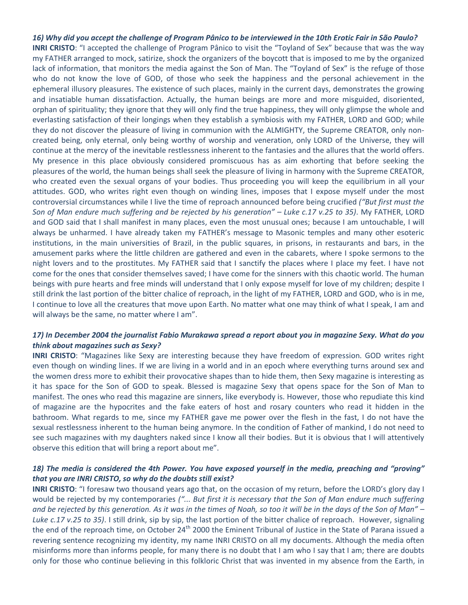*16) Why did you accept the challenge of Program Pânico to be interviewed in the 10th Erotic Fair in São Paulo?* **INRI CRISTO**: "I accepted the challenge of Program Pânico to visit the "Toyland of Sex" because that was the way my FATHER arranged to mock, satirize, shock the organizers of the boycott that is imposed to me by the organized lack of information, that monitors the media against the Son of Man. The "Toyland of Sex" is the refuge of those who do not know the love of GOD, of those who seek the happiness and the personal achievement in the ephemeral illusory pleasures. The existence of such places, mainly in the current days, demonstrates the growing and insatiable human dissatisfaction. Actually, the human beings are more and more misguided, disoriented, orphan of spirituality; they ignore that they will only find the true happiness, they will only glimpse the whole and everlasting satisfaction of their longings when they establish a symbiosis with my FATHER, LORD and GOD; while they do not discover the pleasure of living in communion with the ALMIGHTY, the Supreme CREATOR, only noncreated being, only eternal, only being worthy of worship and veneration, only LORD of the Universe, they will continue at the mercy of the inevitable restlessness inherent to the fantasies and the allures that the world offers. My presence in this place obviously considered promiscuous has as aim exhorting that before seeking the pleasures of the world, the human beings shall seek the pleasure of living in harmony with the Supreme CREATOR, who created even the sexual organs of your bodies. Thus proceeding you will keep the equilibrium in all your attitudes. GOD, who writes right even though on winding lines, imposes that I expose myself under the most controversial circumstances while I live the time of reproach announced before being crucified *("But first must the Son of Man endure much suffering and be rejected by his generation" – Luke c.17 v.25 to 35)*. My FATHER, LORD and GOD said that I shall manifest in many places, even the most unusual ones; because I am untouchable, I will always be unharmed. I have already taken my FATHER's message to Masonic temples and many other esoteric institutions, in the main universities of Brazil, in the public squares, in prisons, in restaurants and bars, in the amusement parks where the little children are gathered and even in the cabarets, where I spoke sermons to the night lovers and to the prostitutes. My FATHER said that I sanctify the places where I place my feet. I have not come for the ones that consider themselves saved; I have come for the sinners with this chaotic world. The human beings with pure hearts and free minds will understand that I only expose myself for love of my children; despite I still drink the last portion of the bitter chalice of reproach, in the light of my FATHER, LORD and GOD, who is in me, I continue to love all the creatures that move upon Earth. No matter what one may think of what I speak, I am and will always be the same, no matter where I am".

# *17) In December 2004 the journalist Fabio Murakawa spread a report about you in magazine Sexy. What do you think about magazines such as Sexy?*

**INRI CRISTO**: "Magazines like Sexy are interesting because they have freedom of expression. GOD writes right even though on winding lines. If we are living in a world and in an epoch where everything turns around sex and the women dress more to exhibit their provocative shapes than to hide them, then Sexy magazine is interesting as it has space for the Son of GOD to speak. Blessed is magazine Sexy that opens space for the Son of Man to manifest. The ones who read this magazine are sinners, like everybody is. However, those who repudiate this kind of magazine are the hypocrites and the fake eaters of host and rosary counters who read it hidden in the bathroom. What regards to me, since my FATHER gave me power over the flesh in the fast, I do not have the sexual restlessness inherent to the human being anymore. In the condition of Father of mankind, I do not need to see such magazines with my daughters naked since I know all their bodies. But it is obvious that I will attentively observe this edition that will bring a report about me".

# *18) The media is considered the 4th Power. You have exposed yourself in the media, preaching and "proving" that you are INRI CRISTO, so why do the doubts still exist?*

**INRI CRISTO**: "I foresaw two thousand years ago that, on the occasion of my return, before the LORD's glory day I would be rejected by my contemporaries *("... But first it is necessary that the Son of Man endure much suffering and be rejected by this generation. As it was in the times of Noah, so too it will be in the days of the Son of Man" – Luke c.17 v.25 to 35)*. I still drink, sip by sip, the last portion of the bitter chalice of reproach. However, signaling the end of the reproach time, on October 24<sup>th</sup> 2000 the Eminent Tribunal of Justice in the State of Parana issued a revering sentence recognizing my identity, my name INRI CRISTO on all my documents. Although the media often misinforms more than informs people, for many there is no doubt that I am who I say that I am; there are doubts only for those who continue believing in this folkloric Christ that was invented in my absence from the Earth, in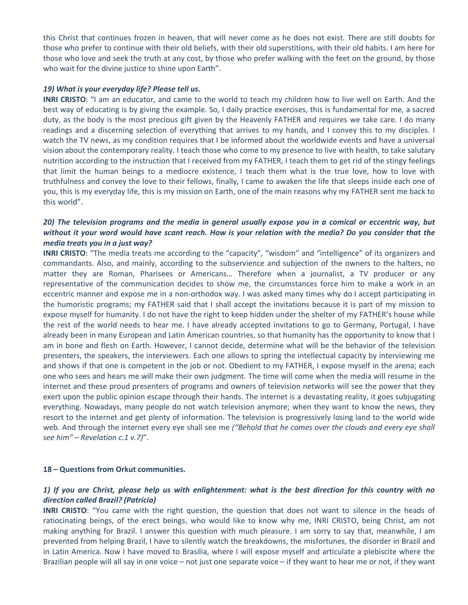this Christ that continues frozen in heaven, that will never come as he does not exist. There are still doubts for those who prefer to continue with their old beliefs, with their old superstitions, with their old habits. I am here for those who love and seek the truth at any cost, by those who prefer walking with the feet on the ground, by those who wait for the divine justice to shine upon Earth".

#### *19) What is your everyday life? Please tell us.*

**INRI CRISTO**: "I am an educator, and came to the world to teach my children how to live well on Earth. And the best way of educating is by giving the example. So, I daily practice exercises, this is fundamental for me, a sacred duty, as the body is the most precious gift given by the Heavenly FATHER and requires we take care. I do many readings and a discerning selection of everything that arrives to my hands, and I convey this to my disciples. I watch the TV news, as my condition requires that I be informed about the worldwide events and have a universal vision about the contemporary reality. I teach those who come to my presence to live with health, to take salutary nutrition according to the instruction that I received from my FATHER, I teach them to get rid of the stingy feelings that limit the human beings to a mediocre existence, I teach them what is the true love, how to love with truthfulness and convey the love to their fellows, finally, I came to awaken the life that sleeps inside each one of you, this is my everyday life, this is my mission on Earth, one of the main reasons why my FATHER sent me back to this world".

# *20) The television programs and the media in general usually expose you in a comical or eccentric way, but without it your word would have scant reach. How is your relation with the media? Do you consider that the media treats you in a just way?*

**INRI CRISTO**: "The media treats me according to the "capacity", "wisdom" and "intelligence" of its organizers and commandants. Also, and mainly, according to the subservience and subjection of the owners to the halters, no matter they are Roman, Pharisees or Americans… Therefore when a journalist, a TV producer or any representative of the communication decides to show me, the circumstances force him to make a work in an eccentric manner and expose me in a non-orthodox way. I was asked many times why do I accept participating in the humoristic programs; my FATHER said that I shall accept the invitations because it is part of my mission to expose myself for humanity. I do not have the right to keep hidden under the shelter of my FATHER's house while the rest of the world needs to hear me. I have already accepted invitations to go to Germany, Portugal, I have already been in many European and Latin American countries, so that humanity has the opportunity to know that I am in bone and flesh on Earth. However, I cannot decide, determine what will be the behavior of the television presenters, the speakers, the interviewers. Each one allows to spring the intellectual capacity by interviewing me and shows if that one is competent in the job or not. Obedient to my FATHER, I expose myself in the arena; each one who sees and hears me will make their own judgment. The time will come when the media will resume in the internet and these proud presenters of programs and owners of television networks will see the power that they exert upon the public opinion escape through their hands. The internet is a devastating reality, it goes subjugating everything. Nowadays, many people do not watch television anymore; when they want to know the news, they resort to the internet and get plenty of information. The television is progressively losing land to the world wide web. And through the internet every eye shall see me *("Behold that he comes over the clouds and every eye shall see him" – Revelation c.1 v.7)*".

# **18 – Questions from Orkut communities.**

# *1) If you are Christ, please help us with enlightenment: what is the best direction for this country with no direction called Brazil? (Patrícia)*

**INRI CRISTO**: "You came with the right question, the question that does not want to silence in the heads of ratiocinating beings, of the erect beings, who would like to know why me, INRI CRISTO, being Christ, am not making anything for Brazil. I answer this question with much pleasure. I am sorry to say that, meanwhile, I am prevented from helping Brazil, I have to silently watch the breakdowns, the misfortunes, the disorder in Brazil and in Latin America. Now I have moved to Brasilia, where I will expose myself and articulate a plebiscite where the Brazilian people will all say in one voice – not just one separate voice – if they want to hear me or not, if they want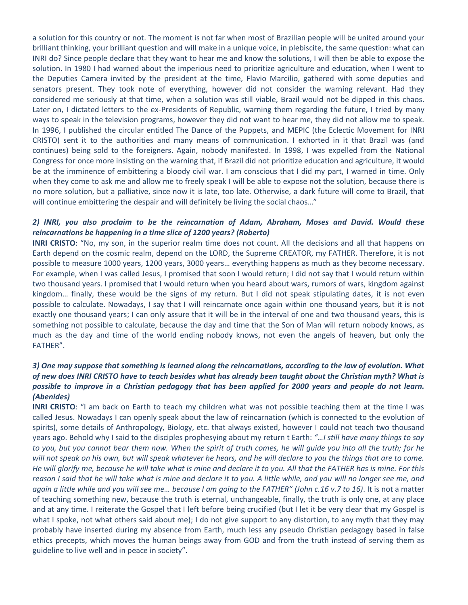a solution for this country or not. The moment is not far when most of Brazilian people will be united around your brilliant thinking, your brilliant question and will make in a unique voice, in plebiscite, the same question: what can INRI do? Since people declare that they want to hear me and know the solutions, I will then be able to expose the solution. In 1980 I had warned about the imperious need to prioritize agriculture and education, when I went to the Deputies Camera invited by the president at the time, Flavio Marcilio, gathered with some deputies and senators present. They took note of everything, however did not consider the warning relevant. Had they considered me seriously at that time, when a solution was still viable, Brazil would not be dipped in this chaos. Later on, I dictated letters to the ex-Presidents of Republic, warning them regarding the future, I tried by many ways to speak in the television programs, however they did not want to hear me, they did not allow me to speak. In 1996, I published the circular entitled The Dance of the Puppets, and MEPIC (the Eclectic Movement for INRI CRISTO) sent it to the authorities and many means of communication. I exhorted in it that Brazil was (and continues) being sold to the foreigners. Again, nobody manifested. In 1998, I was expelled from the National Congress for once more insisting on the warning that, if Brazil did not prioritize education and agriculture, it would be at the imminence of embittering a bloody civil war. I am conscious that I did my part, I warned in time. Only when they come to ask me and allow me to freely speak I will be able to expose not the solution, because there is no more solution, but a palliative, since now it is late, too late. Otherwise, a dark future will come to Brazil, that will continue embittering the despair and will definitely be living the social chaos..."

# *2) INRI, you also proclaim to be the reincarnation of Adam, Abraham, Moses and David. Would these reincarnations be happening in a time slice of 1200 years? (Roberto)*

**INRI CRISTO**: "No, my son, in the superior realm time does not count. All the decisions and all that happens on Earth depend on the cosmic realm, depend on the LORD, the Supreme CREATOR, my FATHER. Therefore, it is not possible to measure 1000 years, 1200 years, 3000 years… everything happens as much as they become necessary. For example, when I was called Jesus, I promised that soon I would return; I did not say that I would return within two thousand years. I promised that I would return when you heard about wars, rumors of wars, kingdom against kingdom… finally, these would be the signs of my return. But I did not speak stipulating dates, it is not even possible to calculate. Nowadays, I say that I will reincarnate once again within one thousand years, but it is not exactly one thousand years; I can only assure that it will be in the interval of one and two thousand years, this is something not possible to calculate, because the day and time that the Son of Man will return nobody knows, as much as the day and time of the world ending nobody knows, not even the angels of heaven, but only the FATHER".

# *3) One may suppose that something is learned along the reincarnations, according to the law of evolution. What of new does INRI CRISTO have to teach besides what has already been taught about the Christian myth? What is possible to improve in a Christian pedagogy that has been applied for 2000 years and people do not learn. (Abenides)*

**INRI CRISTO**: "I am back on Earth to teach my children what was not possible teaching them at the time I was called Jesus. Nowadays I can openly speak about the law of reincarnation (which is connected to the evolution of spirits), some details of Anthropology, Biology, etc. that always existed, however I could not teach two thousand years ago. Behold why I said to the disciples prophesying about my return t Earth: *"…I still have many things to say*  to you, but you cannot bear them now. When the spirit of truth comes, he will guide you into all the truth; for he will not speak on his own, but will speak whatever he hears, and he will declare to you the things that are to come. *He will glorify me, because he will take what is mine and declare it to you. All that the FATHER has is mine. For this reason I said that he will take what is mine and declare it to you. A little while, and you will no longer see me, and again a little while and you will see me… because I am going to the FATHER" (John c.16 v.7 to 16)*. It is not a matter of teaching something new, because the truth is eternal, unchangeable, finally, the truth is only one, at any place and at any time. I reiterate the Gospel that I left before being crucified (but I let it be very clear that my Gospel is what I spoke, not what others said about me); I do not give support to any distortion, to any myth that they may probably have inserted during my absence from Earth, much less any pseudo Christian pedagogy based in false ethics precepts, which moves the human beings away from GOD and from the truth instead of serving them as guideline to live well and in peace in society".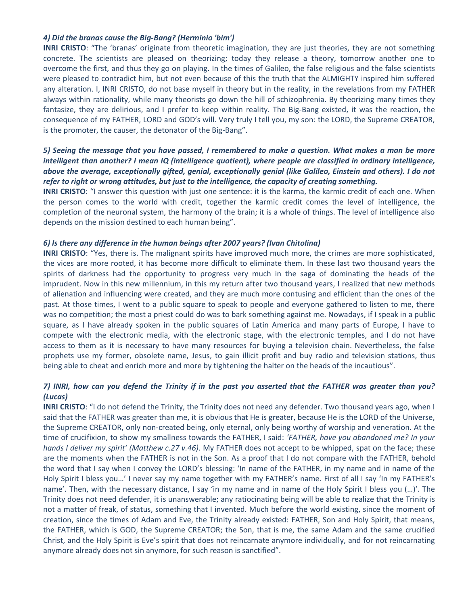#### *4) Did the branas cause the Big-Bang? (Herminio 'bim')*

**INRI CRISTO**: "The 'branas' originate from theoretic imagination, they are just theories, they are not something concrete. The scientists are pleased on theorizing; today they release a theory, tomorrow another one to overcome the first, and thus they go on playing. In the times of Galileo, the false religious and the false scientists were pleased to contradict him, but not even because of this the truth that the ALMIGHTY inspired him suffered any alteration. I, INRI CRISTO, do not base myself in theory but in the reality, in the revelations from my FATHER always within rationality, while many theorists go down the hill of schizophrenia. By theorizing many times they fantasize, they are delirious, and I prefer to keep within reality. The Big-Bang existed, it was the reaction, the consequence of my FATHER, LORD and GOD's will. Very truly I tell you, my son: the LORD, the Supreme CREATOR, is the promoter, the causer, the detonator of the Big-Bang".

# *5) Seeing the message that you have passed, I remembered to make a question. What makes a man be more intelligent than another? I mean IQ (intelligence quotient), where people are classified in ordinary intelligence, above the average, exceptionally gifted, genial, exceptionally genial (like Galileo, Einstein and others). I do not refer to right or wrong attitudes, but just to the intelligence, the capacity of creating something.*

**INRI CRISTO**: "I answer this question with just one sentence: it is the karma, the karmic credit of each one. When the person comes to the world with credit, together the karmic credit comes the level of intelligence, the completion of the neuronal system, the harmony of the brain; it is a whole of things. The level of intelligence also depends on the mission destined to each human being".

#### *6) Is there any difference in the human beings after 2007 years? (Ivan Chitolina)*

**INRI CRISTO**: "Yes, there is. The malignant spirits have improved much more, the crimes are more sophisticated, the vices are more rooted, it has become more difficult to eliminate them. In these last two thousand years the spirits of darkness had the opportunity to progress very much in the saga of dominating the heads of the imprudent. Now in this new millennium, in this my return after two thousand years, I realized that new methods of alienation and influencing were created, and they are much more contusing and efficient than the ones of the past. At those times, I went to a public square to speak to people and everyone gathered to listen to me, there was no competition; the most a priest could do was to bark something against me. Nowadays, if I speak in a public square, as I have already spoken in the public squares of Latin America and many parts of Europe, I have to compete with the electronic media, with the electronic stage, with the electronic temples, and I do not have access to them as it is necessary to have many resources for buying a television chain. Nevertheless, the false prophets use my former, obsolete name, Jesus, to gain illicit profit and buy radio and television stations, thus being able to cheat and enrich more and more by tightening the halter on the heads of the incautious".

# *7) INRI, how can you defend the Trinity if in the past you asserted that the FATHER was greater than you? (Lucas)*

**INRI CRISTO**: "I do not defend the Trinity, the Trinity does not need any defender. Two thousand years ago, when I said that the FATHER was greater than me, it is obvious that He is greater, because He is the LORD of the Universe, the Supreme CREATOR, only non-created being, only eternal, only being worthy of worship and veneration. At the time of crucifixion, to show my smallness towards the FATHER, I said: *'FATHER, have you abandoned me? In your hands I deliver my spirit' (Matthew c.27 v.46)*. My FATHER does not accept to be whipped, spat on the face; these are the moments when the FATHER is not in the Son. As a proof that I do not compare with the FATHER, behold the word that I say when I convey the LORD's blessing: 'In name of the FATHER, in my name and in name of the Holy Spirit I bless you…' I never say my name together with my FATHER's name. First of all I say 'In my FATHER's name'. Then, with the necessary distance, I say 'in my name and in name of the Holy Spirit I bless you (…)'. The Trinity does not need defender, it is unanswerable; any ratiocinating being will be able to realize that the Trinity is not a matter of freak, of status, something that I invented. Much before the world existing, since the moment of creation, since the times of Adam and Eve, the Trinity already existed: FATHER, Son and Holy Spirit, that means, the FATHER, which is GOD, the Supreme CREATOR; the Son, that is me, the same Adam and the same crucified Christ, and the Holy Spirit is Eve's spirit that does not reincarnate anymore individually, and for not reincarnating anymore already does not sin anymore, for such reason is sanctified".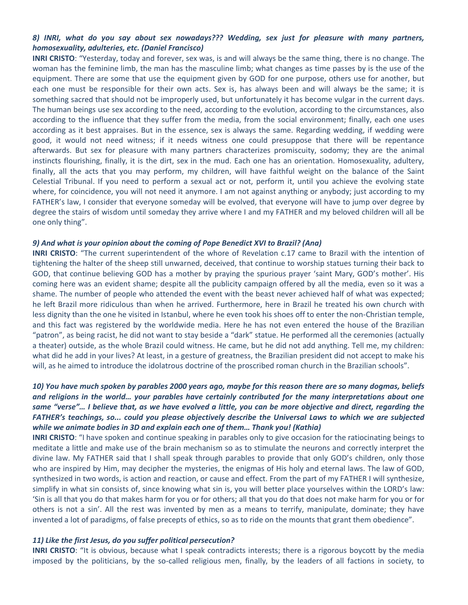# *8) INRI, what do you say about sex nowadays??? Wedding, sex just for pleasure with many partners, homosexuality, adulteries, etc. (Daniel Francisco)*

**INRI CRISTO**: "Yesterday, today and forever, sex was, is and will always be the same thing, there is no change. The woman has the feminine limb, the man has the masculine limb; what changes as time passes by is the use of the equipment. There are some that use the equipment given by GOD for one purpose, others use for another, but each one must be responsible for their own acts. Sex is, has always been and will always be the same; it is something sacred that should not be improperly used, but unfortunately it has become vulgar in the current days. The human beings use sex according to the need, according to the evolution, according to the circumstances, also according to the influence that they suffer from the media, from the social environment; finally, each one uses according as it best appraises. But in the essence, sex is always the same. Regarding wedding, if wedding were good, it would not need witness; if it needs witness one could presuppose that there will be repentance afterwards. But sex for pleasure with many partners characterizes promiscuity, sodomy; they are the animal instincts flourishing, finally, it is the dirt, sex in the mud. Each one has an orientation. Homosexuality, adultery, finally, all the acts that you may perform, my children, will have faithful weight on the balance of the Saint Celestial Tribunal. If you need to perform a sexual act or not, perform it, until you achieve the evolving state where, for coincidence, you will not need it anymore. I am not against anything or anybody; just according to my FATHER's law, I consider that everyone someday will be evolved, that everyone will have to jump over degree by degree the stairs of wisdom until someday they arrive where I and my FATHER and my beloved children will all be one only thing".

#### *9) And what is your opinion about the coming of Pope Benedict XVI to Brazil? (Ana)*

**INRI CRISTO**: "The current superintendent of the whore of Revelation c.17 came to Brazil with the intention of tightening the halter of the sheep still unwarned, deceived, that continue to worship statues turning their back to GOD, that continue believing GOD has a mother by praying the spurious prayer 'saint Mary, GOD's mother'. His coming here was an evident shame; despite all the publicity campaign offered by all the media, even so it was a shame. The number of people who attended the event with the beast never achieved half of what was expected; he left Brazil more ridiculous than when he arrived. Furthermore, here in Brazil he treated his own church with less dignity than the one he visited in Istanbul, where he even took his shoes off to enter the non-Christian temple, and this fact was registered by the worldwide media. Here he has not even entered the house of the Brazilian "patron", as being racist, he did not want to stay beside a "dark" statue. He performed all the ceremonies (actually a theater) outside, as the whole Brazil could witness. He came, but he did not add anything. Tell me, my children: what did he add in your lives? At least, in a gesture of greatness, the Brazilian president did not accept to make his will, as he aimed to introduce the idolatrous doctrine of the proscribed roman church in the Brazilian schools".

# *10) You have much spoken by parables 2000 years ago, maybe for this reason there are so many dogmas, beliefs and religions in the world… your parables have certainly contributed for the many interpretations about one same "verse"… I believe that, as we have evolved a little, you can be more objective and direct, regarding the FATHER's teachings, so... could you please objectively describe the Universal Laws to which we are subjected while we animate bodies in 3D and explain each one of them… Thank you! (Kathia)*

**INRI CRISTO**: "I have spoken and continue speaking in parables only to give occasion for the ratiocinating beings to meditate a little and make use of the brain mechanism so as to stimulate the neurons and correctly interpret the divine law. My FATHER said that I shall speak through parables to provide that only GOD's children, only those who are inspired by Him, may decipher the mysteries, the enigmas of His holy and eternal laws. The law of GOD, synthesized in two words, is action and reaction, or cause and effect. From the part of my FATHER I will synthesize, simplify in what sin consists of, since knowing what sin is, you will better place yourselves within the LORD's law: 'Sin is all that you do that makes harm for you or for others; all that you do that does not make harm for you or for others is not a sin'. All the rest was invented by men as a means to terrify, manipulate, dominate; they have invented a lot of paradigms, of false precepts of ethics, so as to ride on the mounts that grant them obedience".

#### *11) Like the first Jesus, do you suffer political persecution?*

**INRI CRISTO**: "It is obvious, because what I speak contradicts interests; there is a rigorous boycott by the media imposed by the politicians, by the so-called religious men, finally, by the leaders of all factions in society, to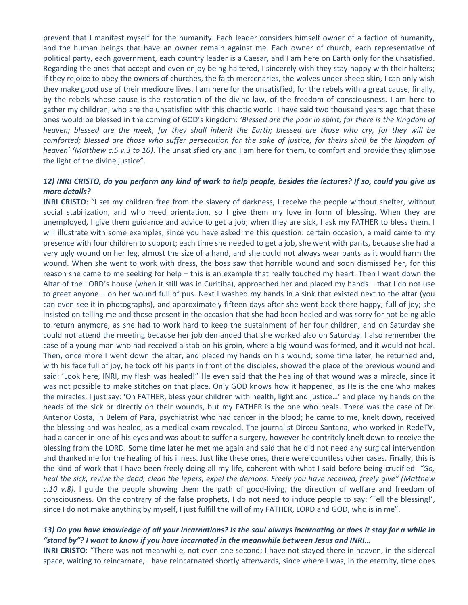prevent that I manifest myself for the humanity. Each leader considers himself owner of a faction of humanity, and the human beings that have an owner remain against me. Each owner of church, each representative of political party, each government, each country leader is a Caesar, and I am here on Earth only for the unsatisfied. Regarding the ones that accept and even enjoy being haltered, I sincerely wish they stay happy with their halters; if they rejoice to obey the owners of churches, the faith mercenaries, the wolves under sheep skin, I can only wish they make good use of their mediocre lives. I am here for the unsatisfied, for the rebels with a great cause, finally, by the rebels whose cause is the restoration of the divine law, of the freedom of consciousness. I am here to gather my children, who are the unsatisfied with this chaotic world. I have said two thousand years ago that these ones would be blessed in the coming of GOD's kingdom: *'Blessed are the poor in spirit, for there is the kingdom of heaven; blessed are the meek, for they shall inherit the Earth; blessed are those who cry, for they will be comforted; blessed are those who suffer persecution for the sake of justice, for theirs shall be the kingdom of heaven' (Matthew c.5 v.3 to 10)*. The unsatisfied cry and I am here for them, to comfort and provide they glimpse the light of the divine justice".

# *12) INRI CRISTO, do you perform any kind of work to help people, besides the lectures? If so, could you give us more details?*

**INRI CRISTO**: "I set my children free from the slavery of darkness, I receive the people without shelter, without social stabilization, and who need orientation, so I give them my love in form of blessing. When they are unemployed, I give them guidance and advice to get a job; when they are sick, I ask my FATHER to bless them. I will illustrate with some examples, since you have asked me this question: certain occasion, a maid came to my presence with four children to support; each time she needed to get a job, she went with pants, because she had a very ugly wound on her leg, almost the size of a hand, and she could not always wear pants as it would harm the wound. When she went to work with dress, the boss saw that horrible wound and soon dismissed her, for this reason she came to me seeking for help – this is an example that really touched my heart. Then I went down the Altar of the LORD's house (when it still was in Curitiba), approached her and placed my hands – that I do not use to greet anyone – on her wound full of pus. Next I washed my hands in a sink that existed next to the altar (you can even see it in photographs), and approximately fifteen days after she went back there happy, full of joy; she insisted on telling me and those present in the occasion that she had been healed and was sorry for not being able to return anymore, as she had to work hard to keep the sustainment of her four children, and on Saturday she could not attend the meeting because her job demanded that she worked also on Saturday. I also remember the case of a young man who had received a stab on his groin, where a big wound was formed, and it would not heal. Then, once more I went down the altar, and placed my hands on his wound; some time later, he returned and, with his face full of joy, he took off his pants in front of the disciples, showed the place of the previous wound and said: 'Look here, INRI, my flesh was healed!" He even said that the healing of that wound was a miracle, since it was not possible to make stitches on that place. Only GOD knows how it happened, as He is the one who makes the miracles. I just say: 'Oh FATHER, bless your children with health, light and justice…' and place my hands on the heads of the sick or directly on their wounds, but my FATHER is the one who heals. There was the case of Dr. Antenor Costa, in Belem of Para, psychiatrist who had cancer in the blood; he came to me, knelt down, received the blessing and was healed, as a medical exam revealed. The journalist Dirceu Santana, who worked in RedeTV, had a cancer in one of his eyes and was about to suffer a surgery, however he contritely knelt down to receive the blessing from the LORD. Some time later he met me again and said that he did not need any surgical intervention and thanked me for the healing of his illness. Just like these ones, there were countless other cases. Finally, this is the kind of work that I have been freely doing all my life, coherent with what I said before being crucified: *"Go, heal the sick, revive the dead, clean the lepers, expel the demons. Freely you have received, freely give" (Matthew c.10 v.8)*. I guide the people showing them the path of good-living, the direction of welfare and freedom of consciousness. On the contrary of the false prophets, I do not need to induce people to say: 'Tell the blessing!', since I do not make anything by myself, I just fulfill the will of my FATHER, LORD and GOD, who is in me".

# *13) Do you have knowledge of all your incarnations? Is the soul always incarnating or does it stay for a while in "stand by"? I want to know if you have incarnated in the meanwhile between Jesus and INRI…*

**INRI CRISTO**: "There was not meanwhile, not even one second; I have not stayed there in heaven, in the sidereal space, waiting to reincarnate, I have reincarnated shortly afterwards, since where I was, in the eternity, time does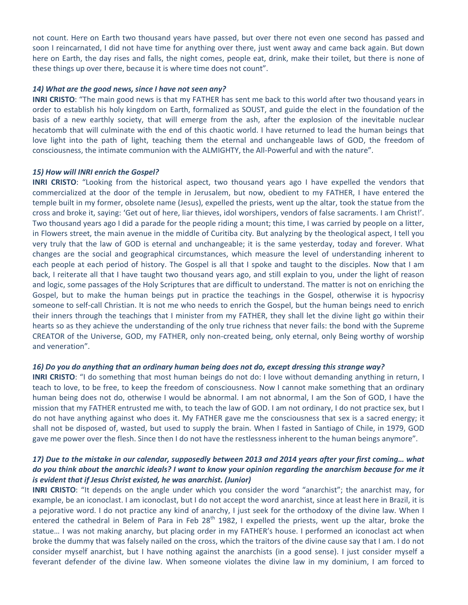not count. Here on Earth two thousand years have passed, but over there not even one second has passed and soon I reincarnated, I did not have time for anything over there, just went away and came back again. But down here on Earth, the day rises and falls, the night comes, people eat, drink, make their toilet, but there is none of these things up over there, because it is where time does not count".

#### *14) What are the good news, since I have not seen any?*

**INRI CRISTO**: "The main good news is that my FATHER has sent me back to this world after two thousand years in order to establish his holy kingdom on Earth, formalized as SOUST, and guide the elect in the foundation of the basis of a new earthly society, that will emerge from the ash, after the explosion of the inevitable nuclear hecatomb that will culminate with the end of this chaotic world. I have returned to lead the human beings that love light into the path of light, teaching them the eternal and unchangeable laws of GOD, the freedom of consciousness, the intimate communion with the ALMIGHTY, the All-Powerful and with the nature".

### *15) How will INRI enrich the Gospel?*

**INRI CRISTO**: "Looking from the historical aspect, two thousand years ago I have expelled the vendors that commercialized at the door of the temple in Jerusalem, but now, obedient to my FATHER, I have entered the temple built in my former, obsolete name (Jesus), expelled the priests, went up the altar, took the statue from the cross and broke it, saying: 'Get out of here, liar thieves, idol worshipers, vendors of false sacraments. I am Christ!'. Two thousand years ago I did a parade for the people riding a mount; this time, I was carried by people on a litter, in Flowers street, the main avenue in the middle of Curitiba city. But analyzing by the theological aspect, I tell you very truly that the law of GOD is eternal and unchangeable; it is the same yesterday, today and forever. What changes are the social and geographical circumstances, which measure the level of understanding inherent to each people at each period of history. The Gospel is all that I spoke and taught to the disciples. Now that I am back, I reiterate all that I have taught two thousand years ago, and still explain to you, under the light of reason and logic, some passages of the Holy Scriptures that are difficult to understand. The matter is not on enriching the Gospel, but to make the human beings put in practice the teachings in the Gospel, otherwise it is hypocrisy someone to self-call Christian. It is not me who needs to enrich the Gospel, but the human beings need to enrich their inners through the teachings that I minister from my FATHER, they shall let the divine light go within their hearts so as they achieve the understanding of the only true richness that never fails: the bond with the Supreme CREATOR of the Universe, GOD, my FATHER, only non-created being, only eternal, only Being worthy of worship and veneration".

# *16) Do you do anything that an ordinary human being does not do, except dressing this strange way?*

**INRI CRISTO**: "I do something that most human beings do not do: I love without demanding anything in return, I teach to love, to be free, to keep the freedom of consciousness. Now I cannot make something that an ordinary human being does not do, otherwise I would be abnormal. I am not abnormal, I am the Son of GOD, I have the mission that my FATHER entrusted me with, to teach the law of GOD. I am not ordinary, I do not practice sex, but I do not have anything against who does it. My FATHER gave me the consciousness that sex is a sacred energy; it shall not be disposed of, wasted, but used to supply the brain. When I fasted in Santiago of Chile, in 1979, GOD gave me power over the flesh. Since then I do not have the restlessness inherent to the human beings anymore".

# *17) Due to the mistake in our calendar, supposedly between 2013 and 2014 years after your first coming… what do you think about the anarchic ideals? I want to know your opinion regarding the anarchism because for me it is evident that if Jesus Christ existed, he was anarchist. (Junior)*

**INRI CRISTO**: "It depends on the angle under which you consider the word "anarchist"; the anarchist may, for example, be an iconoclast. I am iconoclast, but I do not accept the word anarchist, since at least here in Brazil, it is a pejorative word. I do not practice any kind of anarchy, I just seek for the orthodoxy of the divine law. When I entered the cathedral in Belem of Para in Feb  $28^{th}$  1982, I expelled the priests, went up the altar, broke the statue… I was not making anarchy, but placing order in my FATHER's house. I performed an iconoclast act when broke the dummy that was falsely nailed on the cross, which the traitors of the divine cause say that I am. I do not consider myself anarchist, but I have nothing against the anarchists (in a good sense). I just consider myself a feverant defender of the divine law. When someone violates the divine law in my dominium, I am forced to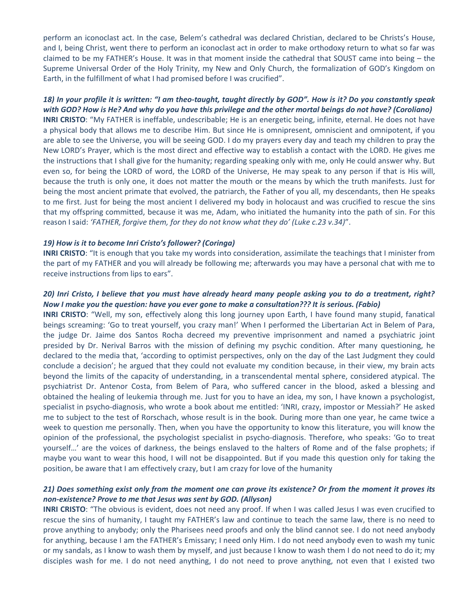perform an iconoclast act. In the case, Belem's cathedral was declared Christian, declared to be Christs's House, and I, being Christ, went there to perform an iconoclast act in order to make orthodoxy return to what so far was claimed to be my FATHER's House. It was in that moment inside the cathedral that SOUST came into being – the Supreme Universal Order of the Holy Trinity, my New and Only Church, the formalization of GOD's Kingdom on Earth, in the fulfillment of what I had promised before I was crucified".

*18) In your profile it is written: "I am theo-taught, taught directly by GOD". How is it? Do you constantly speak with GOD? How is He? And why do you have this privilege and the other mortal beings do not have? (Coroliano)* **INRI CRISTO**: "My FATHER is ineffable, undescribable; He is an energetic being, infinite, eternal. He does not have a physical body that allows me to describe Him. But since He is omnipresent, omniscient and omnipotent, if you are able to see the Universe, you will be seeing GOD. I do my prayers every day and teach my children to pray the New LORD's Prayer, which is the most direct and effective way to establish a contact with the LORD. He gives me the instructions that I shall give for the humanity; regarding speaking only with me, only He could answer why. But even so, for being the LORD of word, the LORD of the Universe, He may speak to any person if that is His will, because the truth is only one, it does not matter the mouth or the means by which the truth manifests. Just for being the most ancient primate that evolved, the patriarch, the Father of you all, my descendants, then He speaks to me first. Just for being the most ancient I delivered my body in holocaust and was crucified to rescue the sins that my offspring committed, because it was me, Adam, who initiated the humanity into the path of sin. For this reason I said: *'FATHER, forgive them, for they do not know what they do' (Luke c.23 v.34)*".

#### *19) How is it to become Inri Cristo's follower? (Coringa)*

**INRI CRISTO**: "It is enough that you take my words into consideration, assimilate the teachings that I minister from the part of my FATHER and you will already be following me; afterwards you may have a personal chat with me to receive instructions from lips to ears".

# *20) Inri Cristo, I believe that you must have already heard many people asking you to do a treatment, right? Now I make you the question: have you ever gone to make a consultation??? It is serious. (Fabio)*

**INRI CRISTO**: "Well, my son, effectively along this long journey upon Earth, I have found many stupid, fanatical beings screaming: 'Go to treat yourself, you crazy man!' When I performed the Libertarian Act in Belem of Para, the judge Dr. Jaime dos Santos Rocha decreed my preventive imprisonment and named a psychiatric joint presided by Dr. Nerival Barros with the mission of defining my psychic condition. After many questioning, he declared to the media that, 'according to optimist perspectives, only on the day of the Last Judgment they could conclude a decision'; he argued that they could not evaluate my condition because, in their view, my brain acts beyond the limits of the capacity of understanding, in a transcendental mental sphere, considered atypical. The psychiatrist Dr. Antenor Costa, from Belem of Para, who suffered cancer in the blood, asked a blessing and obtained the healing of leukemia through me. Just for you to have an idea, my son, I have known a psychologist, specialist in psycho-diagnosis, who wrote a book about me entitled: 'INRI, crazy, impostor or Messiah?' He asked me to subject to the test of Rorschach, whose result is in the book. During more than one year, he came twice a week to question me personally. Then, when you have the opportunity to know this literature, you will know the opinion of the professional, the psychologist specialist in psycho-diagnosis. Therefore, who speaks: 'Go to treat yourself…' are the voices of darkness, the beings enslaved to the halters of Rome and of the false prophets; if maybe you want to wear this hood, I will not be disappointed. But if you made this question only for taking the position, be aware that I am effectively crazy, but I am crazy for love of the humanity

# *21) Does something exist only from the moment one can prove its existence? Or from the moment it proves its non-existence? Prove to me that Jesus was sent by GOD. (Allyson)*

**INRI CRISTO**: "The obvious is evident, does not need any proof. If when I was called Jesus I was even crucified to rescue the sins of humanity, I taught my FATHER's law and continue to teach the same law, there is no need to prove anything to anybody; only the Pharisees need proofs and only the blind cannot see. I do not need anybody for anything, because I am the FATHER's Emissary; I need only Him. I do not need anybody even to wash my tunic or my sandals, as I know to wash them by myself, and just because I know to wash them I do not need to do it; my disciples wash for me. I do not need anything, I do not need to prove anything, not even that I existed two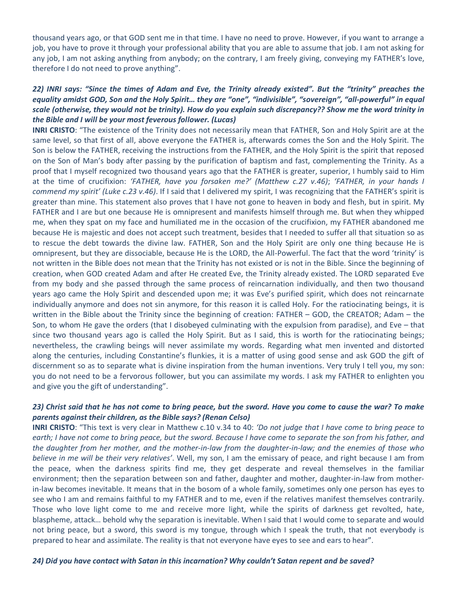thousand years ago, or that GOD sent me in that time. I have no need to prove. However, if you want to arrange a job, you have to prove it through your professional ability that you are able to assume that job. I am not asking for any job, I am not asking anything from anybody; on the contrary, I am freely giving, conveying my FATHER's love, therefore I do not need to prove anything".

# *22) INRI says: "Since the times of Adam and Eve, the Trinity already existed". But the "trinity" preaches the equality amidst GOD, Son and the Holy Spirit… they are "one", "indivisible", "sovereign", "all-powerful" in equal scale (otherwise, they would not be trinity). How do you explain such discrepancy?? Show me the word trinity in the Bible and I will be your most feverous follower. (Lucas)*

**INRI CRISTO**: "The existence of the Trinity does not necessarily mean that FATHER, Son and Holy Spirit are at the same level, so that first of all, above everyone the FATHER is, afterwards comes the Son and the Holy Spirit. The Son is below the FATHER, receiving the instructions from the FATHER, and the Holy Spirit is the spirit that reposed on the Son of Man's body after passing by the purification of baptism and fast, complementing the Trinity. As a proof that I myself recognized two thousand years ago that the FATHER is greater, superior, I humbly said to Him at the time of crucifixion: *'FATHER, have you forsaken me?' (Matthew c.27 v.46)*; *'FATHER, in your hands I commend my spirit' (Luke c.23 v.46)*. If I said that I delivered my spirit, I was recognizing that the FATHER's spirit is greater than mine. This statement also proves that I have not gone to heaven in body and flesh, but in spirit. My FATHER and I are but one because He is omnipresent and manifests himself through me. But when they whipped me, when they spat on my face and humiliated me in the occasion of the crucifixion, my FATHER abandoned me because He is majestic and does not accept such treatment, besides that I needed to suffer all that situation so as to rescue the debt towards the divine law. FATHER, Son and the Holy Spirit are only one thing because He is omnipresent, but they are dissociable, because He is the LORD, the All-Powerful. The fact that the word 'trinity' is not written in the Bible does not mean that the Trinity has not existed or is not in the Bible. Since the beginning of creation, when GOD created Adam and after He created Eve, the Trinity already existed. The LORD separated Eve from my body and she passed through the same process of reincarnation individually, and then two thousand years ago came the Holy Spirit and descended upon me; it was Eve's purified spirit, which does not reincarnate individually anymore and does not sin anymore, for this reason it is called Holy. For the ratiocinating beings, it is written in the Bible about the Trinity since the beginning of creation: FATHER – GOD, the CREATOR; Adam – the Son, to whom He gave the orders (that I disobeyed culminating with the expulsion from paradise), and Eve – that since two thousand years ago is called the Holy Spirit. But as I said, this is worth for the ratiocinating beings; nevertheless, the crawling beings will never assimilate my words. Regarding what men invented and distorted along the centuries, including Constantine's flunkies, it is a matter of using good sense and ask GOD the gift of discernment so as to separate what is divine inspiration from the human inventions. Very truly I tell you, my son: you do not need to be a fervorous follower, but you can assimilate my words. I ask my FATHER to enlighten you and give you the gift of understanding".

# *23) Christ said that he has not come to bring peace, but the sword. Have you come to cause the war? To make parents against their children, as the Bible says? (Renan Celso)*

**INRI CRISTO**: "This text is very clear in Matthew c.10 v.34 to 40: *'Do not judge that I have come to bring peace to*  earth; I have not come to bring peace, but the sword. Because I have come to separate the son from his father, and *the daughter from her mother, and the mother-in-law from the daughter-in-law; and the enemies of those who believe in me will be their very relatives'*. Well, my son, I am the emissary of peace, and right because I am from the peace, when the darkness spirits find me, they get desperate and reveal themselves in the familiar environment; then the separation between son and father, daughter and mother, daughter-in-law from motherin-law becomes inevitable. It means that in the bosom of a whole family, sometimes only one person has eyes to see who I am and remains faithful to my FATHER and to me, even if the relatives manifest themselves contrarily. Those who love light come to me and receive more light, while the spirits of darkness get revolted, hate, blaspheme, attack… behold why the separation is inevitable. When I said that I would come to separate and would not bring peace, but a sword, this sword is my tongue, through which I speak the truth, that not everybody is prepared to hear and assimilate. The reality is that not everyone have eyes to see and ears to hear".

#### *24) Did you have contact with Satan in this incarnation? Why couldn't Satan repent and be saved?*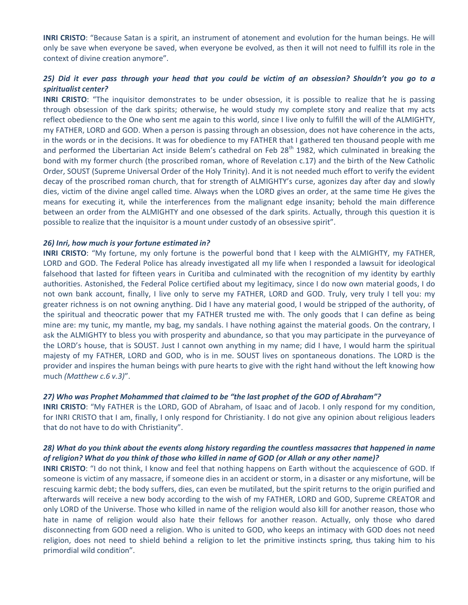**INRI CRISTO**: "Because Satan is a spirit, an instrument of atonement and evolution for the human beings. He will only be save when everyone be saved, when everyone be evolved, as then it will not need to fulfill its role in the context of divine creation anymore".

# *25) Did it ever pass through your head that you could be victim of an obsession? Shouldn't you go to a spiritualist center?*

**INRI CRISTO**: "The inquisitor demonstrates to be under obsession, it is possible to realize that he is passing through obsession of the dark spirits; otherwise, he would study my complete story and realize that my acts reflect obedience to the One who sent me again to this world, since I live only to fulfill the will of the ALMIGHTY, my FATHER, LORD and GOD. When a person is passing through an obsession, does not have coherence in the acts, in the words or in the decisions. It was for obedience to my FATHER that I gathered ten thousand people with me and performed the Libertarian Act inside Belem's cathedral on Feb 28<sup>th</sup> 1982, which culminated in breaking the bond with my former church (the proscribed roman, whore of Revelation c.17) and the birth of the New Catholic Order, SOUST (Supreme Universal Order of the Holy Trinity). And it is not needed much effort to verify the evident decay of the proscribed roman church, that for strength of ALMIGHTY's curse, agonizes day after day and slowly dies, victim of the divine angel called time. Always when the LORD gives an order, at the same time He gives the means for executing it, while the interferences from the malignant edge insanity; behold the main difference between an order from the ALMIGHTY and one obsessed of the dark spirits. Actually, through this question it is possible to realize that the inquisitor is a mount under custody of an obsessive spirit".

#### *26) Inri, how much is your fortune estimated in?*

**INRI CRISTO**: "My fortune, my only fortune is the powerful bond that I keep with the ALMIGHTY, my FATHER, LORD and GOD. The Federal Police has already investigated all my life when I responded a lawsuit for ideological falsehood that lasted for fifteen years in Curitiba and culminated with the recognition of my identity by earthly authorities. Astonished, the Federal Police certified about my legitimacy, since I do now own material goods, I do not own bank account, finally, I live only to serve my FATHER, LORD and GOD. Truly, very truly I tell you: my greater richness is on not owning anything. Did I have any material good, I would be stripped of the authority, of the spiritual and theocratic power that my FATHER trusted me with. The only goods that I can define as being mine are: my tunic, my mantle, my bag, my sandals. I have nothing against the material goods. On the contrary, I ask the ALMIGHTY to bless you with prosperity and abundance, so that you may participate in the purveyance of the LORD's house, that is SOUST. Just I cannot own anything in my name; did I have, I would harm the spiritual majesty of my FATHER, LORD and GOD, who is in me. SOUST lives on spontaneous donations. The LORD is the provider and inspires the human beings with pure hearts to give with the right hand without the left knowing how much *(Matthew c.6 v.3)*".

# *27) Who was Prophet Mohammed that claimed to be "the last prophet of the GOD of Abraham"?*

**INRI CRISTO**: "My FATHER is the LORD, GOD of Abraham, of Isaac and of Jacob. I only respond for my condition, for INRI CRISTO that I am, finally, I only respond for Christianity. I do not give any opinion about religious leaders that do not have to do with Christianity".

# *28) What do you think about the events along history regarding the countless massacres that happened in name of religion? What do you think of those who killed in name of GOD (or Allah or any other name)?*

**INRI CRISTO**: "I do not think, I know and feel that nothing happens on Earth without the acquiescence of GOD. If someone is victim of any massacre, if someone dies in an accident or storm, in a disaster or any misfortune, will be rescuing karmic debt; the body suffers, dies, can even be mutilated, but the spirit returns to the origin purified and afterwards will receive a new body according to the wish of my FATHER, LORD and GOD, Supreme CREATOR and only LORD of the Universe. Those who killed in name of the religion would also kill for another reason, those who hate in name of religion would also hate their fellows for another reason. Actually, only those who dared disconnecting from GOD need a religion. Who is united to GOD, who keeps an intimacy with GOD does not need religion, does not need to shield behind a religion to let the primitive instincts spring, thus taking him to his primordial wild condition".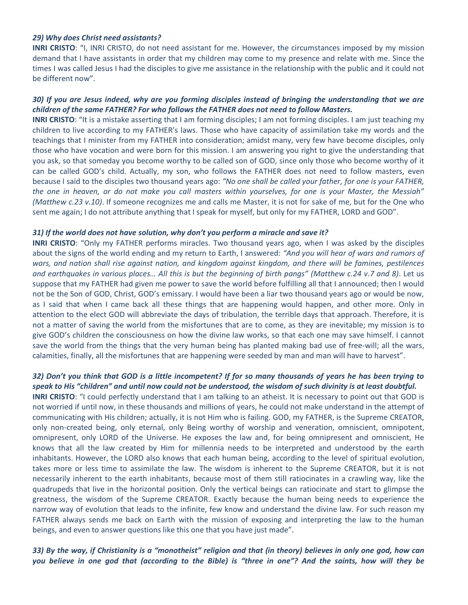### *29) Why does Christ need assistants?*

**INRI CRISTO**: "I, INRI CRISTO, do not need assistant for me. However, the circumstances imposed by my mission demand that I have assistants in order that my children may come to my presence and relate with me. Since the times I was called Jesus I had the disciples to give me assistance in the relationship with the public and it could not be different now".

# *30) If you are Jesus indeed, why are you forming disciples instead of bringing the understanding that we are children of the same FATHER? For who follows the FATHER does not need to follow Masters.*

**INRI CRISTO**: "It is a mistake asserting that I am forming disciples; I am not forming disciples. I am just teaching my children to live according to my FATHER's laws. Those who have capacity of assimilation take my words and the teachings that I minister from my FATHER into consideration; amidst many, very few have become disciples, only those who have vocation and were born for this mission. I am answering you right to give the understanding that you ask, so that someday you become worthy to be called son of GOD, since only those who become worthy of it can be called GOD's child. Actually, my son, who follows the FATHER does not need to follow masters, even because I said to the disciples two thousand years ago: *"No one shall be called your father, for one is your FATHER, the one in heaven, or do not make you call masters within yourselves, for one is your Master, the Messiah" (Matthew c.23 v.10)*. If someone recognizes me and calls me Master, it is not for sake of me, but for the One who sent me again; I do not attribute anything that I speak for myself, but only for my FATHER, LORD and GOD".

### *31) If the world does not have solution, why don't you perform a miracle and save it?*

**INRI CRISTO**: "Only my FATHER performs miracles. Two thousand years ago, when I was asked by the disciples about the signs of the world ending and my return to Earth, I answered: *"And you will hear of wars and rumors of*  wars, and nation shall rise against nation, and kingdom against kingdom, and there will be famines, pestilences *and earthquakes in various places… All this is but the beginning of birth pangs" (Matthew c.24 v.7 and 8)*. Let us suppose that my FATHER had given me power to save the world before fulfilling all that I announced; then I would not be the Son of GOD, Christ, GOD's emissary. I would have been a liar two thousand years ago or would be now, as I said that when I came back all these things that are happening would happen, and other more. Only in attention to the elect GOD will abbreviate the days of tribulation, the terrible days that approach. Therefore, it is not a matter of saving the world from the misfortunes that are to come, as they are inevitable; my mission is to give GOD's children the consciousness on how the divine law works, so that each one may save himself. I cannot save the world from the things that the very human being has planted making bad use of free-will; all the wars, calamities, finally, all the misfortunes that are happening were seeded by man and man will have to harvest".

### *32) Don't you think that GOD is a little incompetent? If for so many thousands of years he has been trying to speak to His "children" and until now could not be understood, the wisdom of such divinity is at least doubtful.*

**INRI CRISTO**: "I could perfectly understand that I am talking to an atheist. It is necessary to point out that GOD is not worried if until now, in these thousands and millions of years, he could not make understand in the attempt of communicating with His children; actually, it is not Him who is failing. GOD, my FATHER, is the Supreme CREATOR, only non-created being, only eternal, only Being worthy of worship and veneration, omniscient, omnipotent, omnipresent, only LORD of the Universe. He exposes the law and, for being omnipresent and omniscient, He knows that all the law created by Him for millennia needs to be interpreted and understood by the earth inhabitants. However, the LORD also knows that each human being, according to the level of spiritual evolution, takes more or less time to assimilate the law. The wisdom is inherent to the Supreme CREATOR, but it is not necessarily inherent to the earth inhabitants, because most of them still ratiocinates in a crawling way, like the quadrupeds that live in the horizontal position. Only the vertical beings can ratiocinate and start to glimpse the greatness, the wisdom of the Supreme CREATOR. Exactly because the human being needs to experience the narrow way of evolution that leads to the infinite, few know and understand the divine law. For such reason my FATHER always sends me back on Earth with the mission of exposing and interpreting the law to the human beings, and even to answer questions like this one that you have just made".

# *33) By the way, if Christianity is a "monotheist" religion and that (in theory) believes in only one god, how can you believe in one god that (according to the Bible) is "three in one"? And the saints, how will they be*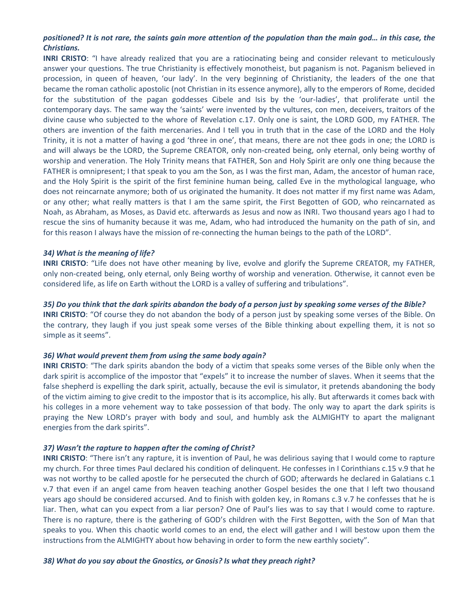# *positioned? It is not rare, the saints gain more attention of the population than the main god… in this case, the Christians.*

**INRI CRISTO**: "I have already realized that you are a ratiocinating being and consider relevant to meticulously answer your questions. The true Christianity is effectively monotheist, but paganism is not. Paganism believed in procession, in queen of heaven, 'our lady'. In the very beginning of Christianity, the leaders of the one that became the roman catholic apostolic (not Christian in its essence anymore), ally to the emperors of Rome, decided for the substitution of the pagan goddesses Cibele and Isis by the 'our-ladies', that proliferate until the contemporary days. The same way the 'saints' were invented by the vultures, con men, deceivers, traitors of the divine cause who subjected to the whore of Revelation c.17. Only one is saint, the LORD GOD, my FATHER. The others are invention of the faith mercenaries. And I tell you in truth that in the case of the LORD and the Holy Trinity, it is not a matter of having a god 'three in one', that means, there are not thee gods in one; the LORD is and will always be the LORD, the Supreme CREATOR, only non-created being, only eternal, only being worthy of worship and veneration. The Holy Trinity means that FATHER, Son and Holy Spirit are only one thing because the FATHER is omnipresent; I that speak to you am the Son, as I was the first man, Adam, the ancestor of human race, and the Holy Spirit is the spirit of the first feminine human being, called Eve in the mythological language, who does not reincarnate anymore; both of us originated the humanity. It does not matter if my first name was Adam, or any other; what really matters is that I am the same spirit, the First Begotten of GOD, who reincarnated as Noah, as Abraham, as Moses, as David etc. afterwards as Jesus and now as INRI. Two thousand years ago I had to rescue the sins of humanity because it was me, Adam, who had introduced the humanity on the path of sin, and for this reason I always have the mission of re-connecting the human beings to the path of the LORD".

#### *34) What is the meaning of life?*

**INRI CRISTO**: "Life does not have other meaning by live, evolve and glorify the Supreme CREATOR, my FATHER, only non-created being, only eternal, only Being worthy of worship and veneration. Otherwise, it cannot even be considered life, as life on Earth without the LORD is a valley of suffering and tribulations".

# *35) Do you think that the dark spirits abandon the body of a person just by speaking some verses of the Bible?*

**INRI CRISTO**: "Of course they do not abandon the body of a person just by speaking some verses of the Bible. On the contrary, they laugh if you just speak some verses of the Bible thinking about expelling them, it is not so simple as it seems".

#### *36) What would prevent them from using the same body again?*

**INRI CRISTO**: "The dark spirits abandon the body of a victim that speaks some verses of the Bible only when the dark spirit is accomplice of the impostor that "expels" it to increase the number of slaves. When it seems that the false shepherd is expelling the dark spirit, actually, because the evil is simulator, it pretends abandoning the body of the victim aiming to give credit to the impostor that is its accomplice, his ally. But afterwards it comes back with his colleges in a more vehement way to take possession of that body. The only way to apart the dark spirits is praying the New LORD's prayer with body and soul, and humbly ask the ALMIGHTY to apart the malignant energies from the dark spirits".

#### *37) Wasn't the rapture to happen after the coming of Christ?*

**INRI CRISTO**: "There isn't any rapture, it is invention of Paul, he was delirious saying that I would come to rapture my church. For three times Paul declared his condition of delinquent. He confesses in I Corinthians c.15 v.9 that he was not worthy to be called apostle for he persecuted the church of GOD; afterwards he declared in Galatians c.1 v.7 that even if an angel came from heaven teaching another Gospel besides the one that I left two thousand years ago should be considered accursed. And to finish with golden key, in Romans c.3 v.7 he confesses that he is liar. Then, what can you expect from a liar person? One of Paul's lies was to say that I would come to rapture. There is no rapture, there is the gathering of GOD's children with the First Begotten, with the Son of Man that speaks to you. When this chaotic world comes to an end, the elect will gather and I will bestow upon them the instructions from the ALMIGHTY about how behaving in order to form the new earthly society".

#### *38) What do you say about the Gnostics, or Gnosis? Is what they preach right?*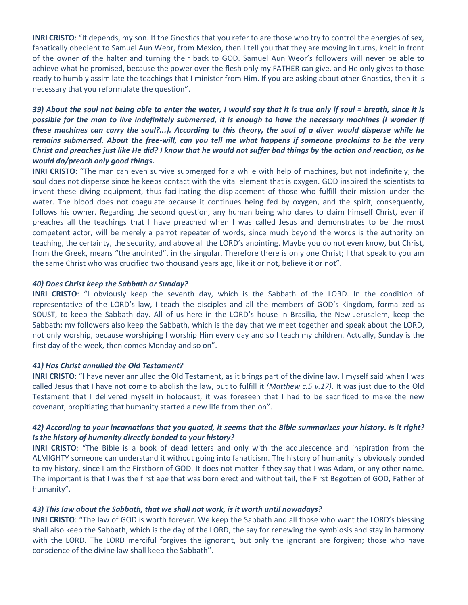**INRI CRISTO**: "It depends, my son. If the Gnostics that you refer to are those who try to control the energies of sex, fanatically obedient to Samuel Aun Weor, from Mexico, then I tell you that they are moving in turns, knelt in front of the owner of the halter and turning their back to GOD. Samuel Aun Weor's followers will never be able to achieve what he promised, because the power over the flesh only my FATHER can give, and He only gives to those ready to humbly assimilate the teachings that I minister from Him. If you are asking about other Gnostics, then it is necessary that you reformulate the question".

*39) About the soul not being able to enter the water, I would say that it is true only if soul = breath, since it is possible for the man to live indefinitely submersed, it is enough to have the necessary machines (I wonder if these machines can carry the soul?...). According to this theory, the soul of a diver would disperse while he remains submersed. About the free-will, can you tell me what happens if someone proclaims to be the very Christ and preaches just like He did? I know that he would not suffer bad things by the action and reaction, as he would do/preach only good things.*

**INRI CRISTO**: "The man can even survive submerged for a while with help of machines, but not indefinitely; the soul does not disperse since he keeps contact with the vital element that is oxygen. GOD inspired the scientists to invent these diving equipment, thus facilitating the displacement of those who fulfill their mission under the water. The blood does not coagulate because it continues being fed by oxygen, and the spirit, consequently, follows his owner. Regarding the second question, any human being who dares to claim himself Christ, even if preaches all the teachings that I have preached when I was called Jesus and demonstrates to be the most competent actor, will be merely a parrot repeater of words, since much beyond the words is the authority on teaching, the certainty, the security, and above all the LORD's anointing. Maybe you do not even know, but Christ, from the Greek, means "the anointed", in the singular. Therefore there is only one Christ; I that speak to you am the same Christ who was crucified two thousand years ago, like it or not, believe it or not".

#### *40) Does Christ keep the Sabbath or Sunday?*

**INRI CRISTO**: "I obviously keep the seventh day, which is the Sabbath of the LORD. In the condition of representative of the LORD's law, I teach the disciples and all the members of GOD's Kingdom, formalized as SOUST, to keep the Sabbath day. All of us here in the LORD's house in Brasilia, the New Jerusalem, keep the Sabbath; my followers also keep the Sabbath, which is the day that we meet together and speak about the LORD, not only worship, because worshiping I worship Him every day and so I teach my children. Actually, Sunday is the first day of the week, then comes Monday and so on".

#### *41) Has Christ annulled the Old Testament?*

**INRI CRISTO**: "I have never annulled the Old Testament, as it brings part of the divine law. I myself said when I was called Jesus that I have not come to abolish the law, but to fulfill it *(Matthew c.5 v.17)*. It was just due to the Old Testament that I delivered myself in holocaust; it was foreseen that I had to be sacrificed to make the new covenant, propitiating that humanity started a new life from then on".

# *42) According to your incarnations that you quoted, it seems that the Bible summarizes your history. Is it right? Is the history of humanity directly bonded to your history?*

**INRI CRISTO**: "The Bible is a book of dead letters and only with the acquiescence and inspiration from the ALMIGHTY someone can understand it without going into fanaticism. The history of humanity is obviously bonded to my history, since I am the Firstborn of GOD. It does not matter if they say that I was Adam, or any other name. The important is that I was the first ape that was born erect and without tail, the First Begotten of GOD, Father of humanity".

#### *43) This law about the Sabbath, that we shall not work, is it worth until nowadays?*

**INRI CRISTO**: "The law of GOD is worth forever. We keep the Sabbath and all those who want the LORD's blessing shall also keep the Sabbath, which is the day of the LORD, the say for renewing the symbiosis and stay in harmony with the LORD. The LORD merciful forgives the ignorant, but only the ignorant are forgiven; those who have conscience of the divine law shall keep the Sabbath".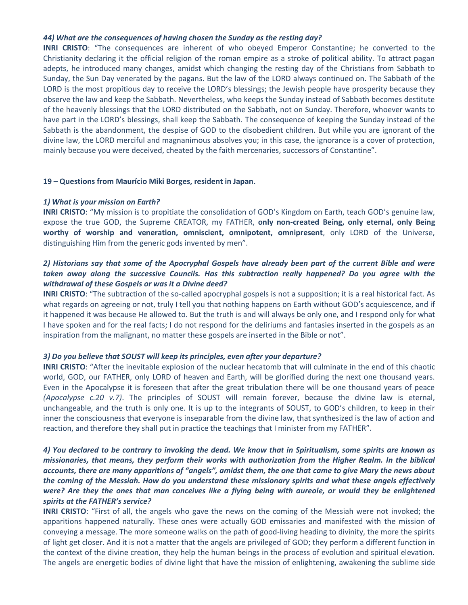#### *44) What are the consequences of having chosen the Sunday as the resting day?*

**INRI CRISTO**: "The consequences are inherent of who obeyed Emperor Constantine; he converted to the Christianity declaring it the official religion of the roman empire as a stroke of political ability. To attract pagan adepts, he introduced many changes, amidst which changing the resting day of the Christians from Sabbath to Sunday, the Sun Day venerated by the pagans. But the law of the LORD always continued on. The Sabbath of the LORD is the most propitious day to receive the LORD's blessings; the Jewish people have prosperity because they observe the law and keep the Sabbath. Nevertheless, who keeps the Sunday instead of Sabbath becomes destitute of the heavenly blessings that the LORD distributed on the Sabbath, not on Sunday. Therefore, whoever wants to have part in the LORD's blessings, shall keep the Sabbath. The consequence of keeping the Sunday instead of the Sabbath is the abandonment, the despise of GOD to the disobedient children. But while you are ignorant of the divine law, the LORD merciful and magnanimous absolves you; in this case, the ignorance is a cover of protection, mainly because you were deceived, cheated by the faith mercenaries, successors of Constantine".

### **19 – Questions from Maurício Miki Borges, resident in Japan.**

#### *1) What is your mission on Earth?*

**INRI CRISTO**: "My mission is to propitiate the consolidation of GOD's Kingdom on Earth, teach GOD's genuine law, expose the true GOD, the Supreme CREATOR, my FATHER, **only non-created Being, only eternal, only Being worthy of worship and veneration, omniscient, omnipotent, omnipresent**, only LORD of the Universe, distinguishing Him from the generic gods invented by men".

# *2) Historians say that some of the Apocryphal Gospels have already been part of the current Bible and were taken away along the successive Councils. Has this subtraction really happened? Do you agree with the withdrawal of these Gospels or was it a Divine deed?*

**INRI CRISTO**: "The subtraction of the so-called apocryphal gospels is not a supposition; it is a real historical fact. As what regards on agreeing or not, truly I tell you that nothing happens on Earth without GOD's acquiescence, and if it happened it was because He allowed to. But the truth is and will always be only one, and I respond only for what I have spoken and for the real facts; I do not respond for the deliriums and fantasies inserted in the gospels as an inspiration from the malignant, no matter these gospels are inserted in the Bible or not".

#### *3) Do you believe that SOUST will keep its principles, even after your departure?*

**INRI CRISTO**: "After the inevitable explosion of the nuclear hecatomb that will culminate in the end of this chaotic world, GOD, our FATHER, only LORD of heaven and Earth, will be glorified during the next one thousand years. Even in the Apocalypse it is foreseen that after the great tribulation there will be one thousand years of peace *(Apocalypse c.20 v.7)*. The principles of SOUST will remain forever, because the divine law is eternal, unchangeable, and the truth is only one. It is up to the integrants of SOUST, to GOD's children, to keep in their inner the consciousness that everyone is inseparable from the divine law, that synthesized is the law of action and reaction, and therefore they shall put in practice the teachings that I minister from my FATHER".

# *4) You declared to be contrary to invoking the dead. We know that in Spiritualism, some spirits are known as missionaries, that means, they perform their works with authorization from the Higher Realm. In the biblical accounts, there are many apparitions of "angels", amidst them, the one that came to give Mary the news about the coming of the Messiah. How do you understand these missionary spirits and what these angels effectively*  were? Are they the ones that man conceives like a flying being with aureole, or would they be enlightened *spirits at the FATHER's service?*

**INRI CRISTO**: "First of all, the angels who gave the news on the coming of the Messiah were not invoked; the apparitions happened naturally. These ones were actually GOD emissaries and manifested with the mission of conveying a message. The more someone walks on the path of good-living heading to divinity, the more the spirits of light get closer. And it is not a matter that the angels are privileged of GOD; they perform a different function in the context of the divine creation, they help the human beings in the process of evolution and spiritual elevation. The angels are energetic bodies of divine light that have the mission of enlightening, awakening the sublime side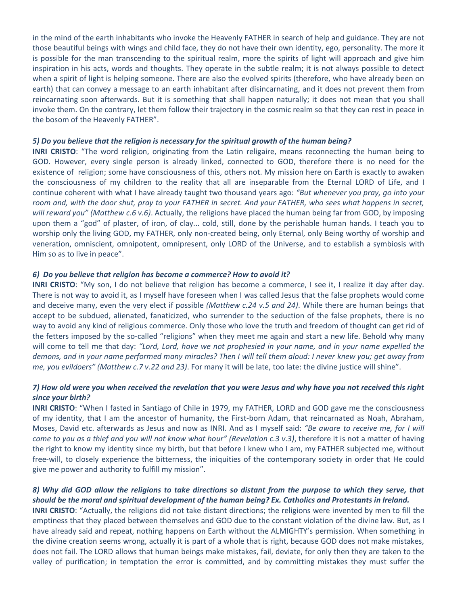in the mind of the earth inhabitants who invoke the Heavenly FATHER in search of help and guidance. They are not those beautiful beings with wings and child face, they do not have their own identity, ego, personality. The more it is possible for the man transcending to the spiritual realm, more the spirits of light will approach and give him inspiration in his acts, words and thoughts. They operate in the subtle realm; it is not always possible to detect when a spirit of light is helping someone. There are also the evolved spirits (therefore, who have already been on earth) that can convey a message to an earth inhabitant after disincarnating, and it does not prevent them from reincarnating soon afterwards. But it is something that shall happen naturally; it does not mean that you shall invoke them. On the contrary, let them follow their trajectory in the cosmic realm so that they can rest in peace in the bosom of the Heavenly FATHER".

#### *5) Do you believe that the religion is necessary for the spiritual growth of the human being?*

**INRI CRISTO**: "The word religion, originating from the Latin religaire, means reconnecting the human being to GOD. However, every single person is already linked, connected to GOD, therefore there is no need for the existence of religion; some have consciousness of this, others not. My mission here on Earth is exactly to awaken the consciousness of my children to the reality that all are inseparable from the Eternal LORD of Life, and I continue coherent with what I have already taught two thousand years ago: *"But whenever you pray, go into your*  room and, with the door shut, pray to your FATHER in secret. And your FATHER, who sees what happens in secret, *will reward you" (Matthew c.6 v.6)*. Actually, the religions have placed the human being far from GOD, by imposing upon them a "god" of plaster, of iron, of clay... cold, still, done by the perishable human hands. I teach you to worship only the living GOD, my FATHER, only non-created being, only Eternal, only Being worthy of worship and veneration, omniscient, omnipotent, omnipresent, only LORD of the Universe, and to establish a symbiosis with Him so as to live in peace".

### *6) Do you believe that religion has become a commerce? How to avoid it?*

**INRI CRISTO**: "My son, I do not believe that religion has become a commerce, I see it, I realize it day after day. There is not way to avoid it, as I myself have foreseen when I was called Jesus that the false prophets would come and deceive many, even the very elect if possible *(Matthew c.24 v.5 and 24)*. While there are human beings that accept to be subdued, alienated, fanaticized, who surrender to the seduction of the false prophets, there is no way to avoid any kind of religious commerce. Only those who love the truth and freedom of thought can get rid of the fetters imposed by the so-called "religions" when they meet me again and start a new life. Behold why many will come to tell me that day: *"Lord, Lord, have we not prophesied in your name, and in your name expelled the demons, and in your name performed many miracles? Then I will tell them aloud: I never knew you; get away from me, you evildoers" (Matthew c.7 v.22 and 23)*. For many it will be late, too late: the divine justice will shine".

### *7) How old were you when received the revelation that you were Jesus and why have you not received this right since your birth?*

**INRI CRISTO**: "When I fasted in Santiago of Chile in 1979, my FATHER, LORD and GOD gave me the consciousness of my identity, that I am the ancestor of humanity, the First-born Adam, that reincarnated as Noah, Abraham, Moses, David etc. afterwards as Jesus and now as INRI. And as I myself said: *"Be aware to receive me, for I will come to you as a thief and you will not know what hour" (Revelation c.3 v.3)*, therefore it is not a matter of having the right to know my identity since my birth, but that before I knew who I am, my FATHER subjected me, without free-will, to closely experience the bitterness, the iniquities of the contemporary society in order that He could give me power and authority to fulfill my mission".

#### *8) Why did GOD allow the religions to take directions so distant from the purpose to which they serve, that should be the moral and spiritual development of the human being? Ex. Catholics and Protestants in Ireland.*

**INRI CRISTO**: "Actually, the religions did not take distant directions; the religions were invented by men to fill the emptiness that they placed between themselves and GOD due to the constant violation of the divine law. But, as I have already said and repeat, nothing happens on Earth without the ALMIGHTY's permission. When something in the divine creation seems wrong, actually it is part of a whole that is right, because GOD does not make mistakes, does not fail. The LORD allows that human beings make mistakes, fail, deviate, for only then they are taken to the valley of purification; in temptation the error is committed, and by committing mistakes they must suffer the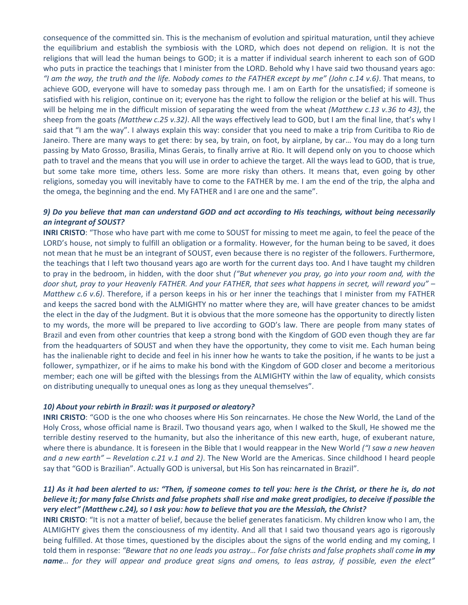consequence of the committed sin. This is the mechanism of evolution and spiritual maturation, until they achieve the equilibrium and establish the symbiosis with the LORD, which does not depend on religion. It is not the religions that will lead the human beings to GOD; it is a matter if individual search inherent to each son of GOD who puts in practice the teachings that I minister from the LORD. Behold why I have said two thousand years ago: *"I am the way, the truth and the life. Nobody comes to the FATHER except by me" (John c.14 v.6)*. That means, to achieve GOD, everyone will have to someday pass through me. I am on Earth for the unsatisfied; if someone is satisfied with his religion, continue on it; everyone has the right to follow the religion or the belief at his will. Thus will be helping me in the difficult mission of separating the weed from the wheat *(Matthew c.13 v.36 to 43)*, the sheep from the goats *(Matthew c.25 v.32)*. All the ways effectively lead to GOD, but I am the final line, that's why I said that "I am the way". I always explain this way: consider that you need to make a trip from Curitiba to Rio de Janeiro. There are many ways to get there: by sea, by train, on foot, by airplane, by car… You may do a long turn passing by Mato Grosso, Brasilia, Minas Gerais, to finally arrive at Rio. It will depend only on you to choose which path to travel and the means that you will use in order to achieve the target. All the ways lead to GOD, that is true, but some take more time, others less. Some are more risky than others. It means that, even going by other religions, someday you will inevitably have to come to the FATHER by me. I am the end of the trip, the alpha and the omega, the beginning and the end. My FATHER and I are one and the same".

# *9) Do you believe that man can understand GOD and act according to His teachings, without being necessarily an integrant of SOUST?*

**INRI CRISTO**: "Those who have part with me come to SOUST for missing to meet me again, to feel the peace of the LORD's house, not simply to fulfill an obligation or a formality. However, for the human being to be saved, it does not mean that he must be an integrant of SOUST, even because there is no register of the followers. Furthermore, the teachings that I left two thousand years ago are worth for the current days too. And I have taught my children to pray in the bedroom, in hidden, with the door shut *("But whenever you pray, go into your room and, with the door shut, pray to your Heavenly FATHER. And your FATHER, that sees what happens in secret, will reward you" – Matthew c.6 v.6)*. Therefore, if a person keeps in his or her inner the teachings that I minister from my FATHER and keeps the sacred bond with the ALMIGHTY no matter where they are, will have greater chances to be amidst the elect in the day of the Judgment. But it is obvious that the more someone has the opportunity to directly listen to my words, the more will be prepared to live according to GOD's law. There are people from many states of Brazil and even from other countries that keep a strong bond with the Kingdom of GOD even though they are far from the headquarters of SOUST and when they have the opportunity, they come to visit me. Each human being has the inalienable right to decide and feel in his inner how he wants to take the position, if he wants to be just a follower, sympathizer, or if he aims to make his bond with the Kingdom of GOD closer and become a meritorious member; each one will be gifted with the blessings from the ALMIGHTY within the law of equality, which consists on distributing unequally to unequal ones as long as they unequal themselves".

### *10) About your rebirth in Brazil: was it purposed or aleatory?*

**INRI CRISTO**: "GOD is the one who chooses where His Son reincarnates. He chose the New World, the Land of the Holy Cross, whose official name is Brazil. Two thousand years ago, when I walked to the Skull, He showed me the terrible destiny reserved to the humanity, but also the inheritance of this new earth, huge, of exuberant nature, where there is abundance. It is foreseen in the Bible that I would reappear in the New World *("I saw a new heaven and a new earth" – Revelation c.21 v.1 and 2)*. The New World are the Americas. Since childhood I heard people say that "GOD is Brazilian". Actually GOD is universal, but His Son has reincarnated in Brazil".

# *11) As it had been alerted to us: "Then, if someone comes to tell you: here is the Christ, or there he is, do not believe it; for many false Christs and false prophets shall rise and make great prodigies, to deceive if possible the very elect" (Matthew c.24), so I ask you: how to believe that you are the Messiah, the Christ?*

**INRI CRISTO**: "It is not a matter of belief, because the belief generates fanaticism. My children know who I am, the ALMIGHTY gives them the consciousness of my identity. And all that I said two thousand years ago is rigorously being fulfilled. At those times, questioned by the disciples about the signs of the world ending and my coming, I told them in response: "Beware that no one leads you astray... For false christs and false prophets shall come *in my name… for they will appear and produce great signs and omens, to leas astray, if possible, even the elect"*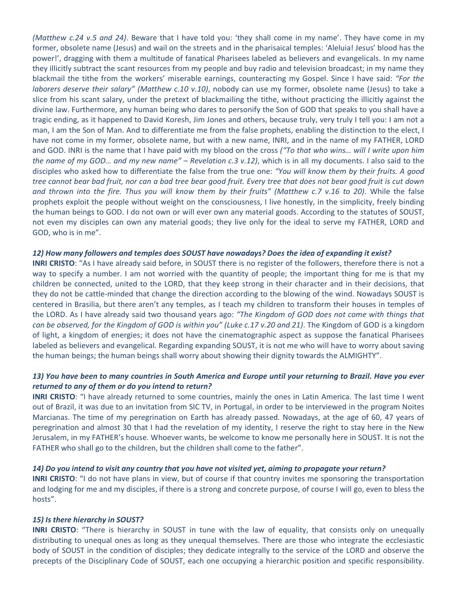*(Matthew c.24 v.5 and 24)*. Beware that I have told you: 'they shall come in my name'. They have come in my former, obsolete name (Jesus) and wail on the streets and in the pharisaical temples: 'Aleluia! Jesus' blood has the power!', dragging with them a multitude of fanatical Pharisees labeled as believers and evangelicals. In my name they illicitly subtract the scant resources from my people and buy radio and television broadcast; in my name they blackmail the tithe from the workers' miserable earnings, counteracting my Gospel. Since I have said: *"For the laborers deserve their salary" (Matthew c.10 v.10)*, nobody can use my former, obsolete name (Jesus) to take a slice from his scant salary, under the pretext of blackmailing the tithe, without practicing the illicitly against the divine law. Furthermore, any human being who dares to personify the Son of GOD that speaks to you shall have a tragic ending, as it happened to David Koresh, Jim Jones and others, because truly, very truly I tell you: I am not a man, I am the Son of Man. And to differentiate me from the false prophets, enabling the distinction to the elect, I have not come in my former, obsolete name, but with a new name, INRI, and in the name of my FATHER, LORD and GOD. INRI is the name that I have paid with my blood on the cross *("To that who wins… will I write upon him the name of my GOD… and my new name" – Revelation c.3 v.12)*, which is in all my documents. I also said to the disciples who asked how to differentiate the false from the true one: *"You will know them by their fruits. A good tree cannot bear bad fruit, nor can a bad tree bear good fruit. Every tree that does not bear good fruit is cut down and thrown into the fire. Thus you will know them by their fruits" (Matthew c.7 v.16 to 20)*. While the false prophets exploit the people without weight on the consciousness, I live honestly, in the simplicity, freely binding the human beings to GOD. I do not own or will ever own any material goods. According to the statutes of SOUST, not even my disciples can own any material goods; they live only for the ideal to serve my FATHER, LORD and GOD, who is in me".

### *12) How many followers and temples does SOUST have nowadays? Does the idea of expanding it exist?*

**INRI CRISTO**: "As I have already said before, in SOUST there is no register of the followers, therefore there is not a way to specify a number. I am not worried with the quantity of people; the important thing for me is that my children be connected, united to the LORD, that they keep strong in their character and in their decisions, that they do not be cattle-minded that change the direction according to the blowing of the wind. Nowadays SOUST is centered in Brasilia, but there aren't any temples, as I teach my children to transform their houses in temples of the LORD. As I have already said two thousand years ago: *"The Kingdom of GOD does not come with things that can be observed, for the Kingdom of GOD is within you" (Luke c.17 v.20 and 21)*. The Kingdom of GOD is a kingdom of light, a kingdom of energies; it does not have the cinematographic aspect as suppose the fanatical Pharisees labeled as believers and evangelical. Regarding expanding SOUST, it is not me who will have to worry about saving the human beings; the human beings shall worry about showing their dignity towards the ALMIGHTY".

## *13) You have been to many countries in South America and Europe until your returning to Brazil. Have you ever returned to any of them or do you intend to return?*

**INRI CRISTO**: "I have already returned to some countries, mainly the ones in Latin America. The last time I went out of Brazil, it was due to an invitation from SIC TV, in Portugal, in order to be interviewed in the program Noites Marcianas. The time of my peregrination on Earth has already passed. Nowadays, at the age of 60, 47 years of peregrination and almost 30 that I had the revelation of my identity, I reserve the right to stay here in the New Jerusalem, in my FATHER's house. Whoever wants, be welcome to know me personally here in SOUST. It is not the FATHER who shall go to the children, but the children shall come to the father".

### *14) Do you intend to visit any country that you have not visited yet, aiming to propagate your return?*

**INRI CRISTO**: "I do not have plans in view, but of course if that country invites me sponsoring the transportation and lodging for me and my disciples, if there is a strong and concrete purpose, of course I will go, even to bless the hosts".

#### *15) Is there hierarchy in SOUST?*

**INRI CRISTO**: "There is hierarchy in SOUST in tune with the law of equality, that consists only on unequally distributing to unequal ones as long as they unequal themselves. There are those who integrate the ecclesiastic body of SOUST in the condition of disciples; they dedicate integrally to the service of the LORD and observe the precepts of the Disciplinary Code of SOUST, each one occupying a hierarchic position and specific responsibility.